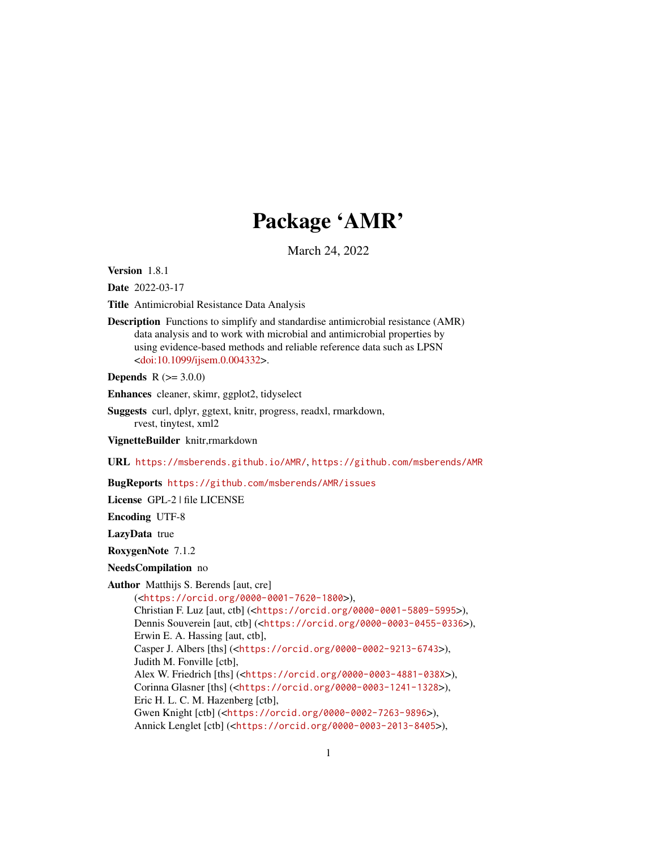# Package 'AMR'

March 24, 2022

<span id="page-0-0"></span>Version 1.8.1

Date 2022-03-17

Title Antimicrobial Resistance Data Analysis

Description Functions to simplify and standardise antimicrobial resistance (AMR) data analysis and to work with microbial and antimicrobial properties by using evidence-based methods and reliable reference data such as LPSN [<doi:10.1099/ijsem.0.004332>](https://doi.org/10.1099/ijsem.0.004332).

**Depends**  $R (= 3.0.0)$ 

Enhances cleaner, skimr, ggplot2, tidyselect

Suggests curl, dplyr, ggtext, knitr, progress, readxl, rmarkdown, rvest, tinytest, xml2

VignetteBuilder knitr,rmarkdown

URL <https://msberends.github.io/AMR/>, <https://github.com/msberends/AMR>

BugReports <https://github.com/msberends/AMR/issues>

License GPL-2 | file LICENSE

Encoding UTF-8

LazyData true

RoxygenNote 7.1.2

NeedsCompilation no

Author Matthijs S. Berends [aut, cre]

(<<https://orcid.org/0000-0001-7620-1800>>), Christian F. Luz [aut, ctb] (<<https://orcid.org/0000-0001-5809-5995>>), Dennis Souverein [aut, ctb] (<<https://orcid.org/0000-0003-0455-0336>>), Erwin E. A. Hassing [aut, ctb], Casper J. Albers [ths] (<<https://orcid.org/0000-0002-9213-6743>>), Judith M. Fonville [ctb], Alex W. Friedrich [ths] (<<https://orcid.org/0000-0003-4881-038X>>), Corinna Glasner [ths] (<<https://orcid.org/0000-0003-1241-1328>>), Eric H. L. C. M. Hazenberg [ctb], Gwen Knight [ctb] (<<https://orcid.org/0000-0002-7263-9896>>), Annick Lenglet [ctb] (<<https://orcid.org/0000-0003-2013-8405>>),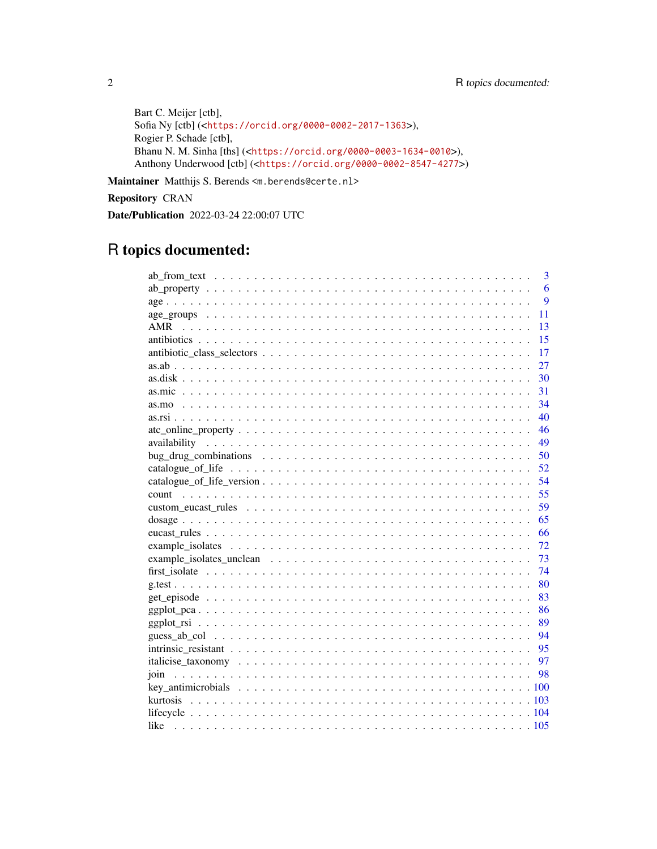Bart C. Meijer [ctb], Sofia Ny [ctb] (<<https://orcid.org/0000-0002-2017-1363>>), Rogier P. Schade [ctb], Bhanu N. M. Sinha [ths] (<<https://orcid.org/0000-0003-1634-0010>>), Anthony Underwood [ctb] (<<https://orcid.org/0000-0002-8547-4277>>)

Maintainer Matthijs S. Berends <m.berends@certe.nl>

Repository CRAN

Date/Publication 2022-03-24 22:00:07 UTC

# R topics documented:

| 3         |
|-----------|
| 6         |
| 9         |
| 11        |
| AMR<br>13 |
| 15        |
| 17        |
| 27        |
| 30        |
| 31        |
| 34        |
| 40        |
| 46        |
| 49        |
| 50        |
| 52        |
| 54        |
| 55        |
| 59        |
| 65        |
| 66        |
| 72        |
| 73        |
| 74        |
| 80        |
| 83        |
| 86        |
| 89        |
| - 94      |
| - 95      |
| 97        |
| 98        |
|           |
|           |
|           |
|           |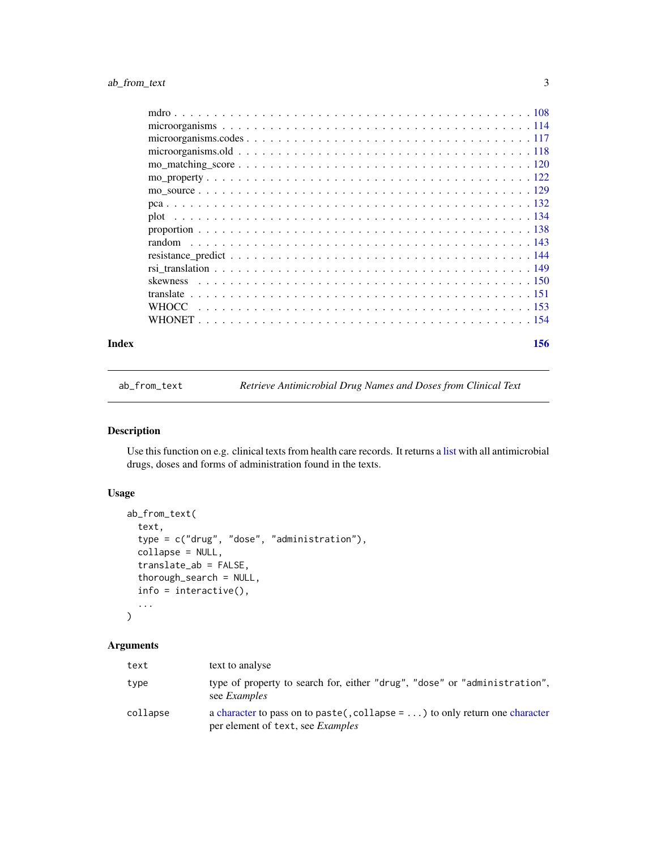<span id="page-2-0"></span>

| Index | 156 |
|-------|-----|

<span id="page-2-1"></span>ab\_from\_text *Retrieve Antimicrobial Drug Names and Doses from Clinical Text*

# Description

Use this function on e.g. clinical texts from health care records. It returns a [list](#page-0-0) with all antimicrobial drugs, doses and forms of administration found in the texts.

# Usage

```
ab_from_text(
  text,
  type = c("drug", "dose", "administration"),
  collapse = NULL,
  translate_ab = FALSE,
  thorough_search = NULL,
  info = interactive(),
  ...
)
```
# Arguments

| text     | text to analyse                                                                                                                 |
|----------|---------------------------------------------------------------------------------------------------------------------------------|
| type     | type of property to search for, either "drug", "dose" or "administration",<br>see <i>Examples</i>                               |
| collapse | a character to pass on to paste(, collapse = $\dots$ ) to only return one character<br>per element of text, see <i>Examples</i> |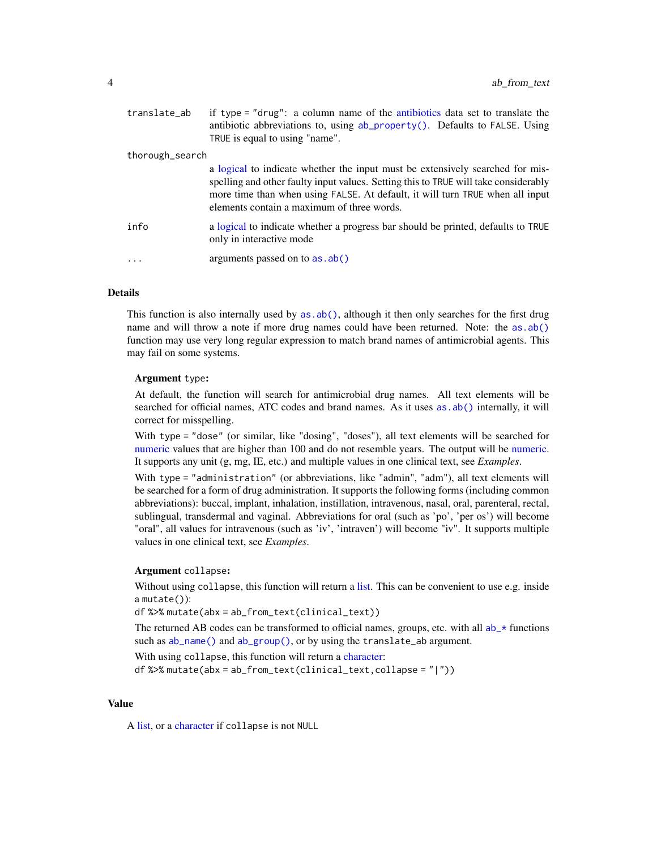| translate_ab    | if type = "drug": a column name of the antibiotics data set to translate the<br>antibiotic abbreviations to, using ab_property(). Defaults to FALSE. Using<br>TRUE is equal to using "name".                                                                                                        |
|-----------------|-----------------------------------------------------------------------------------------------------------------------------------------------------------------------------------------------------------------------------------------------------------------------------------------------------|
| thorough_search |                                                                                                                                                                                                                                                                                                     |
|                 | a logical to indicate whether the input must be extensively searched for mis-<br>spelling and other faulty input values. Setting this to TRUE will take considerably<br>more time than when using FALSE. At default, it will turn TRUE when all input<br>elements contain a maximum of three words. |
| info            | a logical to indicate whether a progress bar should be printed, defaults to TRUE<br>only in interactive mode                                                                                                                                                                                        |
| $\cdots$        | arguments passed on to as . ab()                                                                                                                                                                                                                                                                    |

# **Details**

This function is also internally used by [as.ab\(\)](#page-26-1), although it then only searches for the first drug name and will throw a note if more drug names could have been returned. Note: the [as.ab\(\)](#page-26-1) function may use very long regular expression to match brand names of antimicrobial agents. This may fail on some systems.

#### Argument type:

At default, the function will search for antimicrobial drug names. All text elements will be searched for official names, ATC codes and brand names. As it uses as  $ab()$  internally, it will correct for misspelling.

With type = "dose" (or similar, like "dosing", "doses"), all text elements will be searched for [numeric](#page-0-0) values that are higher than 100 and do not resemble years. The output will be [numeric.](#page-0-0) It supports any unit (g, mg, IE, etc.) and multiple values in one clinical text, see *Examples*.

With type = "administration" (or abbreviations, like "admin", "adm"), all text elements will be searched for a form of drug administration. It supports the following forms (including common abbreviations): buccal, implant, inhalation, instillation, intravenous, nasal, oral, parenteral, rectal, sublingual, transdermal and vaginal. Abbreviations for oral (such as 'po', 'per os') will become "oral", all values for intravenous (such as 'iv', 'intraven') will become "iv". It supports multiple values in one clinical text, see *Examples*.

# Argument collapse:

Without using collapse, this function will return a [list.](#page-0-0) This can be convenient to use e.g. inside a mutate()):

df %>% mutate(abx = ab\_from\_text(clinical\_text))

The returned AB codes can be transformed to official names, groups, etc. with all  $ab$ <sup>\*</sup> functions such as [ab\\_name\(\)](#page-5-2) and [ab\\_group\(\)](#page-5-2), or by using the translate\_ab argument.

With using collapse, this function will return a [character:](#page-0-0)

df %>% mutate(abx = ab\_from\_text(clinical\_text,collapse = "|"))

#### Value

A [list,](#page-0-0) or a [character](#page-0-0) if collapse is not NULL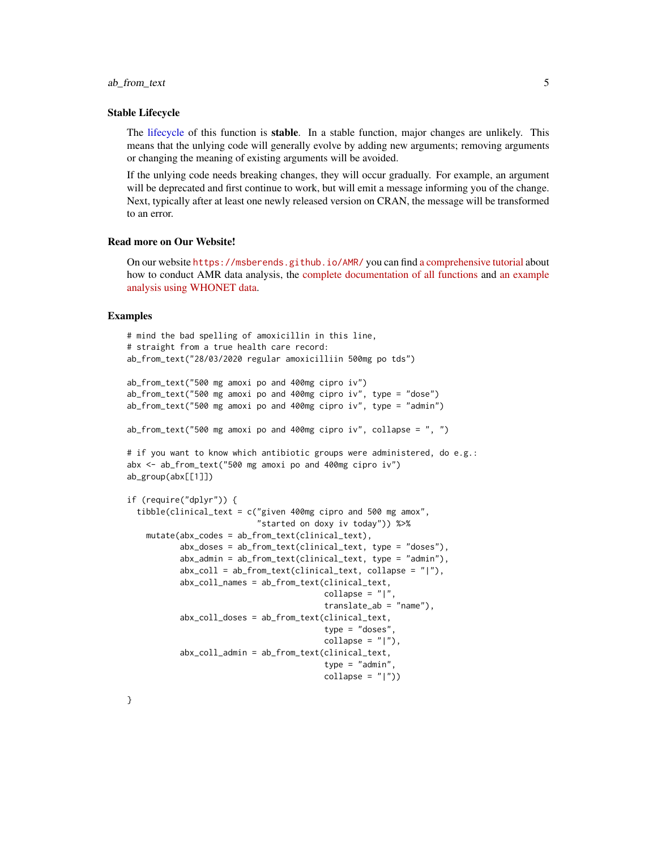# ab\_from\_text 5

#### Stable Lifecycle

The [lifecycle](#page-103-1) of this function is stable. In a stable function, major changes are unlikely. This means that the unlying code will generally evolve by adding new arguments; removing arguments or changing the meaning of existing arguments will be avoided.

If the unlying code needs breaking changes, they will occur gradually. For example, an argument will be deprecated and first continue to work, but will emit a message informing you of the change. Next, typically after at least one newly released version on CRAN, the message will be transformed to an error.

# Read more on Our Website!

On our website <https://msberends.github.io/AMR/> you can find [a comprehensive tutorial](https://msberends.github.io/AMR/articles/AMR.html) about how to conduct AMR data analysis, the [complete documentation of all functions](https://msberends.github.io/AMR/reference/) and [an example](https://msberends.github.io/AMR/articles/WHONET.html) [analysis using WHONET data.](https://msberends.github.io/AMR/articles/WHONET.html)

# Examples

```
# mind the bad spelling of amoxicillin in this line,
# straight from a true health care record:
ab_from_text("28/03/2020 regular amoxicilliin 500mg po tds")
ab_from_text("500 mg amoxi po and 400mg cipro iv")
ab_from_text("500 mg amoxi po and 400mg cipro iv", type = "dose")
ab_from_text("500 mg amoxi po and 400mg cipro iv", type = "admin")
ab_from_text("500 mg amoxi po and 400mg cipro iv", collapse = ", ")
# if you want to know which antibiotic groups were administered, do e.g.:
abx <- ab_from_text("500 mg amoxi po and 400mg cipro iv")
ab_group(abx[[1]])
if (require("dplyr")) {
 tibble(clinical_text = c("given 400mg cipro and 500 mg amox",
                           "started on doxy iv today")) %>%
    mutate(abx_codes = ab_from_text(clinical_text),
           abx_doses = ab_from_text(clinical_text, type = "doses"),
           abx_admin = ab_from_text(clinical_text, type = "admin"),
           abx_{coll} = ab_{from\_text(clinical\_text, collapse = "|"),
           abx_coll_names = ab_from_text(clinical_text,
                                         collapse = "|"translate_ab = "name"),
           abx_coll_doses = ab_from_text(clinical_text,
                                         type = "doses",
                                         collapse = "|"),
           abx_coll_admin = ab_from_text(clinical_text,
                                         type = "admin",
                                         collapse = "|")
```
}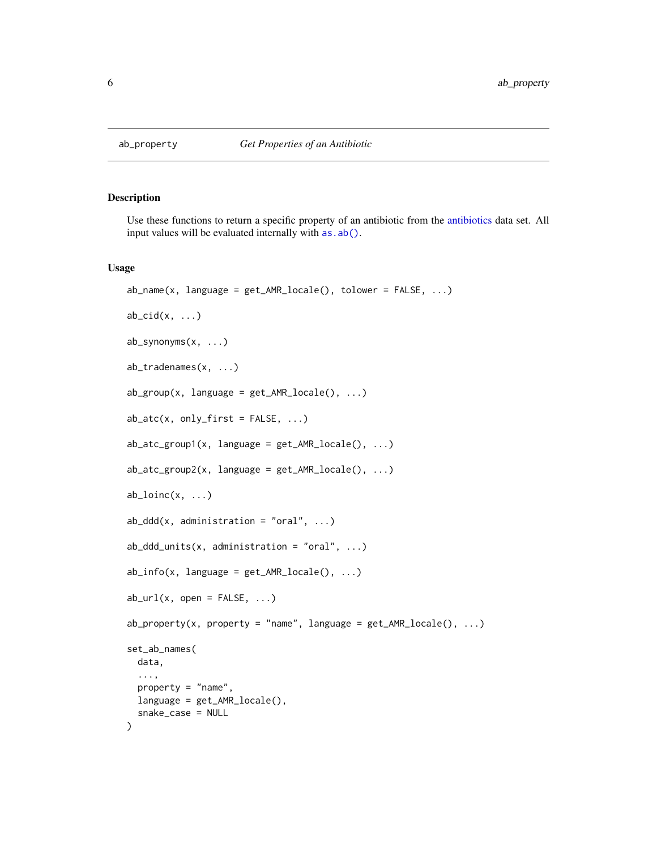<span id="page-5-1"></span><span id="page-5-0"></span>

# <span id="page-5-2"></span>Description

Use these functions to return a specific property of an antibiotic from the [antibiotics](#page-14-1) data set. All input values will be evaluated internally with  $as.ab()$ .

#### Usage

```
ab_name(x, \text{language} = get\_AMR\_locale(), \text{tolower} = FALSE, ...)ab\_cid(x, \ldots)ab_synonyms(x, ...)
ab_tradenames(x, ...)
ab\_group(x, \; language = get\_AMR\_locale(), \; ...)ab\_{at}(x, only\_first = FALSE, ...)ab\_{atc\_group1(x, language = get\_AMR\_locale(), ...)ab_ \cdot \text{atc\_group2}(x, \text{ language} = \text{get\_AMR\_locale(), ...})ab\_loinc(x, \ldots)ab_ddd(x, administration = "oral", ...)
ab\_ddd\_units(x, administration = "oral", ...)ab_info(x, language = get\_AMR\_locale(), ...)ab\_url(x, open = FALSE, ...)ab_property(x, property = "name", language = get_AMR_locale(), ...)
set_ab_names(
  data,
  ...,
 property = "name",
 language = get_AMR_locale(),
  snake_case = NULL
)
```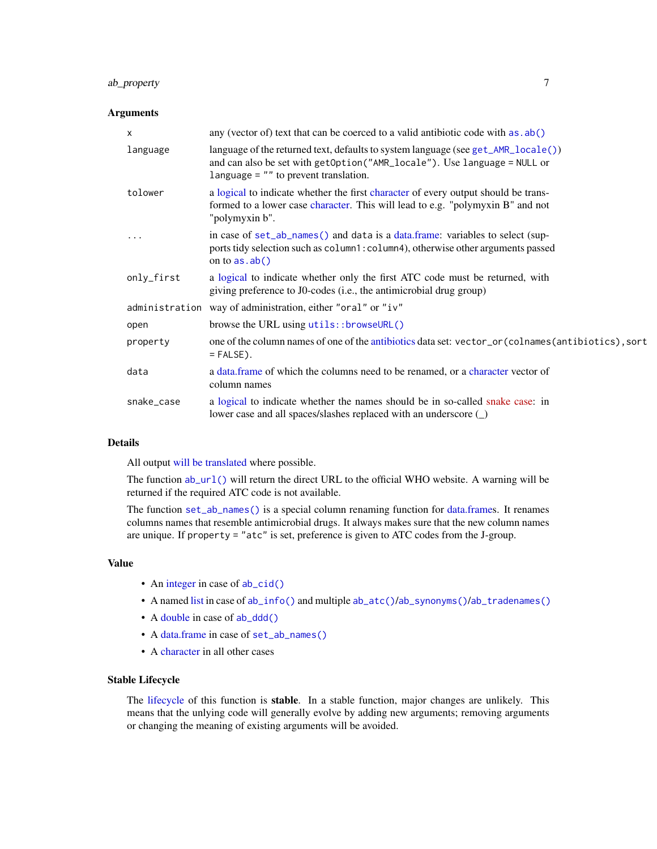# ab\_property 7

# Arguments

| X          | any (vector of) text that can be coerced to a valid antibiotic code with as $ab()$                                                                                                                       |
|------------|----------------------------------------------------------------------------------------------------------------------------------------------------------------------------------------------------------|
| language   | language of the returned text, defaults to system language (see get_AMR_locale())<br>and can also be set with getOption("AMR_locale"). Use language = NULL or<br>language $=$ "" to prevent translation. |
| tolower    | a logical to indicate whether the first character of every output should be trans-<br>formed to a lower case character. This will lead to e.g. "polymyxin B" and not<br>"polymyxin b".                   |
|            | in case of set_ab_names() and data is a data.frame: variables to select (sup-<br>ports tidy selection such as column1: column4), otherwise other arguments passed<br>on to $as.ab()$                     |
| only_first | a logical to indicate whether only the first ATC code must be returned, with<br>giving preference to J0-codes (i.e., the antimicrobial drug group)                                                       |
|            | administration way of administration, either "oral" or "iv"                                                                                                                                              |
| open       | browse the URL using utils::browseURL()                                                                                                                                                                  |
| property   | one of the column names of one of the antibiotics data set: vector_or(colnames(antibiotics), sort<br>$=$ FALSE).                                                                                         |
| data       | a data.frame of which the columns need to be renamed, or a character vector of<br>column names                                                                                                           |
| snake_case | a logical to indicate whether the names should be in so-called snake case: in<br>lower case and all spaces/slashes replaced with an underscore (                                                         |

# Details

All output [will be translated](#page-150-2) where possible.

The function [ab\\_url\(\)](#page-5-2) will return the direct URL to the official WHO website. A warning will be returned if the required ATC code is not available.

The function [set\\_ab\\_names\(\)](#page-5-2) is a special column renaming function for [data.frames](#page-0-0). It renames columns names that resemble antimicrobial drugs. It always makes sure that the new column names are unique. If property = "atc" is set, preference is given to ATC codes from the J-group.

#### Value

- An [integer](#page-0-0) in case of [ab\\_cid\(\)](#page-5-2)
- A named [list](#page-0-0) in case of [ab\\_info\(\)](#page-5-2) and multiple [ab\\_atc\(\)](#page-5-2)/[ab\\_synonyms\(\)](#page-5-2)/[ab\\_tradenames\(\)](#page-5-2)
- A [double](#page-0-0) in case of [ab\\_ddd\(\)](#page-5-2)
- A [data.frame](#page-0-0) in case of [set\\_ab\\_names\(\)](#page-5-2)
- A [character](#page-0-0) in all other cases

# Stable Lifecycle

The [lifecycle](#page-103-1) of this function is stable. In a stable function, major changes are unlikely. This means that the unlying code will generally evolve by adding new arguments; removing arguments or changing the meaning of existing arguments will be avoided.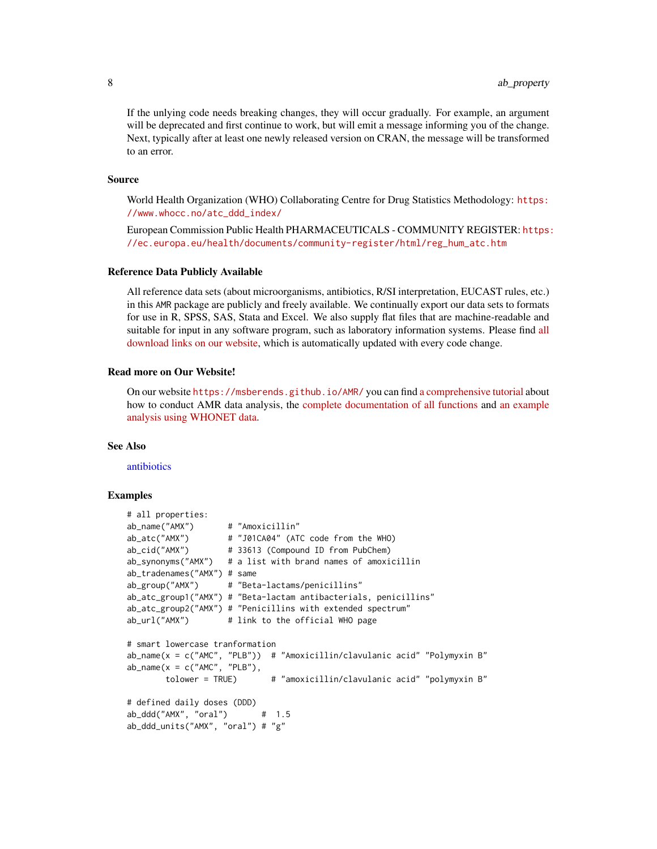If the unlying code needs breaking changes, they will occur gradually. For example, an argument will be deprecated and first continue to work, but will emit a message informing you of the change. Next, typically after at least one newly released version on CRAN, the message will be transformed to an error.

#### Source

World Health Organization (WHO) Collaborating Centre for Drug Statistics Methodology: [https:](https://www.whocc.no/atc_ddd_index/) [//www.whocc.no/atc\\_ddd\\_index/](https://www.whocc.no/atc_ddd_index/)

European Commission Public Health PHARMACEUTICALS - COMMUNITY REGISTER: [https:](https://ec.europa.eu/health/documents/community-register/html/reg_hum_atc.htm) [//ec.europa.eu/health/documents/community-register/html/reg\\_hum\\_atc.htm](https://ec.europa.eu/health/documents/community-register/html/reg_hum_atc.htm)

#### Reference Data Publicly Available

All reference data sets (about microorganisms, antibiotics, R/SI interpretation, EUCAST rules, etc.) in this AMR package are publicly and freely available. We continually export our data sets to formats for use in R, SPSS, SAS, Stata and Excel. We also supply flat files that are machine-readable and suitable for input in any software program, such as laboratory information systems. Please find [all](https://msberends.github.io/AMR/articles/datasets.html) [download links on our website,](https://msberends.github.io/AMR/articles/datasets.html) which is automatically updated with every code change.

# Read more on Our Website!

On our website <https://msberends.github.io/AMR/> you can find [a comprehensive tutorial](https://msberends.github.io/AMR/articles/AMR.html) about how to conduct AMR data analysis, the [complete documentation of all functions](https://msberends.github.io/AMR/reference/) and [an example](https://msberends.github.io/AMR/articles/WHONET.html) [analysis using WHONET data.](https://msberends.github.io/AMR/articles/WHONET.html)

# See Also

[antibiotics](#page-14-1)

# Examples

```
# all properties:
ab_name("AMX") # "Amoxicillin"
ab_atc("AMX") # "J01CA04" (ATC code from the WHO)
ab_cid("AMX") # 33613 (Compound ID from PubChem)
ab_synonyms("AMX") # a list with brand names of amoxicillin
ab_tradenames("AMX") # same
ab_group("AMX") # "Beta-lactams/penicillins"
ab_atc_group1("AMX") # "Beta-lactam antibacterials, penicillins"
ab_atc_group2("AMX") # "Penicillins with extended spectrum"
ab_url("AMX") # link to the official WHO page
# smart lowercase tranformation
ab_name(x = c("AMC", "PLB")) # "Amoxicillin/clavulanic acid" "Polymyxin B"ab_name(x = c("AMC", "PLB"),tolower = TRUE) # "amoxicillin/clavulanic acid" "polymyxin B"
# defined daily doses (DDD)
ab_ddd("AMX", "oral") # 1.5
ab_ddd_units("AMX", "oral") # "g"
```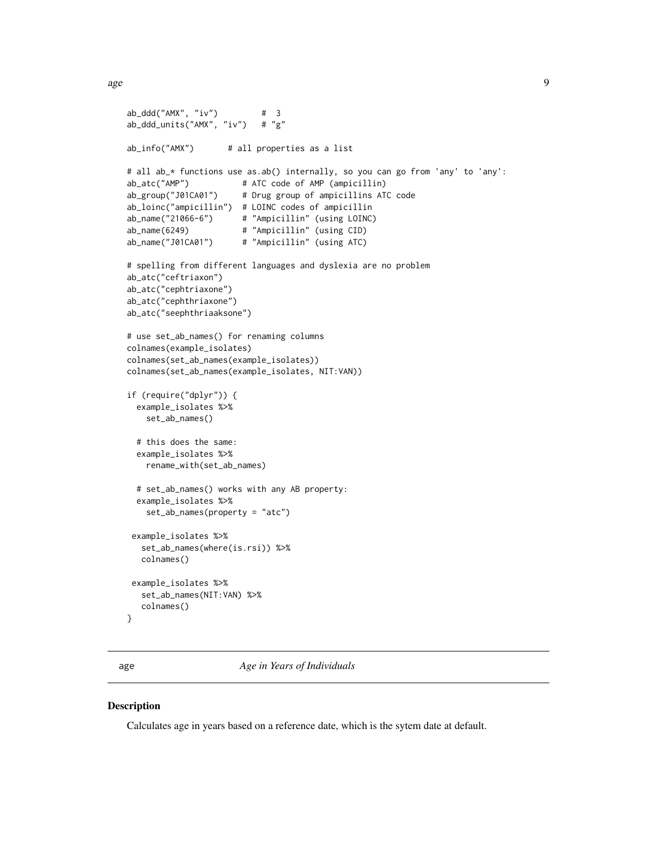<span id="page-8-0"></span>age 9

```
ab_ddd("AMX", "iv") # 3
ab_ddd_units("AMX", "iv") # "g"
ab_info("AMX") # all properties as a list
# all ab_* functions use as.ab() internally, so you can go from 'any' to 'any':
ab_atc("AMP") # ATC code of AMP (ampicillin)
ab_group("J01CA01") # Drug group of ampicillins ATC code
ab_loinc("ampicillin") # LOINC codes of ampicillin
ab_name("21066-6") # "Ampicillin" (using LOINC)
ab_name(6249) # "Ampicillin" (using CID)
ab_name("J01CA01") # "Ampicillin" (using ATC)
# spelling from different languages and dyslexia are no problem
ab_atc("ceftriaxon")
ab_atc("cephtriaxone")
ab_atc("cephthriaxone")
ab_atc("seephthriaaksone")
# use set_ab_names() for renaming columns
colnames(example_isolates)
colnames(set_ab_names(example_isolates))
colnames(set_ab_names(example_isolates, NIT:VAN))
if (require("dplyr")) {
 example_isolates %>%
   set_ab_names()
 # this does the same:
 example_isolates %>%
   rename_with(set_ab_names)
 # set_ab_names() works with any AB property:
 example_isolates %>%
   set_ab_names(property = "atc")
example_isolates %>%
  set_ab_names(where(is.rsi)) %>%
  colnames()
example_isolates %>%
  set_ab_names(NIT:VAN) %>%
  colnames()
}
```
<span id="page-8-1"></span>age *Age in Years of Individuals*

# **Description**

Calculates age in years based on a reference date, which is the sytem date at default.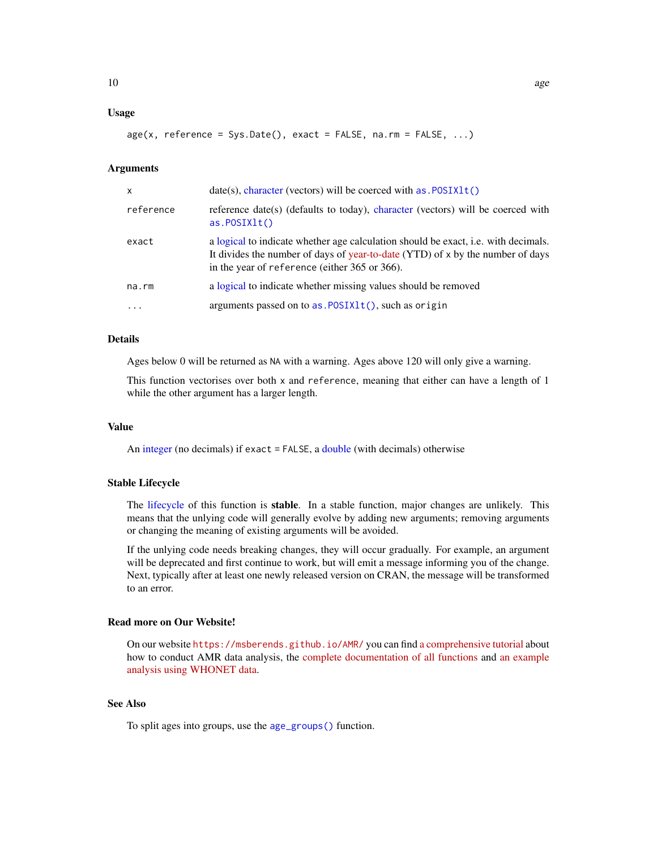# Usage

```
age(x, reference = Sys.Date(), exact = FALSE, na.rm = FALSE, ...)
```
#### Arguments

| x         | $date(s)$ , character (vectors) will be coerced with $as.POSIXIt()$                                                                                                                                                   |  |  |
|-----------|-----------------------------------------------------------------------------------------------------------------------------------------------------------------------------------------------------------------------|--|--|
| reference | reference date(s) (defaults to today), character (vectors) will be coerced with<br>as.POSIXIt()                                                                                                                       |  |  |
| exact     | a logical to indicate whether age calculation should be exact, i.e. with decimals.<br>It divides the number of days of year-to-date (YTD) of x by the number of days<br>in the year of reference (either 365 or 366). |  |  |
| na.rm     | a logical to indicate whether missing values should be removed                                                                                                                                                        |  |  |
| $\ddotsc$ | arguments passed on to $as.POSIXIt()$ , such as origin                                                                                                                                                                |  |  |

# Details

Ages below 0 will be returned as NA with a warning. Ages above 120 will only give a warning.

This function vectorises over both x and reference, meaning that either can have a length of 1 while the other argument has a larger length.

#### Value

An [integer](#page-0-0) (no decimals) if exact = FALSE, a [double](#page-0-0) (with decimals) otherwise

#### Stable Lifecycle

The [lifecycle](#page-103-1) of this function is stable. In a stable function, major changes are unlikely. This means that the unlying code will generally evolve by adding new arguments; removing arguments or changing the meaning of existing arguments will be avoided.

If the unlying code needs breaking changes, they will occur gradually. For example, an argument will be deprecated and first continue to work, but will emit a message informing you of the change. Next, typically after at least one newly released version on CRAN, the message will be transformed to an error.

# Read more on Our Website!

On our website <https://msberends.github.io/AMR/> you can find [a comprehensive tutorial](https://msberends.github.io/AMR/articles/AMR.html) about how to conduct AMR data analysis, the [complete documentation of all functions](https://msberends.github.io/AMR/reference/) and [an example](https://msberends.github.io/AMR/articles/WHONET.html) [analysis using WHONET data.](https://msberends.github.io/AMR/articles/WHONET.html)

# See Also

To split ages into groups, use the [age\\_groups\(\)](#page-10-1) function.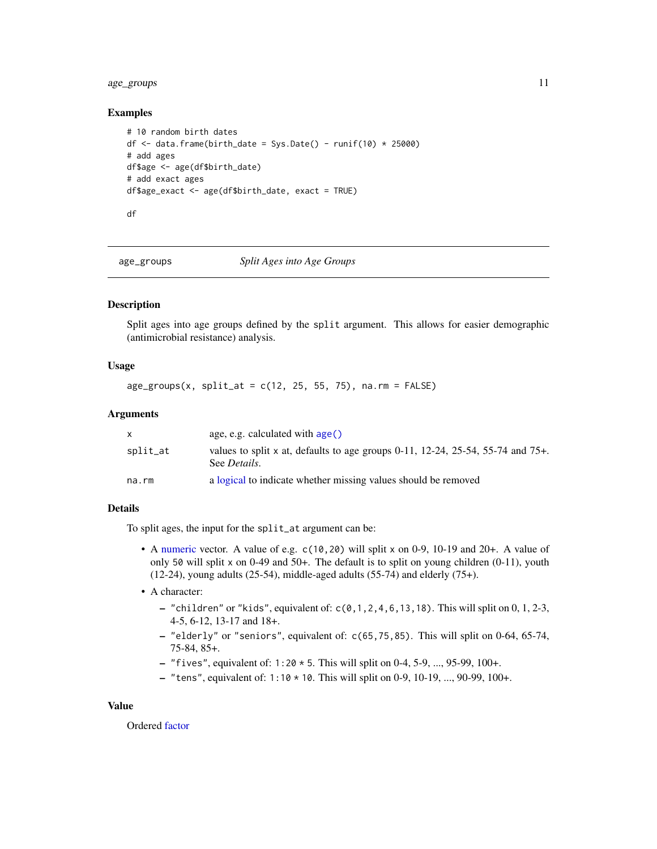# <span id="page-10-0"></span>age\_groups 11

# Examples

```
# 10 random birth dates
df \le data.frame(birth_date = Sys.Date() - runif(10) \star 25000)
# add ages
df$age <- age(df$birth_date)
# add exact ages
df$age_exact <- age(df$birth_date, exact = TRUE)
df
```
<span id="page-10-1"></span>age\_groups *Split Ages into Age Groups*

# Description

Split ages into age groups defined by the split argument. This allows for easier demographic (antimicrobial resistance) analysis.

# Usage

 $age\_groups(x, split_at = c(12, 25, 55, 75), na.rm = FALSE)$ 

# Arguments

|          | age, e.g. calculated with $age()$                                                                       |
|----------|---------------------------------------------------------------------------------------------------------|
| split_at | values to split x at, defaults to age groups 0-11, 12-24, 25-54, 55-74 and 75+.<br>See <i>Details</i> . |
| na.rm    | a logical to indicate whether missing values should be removed                                          |

# Details

To split ages, the input for the split\_at argument can be:

- A [numeric](#page-0-0) vector. A value of e.g. c(10,20) will split x on 0-9, 10-19 and 20+. A value of only 50 will split x on 0-49 and 50+. The default is to split on young children (0-11), youth  $(12-24)$ , young adults  $(25-54)$ , middle-aged adults  $(55-74)$  and elderly  $(75+)$ .
- A character:
	- "children" or "kids", equivalent of: c(0,1,2,4,6,13,18). This will split on 0, 1, 2-3, 4-5, 6-12, 13-17 and 18+.
	- "elderly" or "seniors", equivalent of: c(65,75,85). This will split on 0-64, 65-74, 75-84, 85+.
	- "fives", equivalent of:  $1:20 \times 5$ . This will split on 0-4, 5-9, ..., 95-99, 100+.
	- "tens", equivalent of:  $1:10 * 10$ . This will split on 0-9, 10-19, ..., 90-99, 100+.

#### Value

Ordered [factor](#page-0-0)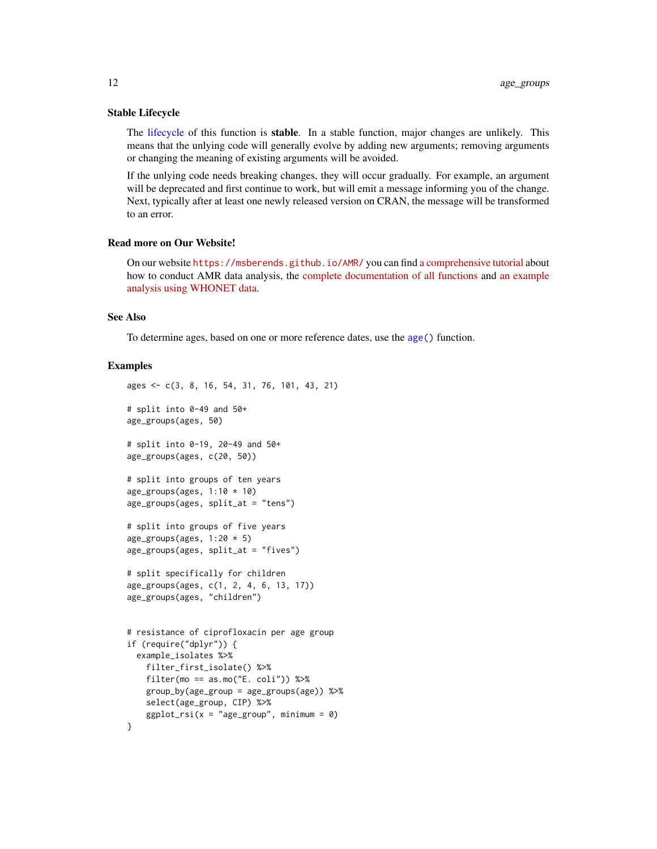#### Stable Lifecycle

The [lifecycle](#page-103-1) of this function is stable. In a stable function, major changes are unlikely. This means that the unlying code will generally evolve by adding new arguments; removing arguments or changing the meaning of existing arguments will be avoided.

If the unlying code needs breaking changes, they will occur gradually. For example, an argument will be deprecated and first continue to work, but will emit a message informing you of the change. Next, typically after at least one newly released version on CRAN, the message will be transformed to an error.

# Read more on Our Website!

On our website <https://msberends.github.io/AMR/> you can find [a comprehensive tutorial](https://msberends.github.io/AMR/articles/AMR.html) about how to conduct AMR data analysis, the [complete documentation of all functions](https://msberends.github.io/AMR/reference/) and [an example](https://msberends.github.io/AMR/articles/WHONET.html) [analysis using WHONET data.](https://msberends.github.io/AMR/articles/WHONET.html)

# See Also

To determine ages, based on one or more reference dates, use the [age\(\)](#page-8-1) function.

# Examples

```
ages <- c(3, 8, 16, 54, 31, 76, 101, 43, 21)
# split into 0-49 and 50+
age_groups(ages, 50)
# split into 0-19, 20-49 and 50+
age_groups(ages, c(20, 50))
# split into groups of ten years
age_groups(ages, 1:10 \times 10)
age_groups(ages, split_at = "tens")
# split into groups of five years
age_groups(ages, 1:20 * 5)
age_groups(ages, split_at = "fives")
# split specifically for children
age_groups(ages, c(1, 2, 4, 6, 13, 17))
age_groups(ages, "children")
# resistance of ciprofloxacin per age group
if (require("dplyr")) {
 example_isolates %>%
    filter_first_isolate() %>%
    filter(mo == as.mo("E. coli")) %>%
   group_by(age_group = age_groups(age)) %>%
   select(age_group, CIP) %>%
   ggplot\_rsi(x = "age\_group", minimum = 0)}
```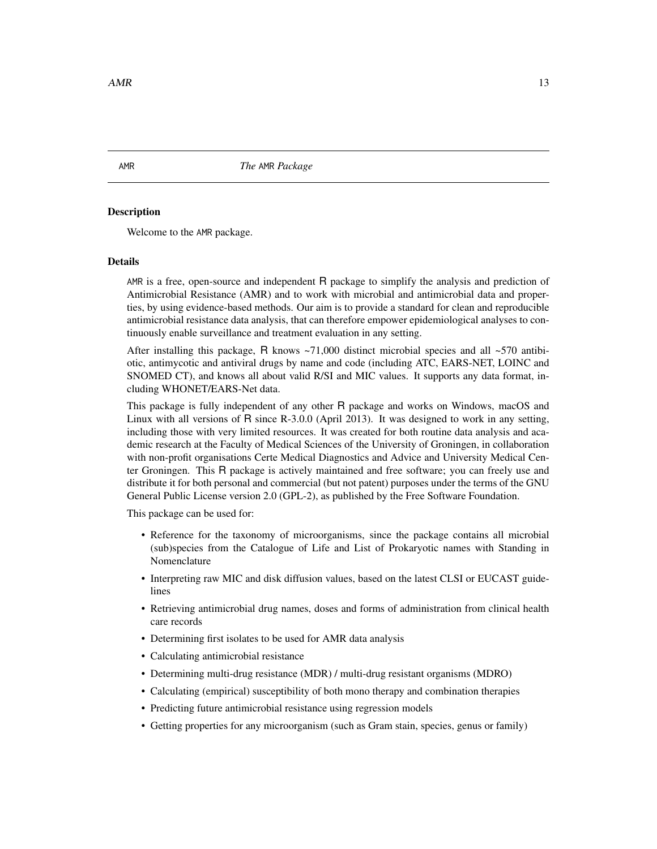<span id="page-12-0"></span>AMR *The* AMR *Package*

# Description

Welcome to the AMR package.

#### Details

AMR is a free, open-source and independent R package to simplify the analysis and prediction of Antimicrobial Resistance (AMR) and to work with microbial and antimicrobial data and properties, by using evidence-based methods. Our aim is to provide a standard for clean and reproducible antimicrobial resistance data analysis, that can therefore empower epidemiological analyses to continuously enable surveillance and treatment evaluation in any setting.

After installing this package, R knows  $\approx 71,000$  distinct microbial species and all  $\approx 570$  antibiotic, antimycotic and antiviral drugs by name and code (including ATC, EARS-NET, LOINC and SNOMED CT), and knows all about valid R/SI and MIC values. It supports any data format, including WHONET/EARS-Net data.

This package is fully independent of any other R package and works on Windows, macOS and Linux with all versions of R since R-3.0.0 (April 2013). It was designed to work in any setting, including those with very limited resources. It was created for both routine data analysis and academic research at the Faculty of Medical Sciences of the University of Groningen, in collaboration with non-profit organisations Certe Medical Diagnostics and Advice and University Medical Center Groningen. This R package is actively maintained and free software; you can freely use and distribute it for both personal and commercial (but not patent) purposes under the terms of the GNU General Public License version 2.0 (GPL-2), as published by the Free Software Foundation.

This package can be used for:

- Reference for the taxonomy of microorganisms, since the package contains all microbial (sub)species from the Catalogue of Life and List of Prokaryotic names with Standing in Nomenclature
- Interpreting raw MIC and disk diffusion values, based on the latest CLSI or EUCAST guidelines
- Retrieving antimicrobial drug names, doses and forms of administration from clinical health care records
- Determining first isolates to be used for AMR data analysis
- Calculating antimicrobial resistance
- Determining multi-drug resistance (MDR) / multi-drug resistant organisms (MDRO)
- Calculating (empirical) susceptibility of both mono therapy and combination therapies
- Predicting future antimicrobial resistance using regression models
- Getting properties for any microorganism (such as Gram stain, species, genus or family)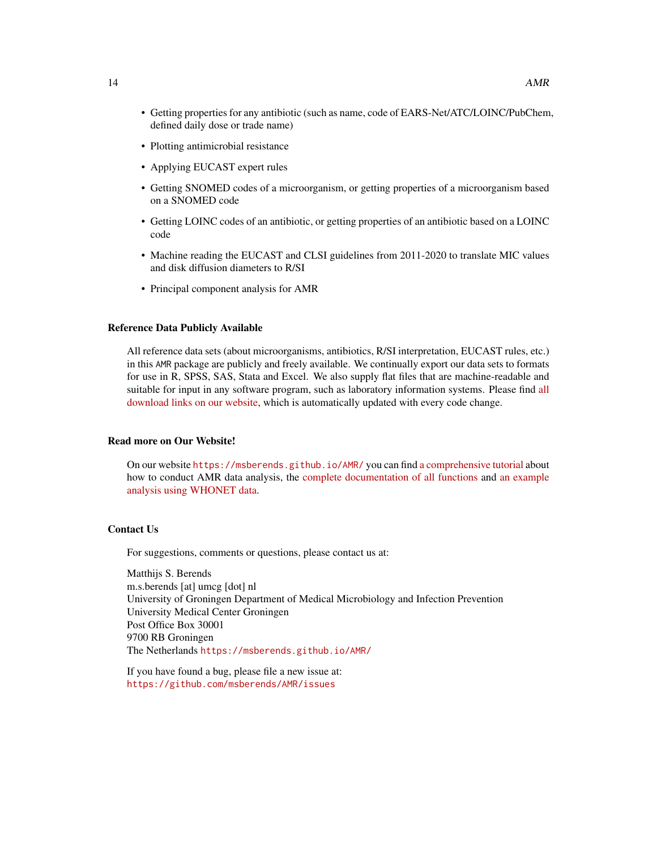- Getting properties for any antibiotic (such as name, code of EARS-Net/ATC/LOINC/PubChem, defined daily dose or trade name)
- Plotting antimicrobial resistance
- Applying EUCAST expert rules
- Getting SNOMED codes of a microorganism, or getting properties of a microorganism based on a SNOMED code
- Getting LOINC codes of an antibiotic, or getting properties of an antibiotic based on a LOINC code
- Machine reading the EUCAST and CLSI guidelines from 2011-2020 to translate MIC values and disk diffusion diameters to R/SI
- Principal component analysis for AMR

# Reference Data Publicly Available

All reference data sets (about microorganisms, antibiotics, R/SI interpretation, EUCAST rules, etc.) in this AMR package are publicly and freely available. We continually export our data sets to formats for use in R, SPSS, SAS, Stata and Excel. We also supply flat files that are machine-readable and suitable for input in any software program, such as laboratory information systems. Please find [all](https://msberends.github.io/AMR/articles/datasets.html) [download links on our website,](https://msberends.github.io/AMR/articles/datasets.html) which is automatically updated with every code change.

# Read more on Our Website!

On our website <https://msberends.github.io/AMR/> you can find [a comprehensive tutorial](https://msberends.github.io/AMR/articles/AMR.html) about how to conduct AMR data analysis, the [complete documentation of all functions](https://msberends.github.io/AMR/reference/) and [an example](https://msberends.github.io/AMR/articles/WHONET.html) [analysis using WHONET data.](https://msberends.github.io/AMR/articles/WHONET.html)

# Contact Us

For suggestions, comments or questions, please contact us at:

Matthijs S. Berends m.s.berends [at] umcg [dot] nl University of Groningen Department of Medical Microbiology and Infection Prevention University Medical Center Groningen Post Office Box 30001 9700 RB Groningen The Netherlands <https://msberends.github.io/AMR/>

If you have found a bug, please file a new issue at: <https://github.com/msberends/AMR/issues>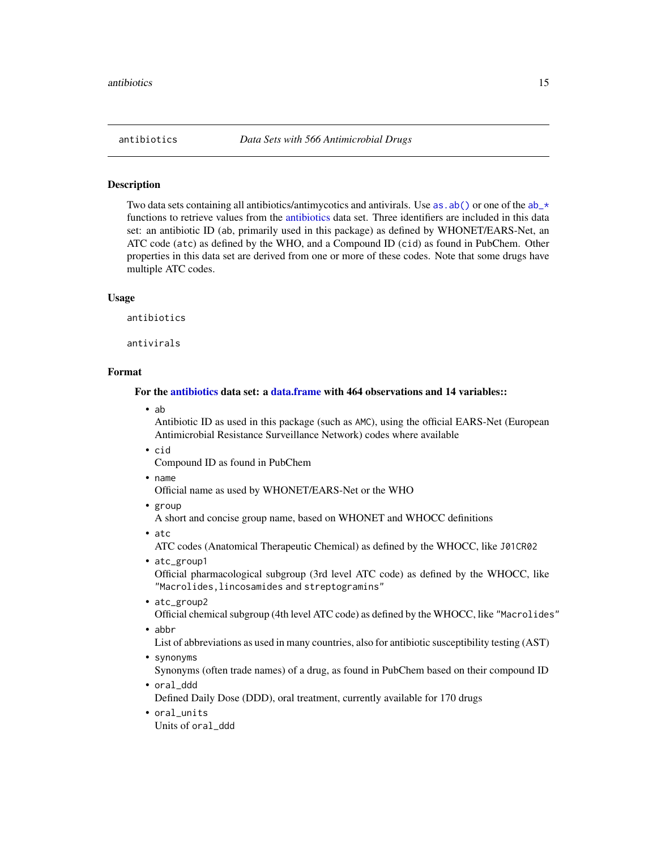<span id="page-14-1"></span><span id="page-14-0"></span>

# <span id="page-14-2"></span>Description

Two data sets containing all antibiotics/antimycotics and antivirals. Use as  $ab()$  or one of the  $ab_\perp$ functions to retrieve values from the [antibiotics](#page-14-1) data set. Three identifiers are included in this data set: an antibiotic ID (ab, primarily used in this package) as defined by WHONET/EARS-Net, an ATC code (atc) as defined by the WHO, and a Compound ID (cid) as found in PubChem. Other properties in this data set are derived from one or more of these codes. Note that some drugs have multiple ATC codes.

#### Usage

antibiotics

antivirals

# Format

# For the [antibiotics](#page-14-1) data set: a [data.frame](#page-0-0) with 464 observations and 14 variables::

• ab

Antibiotic ID as used in this package (such as AMC), using the official EARS-Net (European Antimicrobial Resistance Surveillance Network) codes where available

• cid

Compound ID as found in PubChem

• name

Official name as used by WHONET/EARS-Net or the WHO

• group

A short and concise group name, based on WHONET and WHOCC definitions

• atc

ATC codes (Anatomical Therapeutic Chemical) as defined by the WHOCC, like J01CR02

• atc\_group1

Official pharmacological subgroup (3rd level ATC code) as defined by the WHOCC, like "Macrolides,lincosamides and streptogramins"

- atc\_group2 Official chemical subgroup (4th level ATC code) as defined by the WHOCC, like "Macrolides"
- abbr

List of abbreviations as used in many countries, also for antibiotic susceptibility testing (AST)

• synonyms

Synonyms (often trade names) of a drug, as found in PubChem based on their compound ID

- oral\_ddd Defined Daily Dose (DDD), oral treatment, currently available for 170 drugs
- oral\_units Units of oral\_ddd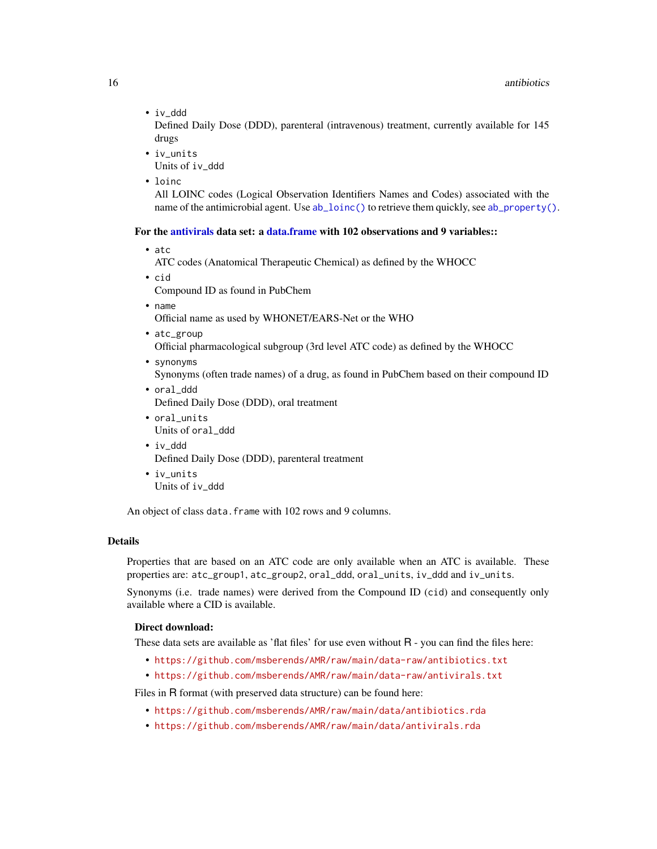• iv\_ddd

Defined Daily Dose (DDD), parenteral (intravenous) treatment, currently available for 145 drugs

• iv\_units

Units of iv\_ddd

• loinc

All LOINC codes (Logical Observation Identifiers Names and Codes) associated with the name of the antimicrobial agent. Use  $ab\_loinc()$  to retrieve them quickly, see  $ab\_property()$ .

# For the [antivirals](#page-14-2) data set: a [data.frame](#page-0-0) with 102 observations and 9 variables::

• atc

ATC codes (Anatomical Therapeutic Chemical) as defined by the WHOCC

• cid

Compound ID as found in PubChem

• name

Official name as used by WHONET/EARS-Net or the WHO

- atc\_group Official pharmacological subgroup (3rd level ATC code) as defined by the WHOCC
- synonyms

Synonyms (often trade names) of a drug, as found in PubChem based on their compound ID

- oral\_ddd Defined Daily Dose (DDD), oral treatment
- oral\_units Units of oral\_ddd
- iv\_ddd Defined Daily Dose (DDD), parenteral treatment
- iv\_units Units of iv\_ddd

An object of class data. frame with 102 rows and 9 columns.

# Details

Properties that are based on an ATC code are only available when an ATC is available. These properties are: atc\_group1, atc\_group2, oral\_ddd, oral\_units, iv\_ddd and iv\_units.

Synonyms (i.e. trade names) were derived from the Compound ID (cid) and consequently only available where a CID is available.

# Direct download:

These data sets are available as 'flat files' for use even without R - you can find the files here:

- <https://github.com/msberends/AMR/raw/main/data-raw/antibiotics.txt>
- <https://github.com/msberends/AMR/raw/main/data-raw/antivirals.txt>

Files in R format (with preserved data structure) can be found here:

- <https://github.com/msberends/AMR/raw/main/data/antibiotics.rda>
- <https://github.com/msberends/AMR/raw/main/data/antivirals.rda>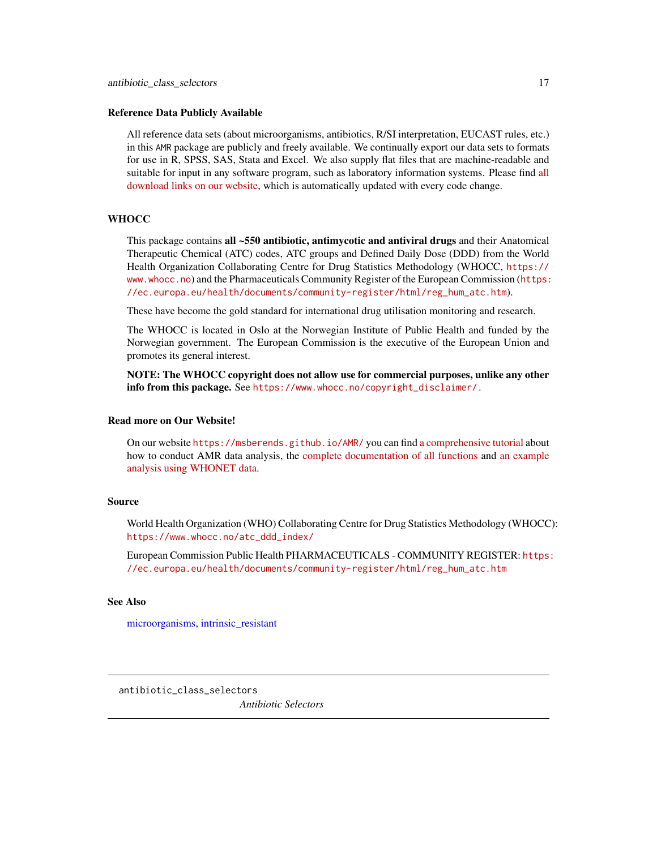#### <span id="page-16-0"></span>Reference Data Publicly Available

All reference data sets (about microorganisms, antibiotics, R/SI interpretation, EUCAST rules, etc.) in this AMR package are publicly and freely available. We continually export our data sets to formats for use in R, SPSS, SAS, Stata and Excel. We also supply flat files that are machine-readable and suitable for input in any software program, such as laboratory information systems. Please find [all](https://msberends.github.io/AMR/articles/datasets.html) [download links on our website,](https://msberends.github.io/AMR/articles/datasets.html) which is automatically updated with every code change.

# **WHOCC**

This package contains all ~550 antibiotic, antimycotic and antiviral drugs and their Anatomical Therapeutic Chemical (ATC) codes, ATC groups and Defined Daily Dose (DDD) from the World Health Organization Collaborating Centre for Drug Statistics Methodology (WHOCC, [https://](https://www.whocc.no) [www.whocc.no](https://www.whocc.no)) and the Pharmaceuticals Community Register of the European Commission ([https:](https://ec.europa.eu/health/documents/community-register/html/reg_hum_atc.htm) [//ec.europa.eu/health/documents/community-register/html/reg\\_hum\\_atc.htm](https://ec.europa.eu/health/documents/community-register/html/reg_hum_atc.htm)).

These have become the gold standard for international drug utilisation monitoring and research.

The WHOCC is located in Oslo at the Norwegian Institute of Public Health and funded by the Norwegian government. The European Commission is the executive of the European Union and promotes its general interest.

NOTE: The WHOCC copyright does not allow use for commercial purposes, unlike any other info from this package. See [https://www.whocc.no/copyright\\_disclaimer/.](https://www.whocc.no/copyright_disclaimer/.)

#### Read more on Our Website!

On our website <https://msberends.github.io/AMR/> you can find [a comprehensive tutorial](https://msberends.github.io/AMR/articles/AMR.html) about how to conduct AMR data analysis, the [complete documentation of all functions](https://msberends.github.io/AMR/reference/) and [an example](https://msberends.github.io/AMR/articles/WHONET.html) [analysis using WHONET data.](https://msberends.github.io/AMR/articles/WHONET.html)

# Source

World Health Organization (WHO) Collaborating Centre for Drug Statistics Methodology (WHOCC): [https://www.whocc.no/atc\\_ddd\\_index/](https://www.whocc.no/atc_ddd_index/)

European Commission Public Health PHARMACEUTICALS - COMMUNITY REGISTER: [https:](https://ec.europa.eu/health/documents/community-register/html/reg_hum_atc.htm) [//ec.europa.eu/health/documents/community-register/html/reg\\_hum\\_atc.htm](https://ec.europa.eu/health/documents/community-register/html/reg_hum_atc.htm)

#### See Also

[microorganisms,](#page-113-1) [intrinsic\\_resistant](#page-94-1)

<span id="page-16-1"></span>antibiotic\_class\_selectors

*Antibiotic Selectors*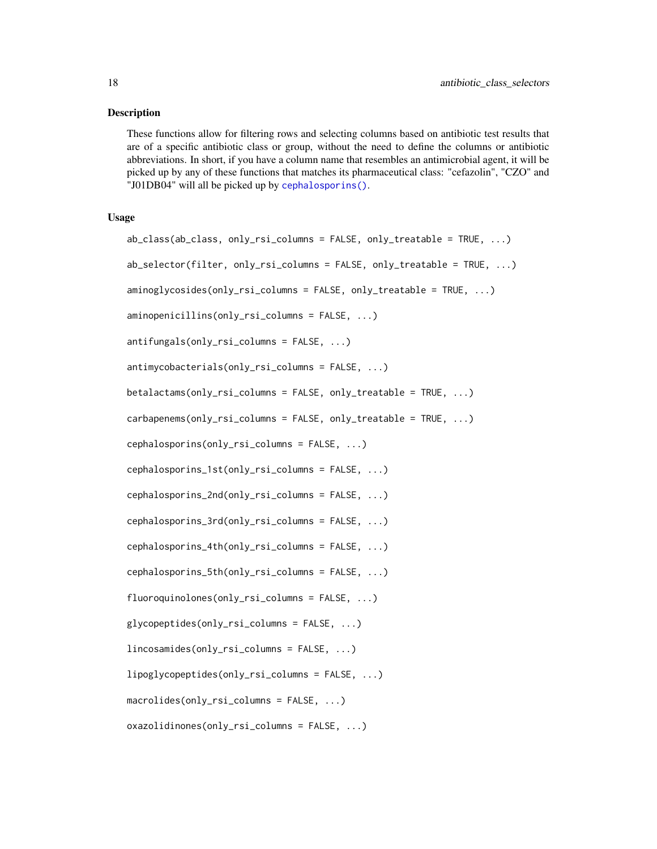#### Description

These functions allow for filtering rows and selecting columns based on antibiotic test results that are of a specific antibiotic class or group, without the need to define the columns or antibiotic abbreviations. In short, if you have a column name that resembles an antimicrobial agent, it will be picked up by any of these functions that matches its pharmaceutical class: "cefazolin", "CZO" and "J01DB04" will all be picked up by [cephalosporins\(\)](#page-16-1).

# Usage

```
ab_class(ab_class, only_rsi_columns = FALSE, only_treatable = TRUE, ...)
ab_selector(filter, only_rsi_columns = FALSE, only_treatable = TRUE, ...)
aminoglycosides(only_rsi_columns = FALSE, only_treatable = TRUE, ...)
aminopenicillins(only_rsi_columns = FALSE, ...)
antifungals(only_rsi_columns = FALSE, ...)
antimycobacterials(only_rsi_columns = FALSE, ...)
betalactams(only_rsi_columns = FALSE, only_treatable = TRUE, ...)
carbapenems(only_rsi_columns = FALSE, only_treatable = TRUE, ...)
cephalosporins(only_rsi_columns = FALSE, ...)
cephalosporins_1st(only_rsi_columns = FALSE, ...)
cephalosporins_2nd(only_rsi_columns = FALSE, ...)
cephalosporins_3rd(only_rsi_columns = FALSE, ...)
cephalosporins_4th(only_rsi_columns = FALSE, ...)
cephalosporins_5th(only_rsi_columns = FALSE, ...)
fluoroquinolones(only_rsi_columns = FALSE, ...)
glycopeptides(only_rsi_columns = FALSE, ...)
lincosamides(only_rsi_columns = FALSE, ...)
lipoglycopeptides(only_rsi_columns = FALSE, ...)
macrolides(only_rsi_columns = FALSE, ...)
oxazolidinones(only_rsi_columns = FALSE, ...)
```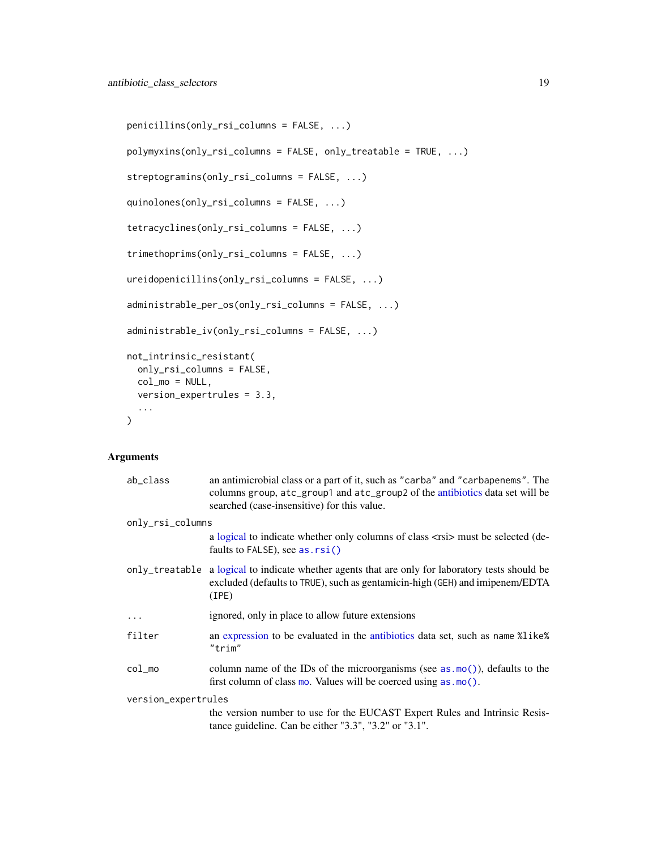```
penicillins(only_rsi_columns = FALSE, ...)
polymyxins(only_rsi_columns = FALSE, only_treatable = TRUE, ...)
streptogramins(only_rsi_columns = FALSE, ...)
quinolones(only_rsi_columns = FALSE, ...)
tetracyclines(only_rsi_columns = FALSE, ...)
trimethoprims(only_rsi_columns = FALSE, ...)
ureidopenicillins(only_rsi_columns = FALSE, ...)
administrable_per_os(only_rsi_columns = FALSE, ...)
administrable_iv(only_rsi_columns = FALSE, ...)
not_intrinsic_resistant(
 only_rsi_columns = FALSE,
 col_mo = NULL,
 version_expertrules = 3.3,
  ...
\mathcal{L}
```
# Arguments

| ab_class                | an antimicrobial class or a part of it, such as "carba" and "carbapenems". The<br>columns group, atc_group1 and atc_group2 of the antibiotics data set will be<br>searched (case-insensitive) for this value. |  |  |
|-------------------------|---------------------------------------------------------------------------------------------------------------------------------------------------------------------------------------------------------------|--|--|
| only_rsi_columns        |                                                                                                                                                                                                               |  |  |
|                         | a logical to indicate whether only columns of class <rsi> must be selected (de-<br/>faults to <math>FALSE</math>), see as. <math>rsi()</math></rsi>                                                           |  |  |
|                         | only_treatable a logical to indicate whether agents that are only for laboratory tests should be<br>excluded (defaults to TRUE), such as gentamicin-high (GEH) and imipenem/EDTA<br>(IPE)                     |  |  |
| $\cdot$ $\cdot$ $\cdot$ | ignored, only in place to allow future extensions                                                                                                                                                             |  |  |
| filter                  | an expression to be evaluated in the antibiotics data set, such as name %like%<br>"trim"                                                                                                                      |  |  |
| $col$ mo                | column name of the IDs of the microorganisms (see as $\text{mo}(\cdot)$ ), defaults to the<br>first column of class mo. Values will be coerced using $as.mo()$ .                                              |  |  |
| version_expertrules     |                                                                                                                                                                                                               |  |  |
|                         | the version number to use for the EUCAST Expert Rules and Intrinsic Resis-<br>tance guideline. Can be either $"3.3", "3.2"$ or $"3.1".$                                                                       |  |  |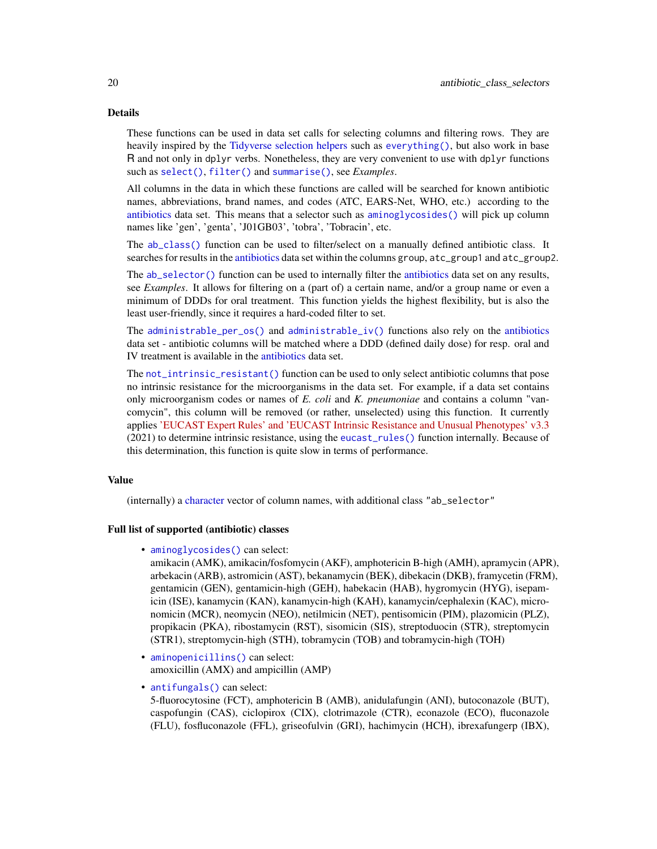#### Details

These functions can be used in data set calls for selecting columns and filtering rows. They are heavily inspired by the [Tidyverse selection helpers](#page-0-0) such as [everything\(\)](#page-0-0), but also work in base R and not only in dplyr verbs. Nonetheless, they are very convenient to use with dplyr functions such as [select\(\)](#page-0-0), [filter\(\)](#page-0-0) and [summarise\(\)](#page-0-0), see *Examples*.

All columns in the data in which these functions are called will be searched for known antibiotic names, abbreviations, brand names, and codes (ATC, EARS-Net, WHO, etc.) according to the [antibiotics](#page-14-1) data set. This means that a selector such as [aminoglycosides\(\)](#page-16-1) will pick up column names like 'gen', 'genta', 'J01GB03', 'tobra', 'Tobracin', etc.

The [ab\\_class\(\)](#page-16-1) function can be used to filter/select on a manually defined antibiotic class. It searches for results in the [antibiotics](#page-14-1) data set within the columns group, atc\_group1 and atc\_group2.

The [ab\\_selector\(\)](#page-16-1) function can be used to internally filter the [antibiotics](#page-14-1) data set on any results, see *Examples*. It allows for filtering on a (part of) a certain name, and/or a group name or even a minimum of DDDs for oral treatment. This function yields the highest flexibility, but is also the least user-friendly, since it requires a hard-coded filter to set.

The [administrable\\_per\\_os\(\)](#page-16-1) and [administrable\\_iv\(\)](#page-16-1) functions also rely on the [antibiotics](#page-14-1) data set - antibiotic columns will be matched where a DDD (defined daily dose) for resp. oral and IV treatment is available in the [antibiotics](#page-14-1) data set.

The [not\\_intrinsic\\_resistant\(\)](#page-16-1) function can be used to only select antibiotic columns that pose no intrinsic resistance for the microorganisms in the data set. For example, if a data set contains only microorganism codes or names of *E. coli* and *K. pneumoniae* and contains a column "vancomycin", this column will be removed (or rather, unselected) using this function. It currently applies ['EUCAST Expert Rules' and 'EUCAST Intrinsic Resistance and Unusual Phenotypes' v3.3](https://www.eucast.org/expert_rules_and_expected_phenotypes/) (2021) to determine intrinsic resistance, using the [eucast\\_rules\(\)](#page-65-1) function internally. Because of this determination, this function is quite slow in terms of performance.

# Value

(internally) a [character](#page-0-0) vector of column names, with additional class "ab\_selector"

# Full list of supported (antibiotic) classes

• [aminoglycosides\(\)](#page-16-1) can select:

amikacin (AMK), amikacin/fosfomycin (AKF), amphotericin B-high (AMH), apramycin (APR), arbekacin (ARB), astromicin (AST), bekanamycin (BEK), dibekacin (DKB), framycetin (FRM), gentamicin (GEN), gentamicin-high (GEH), habekacin (HAB), hygromycin (HYG), isepamicin (ISE), kanamycin (KAN), kanamycin-high (KAH), kanamycin/cephalexin (KAC), micronomicin (MCR), neomycin (NEO), netilmicin (NET), pentisomicin (PIM), plazomicin (PLZ), propikacin (PKA), ribostamycin (RST), sisomicin (SIS), streptoduocin (STR), streptomycin (STR1), streptomycin-high (STH), tobramycin (TOB) and tobramycin-high (TOH)

- [aminopenicillins\(\)](#page-16-1) can select: amoxicillin (AMX) and ampicillin (AMP)
- [antifungals\(\)](#page-16-1) can select:

5-fluorocytosine (FCT), amphotericin B (AMB), anidulafungin (ANI), butoconazole (BUT), caspofungin (CAS), ciclopirox (CIX), clotrimazole (CTR), econazole (ECO), fluconazole (FLU), fosfluconazole (FFL), griseofulvin (GRI), hachimycin (HCH), ibrexafungerp (IBX),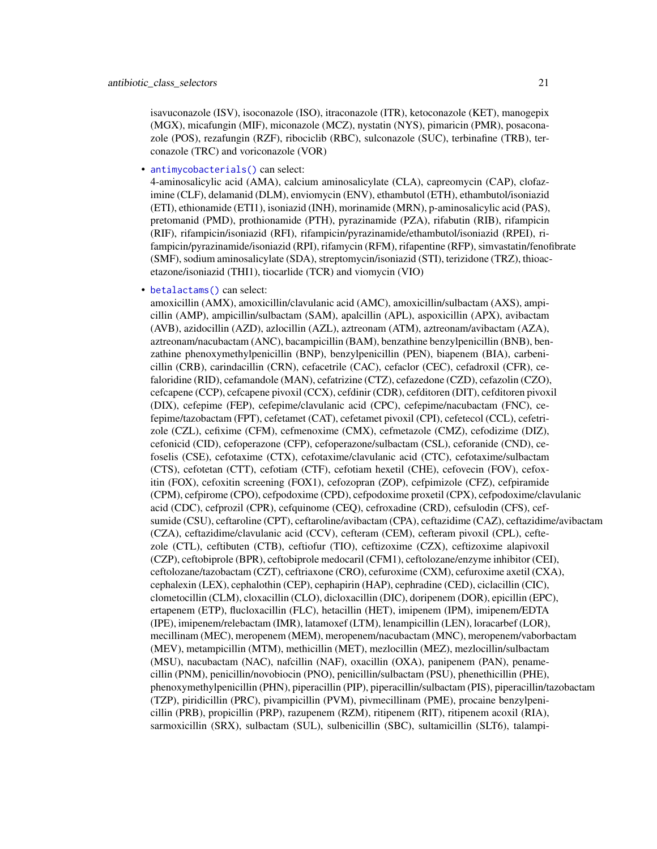isavuconazole (ISV), isoconazole (ISO), itraconazole (ITR), ketoconazole (KET), manogepix (MGX), micafungin (MIF), miconazole (MCZ), nystatin (NYS), pimaricin (PMR), posaconazole (POS), rezafungin (RZF), ribociclib (RBC), sulconazole (SUC), terbinafine (TRB), terconazole (TRC) and voriconazole (VOR)

• [antimycobacterials\(\)](#page-16-1) can select:

4-aminosalicylic acid (AMA), calcium aminosalicylate (CLA), capreomycin (CAP), clofazimine (CLF), delamanid (DLM), enviomycin (ENV), ethambutol (ETH), ethambutol/isoniazid (ETI), ethionamide (ETI1), isoniazid (INH), morinamide (MRN), p-aminosalicylic acid (PAS), pretomanid (PMD), prothionamide (PTH), pyrazinamide (PZA), rifabutin (RIB), rifampicin (RIF), rifampicin/isoniazid (RFI), rifampicin/pyrazinamide/ethambutol/isoniazid (RPEI), rifampicin/pyrazinamide/isoniazid (RPI), rifamycin (RFM), rifapentine (RFP), simvastatin/fenofibrate (SMF), sodium aminosalicylate (SDA), streptomycin/isoniazid (STI), terizidone (TRZ), thioacetazone/isoniazid (THI1), tiocarlide (TCR) and viomycin (VIO)

#### • [betalactams\(\)](#page-16-1) can select:

amoxicillin (AMX), amoxicillin/clavulanic acid (AMC), amoxicillin/sulbactam (AXS), ampicillin (AMP), ampicillin/sulbactam (SAM), apalcillin (APL), aspoxicillin (APX), avibactam (AVB), azidocillin (AZD), azlocillin (AZL), aztreonam (ATM), aztreonam/avibactam (AZA), aztreonam/nacubactam (ANC), bacampicillin (BAM), benzathine benzylpenicillin (BNB), benzathine phenoxymethylpenicillin (BNP), benzylpenicillin (PEN), biapenem (BIA), carbenicillin (CRB), carindacillin (CRN), cefacetrile (CAC), cefaclor (CEC), cefadroxil (CFR), cefaloridine (RID), cefamandole (MAN), cefatrizine (CTZ), cefazedone (CZD), cefazolin (CZO), cefcapene (CCP), cefcapene pivoxil (CCX), cefdinir (CDR), cefditoren (DIT), cefditoren pivoxil (DIX), cefepime (FEP), cefepime/clavulanic acid (CPC), cefepime/nacubactam (FNC), cefepime/tazobactam (FPT), cefetamet (CAT), cefetamet pivoxil (CPI), cefetecol (CCL), cefetrizole (CZL), cefixime (CFM), cefmenoxime (CMX), cefmetazole (CMZ), cefodizime (DIZ), cefonicid (CID), cefoperazone (CFP), cefoperazone/sulbactam (CSL), ceforanide (CND), cefoselis (CSE), cefotaxime (CTX), cefotaxime/clavulanic acid (CTC), cefotaxime/sulbactam (CTS), cefotetan (CTT), cefotiam (CTF), cefotiam hexetil (CHE), cefovecin (FOV), cefoxitin (FOX), cefoxitin screening (FOX1), cefozopran (ZOP), cefpimizole (CFZ), cefpiramide (CPM), cefpirome (CPO), cefpodoxime (CPD), cefpodoxime proxetil (CPX), cefpodoxime/clavulanic acid (CDC), cefprozil (CPR), cefquinome (CEQ), cefroxadine (CRD), cefsulodin (CFS), cefsumide (CSU), ceftaroline (CPT), ceftaroline/avibactam (CPA), ceftazidime (CAZ), ceftazidime/avibactam (CZA), ceftazidime/clavulanic acid (CCV), cefteram (CEM), cefteram pivoxil (CPL), ceftezole (CTL), ceftibuten (CTB), ceftiofur (TIO), ceftizoxime (CZX), ceftizoxime alapivoxil (CZP), ceftobiprole (BPR), ceftobiprole medocaril (CFM1), ceftolozane/enzyme inhibitor (CEI), ceftolozane/tazobactam (CZT), ceftriaxone (CRO), cefuroxime (CXM), cefuroxime axetil (CXA), cephalexin (LEX), cephalothin (CEP), cephapirin (HAP), cephradine (CED), ciclacillin (CIC), clometocillin (CLM), cloxacillin (CLO), dicloxacillin (DIC), doripenem (DOR), epicillin (EPC), ertapenem (ETP), flucloxacillin (FLC), hetacillin (HET), imipenem (IPM), imipenem/EDTA (IPE), imipenem/relebactam (IMR), latamoxef (LTM), lenampicillin (LEN), loracarbef (LOR), mecillinam (MEC), meropenem (MEM), meropenem/nacubactam (MNC), meropenem/vaborbactam (MEV), metampicillin (MTM), methicillin (MET), mezlocillin (MEZ), mezlocillin/sulbactam (MSU), nacubactam (NAC), nafcillin (NAF), oxacillin (OXA), panipenem (PAN), penamecillin (PNM), penicillin/novobiocin (PNO), penicillin/sulbactam (PSU), phenethicillin (PHE), phenoxymethylpenicillin (PHN), piperacillin (PIP), piperacillin/sulbactam (PIS), piperacillin/tazobactam (TZP), piridicillin (PRC), pivampicillin (PVM), pivmecillinam (PME), procaine benzylpenicillin (PRB), propicillin (PRP), razupenem (RZM), ritipenem (RIT), ritipenem acoxil (RIA), sarmoxicillin (SRX), sulbactam (SUL), sulbenicillin (SBC), sultamicillin (SLT6), talampi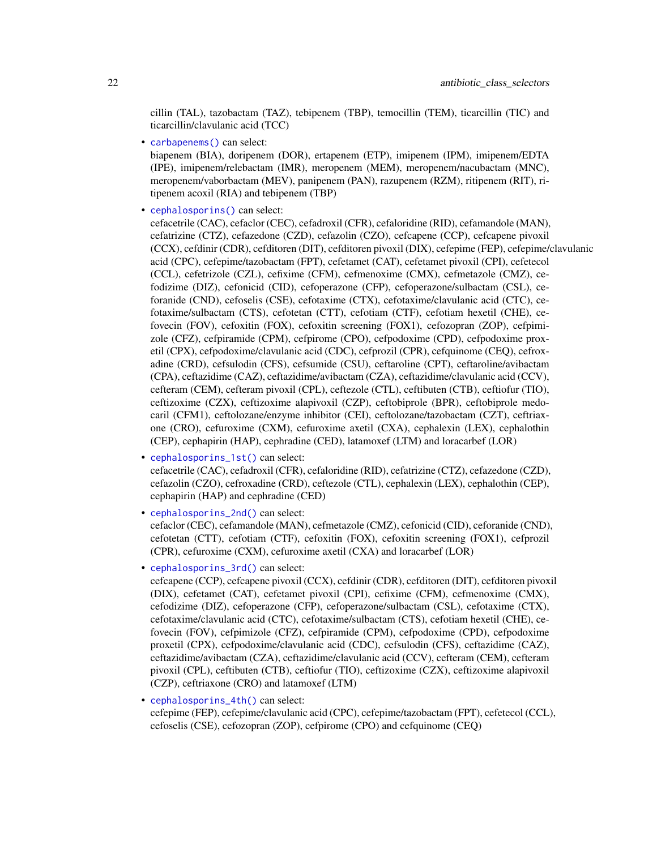cillin (TAL), tazobactam (TAZ), tebipenem (TBP), temocillin (TEM), ticarcillin (TIC) and ticarcillin/clavulanic acid (TCC)

• [carbapenems\(\)](#page-16-1) can select:

biapenem (BIA), doripenem (DOR), ertapenem (ETP), imipenem (IPM), imipenem/EDTA (IPE), imipenem/relebactam (IMR), meropenem (MEM), meropenem/nacubactam (MNC), meropenem/vaborbactam (MEV), panipenem (PAN), razupenem (RZM), ritipenem (RIT), ritipenem acoxil (RIA) and tebipenem (TBP)

• [cephalosporins\(\)](#page-16-1) can select:

cefacetrile (CAC), cefaclor (CEC), cefadroxil (CFR), cefaloridine (RID), cefamandole (MAN), cefatrizine (CTZ), cefazedone (CZD), cefazolin (CZO), cefcapene (CCP), cefcapene pivoxil (CCX), cefdinir (CDR), cefditoren (DIT), cefditoren pivoxil (DIX), cefepime (FEP), cefepime/clavulanic acid (CPC), cefepime/tazobactam (FPT), cefetamet (CAT), cefetamet pivoxil (CPI), cefetecol (CCL), cefetrizole (CZL), cefixime (CFM), cefmenoxime (CMX), cefmetazole (CMZ), cefodizime (DIZ), cefonicid (CID), cefoperazone (CFP), cefoperazone/sulbactam (CSL), ceforanide (CND), cefoselis (CSE), cefotaxime (CTX), cefotaxime/clavulanic acid (CTC), cefotaxime/sulbactam (CTS), cefotetan (CTT), cefotiam (CTF), cefotiam hexetil (CHE), cefovecin (FOV), cefoxitin (FOX), cefoxitin screening (FOX1), cefozopran (ZOP), cefpimizole (CFZ), cefpiramide (CPM), cefpirome (CPO), cefpodoxime (CPD), cefpodoxime proxetil (CPX), cefpodoxime/clavulanic acid (CDC), cefprozil (CPR), cefquinome (CEQ), cefroxadine (CRD), cefsulodin (CFS), cefsumide (CSU), ceftaroline (CPT), ceftaroline/avibactam (CPA), ceftazidime (CAZ), ceftazidime/avibactam (CZA), ceftazidime/clavulanic acid (CCV), cefteram (CEM), cefteram pivoxil (CPL), ceftezole (CTL), ceftibuten (CTB), ceftiofur (TIO), ceftizoxime (CZX), ceftizoxime alapivoxil (CZP), ceftobiprole (BPR), ceftobiprole medocaril (CFM1), ceftolozane/enzyme inhibitor (CEI), ceftolozane/tazobactam (CZT), ceftriaxone (CRO), cefuroxime (CXM), cefuroxime axetil (CXA), cephalexin (LEX), cephalothin (CEP), cephapirin (HAP), cephradine (CED), latamoxef (LTM) and loracarbef (LOR)

• [cephalosporins\\_1st\(\)](#page-16-1) can select:

cefacetrile (CAC), cefadroxil (CFR), cefaloridine (RID), cefatrizine (CTZ), cefazedone (CZD), cefazolin (CZO), cefroxadine (CRD), ceftezole (CTL), cephalexin (LEX), cephalothin (CEP), cephapirin (HAP) and cephradine (CED)

• [cephalosporins\\_2nd\(\)](#page-16-1) can select:

cefaclor (CEC), cefamandole (MAN), cefmetazole (CMZ), cefonicid (CID), ceforanide (CND), cefotetan (CTT), cefotiam (CTF), cefoxitin (FOX), cefoxitin screening (FOX1), cefprozil (CPR), cefuroxime (CXM), cefuroxime axetil (CXA) and loracarbef (LOR)

• [cephalosporins\\_3rd\(\)](#page-16-1) can select:

cefcapene (CCP), cefcapene pivoxil (CCX), cefdinir (CDR), cefditoren (DIT), cefditoren pivoxil (DIX), cefetamet (CAT), cefetamet pivoxil (CPI), cefixime (CFM), cefmenoxime (CMX), cefodizime (DIZ), cefoperazone (CFP), cefoperazone/sulbactam (CSL), cefotaxime (CTX), cefotaxime/clavulanic acid (CTC), cefotaxime/sulbactam (CTS), cefotiam hexetil (CHE), cefovecin (FOV), cefpimizole (CFZ), cefpiramide (CPM), cefpodoxime (CPD), cefpodoxime proxetil (CPX), cefpodoxime/clavulanic acid (CDC), cefsulodin (CFS), ceftazidime (CAZ), ceftazidime/avibactam (CZA), ceftazidime/clavulanic acid (CCV), cefteram (CEM), cefteram pivoxil (CPL), ceftibuten (CTB), ceftiofur (TIO), ceftizoxime (CZX), ceftizoxime alapivoxil (CZP), ceftriaxone (CRO) and latamoxef (LTM)

• [cephalosporins\\_4th\(\)](#page-16-1) can select:

cefepime (FEP), cefepime/clavulanic acid (CPC), cefepime/tazobactam (FPT), cefetecol (CCL), cefoselis (CSE), cefozopran (ZOP), cefpirome (CPO) and cefquinome (CEQ)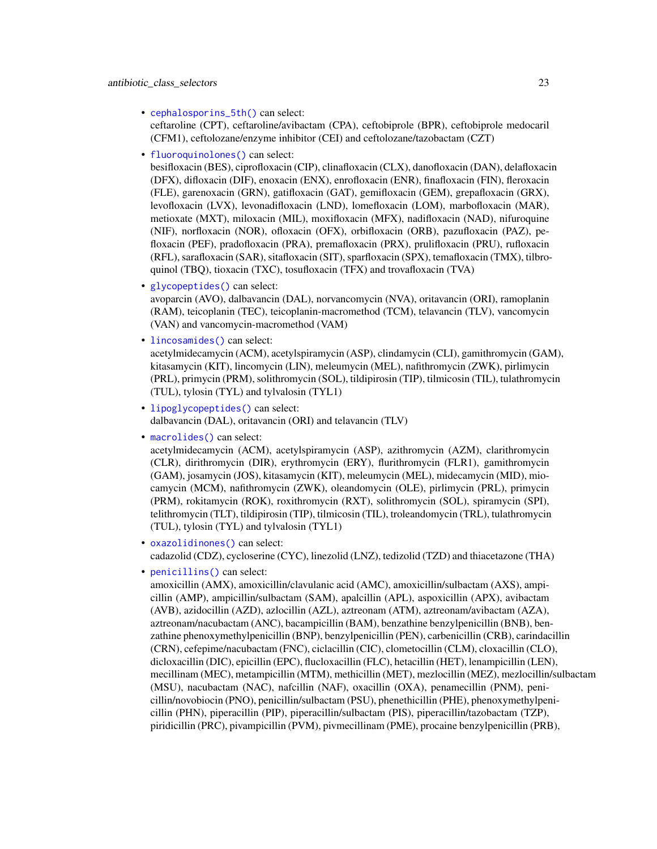• [cephalosporins\\_5th\(\)](#page-16-1) can select:

ceftaroline (CPT), ceftaroline/avibactam (CPA), ceftobiprole (BPR), ceftobiprole medocaril (CFM1), ceftolozane/enzyme inhibitor (CEI) and ceftolozane/tazobactam (CZT)

• [fluoroquinolones\(\)](#page-16-1) can select:

besifloxacin (BES), ciprofloxacin (CIP), clinafloxacin (CLX), danofloxacin (DAN), delafloxacin (DFX), difloxacin (DIF), enoxacin (ENX), enrofloxacin (ENR), finafloxacin (FIN), fleroxacin (FLE), garenoxacin (GRN), gatifloxacin (GAT), gemifloxacin (GEM), grepafloxacin (GRX), levofloxacin (LVX), levonadifloxacin (LND), lomefloxacin (LOM), marbofloxacin (MAR), metioxate (MXT), miloxacin (MIL), moxifloxacin (MFX), nadifloxacin (NAD), nifuroquine (NIF), norfloxacin (NOR), ofloxacin (OFX), orbifloxacin (ORB), pazufloxacin (PAZ), pefloxacin (PEF), pradofloxacin (PRA), premafloxacin (PRX), prulifloxacin (PRU), rufloxacin (RFL), sarafloxacin (SAR), sitafloxacin (SIT), sparfloxacin (SPX), temafloxacin (TMX), tilbroquinol (TBQ), tioxacin (TXC), tosufloxacin (TFX) and trovafloxacin (TVA)

• [glycopeptides\(\)](#page-16-1) can select:

avoparcin (AVO), dalbavancin (DAL), norvancomycin (NVA), oritavancin (ORI), ramoplanin (RAM), teicoplanin (TEC), teicoplanin-macromethod (TCM), telavancin (TLV), vancomycin (VAN) and vancomycin-macromethod (VAM)

• [lincosamides\(\)](#page-16-1) can select:

acetylmidecamycin (ACM), acetylspiramycin (ASP), clindamycin (CLI), gamithromycin (GAM), kitasamycin (KIT), lincomycin (LIN), meleumycin (MEL), nafithromycin (ZWK), pirlimycin (PRL), primycin (PRM), solithromycin (SOL), tildipirosin (TIP), tilmicosin (TIL), tulathromycin (TUL), tylosin (TYL) and tylvalosin (TYL1)

- [lipoglycopeptides\(\)](#page-16-1) can select: dalbavancin (DAL), oritavancin (ORI) and telavancin (TLV)
- [macrolides\(\)](#page-16-1) can select:

acetylmidecamycin (ACM), acetylspiramycin (ASP), azithromycin (AZM), clarithromycin (CLR), dirithromycin (DIR), erythromycin (ERY), flurithromycin (FLR1), gamithromycin (GAM), josamycin (JOS), kitasamycin (KIT), meleumycin (MEL), midecamycin (MID), miocamycin (MCM), nafithromycin (ZWK), oleandomycin (OLE), pirlimycin (PRL), primycin (PRM), rokitamycin (ROK), roxithromycin (RXT), solithromycin (SOL), spiramycin (SPI), telithromycin (TLT), tildipirosin (TIP), tilmicosin (TIL), troleandomycin (TRL), tulathromycin (TUL), tylosin (TYL) and tylvalosin (TYL1)

- [oxazolidinones\(\)](#page-16-1) can select: cadazolid (CDZ), cycloserine (CYC), linezolid (LNZ), tedizolid (TZD) and thiacetazone (THA)
- [penicillins\(\)](#page-16-1) can select:

amoxicillin (AMX), amoxicillin/clavulanic acid (AMC), amoxicillin/sulbactam (AXS), ampicillin (AMP), ampicillin/sulbactam (SAM), apalcillin (APL), aspoxicillin (APX), avibactam (AVB), azidocillin (AZD), azlocillin (AZL), aztreonam (ATM), aztreonam/avibactam (AZA), aztreonam/nacubactam (ANC), bacampicillin (BAM), benzathine benzylpenicillin (BNB), benzathine phenoxymethylpenicillin (BNP), benzylpenicillin (PEN), carbenicillin (CRB), carindacillin (CRN), cefepime/nacubactam (FNC), ciclacillin (CIC), clometocillin (CLM), cloxacillin (CLO), dicloxacillin (DIC), epicillin (EPC), flucloxacillin (FLC), hetacillin (HET), lenampicillin (LEN), mecillinam (MEC), metampicillin (MTM), methicillin (MET), mezlocillin (MEZ), mezlocillin/sulbactam (MSU), nacubactam (NAC), nafcillin (NAF), oxacillin (OXA), penamecillin (PNM), penicillin/novobiocin (PNO), penicillin/sulbactam (PSU), phenethicillin (PHE), phenoxymethylpenicillin (PHN), piperacillin (PIP), piperacillin/sulbactam (PIS), piperacillin/tazobactam (TZP), piridicillin (PRC), pivampicillin (PVM), pivmecillinam (PME), procaine benzylpenicillin (PRB),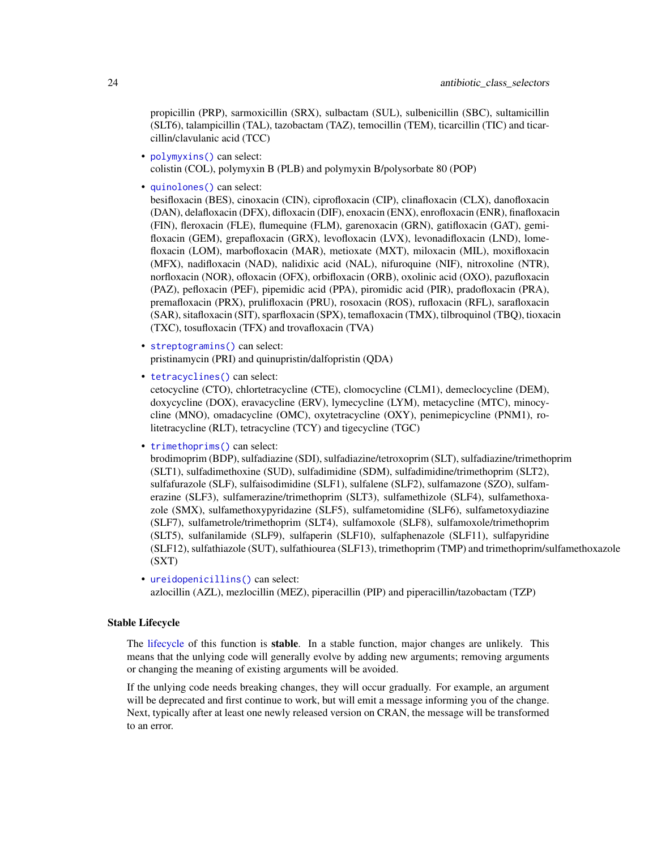propicillin (PRP), sarmoxicillin (SRX), sulbactam (SUL), sulbenicillin (SBC), sultamicillin (SLT6), talampicillin (TAL), tazobactam (TAZ), temocillin (TEM), ticarcillin (TIC) and ticarcillin/clavulanic acid (TCC)

- [polymyxins\(\)](#page-16-1) can select: colistin (COL), polymyxin B (PLB) and polymyxin B/polysorbate 80 (POP)
- [quinolones\(\)](#page-16-1) can select:

besifloxacin (BES), cinoxacin (CIN), ciprofloxacin (CIP), clinafloxacin (CLX), danofloxacin (DAN), delafloxacin (DFX), difloxacin (DIF), enoxacin (ENX), enrofloxacin (ENR), finafloxacin (FIN), fleroxacin (FLE), flumequine (FLM), garenoxacin (GRN), gatifloxacin (GAT), gemifloxacin (GEM), grepafloxacin (GRX), levofloxacin (LVX), levonadifloxacin (LND), lomefloxacin (LOM), marbofloxacin (MAR), metioxate (MXT), miloxacin (MIL), moxifloxacin (MFX), nadifloxacin (NAD), nalidixic acid (NAL), nifuroquine (NIF), nitroxoline (NTR), norfloxacin (NOR), ofloxacin (OFX), orbifloxacin (ORB), oxolinic acid (OXO), pazufloxacin (PAZ), pefloxacin (PEF), pipemidic acid (PPA), piromidic acid (PIR), pradofloxacin (PRA), premafloxacin (PRX), prulifloxacin (PRU), rosoxacin (ROS), rufloxacin (RFL), sarafloxacin (SAR), sitafloxacin (SIT), sparfloxacin (SPX), temafloxacin (TMX), tilbroquinol (TBQ), tioxacin (TXC), tosufloxacin (TFX) and trovafloxacin (TVA)

- [streptogramins\(\)](#page-16-1) can select: pristinamycin (PRI) and quinupristin/dalfopristin (QDA)
- [tetracyclines\(\)](#page-16-1) can select:

cetocycline (CTO), chlortetracycline (CTE), clomocycline (CLM1), demeclocycline (DEM), doxycycline (DOX), eravacycline (ERV), lymecycline (LYM), metacycline (MTC), minocycline (MNO), omadacycline (OMC), oxytetracycline (OXY), penimepicycline (PNM1), rolitetracycline (RLT), tetracycline (TCY) and tigecycline (TGC)

• [trimethoprims\(\)](#page-16-1) can select:

brodimoprim (BDP), sulfadiazine (SDI), sulfadiazine/tetroxoprim (SLT), sulfadiazine/trimethoprim (SLT1), sulfadimethoxine (SUD), sulfadimidine (SDM), sulfadimidine/trimethoprim (SLT2), sulfafurazole (SLF), sulfaisodimidine (SLF1), sulfalene (SLF2), sulfamazone (SZO), sulfamerazine (SLF3), sulfamerazine/trimethoprim (SLT3), sulfamethizole (SLF4), sulfamethoxazole (SMX), sulfamethoxypyridazine (SLF5), sulfametomidine (SLF6), sulfametoxydiazine (SLF7), sulfametrole/trimethoprim (SLT4), sulfamoxole (SLF8), sulfamoxole/trimethoprim (SLT5), sulfanilamide (SLF9), sulfaperin (SLF10), sulfaphenazole (SLF11), sulfapyridine (SLF12), sulfathiazole (SUT), sulfathiourea (SLF13), trimethoprim (TMP) and trimethoprim/sulfamethoxazole (SXT)

• [ureidopenicillins\(\)](#page-16-1) can select: azlocillin (AZL), mezlocillin (MEZ), piperacillin (PIP) and piperacillin/tazobactam (TZP)

# Stable Lifecycle

The [lifecycle](#page-103-1) of this function is **stable**. In a stable function, major changes are unlikely. This means that the unlying code will generally evolve by adding new arguments; removing arguments or changing the meaning of existing arguments will be avoided.

If the unlying code needs breaking changes, they will occur gradually. For example, an argument will be deprecated and first continue to work, but will emit a message informing you of the change. Next, typically after at least one newly released version on CRAN, the message will be transformed to an error.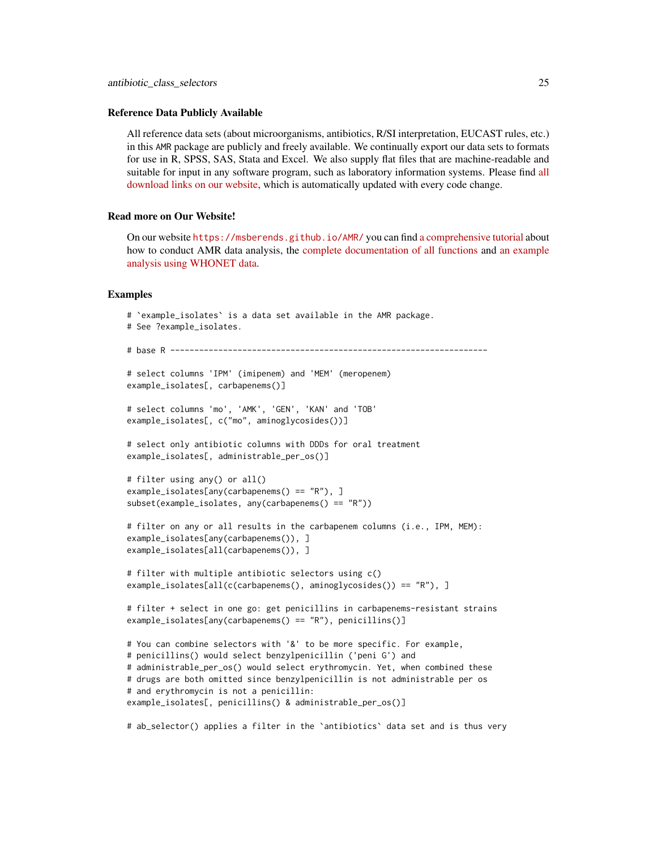#### Reference Data Publicly Available

All reference data sets (about microorganisms, antibiotics, R/SI interpretation, EUCAST rules, etc.) in this AMR package are publicly and freely available. We continually export our data sets to formats for use in R, SPSS, SAS, Stata and Excel. We also supply flat files that are machine-readable and suitable for input in any software program, such as laboratory information systems. Please find [all](https://msberends.github.io/AMR/articles/datasets.html) [download links on our website,](https://msberends.github.io/AMR/articles/datasets.html) which is automatically updated with every code change.

# Read more on Our Website!

On our website <https://msberends.github.io/AMR/> you can find [a comprehensive tutorial](https://msberends.github.io/AMR/articles/AMR.html) about how to conduct AMR data analysis, the [complete documentation of all functions](https://msberends.github.io/AMR/reference/) and [an example](https://msberends.github.io/AMR/articles/WHONET.html) [analysis using WHONET data.](https://msberends.github.io/AMR/articles/WHONET.html)

#### Examples

```
# `example_isolates` is a data set available in the AMR package.
# See ?example_isolates.
# base R ------------------------------------------------------------------
# select columns 'IPM' (imipenem) and 'MEM' (meropenem)
example_isolates[, carbapenems()]
# select columns 'mo', 'AMK', 'GEN', 'KAN' and 'TOB'
example_isolates[, c("mo", aminoglycosides())]
# select only antibiotic columns with DDDs for oral treatment
example_isolates[, administrable_per_os()]
# filter using any() or all()
example_isolates[any(carbapenems() == "R"), ]
subset(example_isolates, any(carbapenems() == "R"))
# filter on any or all results in the carbapenem columns (i.e., IPM, MEM):
example_isolates[any(carbapenems()), ]
example_isolates[all(carbapenems()), ]
# filter with multiple antibiotic selectors using c()
example_isolates[all(c(carbapenems(), aminoglycosides()) == "R"), ]
# filter + select in one go: get penicillins in carbapenems-resistant strains
example_isolates[any(carbapenems() == "R"), penicillins()]
# You can combine selectors with '&' to be more specific. For example,
# penicillins() would select benzylpenicillin ('peni G') and
# administrable_per_os() would select erythromycin. Yet, when combined these
# drugs are both omitted since benzylpenicillin is not administrable per os
# and erythromycin is not a penicillin:
example_isolates[, penicillins() & administrable_per_os()]
```
# ab\_selector() applies a filter in the `antibiotics` data set and is thus very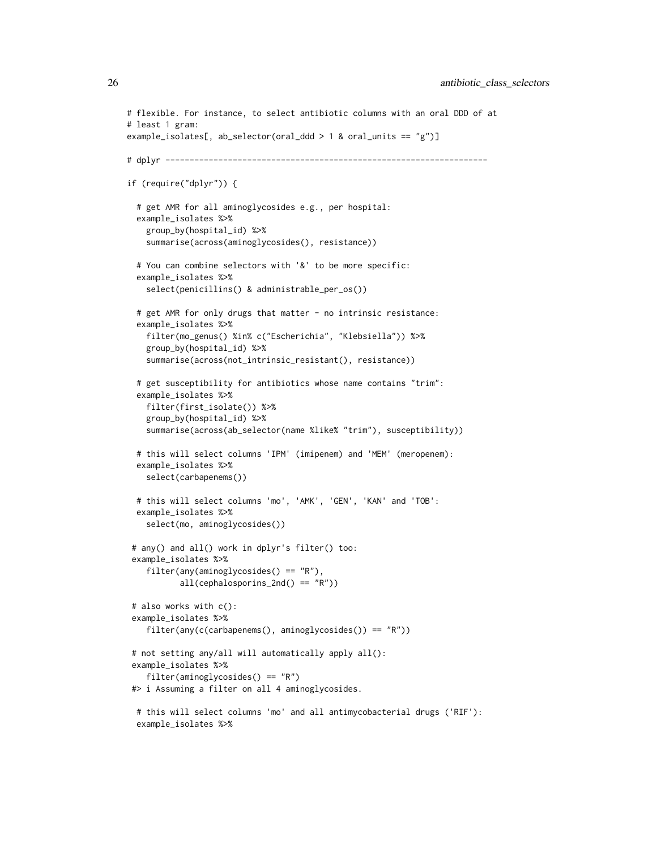```
# flexible. For instance, to select antibiotic columns with an oral DDD of at
# least 1 gram:
example_isolates[, ab_selector(oral_ddd > 1 & oral_units == "g")]
# dplyr -------------------------------------------------------------------
if (require("dplyr")) {
 # get AMR for all aminoglycosides e.g., per hospital:
 example_isolates %>%
    group_by(hospital_id) %>%
    summarise(across(aminoglycosides(), resistance))
 # You can combine selectors with '&' to be more specific:
 example_isolates %>%
    select(penicillins() & administrable_per_os())
 # get AMR for only drugs that matter - no intrinsic resistance:
 example_isolates %>%
    filter(mo_genus() %in% c("Escherichia", "Klebsiella")) %>%
    group_by(hospital_id) %>%
    summarise(across(not_intrinsic_resistant(), resistance))
 # get susceptibility for antibiotics whose name contains "trim":
 example_isolates %>%
    filter(first_isolate()) %>%
    group_by(hospital_id) %>%
    summarise(across(ab_selector(name %like% "trim"), susceptibility))
 # this will select columns 'IPM' (imipenem) and 'MEM' (meropenem):
 example_isolates %>%
   select(carbapenems())
 # this will select columns 'mo', 'AMK', 'GEN', 'KAN' and 'TOB':
 example_isolates %>%
    select(mo, aminoglycosides())
 # any() and all() work in dplyr's filter() too:
 example_isolates %>%
    filter(any(aminoglycosides() == "R"),
          all(cephalosporins_2nd() == "R")# also works with c():
 example_isolates %>%
    filter(any(c(carbapenems(), aminoglycosides()) == "R"))
 # not setting any/all will automatically apply all():
 example_isolates %>%
    filter(aminoglycosides() == "R")
 #> i Assuming a filter on all 4 aminoglycosides.
 # this will select columns 'mo' and all antimycobacterial drugs ('RIF'):
 example_isolates %>%
```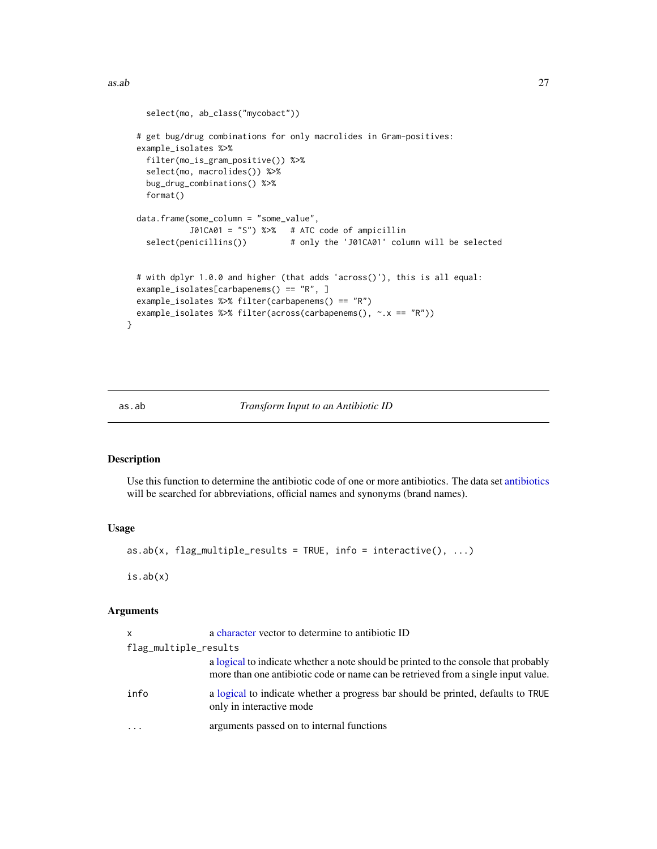<span id="page-26-0"></span> $\alpha$ as.ab 27

```
select(mo, ab_class("mycobact"))
 # get bug/drug combinations for only macrolides in Gram-positives:
 example_isolates %>%
   filter(mo_is_gram_positive()) %>%
   select(mo, macrolides()) %>%
   bug_drug_combinations() %>%
   format()
 data.frame(some_column = "some_value",
            J01CA01 = "S") %>% # ATC code of ampicillin
   select(penicillins()) # only the 'J01CA01' column will be selected
 # with dplyr 1.0.0 and higher (that adds 'across()'), this is all equal:
 example_isolates[carbapenems() == "R", ]
 example_isolates %>% filter(carbapenems() == "R")
 example_isolates %>% filter(across(carbapenems(), ~.x == "R"))
}
```
# <span id="page-26-1"></span>as.ab *Transform Input to an Antibiotic ID*

# <span id="page-26-2"></span>Description

Use this function to determine the antibiotic code of one or more antibiotics. The data set [antibiotics](#page-14-1) will be searched for abbreviations, official names and synonyms (brand names).

# Usage

```
as.ab(x, flag_multiple_results = TRUE, info = interactive(), \dots)
```
is.ab(x)

# Arguments

| X                     | a character vector to determine to antibiotic ID                                                                                                                         |
|-----------------------|--------------------------------------------------------------------------------------------------------------------------------------------------------------------------|
| flag_multiple_results |                                                                                                                                                                          |
|                       | a logical to indicate whether a note should be printed to the console that probably<br>more than one antibiotic code or name can be retrieved from a single input value. |
| info                  | a logical to indicate whether a progress bar should be printed, defaults to TRUE<br>only in interactive mode                                                             |
| $\cdots$              | arguments passed on to internal functions                                                                                                                                |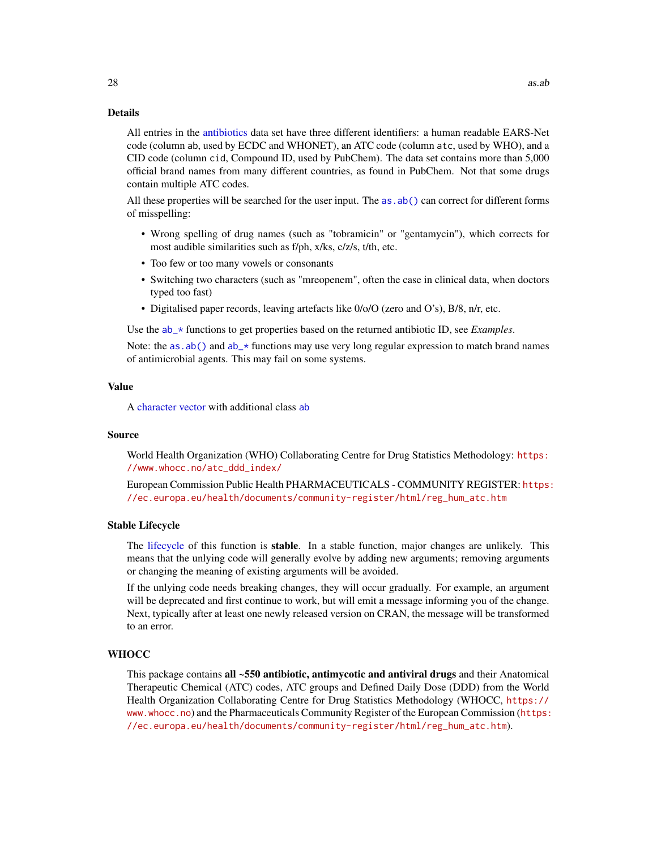# Details

All entries in the [antibiotics](#page-14-1) data set have three different identifiers: a human readable EARS-Net code (column ab, used by ECDC and WHONET), an ATC code (column atc, used by WHO), and a CID code (column cid, Compound ID, used by PubChem). The data set contains more than 5,000 official brand names from many different countries, as found in PubChem. Not that some drugs contain multiple ATC codes.

All these properties will be searched for the user input. The as . ab () can correct for different forms of misspelling:

- Wrong spelling of drug names (such as "tobramicin" or "gentamycin"), which corrects for most audible similarities such as f/ph, x/ks, c/z/s, t/th, etc.
- Too few or too many vowels or consonants
- Switching two characters (such as "mreopenem", often the case in clinical data, when doctors typed too fast)
- Digitalised paper records, leaving artefacts like 0/o/O (zero and O's), B/8, n/r, etc.

Use the [ab\\_\\*](#page-5-1) functions to get properties based on the returned antibiotic ID, see *Examples*.

Note: the as. ab() and  $ab$  functions may use very long regular expression to match brand names of antimicrobial agents. This may fail on some systems.

# Value

A [character](#page-0-0) [vector](#page-0-0) with additional class [ab](#page-26-2)

# Source

World Health Organization (WHO) Collaborating Centre for Drug Statistics Methodology: [https:](https://www.whocc.no/atc_ddd_index/) [//www.whocc.no/atc\\_ddd\\_index/](https://www.whocc.no/atc_ddd_index/)

European Commission Public Health PHARMACEUTICALS - COMMUNITY REGISTER: [https:](https://ec.europa.eu/health/documents/community-register/html/reg_hum_atc.htm) [//ec.europa.eu/health/documents/community-register/html/reg\\_hum\\_atc.htm](https://ec.europa.eu/health/documents/community-register/html/reg_hum_atc.htm)

#### Stable Lifecycle

The [lifecycle](#page-103-1) of this function is stable. In a stable function, major changes are unlikely. This means that the unlying code will generally evolve by adding new arguments; removing arguments or changing the meaning of existing arguments will be avoided.

If the unlying code needs breaking changes, they will occur gradually. For example, an argument will be deprecated and first continue to work, but will emit a message informing you of the change. Next, typically after at least one newly released version on CRAN, the message will be transformed to an error.

# **WHOCC**

This package contains all ~550 antibiotic, antimycotic and antiviral drugs and their Anatomical Therapeutic Chemical (ATC) codes, ATC groups and Defined Daily Dose (DDD) from the World Health Organization Collaborating Centre for Drug Statistics Methodology (WHOCC, [https://](https://www.whocc.no) [www.whocc.no](https://www.whocc.no)) and the Pharmaceuticals Community Register of the European Commission ([https:](https://ec.europa.eu/health/documents/community-register/html/reg_hum_atc.htm) [//ec.europa.eu/health/documents/community-register/html/reg\\_hum\\_atc.htm](https://ec.europa.eu/health/documents/community-register/html/reg_hum_atc.htm)).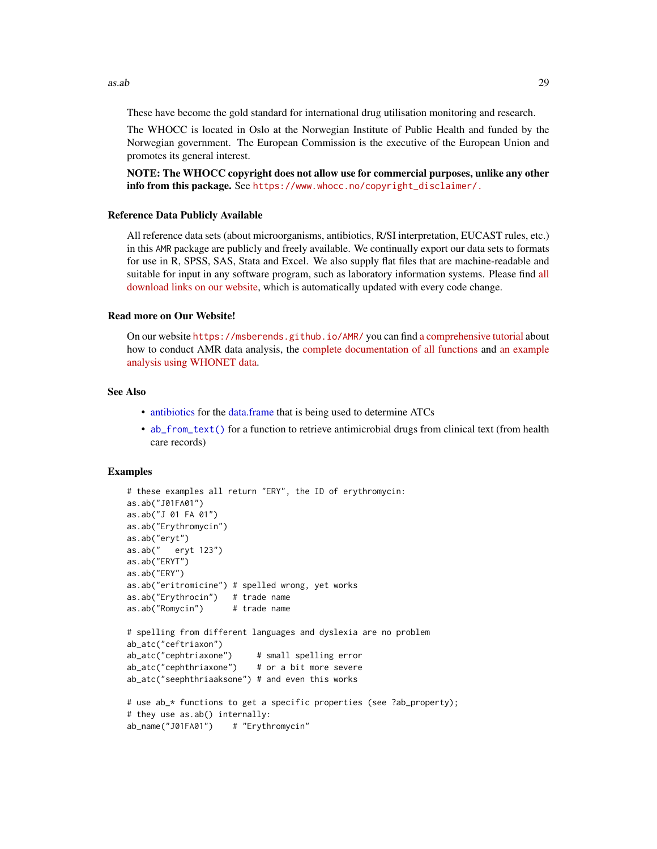as.ab 29

These have become the gold standard for international drug utilisation monitoring and research.

The WHOCC is located in Oslo at the Norwegian Institute of Public Health and funded by the Norwegian government. The European Commission is the executive of the European Union and promotes its general interest.

NOTE: The WHOCC copyright does not allow use for commercial purposes, unlike any other info from this package. See [https://www.whocc.no/copyright\\_disclaimer/.](https://www.whocc.no/copyright_disclaimer/.)

# Reference Data Publicly Available

All reference data sets (about microorganisms, antibiotics, R/SI interpretation, EUCAST rules, etc.) in this AMR package are publicly and freely available. We continually export our data sets to formats for use in R, SPSS, SAS, Stata and Excel. We also supply flat files that are machine-readable and suitable for input in any software program, such as laboratory information systems. Please find [all](https://msberends.github.io/AMR/articles/datasets.html) [download links on our website,](https://msberends.github.io/AMR/articles/datasets.html) which is automatically updated with every code change.

#### Read more on Our Website!

On our website <https://msberends.github.io/AMR/> you can find [a comprehensive tutorial](https://msberends.github.io/AMR/articles/AMR.html) about how to conduct AMR data analysis, the [complete documentation of all functions](https://msberends.github.io/AMR/reference/) and [an example](https://msberends.github.io/AMR/articles/WHONET.html) [analysis using WHONET data.](https://msberends.github.io/AMR/articles/WHONET.html)

### See Also

- [antibiotics](#page-14-1) for the [data.frame](#page-0-0) that is being used to determine ATCs
- [ab\\_from\\_text\(\)](#page-2-1) for a function to retrieve antimicrobial drugs from clinical text (from health care records)

### Examples

```
# these examples all return "ERY", the ID of erythromycin:
as.ab("J01FA01")
as.ab("J 01 FA 01")
as.ab("Erythromycin")
as.ab("eryt")
as.ab(" eryt 123")
as.ab("ERYT")
as.ab("ERY")
as.ab("eritromicine") # spelled wrong, yet works
as.ab("Erythrocin") # trade name
as.ab("Romycin") # trade name
# spelling from different languages and dyslexia are no problem
ab_atc("ceftriaxon")
ab_atc("cephtriaxone") # small spelling error
ab_atc("cephthriaxone") # or a bit more severe
ab_atc("seephthriaaksone") # and even this works
# use ab_* functions to get a specific properties (see ?ab_property);
# they use as.ab() internally:
ab_name("J01FA01") # "Erythromycin"
```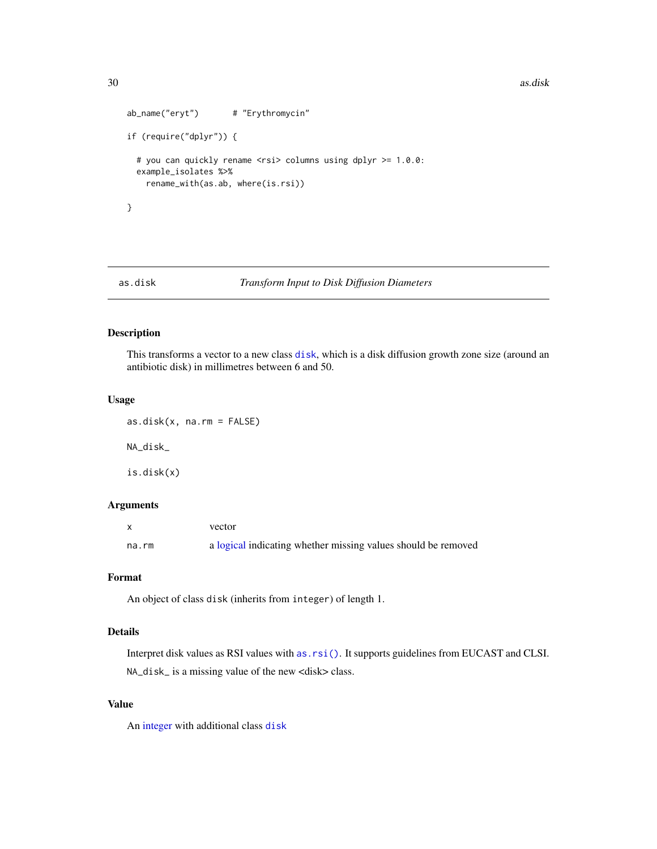30 as.disk

```
ab_name("eryt") # "Erythromycin"
if (require("dplyr")) {
 # you can quickly rename <rsi> columns using dplyr >= 1.0.0:
 example_isolates %>%
   rename_with(as.ab, where(is.rsi))
}
```
as.disk *Transform Input to Disk Diffusion Diameters*

# <span id="page-29-1"></span>Description

This transforms a vector to a new class [disk](#page-29-1), which is a disk diffusion growth zone size (around an antibiotic disk) in millimetres between 6 and 50.

#### Usage

 $as.disk(x, na.rm = FALSE)$ NA\_disk\_ is.disk(x)

# Arguments

|       | vector                                                        |
|-------|---------------------------------------------------------------|
| na.rm | a logical indicating whether missing values should be removed |

# Format

An object of class disk (inherits from integer) of length 1.

# Details

Interpret disk values as RSI values with [as.rsi\(\)](#page-39-1). It supports guidelines from EUCAST and CLSI. NA\_disk\_ is a missing value of the new <disk> class.

# Value

An [integer](#page-0-0) with additional class [disk](#page-29-1)

<span id="page-29-0"></span>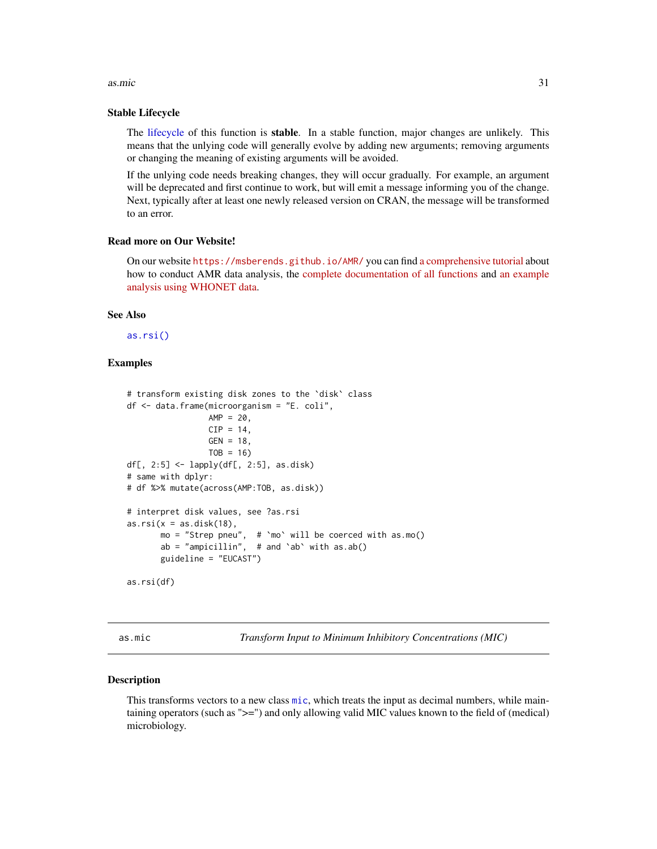#### <span id="page-30-0"></span> $\alpha$ s.mic  $\beta$ 1

# Stable Lifecycle

The [lifecycle](#page-103-1) of this function is stable. In a stable function, major changes are unlikely. This means that the unlying code will generally evolve by adding new arguments; removing arguments or changing the meaning of existing arguments will be avoided.

If the unlying code needs breaking changes, they will occur gradually. For example, an argument will be deprecated and first continue to work, but will emit a message informing you of the change. Next, typically after at least one newly released version on CRAN, the message will be transformed to an error.

# Read more on Our Website!

On our website <https://msberends.github.io/AMR/> you can find [a comprehensive tutorial](https://msberends.github.io/AMR/articles/AMR.html) about how to conduct AMR data analysis, the [complete documentation of all functions](https://msberends.github.io/AMR/reference/) and [an example](https://msberends.github.io/AMR/articles/WHONET.html) [analysis using WHONET data.](https://msberends.github.io/AMR/articles/WHONET.html)

# See Also

[as.rsi\(\)](#page-39-1)

# Examples

```
# transform existing disk zones to the `disk` class
df <- data.frame(microorganism = "E. coli",
                 AMP = 20,CIP = 14,
                 GEN = 18,
                 TOB = 16df[, 2:5] <- lapply(df[, 2:5], as.disk)
# same with dplyr:
# df %>% mutate(across(AMP:TOB, as.disk))
# interpret disk values, see ?as.rsi
as.rsi(x = as.disk(18),mo = "Strep pneu", \# 'mo' will be coerced with as.mo()
      ab = "ampicillin", # and `ab' with as.ab()guideline = "EUCAST")
as.rsi(df)
```
as.mic *Transform Input to Minimum Inhibitory Concentrations (MIC)*

#### <span id="page-30-1"></span>Description

This transforms vectors to a new class [mic](#page-30-1), which treats the input as decimal numbers, while maintaining operators (such as ">=") and only allowing valid MIC values known to the field of (medical) microbiology.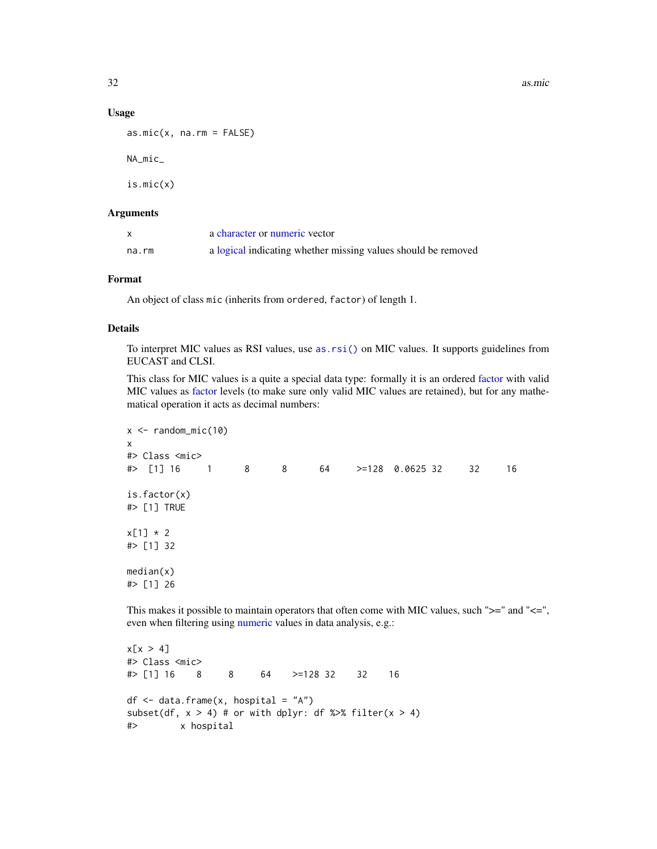32 as.mic

#### Usage

```
as.mic(x, na.rm = FALSE)
NA_mic_
is.mic(x)
```
# Arguments

|       | a character or numeric vector                                 |
|-------|---------------------------------------------------------------|
| na.rm | a logical indicating whether missing values should be removed |

# Format

An object of class mic (inherits from ordered, factor) of length 1.

# Details

To interpret MIC values as RSI values, use [as.rsi\(\)](#page-39-1) on MIC values. It supports guidelines from EUCAST and CLSI.

This class for MIC values is a quite a special data type: formally it is an ordered [factor](#page-0-0) with valid MIC values as [factor](#page-0-0) levels (to make sure only valid MIC values are retained), but for any mathematical operation it acts as decimal numbers:

```
x \le- random_mic(10)
x
#> Class <mic>
#> [1] 16 1 8 8 64 >=128 0.0625 32 32 16
is.factor(x)
#> [1] TRUE
x[1] * 2#> [1] 32
median(x)
#> [1] 26
```
This makes it possible to maintain operators that often come with MIC values, such ">=" and "<=", even when filtering using [numeric](#page-0-0) values in data analysis, e.g.:

```
x[x > 4]#> Class <mic>
#> [1] 16 8 8 64 >=128 32 32 16
df \leq - data.frame(x, hospital = "A")
subset(df, x > 4) # or with dplyr: df %>% filter(x > 4)
#> x hospital
```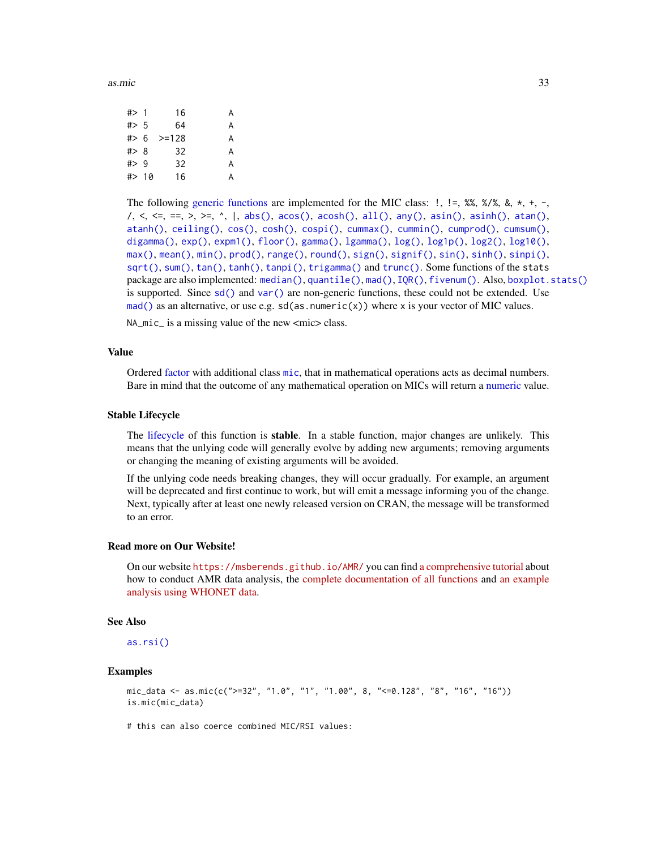as.mic 33

| # > 1   | 16      | А |
|---------|---------|---|
| $#$ > 5 | 64      | А |
| # > 6   | $>=128$ | А |
| # > 8   | 32      | А |
| $#$ 9   | 32      | А |
| #> 10   | 16      | A |
|         |         |   |

The following [generic functions](#page-0-0) are implemented for the MIC class:  $!$ ,  $! =$ ,  $\frac{1}{2}$ ,  $\frac{1}{2}$ ,  $\frac{1}{2}$ ,  $\frac{1}{2}$ ,  $\frac{1}{2}$ ,  $\frac{1}{2}$ ,  $\frac{1}{2}$ ,  $\frac{1}{2}$ ,  $\frac{1}{2}$ ,  $\frac{1}{2}$ ,  $\frac{1}{2}$ ,  $\frac{1}{2}$ ,  $\frac{1}{2}$ , /, <, <=, ==, >, >=, ^, |, [abs\(\)](#page-0-0), [acos\(\)](#page-0-0), [acosh\(\)](#page-0-0), [all\(\)](#page-0-0), [any\(\)](#page-0-0), [asin\(\)](#page-0-0), [asinh\(\)](#page-0-0), [atan\(\)](#page-0-0), [atanh\(\)](#page-0-0), [ceiling\(\)](#page-0-0), [cos\(\)](#page-0-0), [cosh\(\)](#page-0-0), [cospi\(\)](#page-0-0), [cummax\(\)](#page-0-0), [cummin\(\)](#page-0-0), [cumprod\(\)](#page-0-0), [cumsum\(\)](#page-0-0), [digamma\(\)](#page-0-0), [exp\(\)](#page-0-0), [expm1\(\)](#page-0-0), [floor\(\)](#page-0-0), [gamma\(\)](#page-0-0), [lgamma\(\)](#page-0-0), [log\(\)](#page-0-0), [log1p\(\)](#page-0-0), [log2\(\)](#page-0-0), [log10\(\)](#page-0-0), [max\(\)](#page-0-0), [mean\(\)](#page-0-0), [min\(\)](#page-0-0), [prod\(\)](#page-0-0), [range\(\)](#page-0-0), [round\(\)](#page-0-0), [sign\(\)](#page-0-0), [signif\(\)](#page-0-0), [sin\(\)](#page-0-0), [sinh\(\)](#page-0-0), [sinpi\(\)](#page-0-0), [sqrt\(\)](#page-0-0), [sum\(\)](#page-0-0), [tan\(\)](#page-0-0), [tanh\(\)](#page-0-0), [tanpi\(\)](#page-0-0), [trigamma\(\)](#page-0-0) and [trunc\(\)](#page-0-0). Some functions of the stats package are also implemented: [median\(\)](#page-0-0), [quantile\(\)](#page-0-0), [mad\(\)](#page-0-0), [IQR\(\)](#page-0-0), [fivenum\(\)](#page-0-0). Also, [boxplot.stats\(\)](#page-0-0) is supported. Since  $sd()$  and  $var()$  are non-generic functions, these could not be extended. Use [mad\(\)](#page-0-0) as an alternative, or use e.g.  $sd(as.numeric(x))$  where x is your vector of MIC values.

NA\_mic\_ is a missing value of the new <mic> class.

# Value

Ordered [factor](#page-0-0) with additional class [mic](#page-30-1), that in mathematical operations acts as decimal numbers. Bare in mind that the outcome of any mathematical operation on MICs will return a [numeric](#page-0-0) value.

# Stable Lifecycle

The [lifecycle](#page-103-1) of this function is **stable**. In a stable function, major changes are unlikely. This means that the unlying code will generally evolve by adding new arguments; removing arguments or changing the meaning of existing arguments will be avoided.

If the unlying code needs breaking changes, they will occur gradually. For example, an argument will be deprecated and first continue to work, but will emit a message informing you of the change. Next, typically after at least one newly released version on CRAN, the message will be transformed to an error.

# Read more on Our Website!

On our website <https://msberends.github.io/AMR/> you can find [a comprehensive tutorial](https://msberends.github.io/AMR/articles/AMR.html) about how to conduct AMR data analysis, the [complete documentation of all functions](https://msberends.github.io/AMR/reference/) and [an example](https://msberends.github.io/AMR/articles/WHONET.html) [analysis using WHONET data.](https://msberends.github.io/AMR/articles/WHONET.html)

# See Also

[as.rsi\(\)](#page-39-1)

# Examples

```
mic_data <- as.mic(c(">=32", "1.0", "1", "1.00", 8, "<=0.128", "8", "16", "16"))
is.mic(mic_data)
```
# this can also coerce combined MIC/RSI values: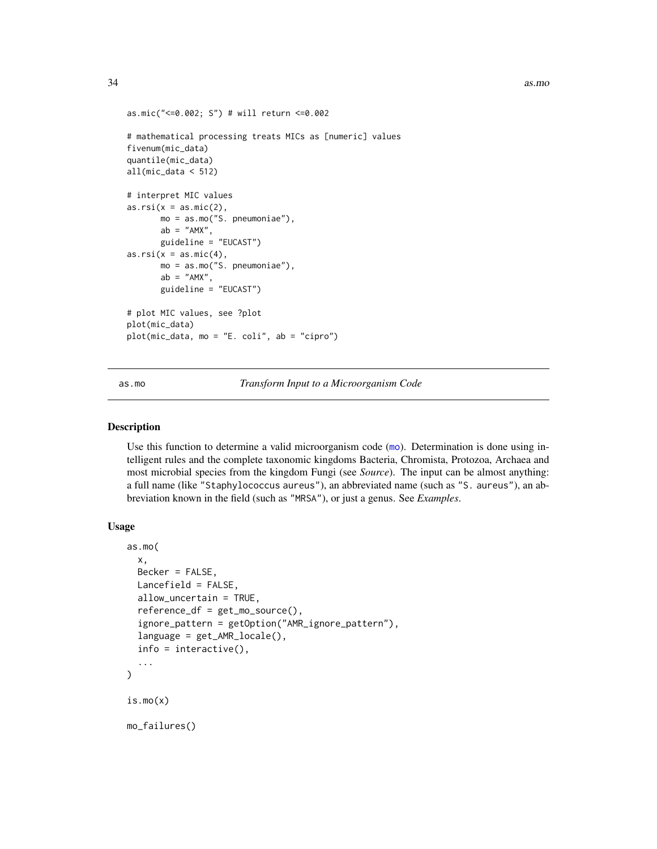```
as.mic("<=0.002; S") # will return <=0.002
# mathematical processing treats MICs as [numeric] values
fivenum(mic_data)
quantile(mic_data)
all(mic_data < 512)
# interpret MIC values
as.rsi(x = as.mic(2),mo = as.mo("S. pneumoniae"),
      ab = "AMX",
      guideline = "EUCAST")
as.rsi(x = as.mic(4)),mo = as.mo("S. pneumoniae"),
      ab = "AMX"guideline = "EUCAST")
# plot MIC values, see ?plot
plot(mic_data)
plot(mic_data, mo = "E. coli", ab = "cipro")
```
<span id="page-33-1"></span>as.mo *Transform Input to a Microorganism Code*

#### <span id="page-33-2"></span>Description

Use this function to determine a valid microorganism code ([mo](#page-33-2)). Determination is done using intelligent rules and the complete taxonomic kingdoms Bacteria, Chromista, Protozoa, Archaea and most microbial species from the kingdom Fungi (see *Source*). The input can be almost anything: a full name (like "Staphylococcus aureus"), an abbreviated name (such as "S. aureus"), an abbreviation known in the field (such as "MRSA"), or just a genus. See *Examples*.

# Usage

```
as.mo(
  x,
 Becker = FALSE,
 Lancefield = FALSE,
  allow_uncertain = TRUE,
  reference_df = get_mo_source(),
  ignore_pattern = getOption("AMR_ignore_pattern"),
  language = get_AMR_locale(),
  info = interactive(),
  ...
)
is.mo(x)
mo_failures()
```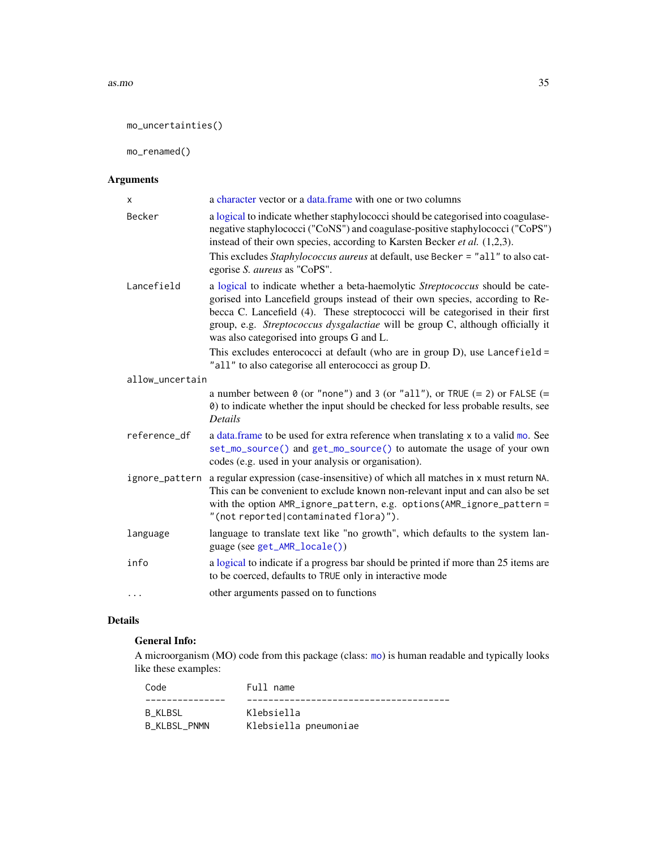#### as.mo 35

mo\_uncertainties()

mo\_renamed()

# Arguments

| X               | a character vector or a data.frame with one or two columns                                                                                                                                                                                                                                                                                                                      |
|-----------------|---------------------------------------------------------------------------------------------------------------------------------------------------------------------------------------------------------------------------------------------------------------------------------------------------------------------------------------------------------------------------------|
| Becker          | a logical to indicate whether staphylococci should be categorised into coagulase-<br>negative staphylococci ("CoNS") and coagulase-positive staphylococci ("CoPS")<br>instead of their own species, according to Karsten Becker et al. (1,2,3).                                                                                                                                 |
|                 | This excludes Staphylococcus aureus at default, use Becker = "all" to also cat-<br>egorise S. aureus as "CoPS".                                                                                                                                                                                                                                                                 |
| Lancefield      | a logical to indicate whether a beta-haemolytic Streptococcus should be cate-<br>gorised into Lancefield groups instead of their own species, according to Re-<br>becca C. Lancefield (4). These streptococci will be categorised in their first<br>group, e.g. Streptococcus dysgalactiae will be group C, although officially it<br>was also categorised into groups G and L. |
|                 | This excludes enterococci at default (who are in group D), use Lancefield =<br>"all" to also categorise all enterococci as group D.                                                                                                                                                                                                                                             |
| allow_uncertain |                                                                                                                                                                                                                                                                                                                                                                                 |
|                 | a number between $\theta$ (or "none") and 3 (or "all"), or TRUE (= 2) or FALSE (=<br>0) to indicate whether the input should be checked for less probable results, see<br><b>Details</b>                                                                                                                                                                                        |
| reference_df    | a data.frame to be used for extra reference when translating x to a valid mo. See<br>set_mo_source() and get_mo_source() to automate the usage of your own<br>codes (e.g. used in your analysis or organisation).                                                                                                                                                               |
| ignore_pattern  | a regular expression (case-insensitive) of which all matches in x must return NA.<br>This can be convenient to exclude known non-relevant input and can also be set<br>with the option AMR_ignore_pattern, e.g. options(AMR_ignore_pattern =<br>"(not reported contaminated flora)").                                                                                           |
| language        | language to translate text like "no growth", which defaults to the system lan-<br>guage (see get_AMR_locale())                                                                                                                                                                                                                                                                  |
| info            | a logical to indicate if a progress bar should be printed if more than 25 items are<br>to be coerced, defaults to TRUE only in interactive mode                                                                                                                                                                                                                                 |
| $\cdots$        | other arguments passed on to functions                                                                                                                                                                                                                                                                                                                                          |

# Details

# General Info:

A microorganism (MO) code from this package (class: [mo](#page-33-2)) is human readable and typically looks like these examples:

| Code         | Full name             |
|--------------|-----------------------|
|              |                       |
| B KLBSL      | Klebsiella            |
| B KLBSL PNMN | Klebsiella pneumoniae |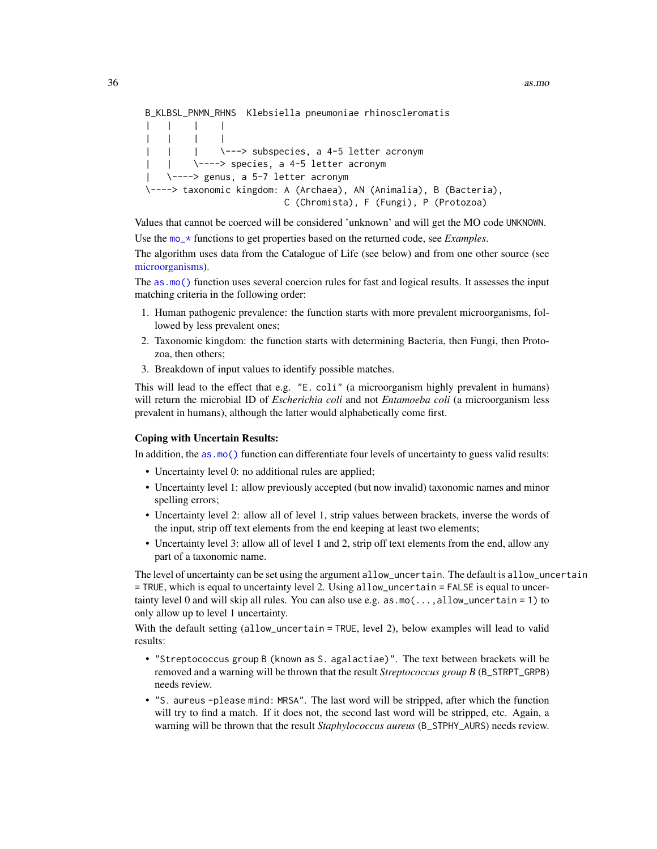```
B_KLBSL_PNMN_RHNS Klebsiella pneumoniae rhinoscleromatis
| | | |
| | | |
| | | | \---> subspecies, a 4-5 letter acronym
| | \----> species, a 4-5 letter acronym
| \----> genus, a 5-7 letter acronym
\----> taxonomic kingdom: A (Archaea), AN (Animalia), B (Bacteria),
                        C (Chromista), F (Fungi), P (Protozoa)
```
Values that cannot be coerced will be considered 'unknown' and will get the MO code UNKNOWN. Use the [mo\\_\\*](#page-121-1) functions to get properties based on the returned code, see *Examples*.

The algorithm uses data from the Catalogue of Life (see below) and from one other source (see [microorganisms\)](#page-113-1).

The [as.mo\(\)](#page-33-1) function uses several coercion rules for fast and logical results. It assesses the input matching criteria in the following order:

- 1. Human pathogenic prevalence: the function starts with more prevalent microorganisms, followed by less prevalent ones;
- 2. Taxonomic kingdom: the function starts with determining Bacteria, then Fungi, then Protozoa, then others;
- 3. Breakdown of input values to identify possible matches.

This will lead to the effect that e.g. "E. coli" (a microorganism highly prevalent in humans) will return the microbial ID of *Escherichia coli* and not *Entamoeba coli* (a microorganism less prevalent in humans), although the latter would alphabetically come first.

#### Coping with Uncertain Results:

In addition, the [as.mo\(\)](#page-33-1) function can differentiate four levels of uncertainty to guess valid results:

- Uncertainty level 0: no additional rules are applied;
- Uncertainty level 1: allow previously accepted (but now invalid) taxonomic names and minor spelling errors;
- Uncertainty level 2: allow all of level 1, strip values between brackets, inverse the words of the input, strip off text elements from the end keeping at least two elements;
- Uncertainty level 3: allow all of level 1 and 2, strip off text elements from the end, allow any part of a taxonomic name.

The level of uncertainty can be set using the argument allow\_uncertain. The default is allow\_uncertain = TRUE, which is equal to uncertainty level 2. Using allow\_uncertain = FALSE is equal to uncertainty level 0 and will skip all rules. You can also use e.g. as  $\text{m}(\ldots, \text{allow\_uncertain} = 1)$  to only allow up to level 1 uncertainty.

With the default setting (allow\_uncertain = TRUE, level 2), below examples will lead to valid results:

- "Streptococcus group B (known as S. agalactiae)". The text between brackets will be removed and a warning will be thrown that the result *Streptococcus group B* (B\_STRPT\_GRPB) needs review.
- "S. aureus -please mind: MRSA". The last word will be stripped, after which the function will try to find a match. If it does not, the second last word will be stripped, etc. Again, a warning will be thrown that the result *Staphylococcus aureus* (B\_STPHY\_AURS) needs review.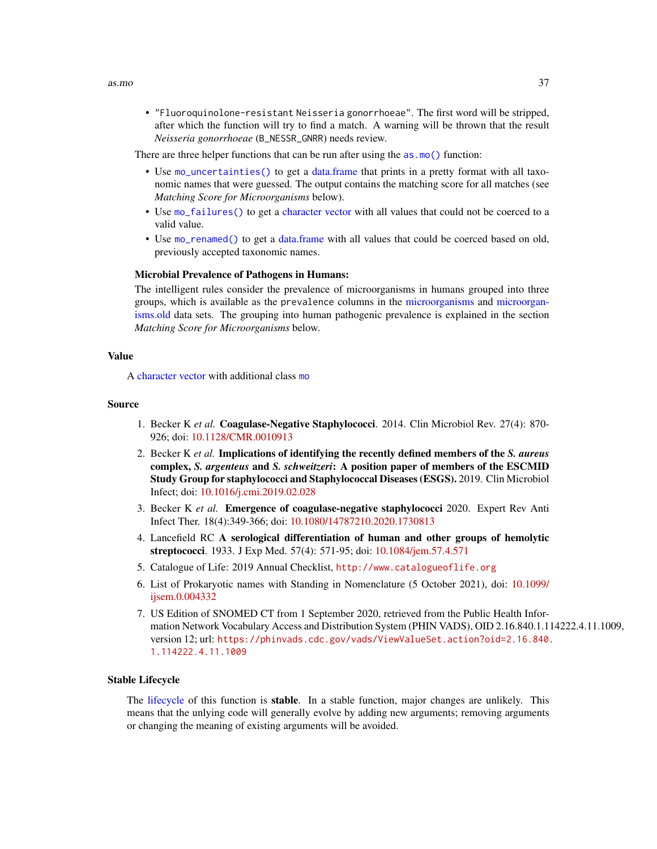• "Fluoroquinolone-resistant Neisseria gonorrhoeae". The first word will be stripped, after which the function will try to find a match. A warning will be thrown that the result *Neisseria gonorrhoeae* (B\_NESSR\_GNRR) needs review.

There are three helper functions that can be run after using the as  $\text{m}$  () function:

- Use [mo\\_uncertainties\(\)](#page-33-1) to get a [data.frame](#page-0-0) that prints in a pretty format with all taxonomic names that were guessed. The output contains the matching score for all matches (see *Matching Score for Microorganisms* below).
- Use [mo\\_failures\(\)](#page-33-1) to get a [character](#page-0-0) [vector](#page-0-0) with all values that could not be coerced to a valid value.
- Use [mo\\_renamed\(\)](#page-33-1) to get a [data.frame](#page-0-0) with all values that could be coerced based on old, previously accepted taxonomic names.

#### Microbial Prevalence of Pathogens in Humans:

The intelligent rules consider the prevalence of microorganisms in humans grouped into three groups, which is available as the prevalence columns in the [microorganisms](#page-113-0) and [microorgan](#page-117-0)[isms.old](#page-117-0) data sets. The grouping into human pathogenic prevalence is explained in the section *Matching Score for Microorganisms* below.

### Value

A [character](#page-0-0) [vector](#page-0-0) with additional class [mo](#page-33-1)

#### Source

- 1. Becker K *et al.* Coagulase-Negative Staphylococci. 2014. Clin Microbiol Rev. 27(4): 870- 926; doi: [10.1128/CMR.0010913](https://doi.org/10.1128/CMR.00109-13)
- 2. Becker K *et al.* Implications of identifying the recently defined members of the *S. aureus* complex, *S. argenteus* and *S. schweitzeri*: A position paper of members of the ESCMID Study Group for staphylococci and Staphylococcal Diseases (ESGS). 2019. Clin Microbiol Infect; doi: [10.1016/j.cmi.2019.02.028](https://doi.org/10.1016/j.cmi.2019.02.028)
- 3. Becker K *et al.* Emergence of coagulase-negative staphylococci 2020. Expert Rev Anti Infect Ther. 18(4):349-366; doi: [10.1080/14787210.2020.1730813](https://doi.org/10.1080/14787210.2020.1730813)
- 4. Lancefield RC A serological differentiation of human and other groups of hemolytic streptococci. 1933. J Exp Med. 57(4): 571-95; doi: [10.1084/jem.57.4.571](https://doi.org/10.1084/jem.57.4.571)
- 5. Catalogue of Life: 2019 Annual Checklist, <http://www.catalogueoflife.org>
- 6. List of Prokaryotic names with Standing in Nomenclature (5 October 2021), doi: [10.1099/](https://doi.org/10.1099/ijsem.0.004332) [ijsem.0.004332](https://doi.org/10.1099/ijsem.0.004332)
- 7. US Edition of SNOMED CT from 1 September 2020, retrieved from the Public Health Information Network Vocabulary Access and Distribution System (PHIN VADS), OID 2.16.840.1.114222.4.11.1009, version 12; url: [https://phinvads.cdc.gov/vads/ViewValueSet.action?oid=2.16.840.](https://phinvads.cdc.gov/vads/ViewValueSet.action?oid=2.16.840.1.114222.4.11.1009) [1.114222.4.11.1009](https://phinvads.cdc.gov/vads/ViewValueSet.action?oid=2.16.840.1.114222.4.11.1009)

#### Stable Lifecycle

The [lifecycle](#page-103-0) of this function is stable. In a stable function, major changes are unlikely. This means that the unlying code will generally evolve by adding new arguments; removing arguments or changing the meaning of existing arguments will be avoided.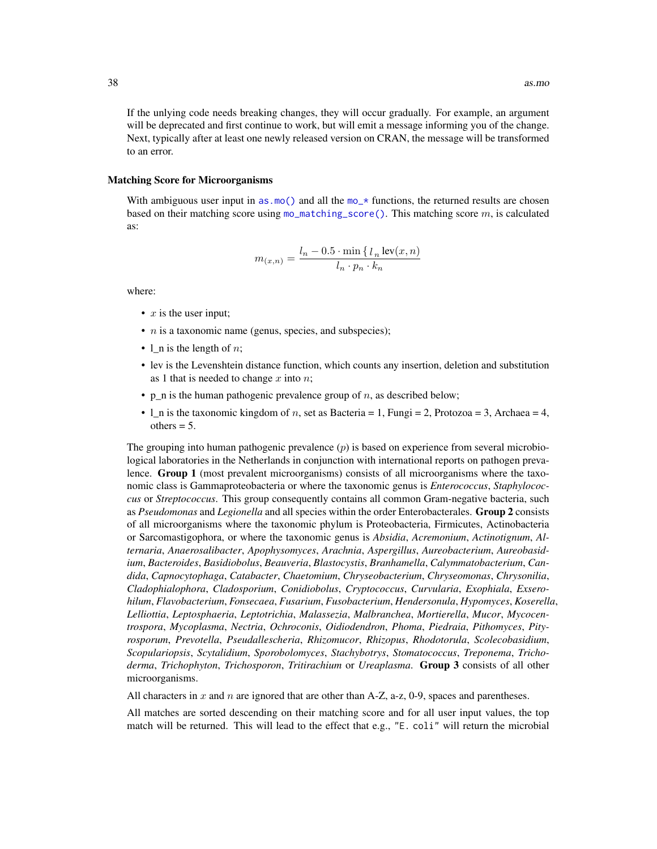If the unlying code needs breaking changes, they will occur gradually. For example, an argument will be deprecated and first continue to work, but will emit a message informing you of the change. Next, typically after at least one newly released version on CRAN, the message will be transformed to an error.

#### Matching Score for Microorganisms

With ambiguous user input in [as.mo\(\)](#page-33-0) and all the  $mo-*$  functions, the returned results are chosen based on their matching score using  $mo\_matching\_score()$ . This matching score  $m$ , is calculated as:

$$
m_{(x,n)} = \frac{l_n - 0.5 \cdot \min\left\{l_n \operatorname{lev}(x,n)\right\}}{l_n \cdot p_n \cdot k_n}
$$

where:

- $x$  is the user input;
- $n$  is a taxonomic name (genus, species, and subspecies);
- 1 n is the length of  $n$ ;
- lev is the Levenshtein distance function, which counts any insertion, deletion and substitution as 1 that is needed to change x into  $n$ ;
- p\_n is the human pathogenic prevalence group of  $n$ , as described below;
- $l$ <sub>n</sub> is the taxonomic kingdom of *n*, set as Bacteria = 1, Fungi = 2, Protozoa = 3, Archaea = 4,  $others = 5.$

The grouping into human pathogenic prevalence  $(p)$  is based on experience from several microbiological laboratories in the Netherlands in conjunction with international reports on pathogen prevalence. Group 1 (most prevalent microorganisms) consists of all microorganisms where the taxonomic class is Gammaproteobacteria or where the taxonomic genus is *Enterococcus*, *Staphylococcus* or *Streptococcus*. This group consequently contains all common Gram-negative bacteria, such as *Pseudomonas* and *Legionella* and all species within the order Enterobacterales. Group 2 consists of all microorganisms where the taxonomic phylum is Proteobacteria, Firmicutes, Actinobacteria or Sarcomastigophora, or where the taxonomic genus is *Absidia*, *Acremonium*, *Actinotignum*, *Alternaria*, *Anaerosalibacter*, *Apophysomyces*, *Arachnia*, *Aspergillus*, *Aureobacterium*, *Aureobasidium*, *Bacteroides*, *Basidiobolus*, *Beauveria*, *Blastocystis*, *Branhamella*, *Calymmatobacterium*, *Candida*, *Capnocytophaga*, *Catabacter*, *Chaetomium*, *Chryseobacterium*, *Chryseomonas*, *Chrysonilia*, *Cladophialophora*, *Cladosporium*, *Conidiobolus*, *Cryptococcus*, *Curvularia*, *Exophiala*, *Exserohilum*, *Flavobacterium*, *Fonsecaea*, *Fusarium*, *Fusobacterium*, *Hendersonula*, *Hypomyces*, *Koserella*, *Lelliottia*, *Leptosphaeria*, *Leptotrichia*, *Malassezia*, *Malbranchea*, *Mortierella*, *Mucor*, *Mycocentrospora*, *Mycoplasma*, *Nectria*, *Ochroconis*, *Oidiodendron*, *Phoma*, *Piedraia*, *Pithomyces*, *Pityrosporum*, *Prevotella*, *Pseudallescheria*, *Rhizomucor*, *Rhizopus*, *Rhodotorula*, *Scolecobasidium*, *Scopulariopsis*, *Scytalidium*, *Sporobolomyces*, *Stachybotrys*, *Stomatococcus*, *Treponema*, *Trichoderma*, *Trichophyton*, *Trichosporon*, *Tritirachium* or *Ureaplasma*. Group 3 consists of all other microorganisms.

All characters in x and n are ignored that are other than A-Z, a-z, 0-9, spaces and parentheses.

All matches are sorted descending on their matching score and for all user input values, the top match will be returned. This will lead to the effect that e.g., "E. coli" will return the microbial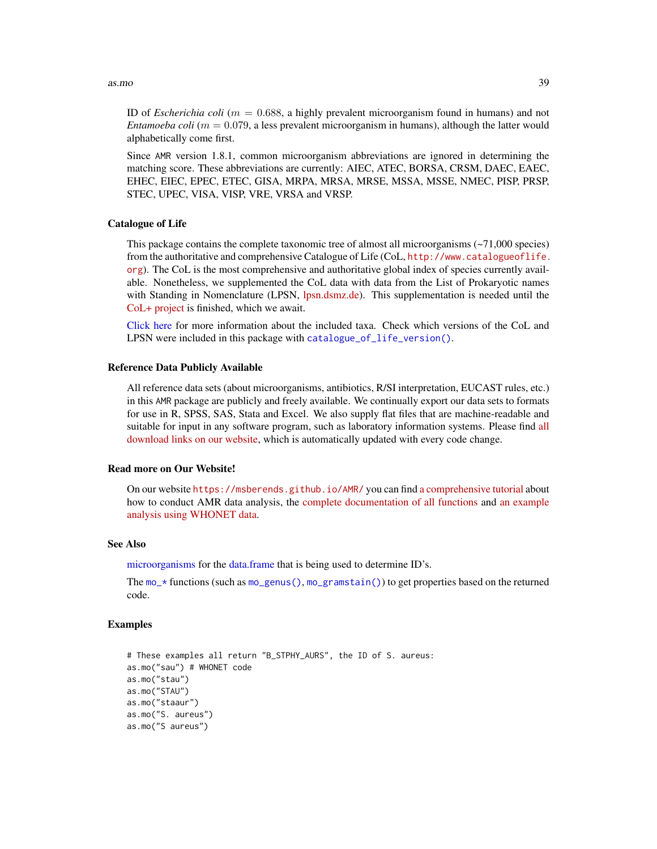#### as.mo 39

ID of *Escherichia coli* ( $m = 0.688$ , a highly prevalent microorganism found in humans) and not *Entamoeba coli* ( $m = 0.079$ , a less prevalent microorganism in humans), although the latter would alphabetically come first.

Since AMR version 1.8.1, common microorganism abbreviations are ignored in determining the matching score. These abbreviations are currently: AIEC, ATEC, BORSA, CRSM, DAEC, EAEC, EHEC, EIEC, EPEC, ETEC, GISA, MRPA, MRSA, MRSE, MSSA, MSSE, NMEC, PISP, PRSP, STEC, UPEC, VISA, VISP, VRE, VRSA and VRSP.

#### Catalogue of Life

This package contains the complete taxonomic tree of almost all microorganisms  $(-71,000$  species) from the authoritative and comprehensive Catalogue of Life (CoL, [http://www.catalogueoflife.](http://www.catalogueoflife.org) [org](http://www.catalogueoflife.org)). The CoL is the most comprehensive and authoritative global index of species currently available. Nonetheless, we supplemented the CoL data with data from the List of Prokaryotic names with Standing in Nomenclature (LPSN, [lpsn.dsmz.de\)](https://lpsn.dsmz.de). This supplementation is needed until the [CoL+ project](https://github.com/CatalogueOfLife/general) is finished, which we await.

[Click here](#page-51-0) for more information about the included taxa. Check which versions of the CoL and LPSN were included in this package with [catalogue\\_of\\_life\\_version\(\)](#page-53-0).

#### Reference Data Publicly Available

All reference data sets (about microorganisms, antibiotics, R/SI interpretation, EUCAST rules, etc.) in this AMR package are publicly and freely available. We continually export our data sets to formats for use in R, SPSS, SAS, Stata and Excel. We also supply flat files that are machine-readable and suitable for input in any software program, such as laboratory information systems. Please find [all](https://msberends.github.io/AMR/articles/datasets.html) [download links on our website,](https://msberends.github.io/AMR/articles/datasets.html) which is automatically updated with every code change.

#### Read more on Our Website!

On our website <https://msberends.github.io/AMR/> you can find [a comprehensive tutorial](https://msberends.github.io/AMR/articles/AMR.html) about how to conduct AMR data analysis, the [complete documentation of all functions](https://msberends.github.io/AMR/reference/) and [an example](https://msberends.github.io/AMR/articles/WHONET.html) [analysis using WHONET data.](https://msberends.github.io/AMR/articles/WHONET.html)

## See Also

[microorganisms](#page-113-0) for the [data.frame](#page-0-0) that is being used to determine ID's.

The  $mo-*$  functions (such as  $mo\_genus()$ ,  $mo\_gramstain()$ ) to get properties based on the returned code.

### Examples

```
# These examples all return "B_STPHY_AURS", the ID of S. aureus:
as.mo("sau") # WHONET code
as.mo("stau")
as.mo("STAU")
as.mo("staaur")
as.mo("S. aureus")
as.mo("S aureus")
```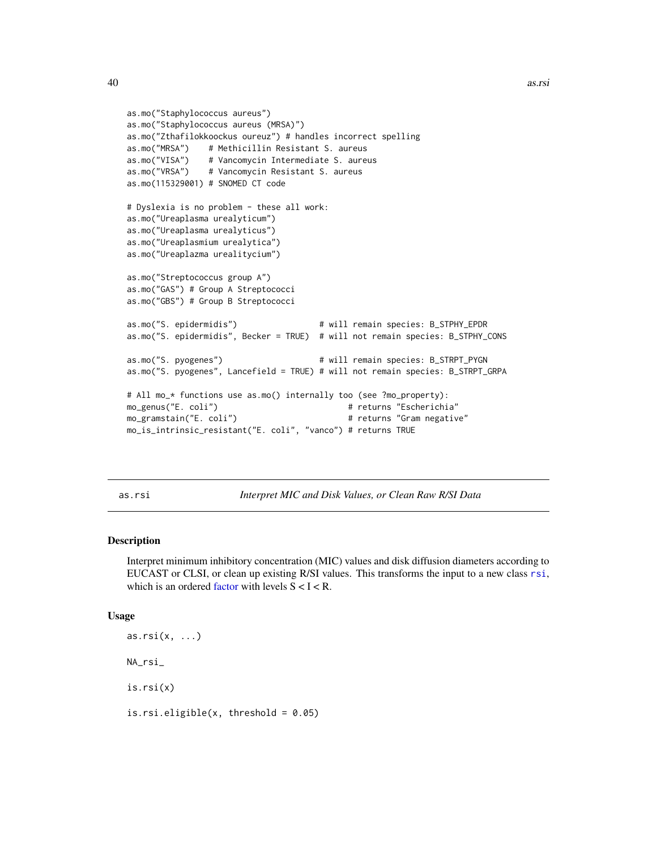```
as.mo("Staphylococcus aureus")
as.mo("Staphylococcus aureus (MRSA)")
as.mo("Zthafilokkoockus oureuz") # handles incorrect spelling
as.mo("MRSA") # Methicillin Resistant S. aureus
as.mo("VISA") # Vancomycin Intermediate S. aureus
as.mo("VRSA") # Vancomycin Resistant S. aureus
as.mo(115329001) # SNOMED CT code
# Dyslexia is no problem - these all work:
as.mo("Ureaplasma urealyticum")
as.mo("Ureaplasma urealyticus")
as.mo("Ureaplasmium urealytica")
as.mo("Ureaplazma urealitycium")
as.mo("Streptococcus group A")
as.mo("GAS") # Group A Streptococci
as.mo("GBS") # Group B Streptococci
as.mo("S. epidermidis") \qquad \qquad \qquad # will remain species: B_STPHY_EPDR
as.mo("S. epidermidis", Becker = TRUE) # will not remain species: B_STPHY_CONS
as.mo("S. pyogenes") # will remain species: B_STRPT_PYGN
as.mo("S. pyogenes", Lancefield = TRUE) # will not remain species: B_STRPT_GRPA
# All mo_* functions use as.mo() internally too (see ?mo_property):
mo_genus("E. coli") # returns "Escherichia"
mo_gramstain("E. coli") # returns "Gram negative"
mo_is_intrinsic_resistant("E. coli", "vanco") # returns TRUE
```
<span id="page-39-1"></span>as.rsi *Interpret MIC and Disk Values, or Clean Raw R/SI Data*

#### <span id="page-39-0"></span>Description

Interpret minimum inhibitory concentration (MIC) values and disk diffusion diameters according to EUCAST or CLSI, or clean up existing R/SI values. This transforms the input to a new class [rsi](#page-39-0), which is an ordered [factor](#page-0-0) with levels  $S < I < R$ .

#### Usage

```
as.rsi(x, \ldots)NA_rsi_
is.rsi(x)
is.rsi.eligible(x, threshold = 0.05)
```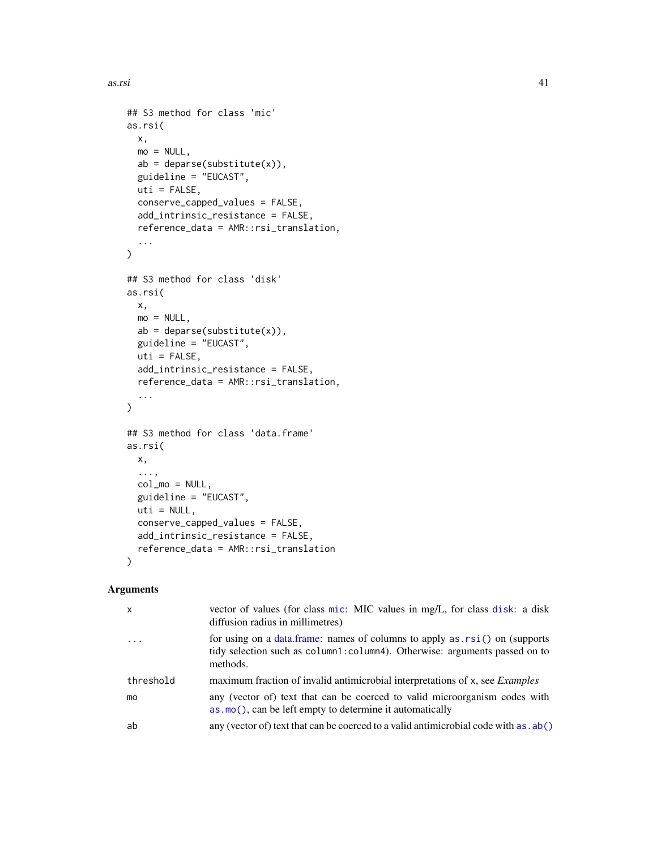as.rsi 41

```
## S3 method for class 'mic'
as.rsi(
 x,
 mo = NULL,ab = deparse(substitute(x)),
  guideline = "EUCAST",
 uti = FALSE,conserve_capped_values = FALSE,
  add_intrinsic_resistance = FALSE,
 reference_data = AMR::rsi_translation,
  ...
\mathcal{L}## S3 method for class 'disk'
as.rsi(
 x,
 mo = NULL,ab = deparse(substitute(x)),guideline = "EUCAST",
 uti = FALSE,add_intrinsic_resistance = FALSE,
  reference_data = AMR::rsi_translation,
  ...
\mathcal{L}## S3 method for class 'data.frame'
as.rsi(
 x,
  ...,
 col_mo = NULL,
  guideline = "EUCAST",
 uti = NULL,conserve_capped_values = FALSE,
  add_intrinsic_resistance = FALSE,
  reference_data = AMR::rsi_translation
\mathcal{L}
```
# Arguments

| $\mathsf{x}$ | vector of values (for class mic: MIC values in mg/L, for class disk: a disk<br>diffusion radius in millimetres)                                                         |
|--------------|-------------------------------------------------------------------------------------------------------------------------------------------------------------------------|
| $\ddots$ .   | for using on a data frame: names of columns to apply $as.rsi()$ on (supports<br>tidy selection such as column1: column4). Otherwise: arguments passed on to<br>methods. |
| threshold    | maximum fraction of invalid antimicrobial interpretations of x, see <i>Examples</i>                                                                                     |
| mo           | any (vector of) text that can be coerced to valid microorganism codes with<br>$\alpha$ as $\alpha$ (), can be left empty to determine it automatically                  |
| ab           | any (vector of) text that can be coerced to a valid antimicrobial code with as . ab()                                                                                   |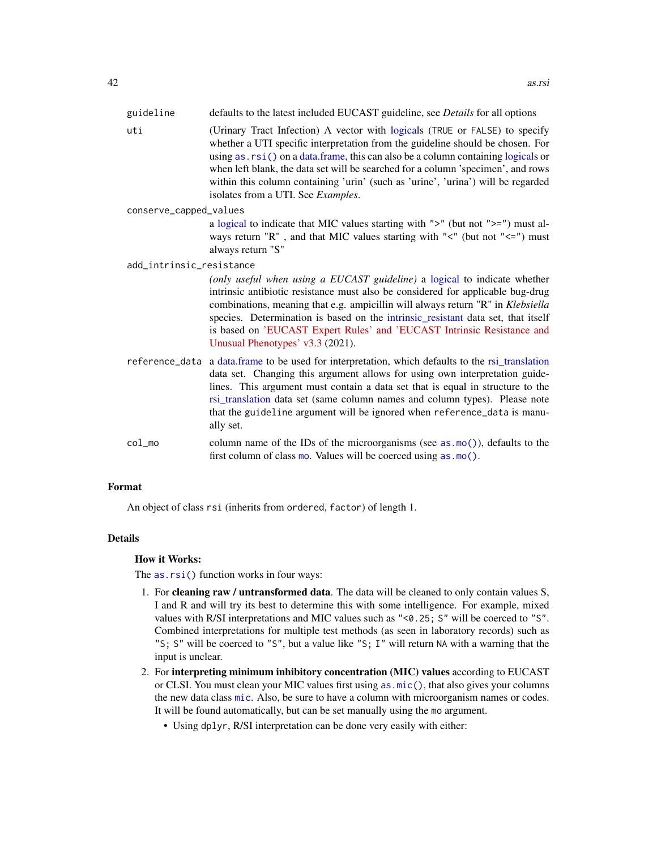| guideline              | defaults to the latest included EUCAST guideline, see <i>Details</i> for all options                                                                                                                                                                                                                                                                                                                                                                                |  |  |  |  |  |
|------------------------|---------------------------------------------------------------------------------------------------------------------------------------------------------------------------------------------------------------------------------------------------------------------------------------------------------------------------------------------------------------------------------------------------------------------------------------------------------------------|--|--|--|--|--|
| uti                    | (Urinary Tract Infection) A vector with logicals (TRUE or FALSE) to specify<br>whether a UTI specific interpretation from the guideline should be chosen. For<br>using $as. rsi()$ on a data. frame, this can also be a column containing logicals or<br>when left blank, the data set will be searched for a column 'specimen', and rows<br>within this column containing 'urin' (such as 'urine', 'urina') will be regarded<br>isolates from a UTI. See Examples. |  |  |  |  |  |
| conserve_capped_values |                                                                                                                                                                                                                                                                                                                                                                                                                                                                     |  |  |  |  |  |
|                        | a logical to indicate that MIC values starting with " $>$ " (but not " $>$ =") must al-<br>ways return "R", and that MIC values starting with " $\lt$ " (but not " $\lt$ =") must<br>always return "S"                                                                                                                                                                                                                                                              |  |  |  |  |  |
|                        | add_intrinsic_resistance                                                                                                                                                                                                                                                                                                                                                                                                                                            |  |  |  |  |  |
|                        | (only useful when using a EUCAST guideline) a logical to indicate whether<br>intrinsic antibiotic resistance must also be considered for applicable bug-drug<br>combinations, meaning that e.g. ampicillin will always return "R" in Klebsiella<br>species. Determination is based on the intrinsic_resistant data set, that itself<br>is based on 'EUCAST Expert Rules' and 'EUCAST Intrinsic Resistance and<br>Unusual Phenotypes' v3.3 (2021).                   |  |  |  |  |  |
|                        | reference_data a data.frame to be used for interpretation, which defaults to the rsi_translation<br>data set. Changing this argument allows for using own interpretation guide-<br>lines. This argument must contain a data set that is equal in structure to the<br>rsi_translation data set (same column names and column types). Please note<br>that the guideline argument will be ignored when reference_data is manu-<br>ally set.                            |  |  |  |  |  |
| $col$ mo               | column name of the IDs of the microorganisms (see $as.mo()$ ), defaults to the<br>first column of class mo. Values will be coerced using as . mo().                                                                                                                                                                                                                                                                                                                 |  |  |  |  |  |

#### Format

An object of class rsi (inherits from ordered, factor) of length 1.

## Details

## How it Works:

The [as.rsi\(\)](#page-39-1) function works in four ways:

- 1. For cleaning raw / untransformed data. The data will be cleaned to only contain values S, I and R and will try its best to determine this with some intelligence. For example, mixed values with R/SI interpretations and MIC values such as "<0.25; S" will be coerced to "S". Combined interpretations for multiple test methods (as seen in laboratory records) such as "S; S" will be coerced to "S", but a value like "S; I" will return NA with a warning that the input is unclear.
- 2. For interpreting minimum inhibitory concentration (MIC) values according to EUCAST or CLSI. You must clean your MIC values first using [as.mic\(\)](#page-30-1), that also gives your columns the new data class [mic](#page-30-0). Also, be sure to have a column with microorganism names or codes. It will be found automatically, but can be set manually using the mo argument.
	- Using dplyr, R/SI interpretation can be done very easily with either: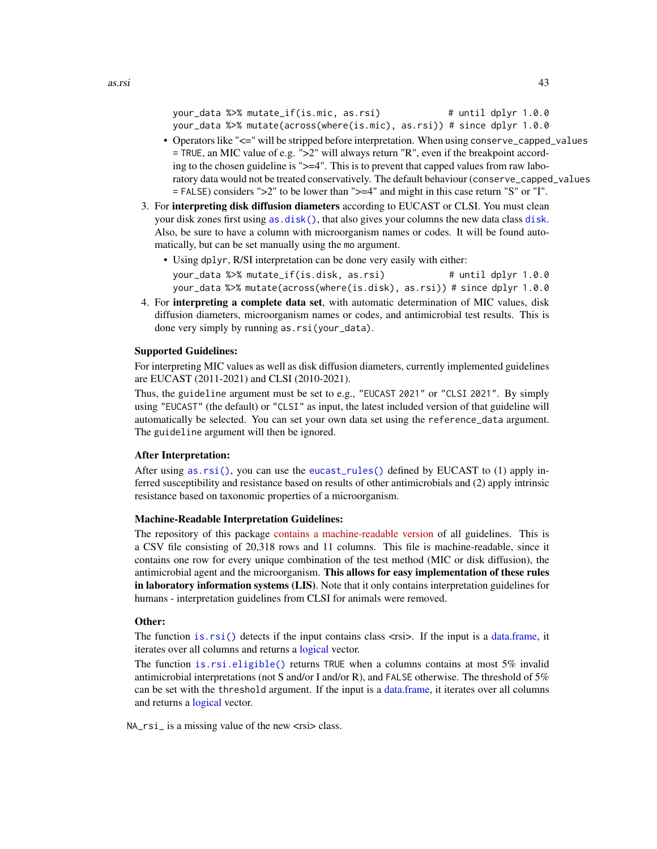```
your_data %>% mutate_if(is.mic, as.rsi) # until dplyr 1.0.0
your_data %>% mutate(across(where(is.mic), as.rsi)) # since dplyr 1.0.0
```
- Operators like "<=" will be stripped before interpretation. When using conserve\_capped\_values = TRUE, an MIC value of e.g. ">2" will always return "R", even if the breakpoint according to the chosen guideline is ">=4". This is to prevent that capped values from raw laboratory data would not be treated conservatively. The default behaviour (conserve\_capped\_values = FALSE) considers ">2" to be lower than ">=4" and might in this case return "S" or "I".
- 3. For interpreting disk diffusion diameters according to EUCAST or CLSI. You must clean your disk zones first using [as.disk\(\)](#page-29-1), that also gives your columns the new data class [disk](#page-29-0). Also, be sure to have a column with microorganism names or codes. It will be found automatically, but can be set manually using the mo argument.
	- Using dplyr, R/SI interpretation can be done very easily with either: your\_data %>% mutate\_if(is.disk, as.rsi) # until dplyr 1.0.0 your\_data %>% mutate(across(where(is.disk), as.rsi)) # since dplyr 1.0.0
- 4. For interpreting a complete data set, with automatic determination of MIC values, disk diffusion diameters, microorganism names or codes, and antimicrobial test results. This is done very simply by running as.rsi(your\_data).

### Supported Guidelines:

For interpreting MIC values as well as disk diffusion diameters, currently implemented guidelines are EUCAST (2011-2021) and CLSI (2010-2021).

Thus, the guideline argument must be set to e.g., "EUCAST 2021" or "CLSI 2021". By simply using "EUCAST" (the default) or "CLSI" as input, the latest included version of that guideline will automatically be selected. You can set your own data set using the reference\_data argument. The guideline argument will then be ignored.

### After Interpretation:

After using [as.rsi\(\)](#page-39-1), you can use the [eucast\\_rules\(\)](#page-65-0) defined by EUCAST to (1) apply inferred susceptibility and resistance based on results of other antimicrobials and (2) apply intrinsic resistance based on taxonomic properties of a microorganism.

### Machine-Readable Interpretation Guidelines:

The repository of this package [contains a machine-readable version](https://github.com/msberends/AMR/blob/main/data-raw/rsi_translation.txt) of all guidelines. This is a CSV file consisting of 20,318 rows and 11 columns. This file is machine-readable, since it contains one row for every unique combination of the test method (MIC or disk diffusion), the antimicrobial agent and the microorganism. This allows for easy implementation of these rules in laboratory information systems (LIS). Note that it only contains interpretation guidelines for humans - interpretation guidelines from CLSI for animals were removed.

## Other:

The function [is.rsi\(\)](#page-39-0) detects if the input contains class  $\langle x \rangle$ . If the input is a [data.frame,](#page-0-0) it iterates over all columns and returns a [logical](#page-0-0) vector.

The function [is.rsi.eligible\(\)](#page-39-0) returns TRUE when a columns contains at most 5% invalid antimicrobial interpretations (not S and/or I and/or R), and FALSE otherwise. The threshold of 5% can be set with the threshold argument. If the input is a [data.frame,](#page-0-0) it iterates over all columns and returns a [logical](#page-0-0) vector.

 $NA\_rsi$  is a missing value of the new  $\langle risi \rangle$  class.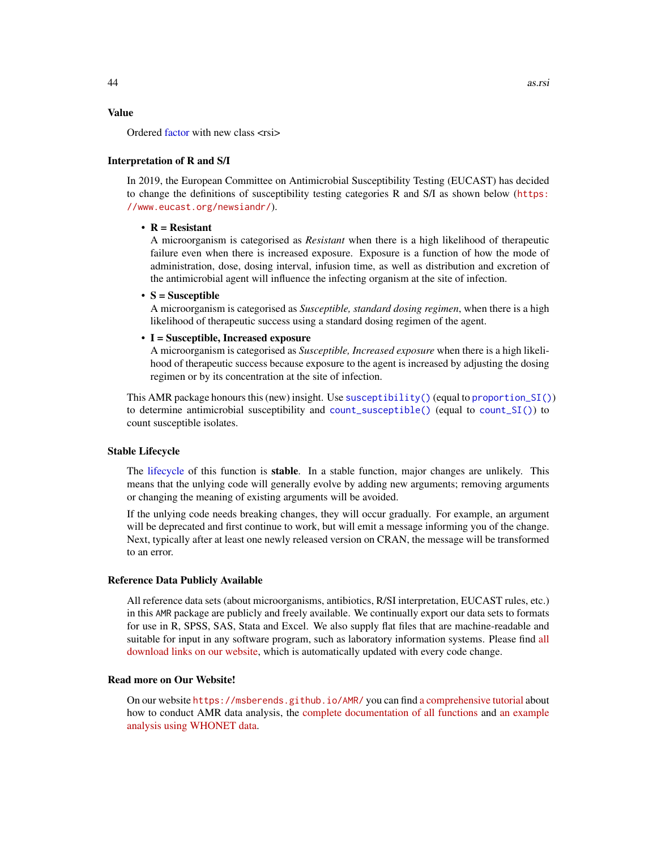### Value

Ordered [factor](#page-0-0) with new class <rsi>

#### Interpretation of R and S/I

In 2019, the European Committee on Antimicrobial Susceptibility Testing (EUCAST) has decided to change the definitions of susceptibility testing categories R and S/I as shown below ([https:](https://www.eucast.org/newsiandr/) [//www.eucast.org/newsiandr/](https://www.eucast.org/newsiandr/)).

### •  $R =$  Resistant

A microorganism is categorised as *Resistant* when there is a high likelihood of therapeutic failure even when there is increased exposure. Exposure is a function of how the mode of administration, dose, dosing interval, infusion time, as well as distribution and excretion of the antimicrobial agent will influence the infecting organism at the site of infection.

#### •  $S =$  Susceptible

A microorganism is categorised as *Susceptible, standard dosing regimen*, when there is a high likelihood of therapeutic success using a standard dosing regimen of the agent.

#### • I = Susceptible, Increased exposure

A microorganism is categorised as *Susceptible, Increased exposure* when there is a high likelihood of therapeutic success because exposure to the agent is increased by adjusting the dosing regimen or by its concentration at the site of infection.

This AMR package honours this (new) insight. Use [susceptibility\(\)](#page-137-0) (equal to [proportion\\_SI\(\)](#page-137-0)) to determine antimicrobial susceptibility and [count\\_susceptible\(\)](#page-54-0) (equal to [count\\_SI\(\)](#page-54-0)) to count susceptible isolates.

#### Stable Lifecycle

The [lifecycle](#page-103-0) of this function is stable. In a stable function, major changes are unlikely. This means that the unlying code will generally evolve by adding new arguments; removing arguments or changing the meaning of existing arguments will be avoided.

If the unlying code needs breaking changes, they will occur gradually. For example, an argument will be deprecated and first continue to work, but will emit a message informing you of the change. Next, typically after at least one newly released version on CRAN, the message will be transformed to an error.

#### Reference Data Publicly Available

All reference data sets (about microorganisms, antibiotics, R/SI interpretation, EUCAST rules, etc.) in this AMR package are publicly and freely available. We continually export our data sets to formats for use in R, SPSS, SAS, Stata and Excel. We also supply flat files that are machine-readable and suitable for input in any software program, such as laboratory information systems. Please find [all](https://msberends.github.io/AMR/articles/datasets.html) [download links on our website,](https://msberends.github.io/AMR/articles/datasets.html) which is automatically updated with every code change.

#### Read more on Our Website!

On our website <https://msberends.github.io/AMR/> you can find [a comprehensive tutorial](https://msberends.github.io/AMR/articles/AMR.html) about how to conduct AMR data analysis, the [complete documentation of all functions](https://msberends.github.io/AMR/reference/) and [an example](https://msberends.github.io/AMR/articles/WHONET.html) [analysis using WHONET data.](https://msberends.github.io/AMR/articles/WHONET.html)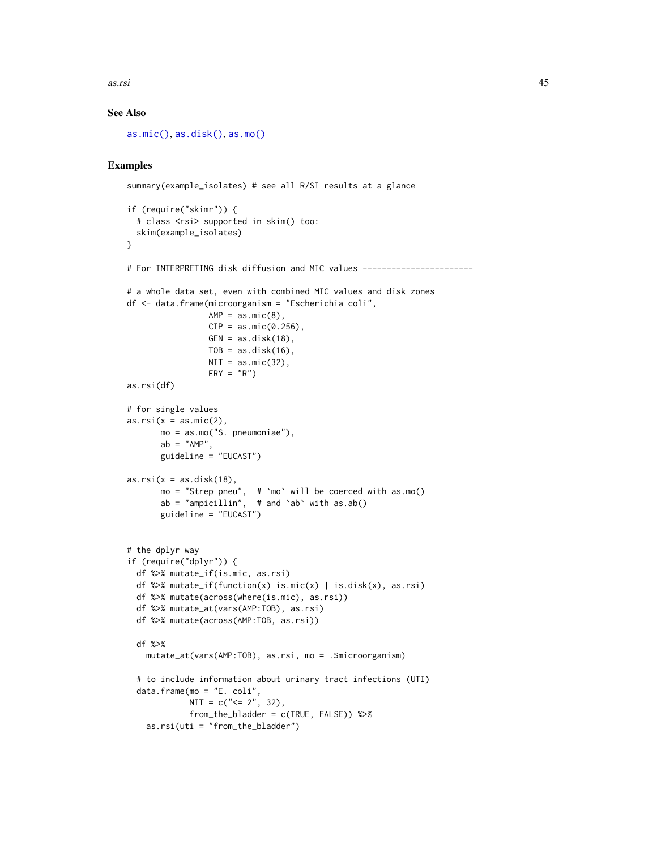as.rsi 45

# See Also

[as.mic\(\)](#page-30-1), [as.disk\(\)](#page-29-1), [as.mo\(\)](#page-33-0)

# Examples

```
summary(example_isolates) # see all R/SI results at a glance
if (require("skimr")) {
  # class <rsi> supported in skim() too:
  skim(example_isolates)
}
# For INTERPRETING disk diffusion and MIC values -----------------------
# a whole data set, even with combined MIC values and disk zones
df <- data.frame(microorganism = "Escherichia coli",
                 AMP = as.mic(8),
                 CIP = as.mic(0.256),
                 GEN = as.disk(18),
                 TOB = as.disk(16),
                 NIT = as.mic(32),
                 ERY = "R")as.rsi(df)
# for single values
as.rsi(x = as.mic(2),mo = as.mo("S. pneumoniae"),
       ab = "AMP".guideline = "EUCAST")
as.rsi(x = as.disk(18),mo = "Strep pneu", # `mo` will be coerced with as.mo()
       ab = "ampicillin", # and `ab` with as.ab()guideline = "EUCAST")
# the dplyr way
if (require("dplyr")) {
  df %>% mutate_if(is.mic, as.rsi)
  df %>% mutate_if(function(x) is.mic(x) | is.disk(x), as.rsi)
  df %>% mutate(across(where(is.mic), as.rsi))
  df %>% mutate_at(vars(AMP:TOB), as.rsi)
  df %>% mutate(across(AMP:TOB, as.rsi))
  df %>%
   mutate_at(vars(AMP:TOB), as.rsi, mo = .$microorganism)
  # to include information about urinary tract infections (UTI)
  data.frame(mo = "E. coli",
            NIT = c("= 2", 32),
             from_the_bladder = c(TRUE, FALSE)) %>%
    as.rsi(uti = "from_the_bladder")
```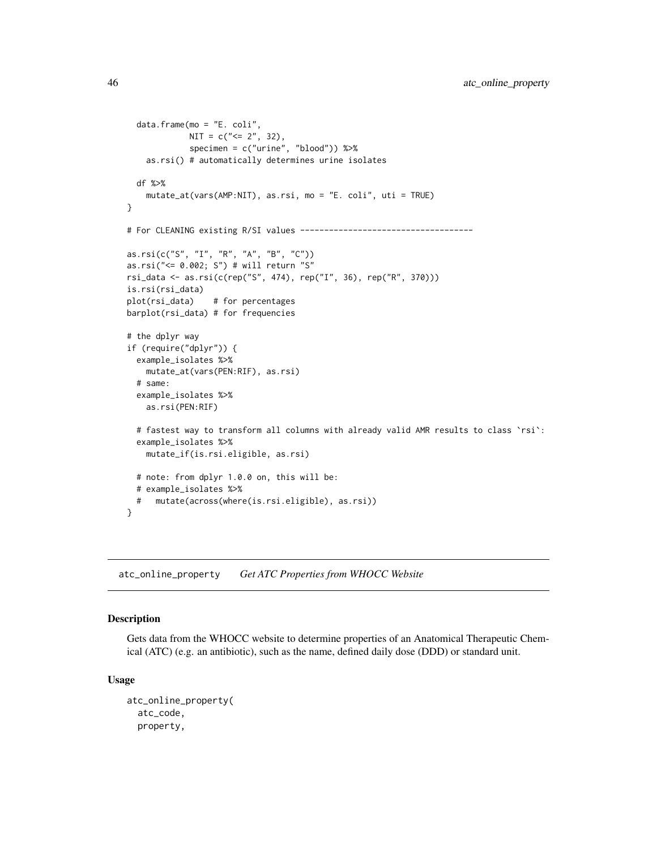```
data.frame(mo = "E. coli",
             NIT = c("<= 2", 32),
             specimen = c("urine", "blood")) %>%
    as.rsi() # automatically determines urine isolates
  df %>%
    mutate_at(vars(AMP:NIT), as.rsi, mo = "E. coli", uti = TRUE)
}
# For CLEANING existing R/SI values ------------------------------------
as.rsi(c("S", "I", "R", "A", "B", "C"))
as.rsi("<= 0.002; S") # will return "S"
rsi_data <- as.rsi(c(rep("S", 474), rep("I", 36), rep("R", 370)))
is.rsi(rsi_data)
plot(rsi_data) # for percentages
barplot(rsi_data) # for frequencies
# the dplyr way
if (require("dplyr")) {
  example_isolates %>%
   mutate_at(vars(PEN:RIF), as.rsi)
  # same:
  example_isolates %>%
    as.rsi(PEN:RIF)
  # fastest way to transform all columns with already valid AMR results to class `rsi`:
  example_isolates %>%
    mutate_if(is.rsi.eligible, as.rsi)
  # note: from dplyr 1.0.0 on, this will be:
  # example_isolates %>%
     mutate(across(where(is.rsi.eligible), as.rsi))
}
```
atc\_online\_property *Get ATC Properties from WHOCC Website*

# Description

Gets data from the WHOCC website to determine properties of an Anatomical Therapeutic Chemical (ATC) (e.g. an antibiotic), such as the name, defined daily dose (DDD) or standard unit.

#### Usage

```
atc_online_property(
  atc_code,
 property,
```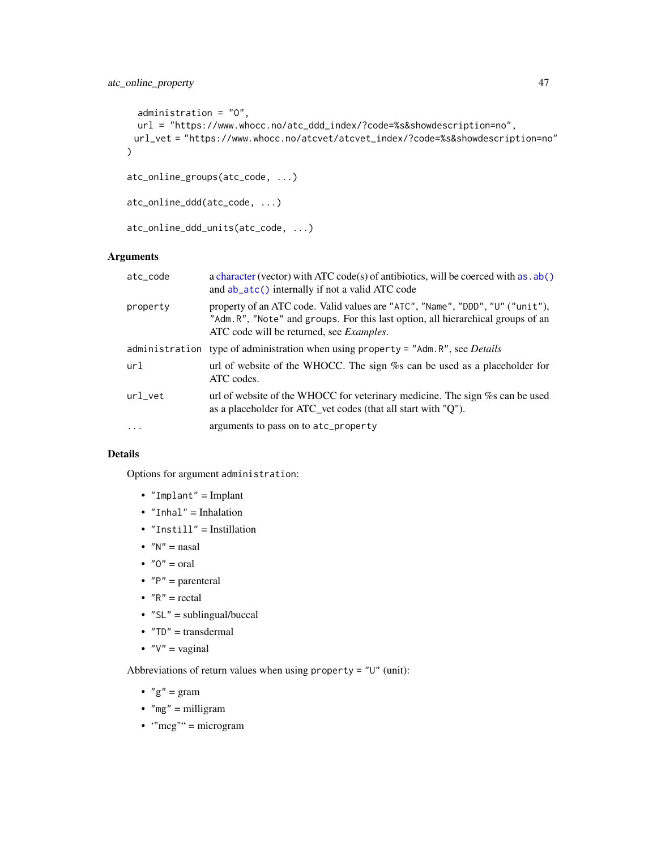# atc\_online\_property 47

```
administration = "O",
 url = "https://www.whocc.no/atc_ddd_index/?code=%s&showdescription=no",
 url_vet = "https://www.whocc.no/atcvet/atcvet_index/?code=%s&showdescription=no"
\lambdaatc_online_groups(atc_code, ...)
```

```
atc_online_ddd(atc_code, ...)
```

```
atc_online_ddd_units(atc_code, ...)
```
# Arguments

| atc_code  | a character (vector) with ATC code(s) of antibiotics, will be coerced with as $ab()$<br>and ab_atc() internally if not a valid ATC code                                                                              |
|-----------|----------------------------------------------------------------------------------------------------------------------------------------------------------------------------------------------------------------------|
| property  | property of an ATC code. Valid values are "ATC", "Name", "DDD", "U" ("unit"),<br>"Adm.R", "Note" and groups. For this last option, all hierarchical groups of an<br>ATC code will be returned, see <i>Examples</i> . |
|           | administration type of administration when using property = $"Adm.R"$ , see Details                                                                                                                                  |
| url       | url of website of the WHOCC. The sign % can be used as a placeholder for<br>ATC codes.                                                                                                                               |
| url vet   | url of website of the WHOCC for veterinary medicine. The sign % can be used<br>as a placeholder for ATC_vet codes (that all start with "Q").                                                                         |
| $\ddotsc$ | arguments to pass on to atc_property                                                                                                                                                                                 |

# Details

Options for argument administration:

- "Implant" = Implant
- "Inhal" = Inhalation
- "Instill" = Instillation
- $"N" =$ nasal
- $"0" = \text{oral}$
- $"P" = parameteral$
- $"R" = \text{rectal}$
- $"SL" = sublingual/buccal$
- $"TD" = transdermal$
- $"V" = vaginal$

Abbreviations of return values when using property = "U" (unit):

- $"g" = gram$
- " $mg$ " = milligram
- $\bullet$  "mcg"" = microgram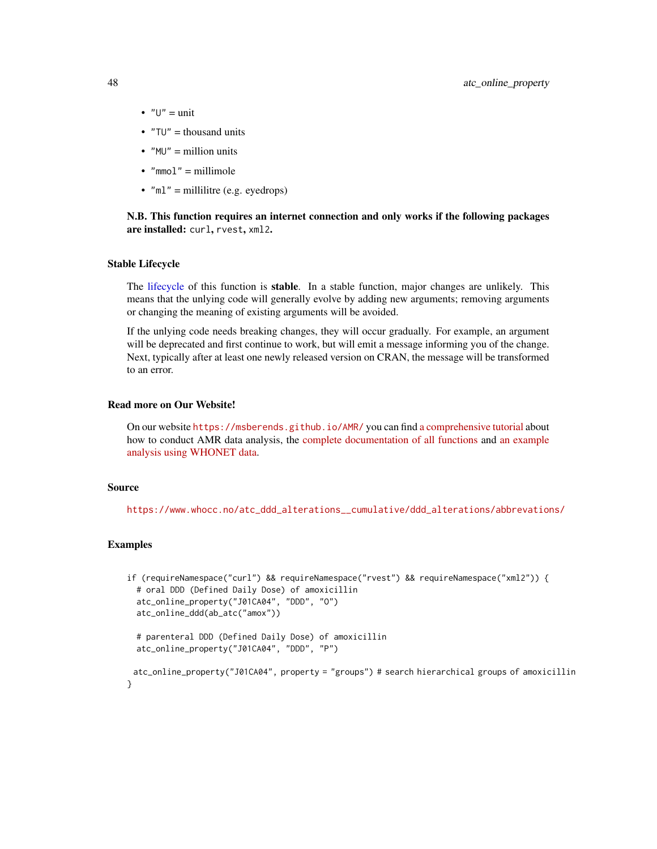- $\bullet$  " $U$ " = unit
- $"TU" = thousand units$
- $MU'' =$  million units
- $\bullet$  "mmol" = millimole
- $"ml" = millilitre (e.g.  $evedrops$ )$

## N.B. This function requires an internet connection and only works if the following packages are installed: curl, rvest, xml2.

## Stable Lifecycle

The [lifecycle](#page-103-0) of this function is stable. In a stable function, major changes are unlikely. This means that the unlying code will generally evolve by adding new arguments; removing arguments or changing the meaning of existing arguments will be avoided.

If the unlying code needs breaking changes, they will occur gradually. For example, an argument will be deprecated and first continue to work, but will emit a message informing you of the change. Next, typically after at least one newly released version on CRAN, the message will be transformed to an error.

#### Read more on Our Website!

On our website <https://msberends.github.io/AMR/> you can find [a comprehensive tutorial](https://msberends.github.io/AMR/articles/AMR.html) about how to conduct AMR data analysis, the [complete documentation of all functions](https://msberends.github.io/AMR/reference/) and [an example](https://msberends.github.io/AMR/articles/WHONET.html) [analysis using WHONET data.](https://msberends.github.io/AMR/articles/WHONET.html)

#### Source

[https://www.whocc.no/atc\\_ddd\\_alterations\\_\\_cumulative/ddd\\_alterations/abbrevations/](https://www.whocc.no/atc_ddd_alterations__cumulative/ddd_alterations/abbrevations/)

### Examples

```
if (requireNamespace("curl") && requireNamespace("rvest") && requireNamespace("xml2")) {
 # oral DDD (Defined Daily Dose) of amoxicillin
 atc_online_property("J01CA04", "DDD", "O")
 atc_online_ddd(ab_atc("amox"))
 # parenteral DDD (Defined Daily Dose) of amoxicillin
 atc_online_property("J01CA04", "DDD", "P")
 atc_online_property("J01CA04", property = "groups") # search hierarchical groups of amoxicillin
}
```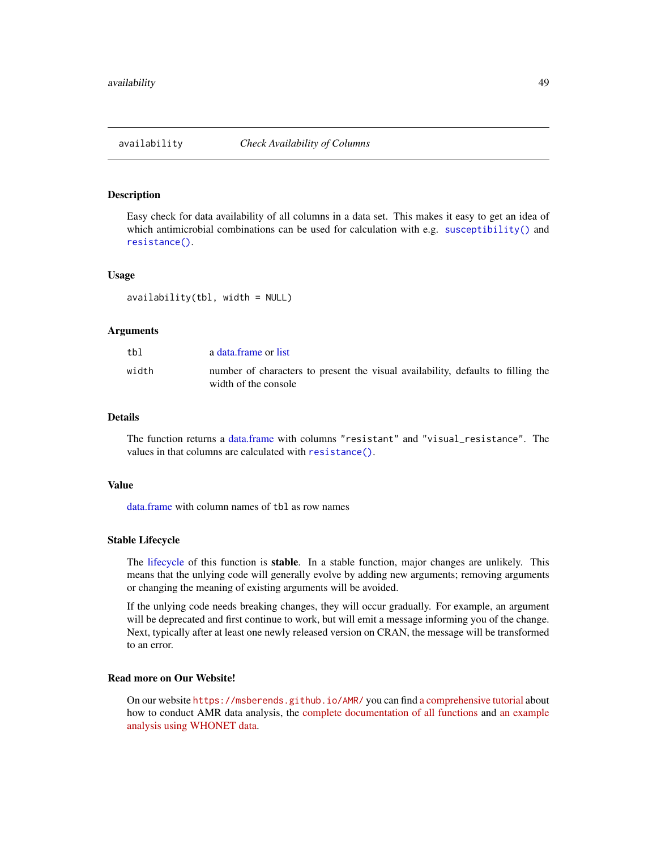## **Description**

Easy check for data availability of all columns in a data set. This makes it easy to get an idea of which antimicrobial combinations can be used for calculation with e.g. [susceptibility\(\)](#page-137-0) and [resistance\(\)](#page-137-0).

#### Usage

availability(tbl, width = NULL)

### Arguments

| tbl   | a data frame or list                                                                                     |
|-------|----------------------------------------------------------------------------------------------------------|
| width | number of characters to present the visual availability, defaults to filling the<br>width of the console |

## Details

The function returns a [data.frame](#page-0-0) with columns "resistant" and "visual\_resistance". The values in that columns are calculated with [resistance\(\)](#page-137-0).

### Value

[data.frame](#page-0-0) with column names of tbl as row names

#### Stable Lifecycle

The [lifecycle](#page-103-0) of this function is stable. In a stable function, major changes are unlikely. This means that the unlying code will generally evolve by adding new arguments; removing arguments or changing the meaning of existing arguments will be avoided.

If the unlying code needs breaking changes, they will occur gradually. For example, an argument will be deprecated and first continue to work, but will emit a message informing you of the change. Next, typically after at least one newly released version on CRAN, the message will be transformed to an error.

# Read more on Our Website!

On our website <https://msberends.github.io/AMR/> you can find [a comprehensive tutorial](https://msberends.github.io/AMR/articles/AMR.html) about how to conduct AMR data analysis, the [complete documentation of all functions](https://msberends.github.io/AMR/reference/) and [an example](https://msberends.github.io/AMR/articles/WHONET.html) [analysis using WHONET data.](https://msberends.github.io/AMR/articles/WHONET.html)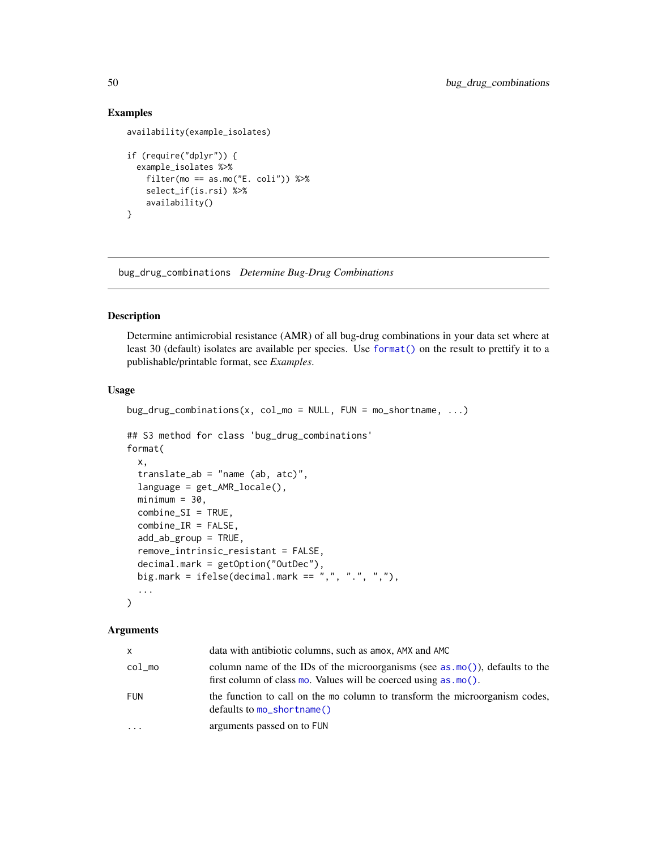## Examples

```
availability(example_isolates)
if (require("dplyr")) {
 example_isolates %>%
   filter(mo == as.mo("E. coli")) %>%
   select_if(is.rsi) %>%
   availability()
}
```
<span id="page-49-0"></span>bug\_drug\_combinations *Determine Bug-Drug Combinations*

### Description

Determine antimicrobial resistance (AMR) of all bug-drug combinations in your data set where at least 30 (default) isolates are available per species. Use [format\(\)](#page-0-0) on the result to prettify it to a publishable/printable format, see *Examples*.

## Usage

```
bug\_drug\_combinations(x, col_mo = NULL, FUN = mo\_shortname, ...)## S3 method for class 'bug_drug_combinations'
format(
  x,
  translate_ab = "name (ab, atc)",
  language = get_AMR_locale(),
 minimum = 30,combine_SI = TRUE,
  combine_IR = FALSE,
  add_ab_group = TRUE,
  remove_intrinsic_resistant = FALSE,
  decimal.mark = getOption("OutDec"),
 big.mark = ifelse(decimal.mark == ",", ".", ","),
  ...
)
```
#### Arguments

| X          | data with antibiotic columns, such as a mox, AMX and AMC                                                                                                                |
|------------|-------------------------------------------------------------------------------------------------------------------------------------------------------------------------|
| $col_m$    | column name of the IDs of the microorganisms (see as $\text{mo}(\cdot)$ ), defaults to the<br>first column of class mo. Values will be coerced using $\text{as.mo}()$ . |
| <b>FUN</b> | the function to call on the mo column to transform the microorganism codes,<br>$defaults$ to $mo_$ shortname()                                                          |
| $\ddotsc$  | arguments passed on to FUN                                                                                                                                              |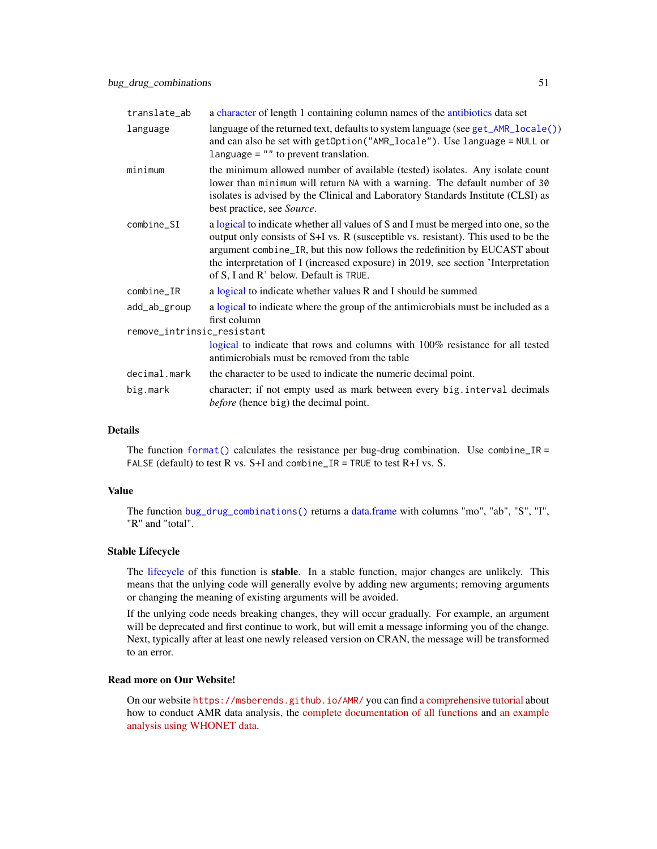| translate_ab               | a character of length 1 containing column names of the antibiotics data set                                                                                                                                                                                                                                                                                                            |
|----------------------------|----------------------------------------------------------------------------------------------------------------------------------------------------------------------------------------------------------------------------------------------------------------------------------------------------------------------------------------------------------------------------------------|
| language                   | language of the returned text, defaults to system language (see get_AMR_locale())<br>and can also be set with getOption("AMR_locale"). Use language = NULL or<br>language $=$ "" to prevent translation.                                                                                                                                                                               |
| minimum                    | the minimum allowed number of available (tested) isolates. Any isolate count<br>lower than minimum will return NA with a warning. The default number of 30<br>isolates is advised by the Clinical and Laboratory Standards Institute (CLSI) as<br>best practice, see Source.                                                                                                           |
| combine_SI                 | a logical to indicate whether all values of S and I must be merged into one, so the<br>output only consists of S+I vs. R (susceptible vs. resistant). This used to be the<br>argument combine_IR, but this now follows the redefinition by EUCAST about<br>the interpretation of I (increased exposure) in 2019, see section 'Interpretation<br>of S, I and R' below. Default is TRUE. |
| $combine_I$                | a logical to indicate whether values R and I should be summed                                                                                                                                                                                                                                                                                                                          |
| add_ab_group               | a logical to indicate where the group of the antimicrobials must be included as a<br>first column                                                                                                                                                                                                                                                                                      |
| remove_intrinsic_resistant |                                                                                                                                                                                                                                                                                                                                                                                        |
|                            | logical to indicate that rows and columns with 100% resistance for all tested<br>antimicrobials must be removed from the table                                                                                                                                                                                                                                                         |
| decimal.mark               | the character to be used to indicate the numeric decimal point.                                                                                                                                                                                                                                                                                                                        |
| big.mark                   | character; if not empty used as mark between every big. interval decimals<br><i>before</i> (hence big) the decimal point.                                                                                                                                                                                                                                                              |

## Details

The function format () calculates the resistance per bug-drug combination. Use combine\_IR = FALSE (default) to test R vs.  $S+I$  and combine\_IR = TRUE to test R+I vs. S.

## Value

The function [bug\\_drug\\_combinations\(\)](#page-49-0) returns a [data.frame](#page-0-0) with columns "mo", "ab", "S", "I", "R" and "total".

### Stable Lifecycle

The [lifecycle](#page-103-0) of this function is stable. In a stable function, major changes are unlikely. This means that the unlying code will generally evolve by adding new arguments; removing arguments or changing the meaning of existing arguments will be avoided.

If the unlying code needs breaking changes, they will occur gradually. For example, an argument will be deprecated and first continue to work, but will emit a message informing you of the change. Next, typically after at least one newly released version on CRAN, the message will be transformed to an error.

## Read more on Our Website!

On our website <https://msberends.github.io/AMR/> you can find [a comprehensive tutorial](https://msberends.github.io/AMR/articles/AMR.html) about how to conduct AMR data analysis, the [complete documentation of all functions](https://msberends.github.io/AMR/reference/) and [an example](https://msberends.github.io/AMR/articles/WHONET.html) [analysis using WHONET data.](https://msberends.github.io/AMR/articles/WHONET.html)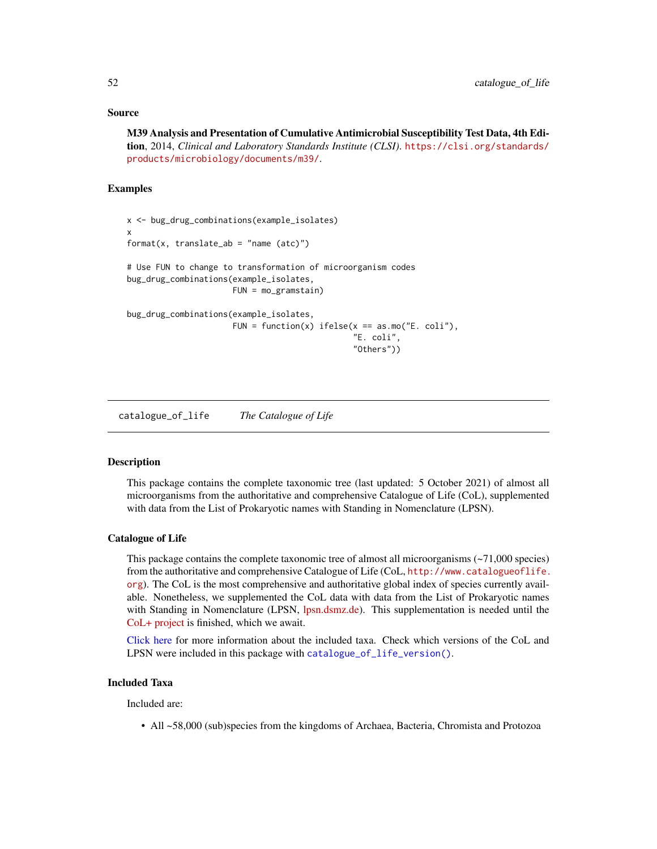### Source

# M39 Analysis and Presentation of Cumulative Antimicrobial Susceptibility Test Data, 4th Edition, 2014, *Clinical and Laboratory Standards Institute (CLSI)*. [https://clsi.org/standards/](https://clsi.org/standards/products/microbiology/documents/m39/) [products/microbiology/documents/m39/](https://clsi.org/standards/products/microbiology/documents/m39/).

### Examples

```
x <- bug_drug_combinations(example_isolates)
x
format(x, translate_ab = "name (atc)")# Use FUN to change to transformation of microorganism codes
bug_drug_combinations(example_isolates,
                      FUN = mo_gramstain)
bug_drug_combinations(example_isolates,
                      FUN = function(x) ifelse(x = as.mo("E. coli"),
                                               "E. coli",
                                               "Others"))
```
<span id="page-51-0"></span>catalogue\_of\_life *The Catalogue of Life*

#### **Description**

This package contains the complete taxonomic tree (last updated: 5 October 2021) of almost all microorganisms from the authoritative and comprehensive Catalogue of Life (CoL), supplemented with data from the List of Prokaryotic names with Standing in Nomenclature (LPSN).

#### Catalogue of Life

This package contains the complete taxonomic tree of almost all microorganisms  $(-71,000$  species) from the authoritative and comprehensive Catalogue of Life (CoL, [http://www.catalogueoflife.](http://www.catalogueoflife.org) [org](http://www.catalogueoflife.org)). The CoL is the most comprehensive and authoritative global index of species currently available. Nonetheless, we supplemented the CoL data with data from the List of Prokaryotic names with Standing in Nomenclature (LPSN, [lpsn.dsmz.de\)](https://lpsn.dsmz.de). This supplementation is needed until the [CoL+ project](https://github.com/CatalogueOfLife/general) is finished, which we await.

[Click here](#page-51-0) for more information about the included taxa. Check which versions of the CoL and LPSN were included in this package with [catalogue\\_of\\_life\\_version\(\)](#page-53-0).

### Included Taxa

Included are:

• All ~58,000 (sub)species from the kingdoms of Archaea, Bacteria, Chromista and Protozoa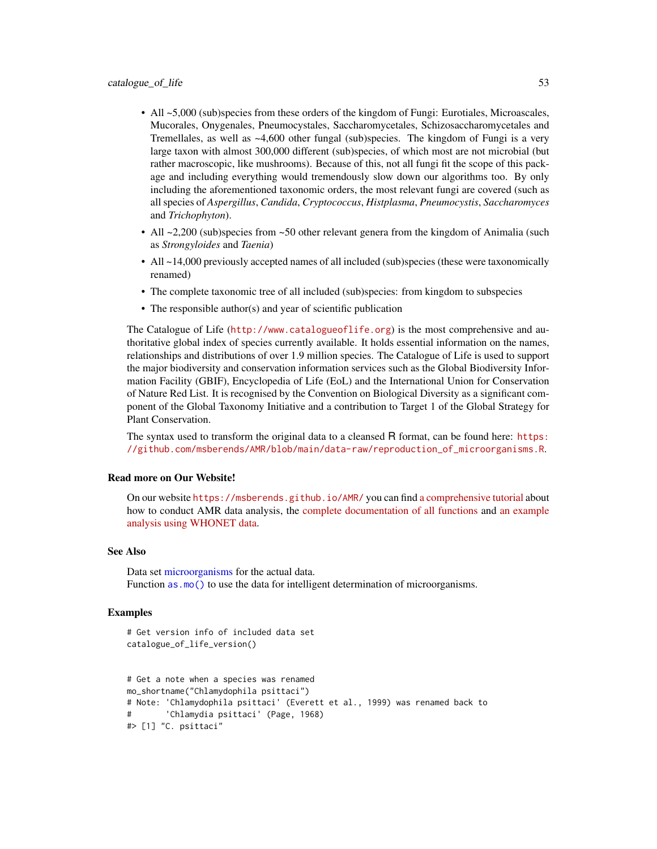- All ~5,000 (sub)species from these orders of the kingdom of Fungi: Eurotiales, Microascales, Mucorales, Onygenales, Pneumocystales, Saccharomycetales, Schizosaccharomycetales and Tremellales, as well as ~4,600 other fungal (sub)species. The kingdom of Fungi is a very large taxon with almost 300,000 different (sub)species, of which most are not microbial (but rather macroscopic, like mushrooms). Because of this, not all fungi fit the scope of this package and including everything would tremendously slow down our algorithms too. By only including the aforementioned taxonomic orders, the most relevant fungi are covered (such as all species of *Aspergillus*, *Candida*, *Cryptococcus*, *Histplasma*, *Pneumocystis*, *Saccharomyces* and *Trichophyton*).
- All  $\sim$  2,200 (sub)species from  $\sim$  50 other relevant genera from the kingdom of Animalia (such as *Strongyloides* and *Taenia*)
- All  $\sim$  14,000 previously accepted names of all included (sub)species (these were taxonomically renamed)
- The complete taxonomic tree of all included (sub)species: from kingdom to subspecies
- The responsible author(s) and year of scientific publication

The Catalogue of Life (<http://www.catalogueoflife.org>) is the most comprehensive and authoritative global index of species currently available. It holds essential information on the names, relationships and distributions of over 1.9 million species. The Catalogue of Life is used to support the major biodiversity and conservation information services such as the Global Biodiversity Information Facility (GBIF), Encyclopedia of Life (EoL) and the International Union for Conservation of Nature Red List. It is recognised by the Convention on Biological Diversity as a significant component of the Global Taxonomy Initiative and a contribution to Target 1 of the Global Strategy for Plant Conservation.

The syntax used to transform the original data to a cleansed R format, can be found here: [https:](https://github.com/msberends/AMR/blob/main/data-raw/reproduction_of_microorganisms.R) [//github.com/msberends/AMR/blob/main/data-raw/reproduction\\_of\\_microorganisms.R](https://github.com/msberends/AMR/blob/main/data-raw/reproduction_of_microorganisms.R).

## Read more on Our Website!

On our website <https://msberends.github.io/AMR/> you can find [a comprehensive tutorial](https://msberends.github.io/AMR/articles/AMR.html) about how to conduct AMR data analysis, the [complete documentation of all functions](https://msberends.github.io/AMR/reference/) and [an example](https://msberends.github.io/AMR/articles/WHONET.html) [analysis using WHONET data.](https://msberends.github.io/AMR/articles/WHONET.html)

#### See Also

Data set [microorganisms](#page-113-0) for the actual data. Function as .mo() to use the data for intelligent determination of microorganisms.

### Examples

```
# Get version info of included data set
catalogue_of_life_version()
```

```
# Get a note when a species was renamed
mo_shortname("Chlamydophila psittaci")
# Note: 'Chlamydophila psittaci' (Everett et al., 1999) was renamed back to
       'Chlamydia psittaci' (Page, 1968)
#> [1] "C. psittaci"
```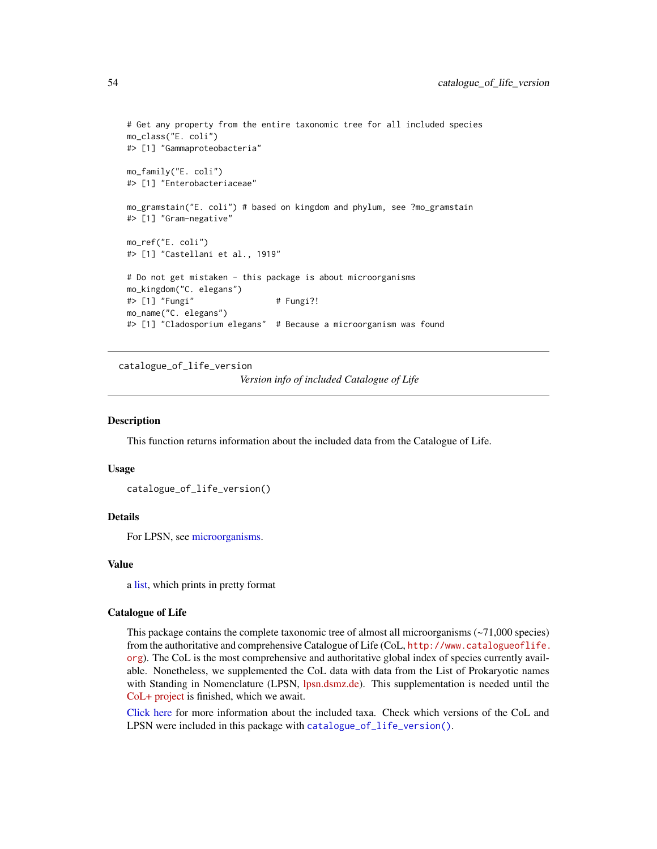```
# Get any property from the entire taxonomic tree for all included species
mo_class("E. coli")
#> [1] "Gammaproteobacteria"
mo_family("E. coli")
#> [1] "Enterobacteriaceae"
mo_gramstain("E. coli") # based on kingdom and phylum, see ?mo_gramstain
#> [1] "Gram-negative"
mo_ref("E. coli")
#> [1] "Castellani et al., 1919"
# Do not get mistaken - this package is about microorganisms
mo_kingdom("C. elegans")
#> [1] "Fungi" # Fungi?!
mo_name("C. elegans")
#> [1] "Cladosporium elegans" # Because a microorganism was found
```
<span id="page-53-0"></span>catalogue\_of\_life\_version

*Version info of included Catalogue of Life*

#### **Description**

This function returns information about the included data from the Catalogue of Life.

#### Usage

```
catalogue_of_life_version()
```
## Details

For LPSN, see [microorganisms.](#page-113-0)

#### Value

a [list,](#page-0-0) which prints in pretty format

## Catalogue of Life

This package contains the complete taxonomic tree of almost all microorganisms  $(-71,000$  species) from the authoritative and comprehensive Catalogue of Life (CoL, [http://www.catalogueoflife.](http://www.catalogueoflife.org) [org](http://www.catalogueoflife.org)). The CoL is the most comprehensive and authoritative global index of species currently available. Nonetheless, we supplemented the CoL data with data from the List of Prokaryotic names with Standing in Nomenclature (LPSN, [lpsn.dsmz.de\)](https://lpsn.dsmz.de). This supplementation is needed until the [CoL+ project](https://github.com/CatalogueOfLife/general) is finished, which we await.

[Click here](#page-51-0) for more information about the included taxa. Check which versions of the CoL and LPSN were included in this package with [catalogue\\_of\\_life\\_version\(\)](#page-53-0).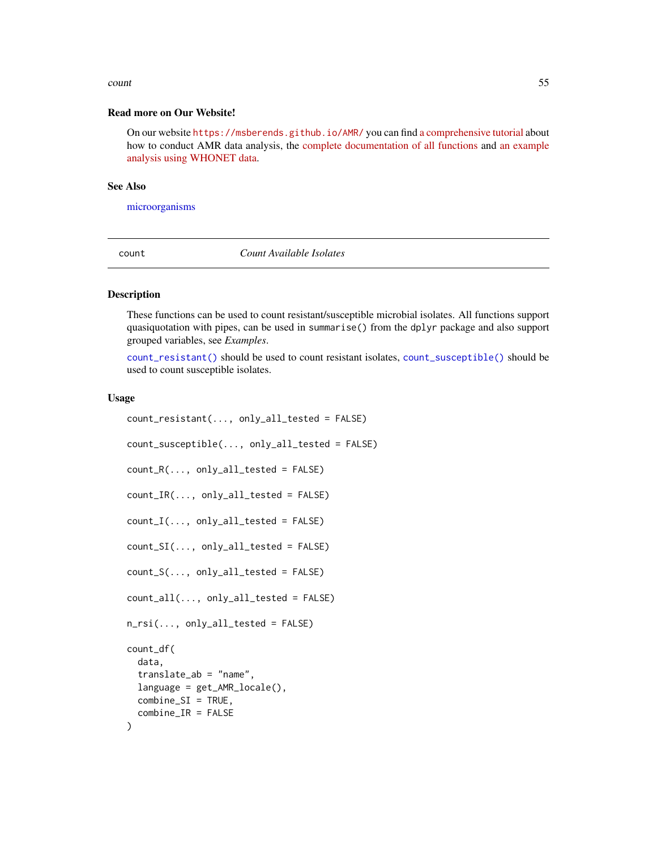#### count 55

#### Read more on Our Website!

On our website <https://msberends.github.io/AMR/> you can find [a comprehensive tutorial](https://msberends.github.io/AMR/articles/AMR.html) about how to conduct AMR data analysis, the [complete documentation of all functions](https://msberends.github.io/AMR/reference/) and [an example](https://msberends.github.io/AMR/articles/WHONET.html) [analysis using WHONET data.](https://msberends.github.io/AMR/articles/WHONET.html)

#### See Also

[microorganisms](#page-113-0)

count *Count Available Isolates*

# <span id="page-54-0"></span>**Description**

These functions can be used to count resistant/susceptible microbial isolates. All functions support quasiquotation with pipes, can be used in summarise() from the dplyr package and also support grouped variables, see *Examples*.

[count\\_resistant\(\)](#page-54-0) should be used to count resistant isolates, [count\\_susceptible\(\)](#page-54-0) should be used to count susceptible isolates.

#### Usage

```
count_resistant(..., only_all_tested = FALSE)
count_susceptible(..., only_all_tested = FALSE)
count_R(..., only_all_tested = FALSE)
count_IR(..., only_all_tested = FALSE)
count_I(..., only_all_tested = FALSE)
count_SI(..., only_all_tested = FALSE)
count_S(..., only_all_tested = FALSE)
count_all(..., only_all_tested = FALSE)
n_rsi(..., only_all_tested = FALSE)count_df(
  data,
  translate_ab = "name",
  language = get_AMR_locale(),
  combine_SI = TRUE,
  combine_IR = FALSE
)
```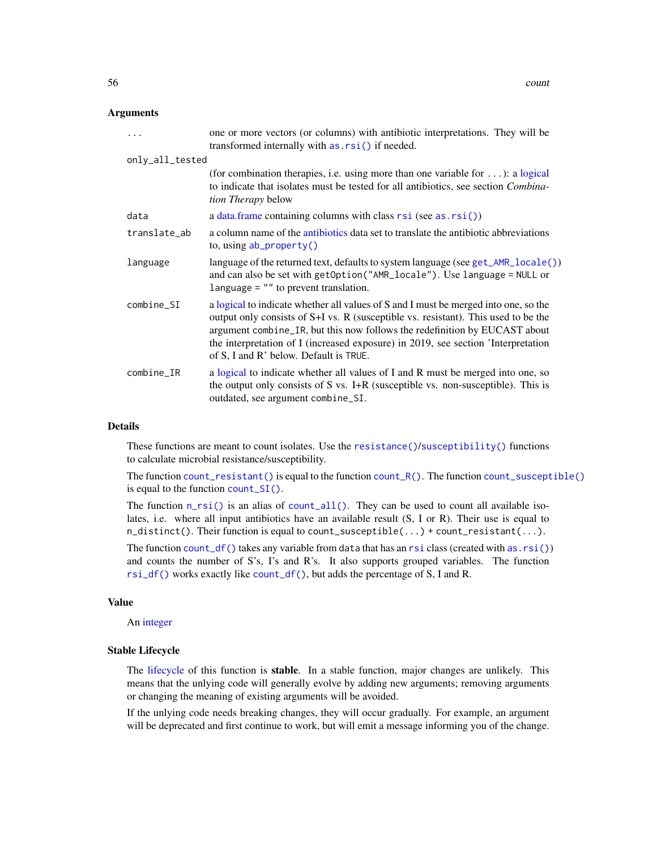### Arguments

| $\ddotsc$       | one or more vectors (or columns) with antibiotic interpretations. They will be<br>transformed internally with as . rsi () if needed.                                                                                                                                                                                                                                                   |  |  |  |  |
|-----------------|----------------------------------------------------------------------------------------------------------------------------------------------------------------------------------------------------------------------------------------------------------------------------------------------------------------------------------------------------------------------------------------|--|--|--|--|
| only_all_tested |                                                                                                                                                                                                                                                                                                                                                                                        |  |  |  |  |
|                 | (for combination therapies, i.e. using more than one variable for $\dots$ ): a logical<br>to indicate that isolates must be tested for all antibiotics, see section Combina-<br><i>tion Therapy</i> below                                                                                                                                                                              |  |  |  |  |
| data            | a data. frame containing columns with class $rsi$ (see as. $rsi()$ )                                                                                                                                                                                                                                                                                                                   |  |  |  |  |
| translate_ab    | a column name of the antibiotics data set to translate the antibiotic abbreviations<br>to, using $ab\_property()$                                                                                                                                                                                                                                                                      |  |  |  |  |
| language        | language of the returned text, defaults to system language (see $get\_AMR\_locale()$ )<br>and can also be set with getOption("AMR_locale"). Use language = NULL or<br>language $=$ "" to prevent translation.                                                                                                                                                                          |  |  |  |  |
| $combine\_SI$   | a logical to indicate whether all values of S and I must be merged into one, so the<br>output only consists of S+I vs. R (susceptible vs. resistant). This used to be the<br>argument combine_IR, but this now follows the redefinition by EUCAST about<br>the interpretation of I (increased exposure) in 2019, see section 'Interpretation<br>of S, I and R' below. Default is TRUE. |  |  |  |  |
| $combine_I$ R   | a logical to indicate whether all values of I and R must be merged into one, so<br>the output only consists of S vs. I+R (susceptible vs. non-susceptible). This is<br>outdated, see argument combine_SI.                                                                                                                                                                              |  |  |  |  |

#### Details

These functions are meant to count isolates. Use the [resistance\(\)](#page-137-0)/[susceptibility\(\)](#page-137-0) functions to calculate microbial resistance/susceptibility.

The function [count\\_resistant\(\)](#page-54-0) is equal to the function [count\\_R\(\)](#page-54-0). The function [count\\_susceptible\(\)](#page-54-0) is equal to the function [count\\_SI\(\)](#page-54-0).

The function  $n_r s i()$  is an alias of [count\\_all\(\)](#page-54-0). They can be used to count all available isolates, i.e. where all input antibiotics have an available result (S, I or R). Their use is equal to  $n\_distinct()$ . Their function is equal to count\_susceptible(...) + count\_resistant(...).

The function count  $df()$  takes any variable from data that has an [rsi](#page-39-0) class (created with [as.rsi\(\)](#page-39-1)) and counts the number of S's, I's and R's. It also supports grouped variables. The function [rsi\\_df\(\)](#page-137-0) works exactly like [count\\_df\(\)](#page-54-0), but adds the percentage of S, I and R.

#### Value

An [integer](#page-0-0)

#### Stable Lifecycle

The [lifecycle](#page-103-0) of this function is stable. In a stable function, major changes are unlikely. This means that the unlying code will generally evolve by adding new arguments; removing arguments or changing the meaning of existing arguments will be avoided.

If the unlying code needs breaking changes, they will occur gradually. For example, an argument will be deprecated and first continue to work, but will emit a message informing you of the change.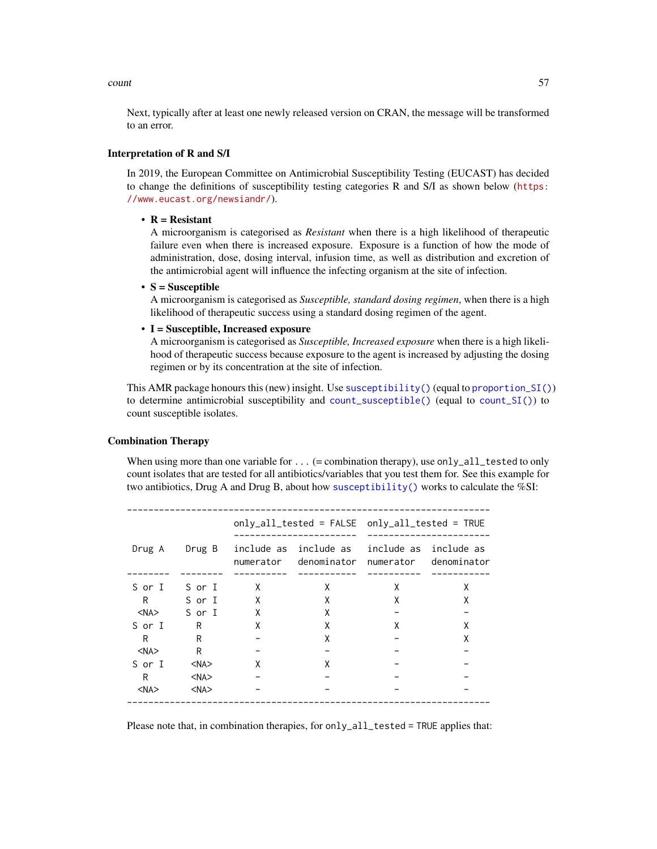count 57

Next, typically after at least one newly released version on CRAN, the message will be transformed to an error.

# Interpretation of R and S/I

In 2019, the European Committee on Antimicrobial Susceptibility Testing (EUCAST) has decided to change the definitions of susceptibility testing categories R and S/I as shown below ([https:](https://www.eucast.org/newsiandr/) [//www.eucast.org/newsiandr/](https://www.eucast.org/newsiandr/)).

# •  $R =$  Resistant

A microorganism is categorised as *Resistant* when there is a high likelihood of therapeutic failure even when there is increased exposure. Exposure is a function of how the mode of administration, dose, dosing interval, infusion time, as well as distribution and excretion of the antimicrobial agent will influence the infecting organism at the site of infection.

#### •  $S =$  Susceptible

A microorganism is categorised as *Susceptible, standard dosing regimen*, when there is a high likelihood of therapeutic success using a standard dosing regimen of the agent.

### • I = Susceptible, Increased exposure

A microorganism is categorised as *Susceptible, Increased exposure* when there is a high likelihood of therapeutic success because exposure to the agent is increased by adjusting the dosing regimen or by its concentration at the site of infection.

This AMR package honours this (new) insight. Use [susceptibility\(\)](#page-137-0) (equal to [proportion\\_SI\(\)](#page-137-0)) to determine antimicrobial susceptibility and [count\\_susceptible\(\)](#page-54-0) (equal to [count\\_SI\(\)](#page-54-0)) to count susceptible isolates.

### Combination Therapy

When using more than one variable for  $\dots$  (= combination therapy), use only\_all\_tested to only count isolates that are tested for all antibiotics/variables that you test them for. See this example for two antibiotics, Drug A and Drug B, about how [susceptibility\(\)](#page-137-0) works to calculate the  $\%$ SI:

| Drug A     | Drug B     |   | numerator denominator | numerator | include as include as<br>denominator |  |  |  |
|------------|------------|---|-----------------------|-----------|--------------------------------------|--|--|--|
| S or I     | S or I     | X | X                     | X         | Χ                                    |  |  |  |
| R          | S or I     | X | X                     | X         | x                                    |  |  |  |
| $<$ NA $>$ | S or I     | X | X                     |           |                                      |  |  |  |
| S or I     | R          | X | Χ                     | X         | X                                    |  |  |  |
| R          | R          |   | Χ                     |           | x                                    |  |  |  |
| $<$ NA $>$ | R          |   |                       |           |                                      |  |  |  |
| S or I     | $<$ NA $>$ | x | x                     |           |                                      |  |  |  |
| R          | $<$ NA $>$ |   |                       |           |                                      |  |  |  |
| $<$ NA $>$ | $<$ NA $>$ |   |                       |           |                                      |  |  |  |
|            |            |   |                       |           |                                      |  |  |  |

Please note that, in combination therapies, for only\_all\_tested = TRUE applies that: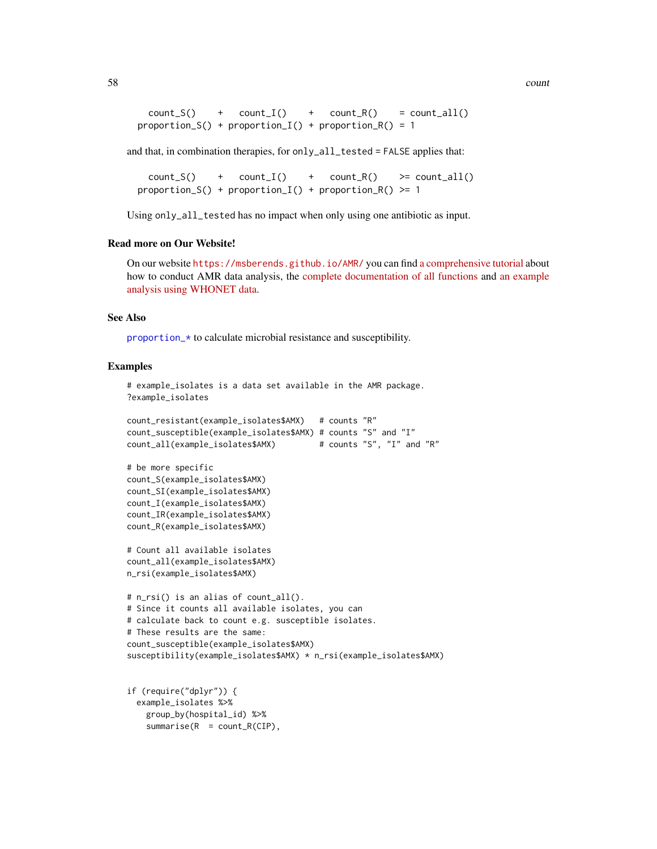58 countries and the countries of the countries of the countries of the countries of the countries of the countries of the countries of the countries of the countries of the countries of the countries of the countries of t

```
count_S() + count_I() + count_R() = count_all()proportion_S() + proportion_I() + proportion_R() = 1
```
and that, in combination therapies, for only\_all\_tested = FALSE applies that:

```
count_S() + count_I() + count_R() >= count_all()proportion_S() + proportion_I() + proportion_R() >= 1
```
Using only\_all\_tested has no impact when only using one antibiotic as input.

#### Read more on Our Website!

On our website <https://msberends.github.io/AMR/> you can find [a comprehensive tutorial](https://msberends.github.io/AMR/articles/AMR.html) about how to conduct AMR data analysis, the [complete documentation of all functions](https://msberends.github.io/AMR/reference/) and [an example](https://msberends.github.io/AMR/articles/WHONET.html) [analysis using WHONET data.](https://msberends.github.io/AMR/articles/WHONET.html)

#### See Also

[proportion\\_\\*](#page-137-1) to calculate microbial resistance and susceptibility.

#### Examples

```
# example_isolates is a data set available in the AMR package.
?example_isolates
count_resistant(example_isolates$AMX) # counts "R"
count_susceptible(example_isolates$AMX) # counts "S" and "I"
count_all(example_isolates$AMX) # counts "S", "I" and "R"
# be more specific
count_S(example_isolates$AMX)
count_SI(example_isolates$AMX)
count_I(example_isolates$AMX)
count_IR(example_isolates$AMX)
count_R(example_isolates$AMX)
# Count all available isolates
count_all(example_isolates$AMX)
n_rsi(example_isolates$AMX)
# n_rsi() is an alias of count_all().
# Since it counts all available isolates, you can
# calculate back to count e.g. susceptible isolates.
# These results are the same:
count_susceptible(example_isolates$AMX)
susceptibility(example_isolates$AMX) * n_rsi(example_isolates$AMX)
if (require("dplyr")) {
 example_isolates %>%
```

```
group_by(hospital_id) %>%
summarise(R = count_R(CIP),
```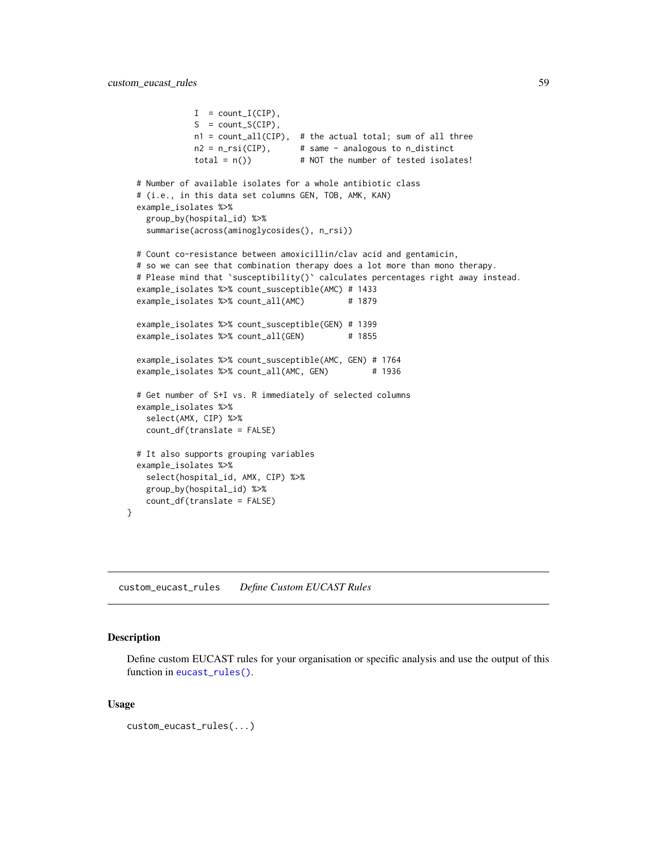```
I = count_I(CIP),
           S = count_S(CIP),
           n1 = count_all(CIP), # the actual total; sum of all three
           n2 = n_r\sin(CIP), # same - analogous to n_distinct
           total = n() \# NOT the number of tested isolates!
# Number of available isolates for a whole antibiotic class
# (i.e., in this data set columns GEN, TOB, AMK, KAN)
example_isolates %>%
 group_by(hospital_id) %>%
 summarise(across(aminoglycosides(), n_rsi))
# Count co-resistance between amoxicillin/clav acid and gentamicin,
# so we can see that combination therapy does a lot more than mono therapy.
# Please mind that `susceptibility()` calculates percentages right away instead.
example_isolates %>% count_susceptible(AMC) # 1433
example_isolates %>% count_all(AMC) # 1879
example_isolates %>% count_susceptible(GEN) # 1399
example_isolates %>% count_all(GEN) # 1855
example_isolates %>% count_susceptible(AMC, GEN) # 1764
example_isolates %>% count_all(AMC, GEN) # 1936
# Get number of S+I vs. R immediately of selected columns
example_isolates %>%
  select(AMX, CIP) %>%
  count_df(translate = FALSE)
# It also supports grouping variables
example_isolates %>%
  select(hospital_id, AMX, CIP) %>%
  group_by(hospital_id) %>%
 count_df(translate = FALSE)
```
<span id="page-58-0"></span>custom\_eucast\_rules *Define Custom EUCAST Rules*

# Description

}

Define custom EUCAST rules for your organisation or specific analysis and use the output of this function in [eucast\\_rules\(\)](#page-65-0).

#### Usage

```
custom_eucast_rules(...)
```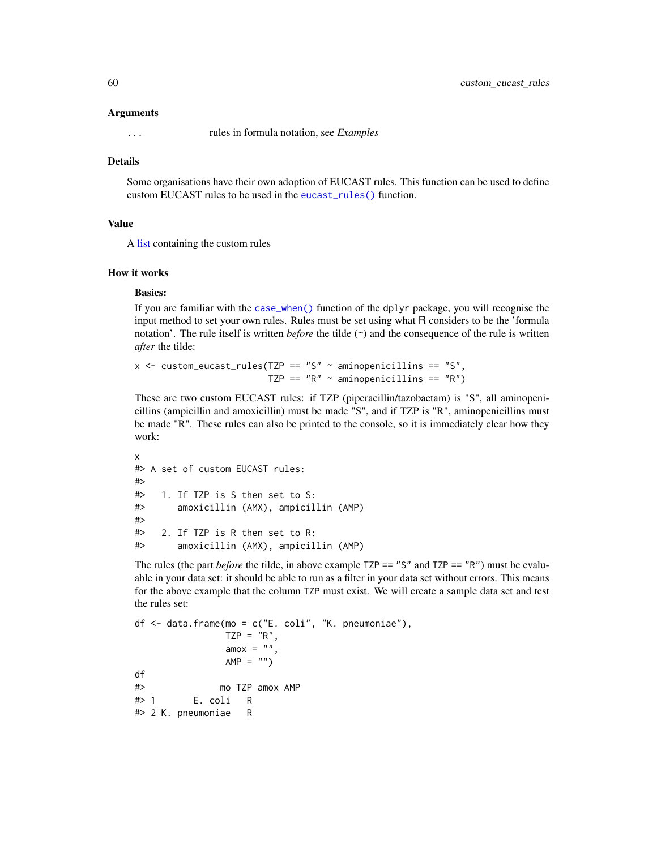#### Arguments

... rules in formula notation, see *Examples*

## Details

Some organisations have their own adoption of EUCAST rules. This function can be used to define custom EUCAST rules to be used in the [eucast\\_rules\(\)](#page-65-0) function.

## Value

A [list](#page-0-0) containing the custom rules

### How it works

### Basics:

If you are familiar with the [case\\_when\(\)](#page-0-0) function of the dplyr package, you will recognise the input method to set your own rules. Rules must be set using what R considers to be the 'formula notation'. The rule itself is written *before* the tilde  $(\sim)$  and the consequence of the rule is written *after* the tilde:

 $x$  <- custom\_eucast\_rules(TZP == "S" ~ aminopenicillins == "S", TZP ==  $"R" \sim$  aminopenicillins ==  $"R"$ )

These are two custom EUCAST rules: if TZP (piperacillin/tazobactam) is "S", all aminopenicillins (ampicillin and amoxicillin) must be made "S", and if TZP is "R", aminopenicillins must be made "R". These rules can also be printed to the console, so it is immediately clear how they work:

```
x
#> A set of custom EUCAST rules:
#>
#> 1. If TZP is S then set to S:
#> amoxicillin (AMX), ampicillin (AMP)
#>
#> 2. If TZP is R then set to R:
#> amoxicillin (AMX), ampicillin (AMP)
```
The rules (the part *before* the tilde, in above example  $TZP == "S"$  and  $TZP == "R"$ ) must be evaluable in your data set: it should be able to run as a filter in your data set without errors. This means for the above example that the column TZP must exist. We will create a sample data set and test the rules set:

```
df \leq - data.frame(mo = c("E. coli", "K. pneumoniae"),
              TZP = "R",amox = "AMP = "")df
#> mo TZP amox AMP
#> 1 E. coli R
#> 2 K. pneumoniae R
```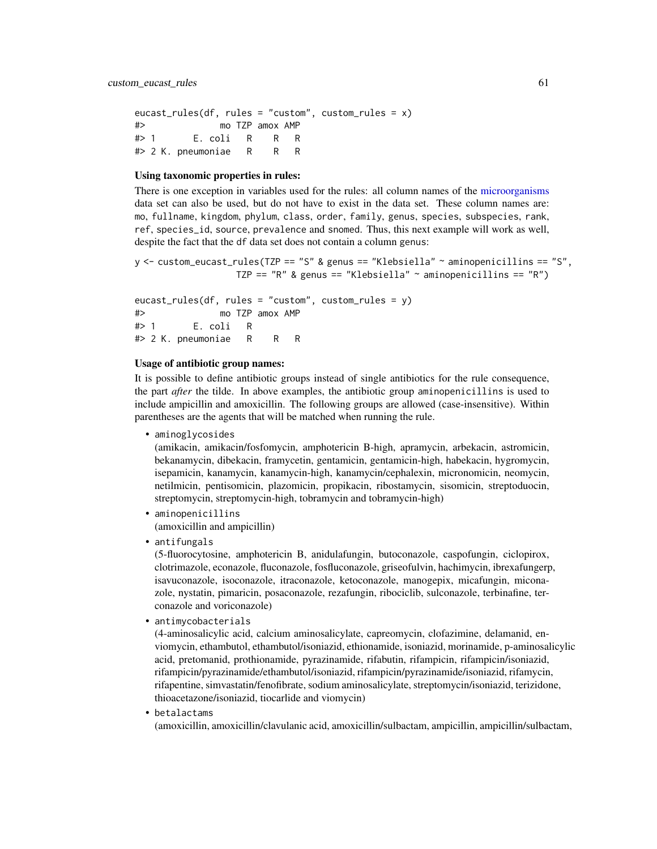```
eucast_rules(df, rules = "custom", custom_rules = x)
#> mo TZP amox AMP
#> 1 E. coli R R R
#> 2 K. pneumoniae R R R
```
## Using taxonomic properties in rules:

There is one exception in variables used for the rules: all column names of the [microorganisms](#page-113-0) data set can also be used, but do not have to exist in the data set. These column names are: mo, fullname, kingdom, phylum, class, order, family, genus, species, subspecies, rank, ref, species\_id, source, prevalence and snomed. Thus, this next example will work as well, despite the fact that the df data set does not contain a column genus:

 $y \le$  custom\_eucast\_rules(TZP == "S" & genus == "Klebsiella"  $\sim$  aminopenicillins == "S", TZP ==  $"R"$  & genus == "Klebsiella"  $\sim$  aminopenicillins ==  $"R"$ )

eucast\_rules(df, rules = "custom", custom\_rules = y) #> mo TZP amox AMP #> 1 E. coli R #> 2 K. pneumoniae R R R

# Usage of antibiotic group names:

It is possible to define antibiotic groups instead of single antibiotics for the rule consequence, the part *after* the tilde. In above examples, the antibiotic group aminopenicillins is used to include ampicillin and amoxicillin. The following groups are allowed (case-insensitive). Within parentheses are the agents that will be matched when running the rule.

• aminoglycosides

(amikacin, amikacin/fosfomycin, amphotericin B-high, apramycin, arbekacin, astromicin, bekanamycin, dibekacin, framycetin, gentamicin, gentamicin-high, habekacin, hygromycin, isepamicin, kanamycin, kanamycin-high, kanamycin/cephalexin, micronomicin, neomycin, netilmicin, pentisomicin, plazomicin, propikacin, ribostamycin, sisomicin, streptoduocin, streptomycin, streptomycin-high, tobramycin and tobramycin-high)

- aminopenicillins (amoxicillin and ampicillin)
- antifungals

(5-fluorocytosine, amphotericin B, anidulafungin, butoconazole, caspofungin, ciclopirox, clotrimazole, econazole, fluconazole, fosfluconazole, griseofulvin, hachimycin, ibrexafungerp, isavuconazole, isoconazole, itraconazole, ketoconazole, manogepix, micafungin, miconazole, nystatin, pimaricin, posaconazole, rezafungin, ribociclib, sulconazole, terbinafine, terconazole and voriconazole)

• antimycobacterials

(4-aminosalicylic acid, calcium aminosalicylate, capreomycin, clofazimine, delamanid, enviomycin, ethambutol, ethambutol/isoniazid, ethionamide, isoniazid, morinamide, p-aminosalicylic acid, pretomanid, prothionamide, pyrazinamide, rifabutin, rifampicin, rifampicin/isoniazid, rifampicin/pyrazinamide/ethambutol/isoniazid, rifampicin/pyrazinamide/isoniazid, rifamycin, rifapentine, simvastatin/fenofibrate, sodium aminosalicylate, streptomycin/isoniazid, terizidone, thioacetazone/isoniazid, tiocarlide and viomycin)

• betalactams

(amoxicillin, amoxicillin/clavulanic acid, amoxicillin/sulbactam, ampicillin, ampicillin/sulbactam,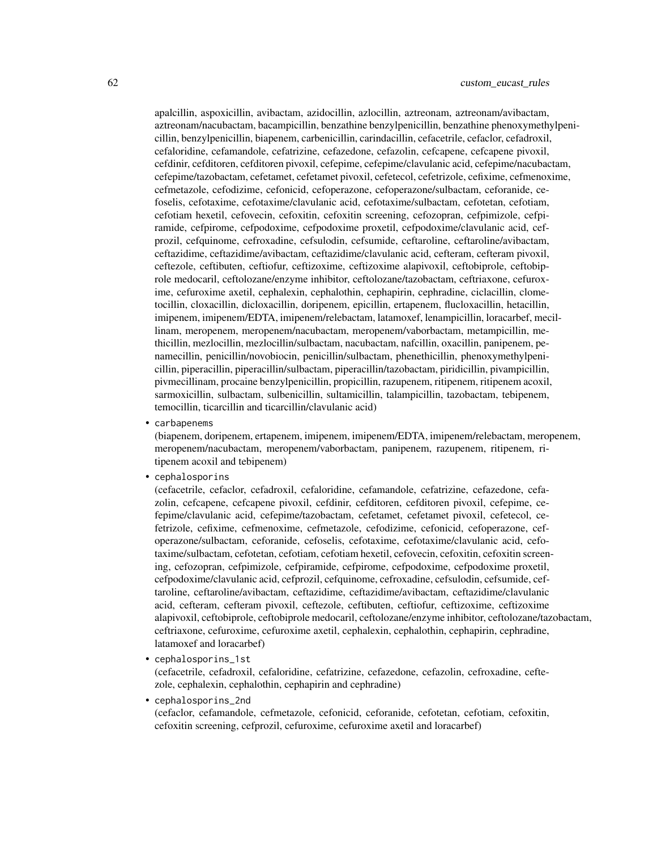apalcillin, aspoxicillin, avibactam, azidocillin, azlocillin, aztreonam, aztreonam/avibactam, aztreonam/nacubactam, bacampicillin, benzathine benzylpenicillin, benzathine phenoxymethylpenicillin, benzylpenicillin, biapenem, carbenicillin, carindacillin, cefacetrile, cefaclor, cefadroxil, cefaloridine, cefamandole, cefatrizine, cefazedone, cefazolin, cefcapene, cefcapene pivoxil, cefdinir, cefditoren, cefditoren pivoxil, cefepime, cefepime/clavulanic acid, cefepime/nacubactam, cefepime/tazobactam, cefetamet, cefetamet pivoxil, cefetecol, cefetrizole, cefixime, cefmenoxime, cefmetazole, cefodizime, cefonicid, cefoperazone, cefoperazone/sulbactam, ceforanide, cefoselis, cefotaxime, cefotaxime/clavulanic acid, cefotaxime/sulbactam, cefotetan, cefotiam, cefotiam hexetil, cefovecin, cefoxitin, cefoxitin screening, cefozopran, cefpimizole, cefpiramide, cefpirome, cefpodoxime, cefpodoxime proxetil, cefpodoxime/clavulanic acid, cefprozil, cefquinome, cefroxadine, cefsulodin, cefsumide, ceftaroline, ceftaroline/avibactam, ceftazidime, ceftazidime/avibactam, ceftazidime/clavulanic acid, cefteram, cefteram pivoxil, ceftezole, ceftibuten, ceftiofur, ceftizoxime, ceftizoxime alapivoxil, ceftobiprole, ceftobiprole medocaril, ceftolozane/enzyme inhibitor, ceftolozane/tazobactam, ceftriaxone, cefuroxime, cefuroxime axetil, cephalexin, cephalothin, cephapirin, cephradine, ciclacillin, clometocillin, cloxacillin, dicloxacillin, doripenem, epicillin, ertapenem, flucloxacillin, hetacillin, imipenem, imipenem/EDTA, imipenem/relebactam, latamoxef, lenampicillin, loracarbef, mecillinam, meropenem, meropenem/nacubactam, meropenem/vaborbactam, metampicillin, methicillin, mezlocillin, mezlocillin/sulbactam, nacubactam, nafcillin, oxacillin, panipenem, penamecillin, penicillin/novobiocin, penicillin/sulbactam, phenethicillin, phenoxymethylpenicillin, piperacillin, piperacillin/sulbactam, piperacillin/tazobactam, piridicillin, pivampicillin, pivmecillinam, procaine benzylpenicillin, propicillin, razupenem, ritipenem, ritipenem acoxil, sarmoxicillin, sulbactam, sulbenicillin, sultamicillin, talampicillin, tazobactam, tebipenem, temocillin, ticarcillin and ticarcillin/clavulanic acid)

• carbapenems

(biapenem, doripenem, ertapenem, imipenem, imipenem/EDTA, imipenem/relebactam, meropenem, meropenem/nacubactam, meropenem/vaborbactam, panipenem, razupenem, ritipenem, ritipenem acoxil and tebipenem)

• cephalosporins

(cefacetrile, cefaclor, cefadroxil, cefaloridine, cefamandole, cefatrizine, cefazedone, cefazolin, cefcapene, cefcapene pivoxil, cefdinir, cefditoren, cefditoren pivoxil, cefepime, cefepime/clavulanic acid, cefepime/tazobactam, cefetamet, cefetamet pivoxil, cefetecol, cefetrizole, cefixime, cefmenoxime, cefmetazole, cefodizime, cefonicid, cefoperazone, cefoperazone/sulbactam, ceforanide, cefoselis, cefotaxime, cefotaxime/clavulanic acid, cefotaxime/sulbactam, cefotetan, cefotiam, cefotiam hexetil, cefovecin, cefoxitin, cefoxitin screening, cefozopran, cefpimizole, cefpiramide, cefpirome, cefpodoxime, cefpodoxime proxetil, cefpodoxime/clavulanic acid, cefprozil, cefquinome, cefroxadine, cefsulodin, cefsumide, ceftaroline, ceftaroline/avibactam, ceftazidime, ceftazidime/avibactam, ceftazidime/clavulanic acid, cefteram, cefteram pivoxil, ceftezole, ceftibuten, ceftiofur, ceftizoxime, ceftizoxime alapivoxil, ceftobiprole, ceftobiprole medocaril, ceftolozane/enzyme inhibitor, ceftolozane/tazobactam, ceftriaxone, cefuroxime, cefuroxime axetil, cephalexin, cephalothin, cephapirin, cephradine, latamoxef and loracarbef)

• cephalosporins\_1st

(cefacetrile, cefadroxil, cefaloridine, cefatrizine, cefazedone, cefazolin, cefroxadine, ceftezole, cephalexin, cephalothin, cephapirin and cephradine)

• cephalosporins\_2nd

(cefaclor, cefamandole, cefmetazole, cefonicid, ceforanide, cefotetan, cefotiam, cefoxitin, cefoxitin screening, cefprozil, cefuroxime, cefuroxime axetil and loracarbef)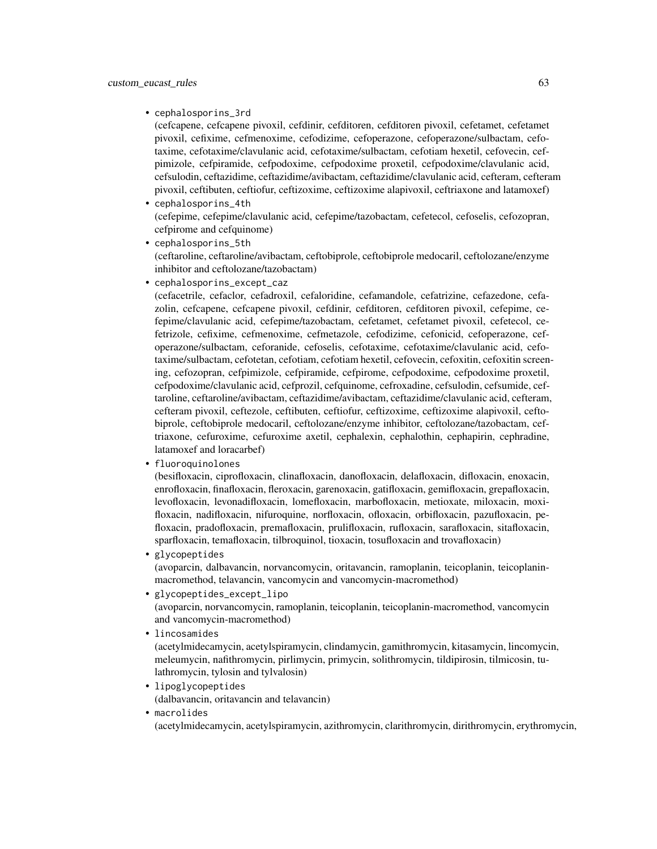• cephalosporins\_3rd

(cefcapene, cefcapene pivoxil, cefdinir, cefditoren, cefditoren pivoxil, cefetamet, cefetamet pivoxil, cefixime, cefmenoxime, cefodizime, cefoperazone, cefoperazone/sulbactam, cefotaxime, cefotaxime/clavulanic acid, cefotaxime/sulbactam, cefotiam hexetil, cefovecin, cefpimizole, cefpiramide, cefpodoxime, cefpodoxime proxetil, cefpodoxime/clavulanic acid, cefsulodin, ceftazidime, ceftazidime/avibactam, ceftazidime/clavulanic acid, cefteram, cefteram pivoxil, ceftibuten, ceftiofur, ceftizoxime, ceftizoxime alapivoxil, ceftriaxone and latamoxef)

- cephalosporins\_4th (cefepime, cefepime/clavulanic acid, cefepime/tazobactam, cefetecol, cefoselis, cefozopran, cefpirome and cefquinome)
- cephalosporins\_5th (ceftaroline, ceftaroline/avibactam, ceftobiprole, ceftobiprole medocaril, ceftolozane/enzyme inhibitor and ceftolozane/tazobactam)
- cephalosporins\_except\_caz

(cefacetrile, cefaclor, cefadroxil, cefaloridine, cefamandole, cefatrizine, cefazedone, cefazolin, cefcapene, cefcapene pivoxil, cefdinir, cefditoren, cefditoren pivoxil, cefepime, cefepime/clavulanic acid, cefepime/tazobactam, cefetamet, cefetamet pivoxil, cefetecol, cefetrizole, cefixime, cefmenoxime, cefmetazole, cefodizime, cefonicid, cefoperazone, cefoperazone/sulbactam, ceforanide, cefoselis, cefotaxime, cefotaxime/clavulanic acid, cefotaxime/sulbactam, cefotetan, cefotiam, cefotiam hexetil, cefovecin, cefoxitin, cefoxitin screening, cefozopran, cefpimizole, cefpiramide, cefpirome, cefpodoxime, cefpodoxime proxetil, cefpodoxime/clavulanic acid, cefprozil, cefquinome, cefroxadine, cefsulodin, cefsumide, ceftaroline, ceftaroline/avibactam, ceftazidime/avibactam, ceftazidime/clavulanic acid, cefteram, cefteram pivoxil, ceftezole, ceftibuten, ceftiofur, ceftizoxime, ceftizoxime alapivoxil, ceftobiprole, ceftobiprole medocaril, ceftolozane/enzyme inhibitor, ceftolozane/tazobactam, ceftriaxone, cefuroxime, cefuroxime axetil, cephalexin, cephalothin, cephapirin, cephradine, latamoxef and loracarbef)

• fluoroquinolones

(besifloxacin, ciprofloxacin, clinafloxacin, danofloxacin, delafloxacin, difloxacin, enoxacin, enrofloxacin, finafloxacin, fleroxacin, garenoxacin, gatifloxacin, gemifloxacin, grepafloxacin, levofloxacin, levonadifloxacin, lomefloxacin, marbofloxacin, metioxate, miloxacin, moxifloxacin, nadifloxacin, nifuroquine, norfloxacin, ofloxacin, orbifloxacin, pazufloxacin, pefloxacin, pradofloxacin, premafloxacin, prulifloxacin, rufloxacin, sarafloxacin, sitafloxacin, sparfloxacin, temafloxacin, tilbroquinol, tioxacin, tosufloxacin and trovafloxacin)

• glycopeptides

(avoparcin, dalbavancin, norvancomycin, oritavancin, ramoplanin, teicoplanin, teicoplaninmacromethod, telavancin, vancomycin and vancomycin-macromethod)

- glycopeptides\_except\_lipo (avoparcin, norvancomycin, ramoplanin, teicoplanin, teicoplanin-macromethod, vancomycin and vancomycin-macromethod)
- lincosamides (acetylmidecamycin, acetylspiramycin, clindamycin, gamithromycin, kitasamycin, lincomycin, meleumycin, nafithromycin, pirlimycin, primycin, solithromycin, tildipirosin, tilmicosin, tulathromycin, tylosin and tylvalosin)
- lipoglycopeptides (dalbavancin, oritavancin and telavancin)
- macrolides

(acetylmidecamycin, acetylspiramycin, azithromycin, clarithromycin, dirithromycin, erythromycin,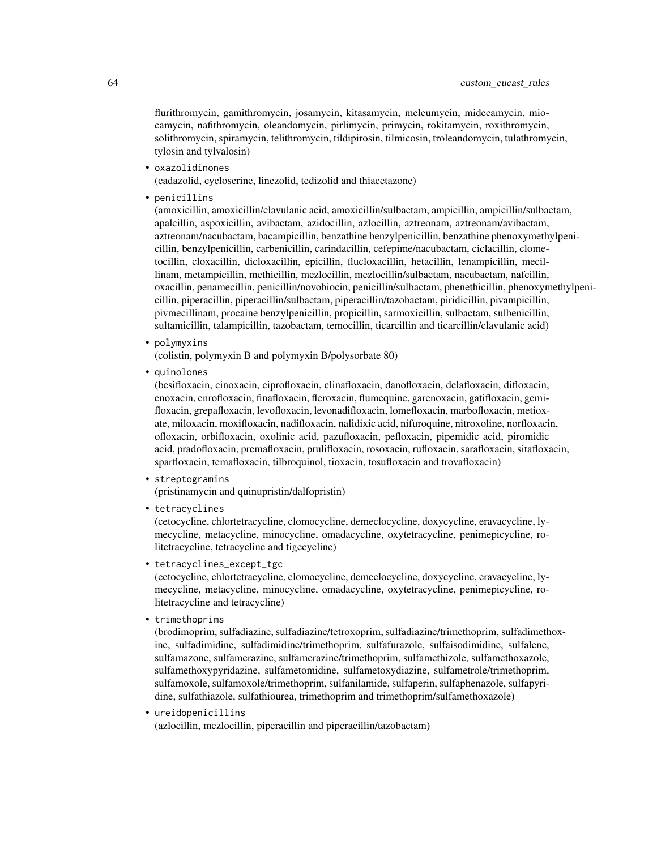flurithromycin, gamithromycin, josamycin, kitasamycin, meleumycin, midecamycin, miocamycin, nafithromycin, oleandomycin, pirlimycin, primycin, rokitamycin, roxithromycin, solithromycin, spiramycin, telithromycin, tildipirosin, tilmicosin, troleandomycin, tulathromycin, tylosin and tylvalosin)

• oxazolidinones

(cadazolid, cycloserine, linezolid, tedizolid and thiacetazone)

• penicillins

(amoxicillin, amoxicillin/clavulanic acid, amoxicillin/sulbactam, ampicillin, ampicillin/sulbactam, apalcillin, aspoxicillin, avibactam, azidocillin, azlocillin, aztreonam, aztreonam/avibactam, aztreonam/nacubactam, bacampicillin, benzathine benzylpenicillin, benzathine phenoxymethylpenicillin, benzylpenicillin, carbenicillin, carindacillin, cefepime/nacubactam, ciclacillin, clometocillin, cloxacillin, dicloxacillin, epicillin, flucloxacillin, hetacillin, lenampicillin, mecillinam, metampicillin, methicillin, mezlocillin, mezlocillin/sulbactam, nacubactam, nafcillin, oxacillin, penamecillin, penicillin/novobiocin, penicillin/sulbactam, phenethicillin, phenoxymethylpenicillin, piperacillin, piperacillin/sulbactam, piperacillin/tazobactam, piridicillin, pivampicillin, pivmecillinam, procaine benzylpenicillin, propicillin, sarmoxicillin, sulbactam, sulbenicillin, sultamicillin, talampicillin, tazobactam, temocillin, ticarcillin and ticarcillin/clavulanic acid)

• polymyxins

(colistin, polymyxin B and polymyxin B/polysorbate 80)

• quinolones

(besifloxacin, cinoxacin, ciprofloxacin, clinafloxacin, danofloxacin, delafloxacin, difloxacin, enoxacin, enrofloxacin, finafloxacin, fleroxacin, flumequine, garenoxacin, gatifloxacin, gemifloxacin, grepafloxacin, levofloxacin, levonadifloxacin, lomefloxacin, marbofloxacin, metioxate, miloxacin, moxifloxacin, nadifloxacin, nalidixic acid, nifuroquine, nitroxoline, norfloxacin, ofloxacin, orbifloxacin, oxolinic acid, pazufloxacin, pefloxacin, pipemidic acid, piromidic acid, pradofloxacin, premafloxacin, prulifloxacin, rosoxacin, rufloxacin, sarafloxacin, sitafloxacin, sparfloxacin, temafloxacin, tilbroquinol, tioxacin, tosufloxacin and trovafloxacin)

- streptogramins (pristinamycin and quinupristin/dalfopristin)
- tetracyclines

(cetocycline, chlortetracycline, clomocycline, demeclocycline, doxycycline, eravacycline, lymecycline, metacycline, minocycline, omadacycline, oxytetracycline, penimepicycline, rolitetracycline, tetracycline and tigecycline)

• tetracyclines\_except\_tgc

(cetocycline, chlortetracycline, clomocycline, demeclocycline, doxycycline, eravacycline, lymecycline, metacycline, minocycline, omadacycline, oxytetracycline, penimepicycline, rolitetracycline and tetracycline)

• trimethoprims

(brodimoprim, sulfadiazine, sulfadiazine/tetroxoprim, sulfadiazine/trimethoprim, sulfadimethoxine, sulfadimidine, sulfadimidine/trimethoprim, sulfafurazole, sulfaisodimidine, sulfalene, sulfamazone, sulfamerazine, sulfamerazine/trimethoprim, sulfamethizole, sulfamethoxazole, sulfamethoxypyridazine, sulfametomidine, sulfametoxydiazine, sulfametrole/trimethoprim, sulfamoxole, sulfamoxole/trimethoprim, sulfanilamide, sulfaperin, sulfaphenazole, sulfapyridine, sulfathiazole, sulfathiourea, trimethoprim and trimethoprim/sulfamethoxazole)

• ureidopenicillins

(azlocillin, mezlocillin, piperacillin and piperacillin/tazobactam)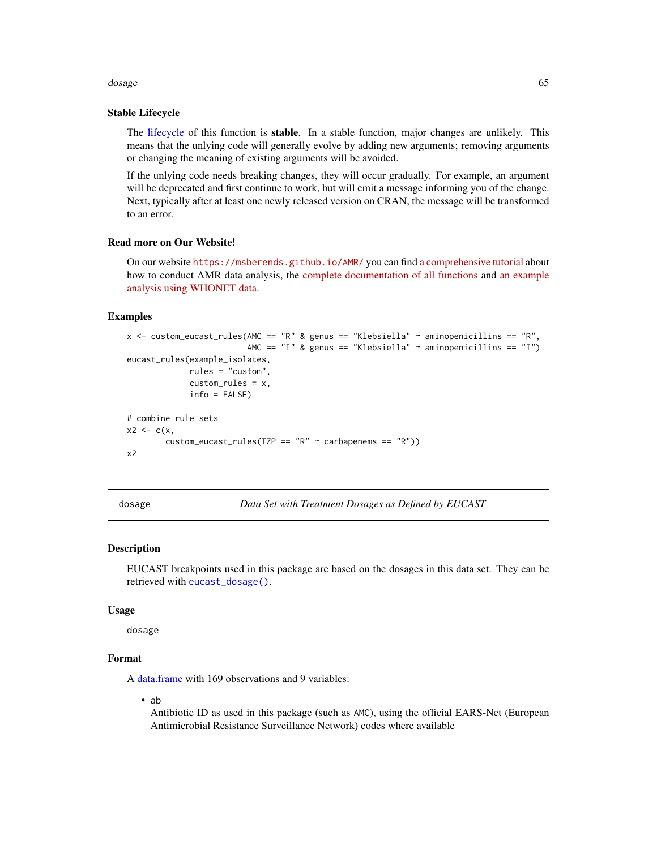#### dosage 65 and 50 km s and 65 and 65 km s and 65 and 65 km s and 65 and 65 km s and 65 and 65 and 65 and 65 and 65 and 65 and 65 and 65 and 65 and 65 and 65 and 65 and 65 and 65 and 65 and 65 and 65 and 65 and 65 and 65 and

### Stable Lifecycle

The [lifecycle](#page-103-0) of this function is stable. In a stable function, major changes are unlikely. This means that the unlying code will generally evolve by adding new arguments; removing arguments or changing the meaning of existing arguments will be avoided.

If the unlying code needs breaking changes, they will occur gradually. For example, an argument will be deprecated and first continue to work, but will emit a message informing you of the change. Next, typically after at least one newly released version on CRAN, the message will be transformed to an error.

## Read more on Our Website!

On our website <https://msberends.github.io/AMR/> you can find [a comprehensive tutorial](https://msberends.github.io/AMR/articles/AMR.html) about how to conduct AMR data analysis, the [complete documentation of all functions](https://msberends.github.io/AMR/reference/) and [an example](https://msberends.github.io/AMR/articles/WHONET.html) [analysis using WHONET data.](https://msberends.github.io/AMR/articles/WHONET.html)

### Examples

```
x <- custom_eucast_rules(AMC == "R" & genus == "Klebsiella" ~ aminopenicillins == "R",
                          AMC == "I" & genus == "Klebsiella" ~ aminopenicillins == "I")eucast_rules(example_isolates,
             rules = "custom",
             custom_rules = x,
             info = FALSE)
# combine rule sets
x2 \leq -c(x)custom_eucast_rules(TZP == "R" \sim carbapenems == "R"))
x<sub>2</sub>
```
<span id="page-64-0"></span>dosage *Data Set with Treatment Dosages as Defined by EUCAST*

#### Description

EUCAST breakpoints used in this package are based on the dosages in this data set. They can be retrieved with [eucast\\_dosage\(\)](#page-65-1).

#### Usage

dosage

### Format

A [data.frame](#page-0-0) with 169 observations and 9 variables:

• ab

Antibiotic ID as used in this package (such as AMC), using the official EARS-Net (European Antimicrobial Resistance Surveillance Network) codes where available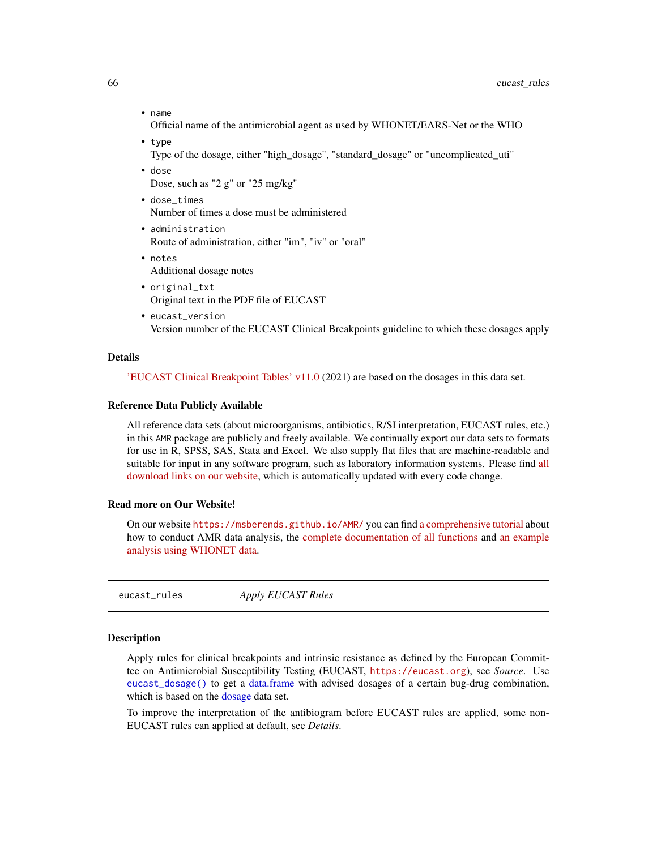• name

Official name of the antimicrobial agent as used by WHONET/EARS-Net or the WHO

- type
	- Type of the dosage, either "high\_dosage", "standard\_dosage" or "uncomplicated\_uti"
- dose

Dose, such as "2 g" or "25 mg/kg"

- dose\_times Number of times a dose must be administered
- administration Route of administration, either "im", "iv" or "oral"
- notes Additional dosage notes
- original\_txt Original text in the PDF file of EUCAST
- eucast\_version Version number of the EUCAST Clinical Breakpoints guideline to which these dosages apply

### Details

['EUCAST Clinical Breakpoint Tables' v11.0](https://www.eucast.org/clinical_breakpoints/) (2021) are based on the dosages in this data set.

#### Reference Data Publicly Available

All reference data sets (about microorganisms, antibiotics, R/SI interpretation, EUCAST rules, etc.) in this AMR package are publicly and freely available. We continually export our data sets to formats for use in R, SPSS, SAS, Stata and Excel. We also supply flat files that are machine-readable and suitable for input in any software program, such as laboratory information systems. Please find [all](https://msberends.github.io/AMR/articles/datasets.html) [download links on our website,](https://msberends.github.io/AMR/articles/datasets.html) which is automatically updated with every code change.

### Read more on Our Website!

On our website <https://msberends.github.io/AMR/> you can find [a comprehensive tutorial](https://msberends.github.io/AMR/articles/AMR.html) about how to conduct AMR data analysis, the [complete documentation of all functions](https://msberends.github.io/AMR/reference/) and [an example](https://msberends.github.io/AMR/articles/WHONET.html) [analysis using WHONET data.](https://msberends.github.io/AMR/articles/WHONET.html)

<span id="page-65-0"></span>eucast\_rules *Apply EUCAST Rules*

### <span id="page-65-1"></span>Description

Apply rules for clinical breakpoints and intrinsic resistance as defined by the European Committee on Antimicrobial Susceptibility Testing (EUCAST, <https://eucast.org>), see *Source*. Use [eucast\\_dosage\(\)](#page-65-1) to get a [data.frame](#page-0-0) with advised dosages of a certain bug-drug combination, which is based on the [dosage](#page-64-0) data set.

To improve the interpretation of the antibiogram before EUCAST rules are applied, some non-EUCAST rules can applied at default, see *Details*.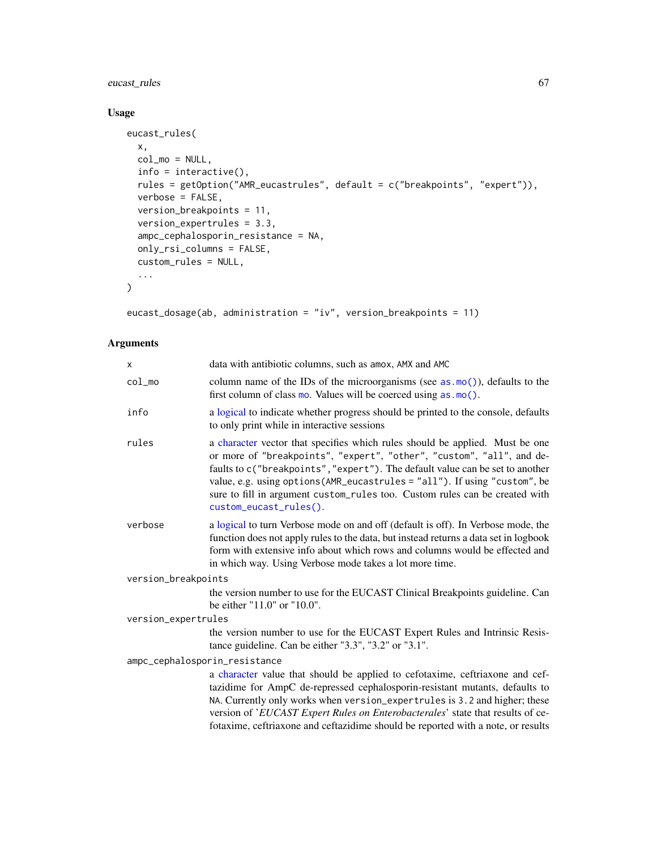# eucast\_rules 67

# Usage

```
eucast_rules(
 x,
 col_mo = NULL,
 info = interactive(),
 rules = getOption("AMR_eucastrules", default = c("breakpoints", "expert")),
 verbose = FALSE,
 version_breakpoints = 11,
 version_expertrules = 3.3,
  ampc_cephalosporin_resistance = NA,
 only_rsi_columns = FALSE,
 custom_rules = NULL,
  ...
\mathcal{L}
```
eucast\_dosage(ab, administration = "iv", version\_breakpoints = 11)

# Arguments

| X                             | data with antibiotic columns, such as amox, AMX and AMC                                                                                                                                                                                                                                                                                                                                                                       |  |  |  |
|-------------------------------|-------------------------------------------------------------------------------------------------------------------------------------------------------------------------------------------------------------------------------------------------------------------------------------------------------------------------------------------------------------------------------------------------------------------------------|--|--|--|
| $col$ mo                      | column name of the IDs of the microorganisms (see $as.mo()$ ), defaults to the<br>first column of class mo. Values will be coerced using $as.mo()$ .                                                                                                                                                                                                                                                                          |  |  |  |
| info                          | a logical to indicate whether progress should be printed to the console, defaults<br>to only print while in interactive sessions                                                                                                                                                                                                                                                                                              |  |  |  |
| rules                         | a character vector that specifies which rules should be applied. Must be one<br>or more of "breakpoints", "expert", "other", "custom", "all", and de-<br>faults to c("breakpoints", "expert"). The default value can be set to another<br>value, e.g. using options (AMR_eucastrules = "all"). If using "custom", be<br>sure to fill in argument custom_rules too. Custom rules can be created with<br>custom_eucast_rules(). |  |  |  |
| verbose                       | a logical to turn Verbose mode on and off (default is off). In Verbose mode, the<br>function does not apply rules to the data, but instead returns a data set in logbook<br>form with extensive info about which rows and columns would be effected and<br>in which way. Using Verbose mode takes a lot more time.                                                                                                            |  |  |  |
| version_breakpoints           |                                                                                                                                                                                                                                                                                                                                                                                                                               |  |  |  |
|                               | the version number to use for the EUCAST Clinical Breakpoints guideline. Can<br>be either "11.0" or "10.0".                                                                                                                                                                                                                                                                                                                   |  |  |  |
| version_expertrules           |                                                                                                                                                                                                                                                                                                                                                                                                                               |  |  |  |
|                               | the version number to use for the EUCAST Expert Rules and Intrinsic Resis-<br>tance guideline. Can be either "3.3", "3.2" or "3.1".                                                                                                                                                                                                                                                                                           |  |  |  |
| ampc_cephalosporin_resistance |                                                                                                                                                                                                                                                                                                                                                                                                                               |  |  |  |
|                               | a character value that should be applied to cefotaxime, ceftriaxone and cef-<br>tazidime for AmpC de-repressed cephalosporin-resistant mutants, defaults to<br>NA. Currently only works when version_expertrules is 3.2 and higher; these<br>version of 'EUCAST Expert Rules on Enterobacterales' state that results of ce-<br>fotaxime, ceftriaxone and ceftazidime should be reported with a note, or results               |  |  |  |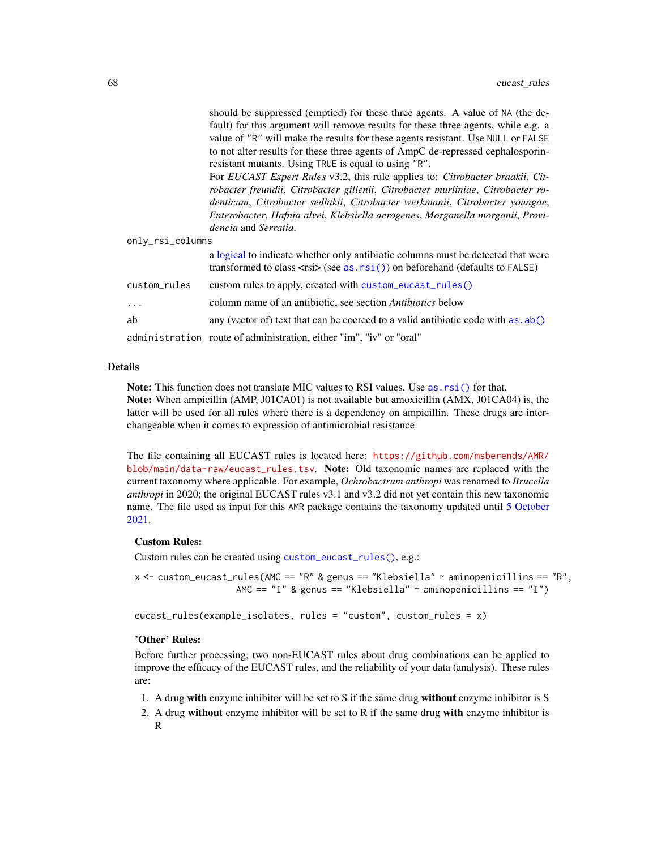should be suppressed (emptied) for these three agents. A value of NA (the default) for this argument will remove results for these three agents, while e.g. a value of "R" will make the results for these agents resistant. Use NULL or FALSE to not alter results for these three agents of AmpC de-repressed cephalosporinresistant mutants. Using TRUE is equal to using "R".

For *EUCAST Expert Rules* v3.2, this rule applies to: *Citrobacter braakii*, *Citrobacter freundii*, *Citrobacter gillenii*, *Citrobacter murliniae*, *Citrobacter rodenticum*, *Citrobacter sedlakii*, *Citrobacter werkmanii*, *Citrobacter youngae*, *Enterobacter*, *Hafnia alvei*, *Klebsiella aerogenes*, *Morganella morganii*, *Providencia* and *Serratia*.

only\_rsi\_columns

|              | a logical to indicate whether only antibiotic columns must be detected that were<br>transformed to class $\langle$ rsi $\rangle$ (see as. rsi()) on beforehand (defaults to FALSE) |
|--------------|------------------------------------------------------------------------------------------------------------------------------------------------------------------------------------|
| custom_rules | custom rules to apply, created with custom_eucast_rules()                                                                                                                          |
| $\cdots$     | column name of an antibiotic, see section <i>Antibiotics</i> below                                                                                                                 |
| ab           | any (vector of) text that can be coerced to a valid antibiotic code with $as$ . $ab()$                                                                                             |
|              | administration route of administration, either "im", "iv" or "oral"                                                                                                                |

## Details

Note: This function does not translate MIC values to RSI values. Use as. rsi() for that. Note: When ampicillin (AMP, J01CA01) is not available but amoxicillin (AMX, J01CA04) is, the latter will be used for all rules where there is a dependency on ampicillin. These drugs are interchangeable when it comes to expression of antimicrobial resistance.

The file containing all EUCAST rules is located here: [https://github.com/msberends/AMR/](https://github.com/msberends/AMR/blob/main/data-raw/eucast_rules.tsv) [blob/main/data-raw/eucast\\_rules.tsv](https://github.com/msberends/AMR/blob/main/data-raw/eucast_rules.tsv). Note: Old taxonomic names are replaced with the current taxonomy where applicable. For example, *Ochrobactrum anthropi* was renamed to *Brucella anthropi* in 2020; the original EUCAST rules v3.1 and v3.2 did not yet contain this new taxonomic name. The file used as input for this AMR package contains the taxonomy updated until [5 October](#page-51-0) [2021.](#page-51-0)

## Custom Rules:

Custom rules can be created using [custom\\_eucast\\_rules\(\)](#page-58-0), e.g.:

 $x$  <- custom\_eucast\_rules(AMC == "R" & genus == "Klebsiella" ~ aminopenicillins == "R", AMC ==  $"I"$  & genus == "Klebsiella" ~ aminopenicillins ==  $"I")$ 

eucast\_rules(example\_isolates, rules = "custom", custom\_rules = x)

### 'Other' Rules:

Before further processing, two non-EUCAST rules about drug combinations can be applied to improve the efficacy of the EUCAST rules, and the reliability of your data (analysis). These rules are:

- 1. A drug with enzyme inhibitor will be set to S if the same drug without enzyme inhibitor is S
- 2. A drug without enzyme inhibitor will be set to  $R$  if the same drug with enzyme inhibitor is R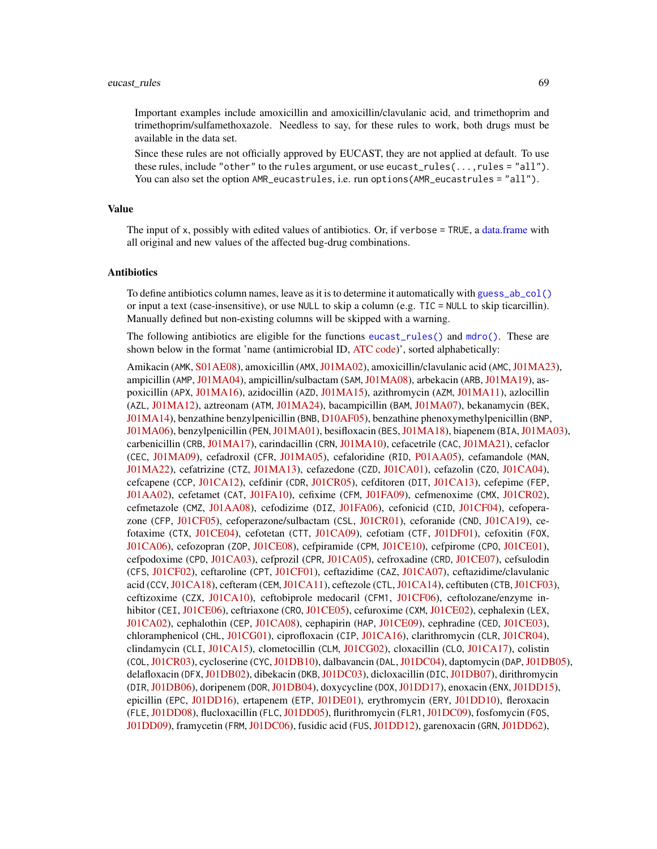Important examples include amoxicillin and amoxicillin/clavulanic acid, and trimethoprim and trimethoprim/sulfamethoxazole. Needless to say, for these rules to work, both drugs must be available in the data set.

Since these rules are not officially approved by EUCAST, they are not applied at default. To use these rules, include "other" to the rules argument, or use eucast\_rules(...,rules = "all"). You can also set the option AMR\_eucastrules, i.e. run options(AMR\_eucastrules = "all").

### Value

The input of x, possibly with edited values of antibiotics. Or, if verbose = TRUE, a [data.frame](#page-0-0) with all original and new values of the affected bug-drug combinations.

### Antibiotics

To define antibiotics column names, leave as it is to determine it automatically with [guess\\_ab\\_col\(\)](#page-93-0) or input a text (case-insensitive), or use NULL to skip a column (e.g. TIC = NULL to skip ticarcillin). Manually defined but non-existing columns will be skipped with a warning.

The following antibiotics are eligible for the functions [eucast\\_rules\(\)](#page-65-0) and [mdro\(\)](#page-107-0). These are shown below in the format 'name (antimicrobial ID, [ATC code\)](https://www.whocc.no/atc/structure_and_principles/)', sorted alphabetically:

Amikacin (AMK, [S01AE08\)](https://www.whocc.no/atc_ddd_index/?code=J01GB06&showdescription=no), amoxicillin (AMX, [J01MA02\)](https://www.whocc.no/atc_ddd_index/?code=J01CA04&showdescription=no), amoxicillin/clavulanic acid (AMC, [J01MA23\)](https://www.whocc.no/atc_ddd_index/?code=J01CR02&showdescription=no), ampicillin (AMP, [J01MA04\)](https://www.whocc.no/atc_ddd_index/?code=J01CA01&showdescription=no), ampicillin/sulbactam (SAM, [J01MA08\)](https://www.whocc.no/atc_ddd_index/?code=J01CR01&showdescription=no), arbekacin (ARB, [J01MA19\)](https://www.whocc.no/atc_ddd_index/?code=J01GB12&showdescription=no), aspoxicillin (APX, [J01MA16\)](https://www.whocc.no/atc_ddd_index/?code=J01CA19&showdescription=no), azidocillin (AZD, [J01MA15\)](https://www.whocc.no/atc_ddd_index/?code=J01CE04&showdescription=no), azithromycin (AZM, [J01MA11\)](https://www.whocc.no/atc_ddd_index/?code=J01FA10&showdescription=no), azlocillin (AZL, [J01MA12\)](https://www.whocc.no/atc_ddd_index/?code=J01CA09&showdescription=no), aztreonam (ATM, [J01MA24\)](https://www.whocc.no/atc_ddd_index/?code=J01DF01&showdescription=no), bacampicillin (BAM, [J01MA07\)](https://www.whocc.no/atc_ddd_index/?code=J01CA06&showdescription=no), bekanamycin (BEK, [J01MA14\)](https://www.whocc.no/atc_ddd_index/?code=J01GB13&showdescription=no), benzathine benzylpenicillin (BNB, [D10AF05\)](https://www.whocc.no/atc_ddd_index/?code=J01CE08&showdescription=no), benzathine phenoxymethylpenicillin (BNP, [J01MA06\)](https://www.whocc.no/atc_ddd_index/?code=J01CE10&showdescription=no), benzylpenicillin (PEN,[J01MA01\)](https://www.whocc.no/atc_ddd_index/?code=J01CE01&showdescription=no), besifloxacin (BES,[J01MA18\)](https://www.whocc.no/atc_ddd_index/?code=S01AE08&showdescription=no), biapenem (BIA,[J01MA03\)](https://www.whocc.no/atc_ddd_index/?code=J01DH05&showdescription=no), carbenicillin (CRB, [J01MA17\)](https://www.whocc.no/atc_ddd_index/?code=J01CA03&showdescription=no), carindacillin (CRN, [J01MA10\)](https://www.whocc.no/atc_ddd_index/?code=J01CA05&showdescription=no), cefacetrile (CAC, [J01MA21\)](https://www.whocc.no/atc_ddd_index/?code=J01DB10&showdescription=no), cefaclor (CEC, [J01MA09\)](https://www.whocc.no/atc_ddd_index/?code=J01DC04&showdescription=no), cefadroxil (CFR, [J01MA05\)](https://www.whocc.no/atc_ddd_index/?code=J01DB05&showdescription=no), cefaloridine (RID, [P01AA05\)](https://www.whocc.no/atc_ddd_index/?code=J01DB02&showdescription=no), cefamandole (MAN, [J01MA22\)](https://www.whocc.no/atc_ddd_index/?code=J01DC03&showdescription=no), cefatrizine (CTZ, [J01MA13\)](https://www.whocc.no/atc_ddd_index/?code=J01DB07&showdescription=no), cefazedone (CZD, [J01CA01\)](https://www.whocc.no/atc_ddd_index/?code=J01DB06&showdescription=no), cefazolin (CZO, [J01CA04\)](https://www.whocc.no/atc_ddd_index/?code=J01DB04&showdescription=no), cefcapene (CCP, [J01CA12\)](https://www.whocc.no/atc_ddd_index/?code=J01DD17&showdescription=no), cefdinir (CDR, [J01CR05\)](https://www.whocc.no/atc_ddd_index/?code=J01DD15&showdescription=no), cefditoren (DIT, [J01CA13\)](https://www.whocc.no/atc_ddd_index/?code=J01DD16&showdescription=no), cefepime (FEP, [J01AA02\)](https://www.whocc.no/atc_ddd_index/?code=J01DE01&showdescription=no), cefetamet (CAT, [J01FA10\)](https://www.whocc.no/atc_ddd_index/?code=J01DD10&showdescription=no), cefixime (CFM, [J01FA09\)](https://www.whocc.no/atc_ddd_index/?code=J01DD08&showdescription=no), cefmenoxime (CMX, [J01CR02\)](https://www.whocc.no/atc_ddd_index/?code=J01DD05&showdescription=no), cefmetazole (CMZ, [J01AA08\)](https://www.whocc.no/atc_ddd_index/?code=J01DC09&showdescription=no), cefodizime (DIZ, [J01FA06\)](https://www.whocc.no/atc_ddd_index/?code=J01DD09&showdescription=no), cefonicid (CID, [J01CF04\)](https://www.whocc.no/atc_ddd_index/?code=J01DC06&showdescription=no), cefoperazone (CFP, [J01CF05\)](https://www.whocc.no/atc_ddd_index/?code=J01DD12&showdescription=no), cefoperazone/sulbactam (CSL, [J01CR01\)](https://www.whocc.no/atc_ddd_index/?code=J01DD62&showdescription=no), ceforanide (CND, [J01CA19\)](https://www.whocc.no/atc_ddd_index/?code=J01DC11&showdescription=no), cefotaxime (CTX, [J01CE04\)](https://www.whocc.no/atc_ddd_index/?code=J01DD01&showdescription=no), cefotetan (CTT, [J01CA09\)](https://www.whocc.no/atc_ddd_index/?code=J01DC05&showdescription=no), cefotiam (CTF, [J01DF01\)](https://www.whocc.no/atc_ddd_index/?code=J01DC07&showdescription=no), cefoxitin (FOX, [J01CA06\)](https://www.whocc.no/atc_ddd_index/?code=J01DC01&showdescription=no), cefozopran (ZOP, [J01CE08\)](https://www.whocc.no/atc_ddd_index/?code=J01DE03&showdescription=no), cefpiramide (CPM, [J01CE10\)](https://www.whocc.no/atc_ddd_index/?code=J01DD11&showdescription=no), cefpirome (CPO, [J01CE01\)](https://www.whocc.no/atc_ddd_index/?code=J01DE02&showdescription=no), cefpodoxime (CPD, [J01CA03\)](https://www.whocc.no/atc_ddd_index/?code=J01DD13&showdescription=no), cefprozil (CPR, [J01CA05\)](https://www.whocc.no/atc_ddd_index/?code=J01DC10&showdescription=no), cefroxadine (CRD, [J01CE07\)](https://www.whocc.no/atc_ddd_index/?code=J01DB11&showdescription=no), cefsulodin (CFS, [J01CF02\)](https://www.whocc.no/atc_ddd_index/?code=J01DD03&showdescription=no), ceftaroline (CPT, [J01CF01\)](https://www.whocc.no/atc_ddd_index/?code=J01DI02&showdescription=no), ceftazidime (CAZ, [J01CA07\)](https://www.whocc.no/atc_ddd_index/?code=J01DD02&showdescription=no), ceftazidime/clavulanic acid (CCV, [J01CA18\)](https://www.whocc.no/atc_ddd_index/?code=J01DD52&showdescription=no), cefteram (CEM, [J01CA11\)](https://www.whocc.no/atc_ddd_index/?code=J01DD18&showdescription=no), ceftezole (CTL, [J01CA14\)](https://www.whocc.no/atc_ddd_index/?code=J01DB12&showdescription=no), ceftibuten (CTB, [J01CF03\)](https://www.whocc.no/atc_ddd_index/?code=J01DD14&showdescription=no), ceftizoxime (CZX, [J01CA10\)](https://www.whocc.no/atc_ddd_index/?code=J01DD07&showdescription=no), ceftobiprole medocaril (CFM1, [J01CF06\)](https://www.whocc.no/atc_ddd_index/?code=J01DI01&showdescription=no), ceftolozane/enzyme in-hibitor (CEI, [J01CE06\)](https://www.whocc.no/atc_ddd_index/?code=J01DI54&showdescription=no), ceftriaxone (CRO, [J01CE05\)](https://www.whocc.no/atc_ddd_index/?code=J01DD04&showdescription=no), cefuroxime (CXM, [J01CE02\)](https://www.whocc.no/atc_ddd_index/?code=J01DC02&showdescription=no), cephalexin (LEX, [J01CA02\)](https://www.whocc.no/atc_ddd_index/?code=J01DB01&showdescription=no), cephalothin (CEP, [J01CA08\)](https://www.whocc.no/atc_ddd_index/?code=J01DB03&showdescription=no), cephapirin (HAP, [J01CE09\)](https://www.whocc.no/atc_ddd_index/?code=J01DB08&showdescription=no), cephradine (CED, [J01CE03\)](https://www.whocc.no/atc_ddd_index/?code=J01DB09&showdescription=no), chloramphenicol (CHL, [J01CG01\)](https://www.whocc.no/atc_ddd_index/?code=J01BA01&showdescription=no), ciprofloxacin (CIP, [J01CA16\)](https://www.whocc.no/atc_ddd_index/?code=J01MA02&showdescription=no), clarithromycin (CLR, [J01CR04\)](https://www.whocc.no/atc_ddd_index/?code=J01FA09&showdescription=no), clindamycin (CLI, [J01CA15\)](https://www.whocc.no/atc_ddd_index/?code=J01FF01&showdescription=no), clometocillin (CLM, [J01CG02\)](https://www.whocc.no/atc_ddd_index/?code=J01CE07&showdescription=no), cloxacillin (CL0, [J01CA17\)](https://www.whocc.no/atc_ddd_index/?code=J01CF02&showdescription=no), colistin (COL,[J01CR03\)](https://www.whocc.no/atc_ddd_index/?code=J01XB01&showdescription=no), cycloserine (CYC,[J01DB10\)](https://www.whocc.no/atc_ddd_index/?code=J04AB01&showdescription=no), dalbavancin (DAL,[J01DC04\)](https://www.whocc.no/atc_ddd_index/?code=J01XA04&showdescription=no), daptomycin (DAP,[J01DB05\)](https://www.whocc.no/atc_ddd_index/?code=J01XX09&showdescription=no), delafloxacin (DFX, [J01DB02\)](https://www.whocc.no/atc_ddd_index/?code=J01MA23&showdescription=no), dibekacin (DKB, [J01DC03\)](https://www.whocc.no/atc_ddd_index/?code=J01GB09&showdescription=no), dicloxacillin (DIC, [J01DB07\)](https://www.whocc.no/atc_ddd_index/?code=J01CF01&showdescription=no), dirithromycin (DIR,[J01DB06\)](https://www.whocc.no/atc_ddd_index/?code=J01FA13&showdescription=no), doripenem (DOR,[J01DB04\)](https://www.whocc.no/atc_ddd_index/?code=J01DH04&showdescription=no), doxycycline (DOX,[J01DD17\)](https://www.whocc.no/atc_ddd_index/?code=J01AA02&showdescription=no), enoxacin (ENX,[J01DD15\)](https://www.whocc.no/atc_ddd_index/?code=J01MA04&showdescription=no), epicillin (EPC, [J01DD16\)](https://www.whocc.no/atc_ddd_index/?code=J01CA07&showdescription=no), ertapenem (ETP, [J01DE01\)](https://www.whocc.no/atc_ddd_index/?code=J01DH03&showdescription=no), erythromycin (ERY, [J01DD10\)](https://www.whocc.no/atc_ddd_index/?code=J01FA01&showdescription=no), fleroxacin (FLE, [J01DD08\)](https://www.whocc.no/atc_ddd_index/?code=J01MA08&showdescription=no), flucloxacillin (FLC, [J01DD05\)](https://www.whocc.no/atc_ddd_index/?code=J01CF05&showdescription=no), flurithromycin (FLR1, [J01DC09\)](https://www.whocc.no/atc_ddd_index/?code=J01FA14&showdescription=no), fosfomycin (FOS, [J01DD09\)](https://www.whocc.no/atc_ddd_index/?code=J01XX01&showdescription=no), framycetin (FRM, [J01DC06\)](https://www.whocc.no/atc_ddd_index/?code=D09AA01&showdescription=no), fusidic acid (FUS, [J01DD12\)](https://www.whocc.no/atc_ddd_index/?code=J01XC01&showdescription=no), garenoxacin (GRN, [J01DD62\)](https://www.whocc.no/atc_ddd_index/?code=J01MA19&showdescription=no),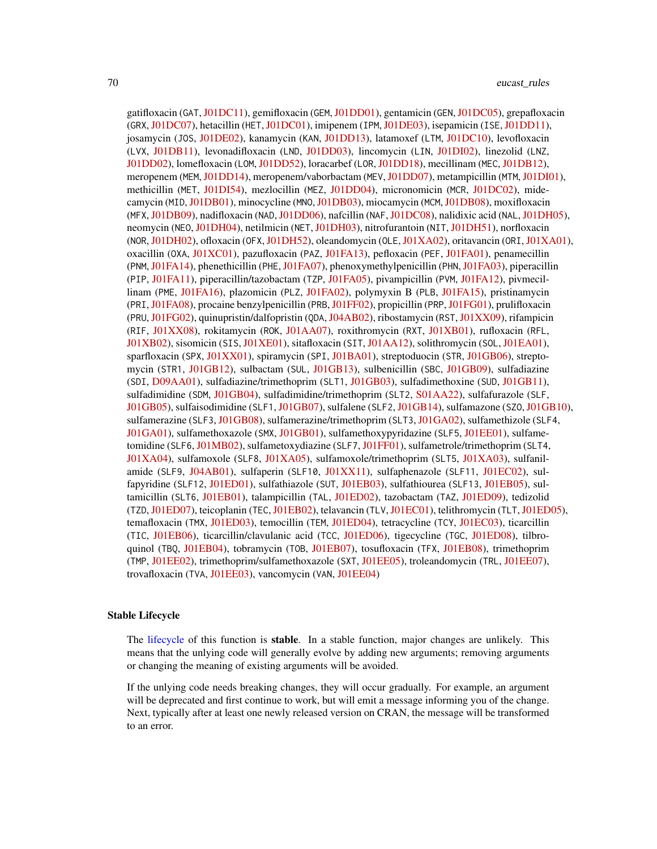gatifloxacin (GAT, [J01DC11\)](https://www.whocc.no/atc_ddd_index/?code=J01MA16&showdescription=no), gemifloxacin (GEM, [J01DD01\)](https://www.whocc.no/atc_ddd_index/?code=J01MA15&showdescription=no), gentamicin (GEN, [J01DC05\)](https://www.whocc.no/atc_ddd_index/?code=J01GB03&showdescription=no), grepafloxacin (GRX,[J01DC07\)](https://www.whocc.no/atc_ddd_index/?code=J01MA11&showdescription=no), hetacillin (HET,[J01DC01\)](https://www.whocc.no/atc_ddd_index/?code=J01CA18&showdescription=no), imipenem (IPM,[J01DE03\)](https://www.whocc.no/atc_ddd_index/?code=J01DH51&showdescription=no), isepamicin (ISE,[J01DD11\)](https://www.whocc.no/atc_ddd_index/?code=J01GB11&showdescription=no), josamycin (JOS, [J01DE02\)](https://www.whocc.no/atc_ddd_index/?code=J01FA07&showdescription=no), kanamycin (KAN, [J01DD13\)](https://www.whocc.no/atc_ddd_index/?code=J01GB04&showdescription=no), latamoxef (LTM, [J01DC10\)](https://www.whocc.no/atc_ddd_index/?code=J01DD06&showdescription=no), levofloxacin (LVX, [J01DB11\)](https://www.whocc.no/atc_ddd_index/?code=J01MA12&showdescription=no), levonadifloxacin (LND, [J01DD03\)](https://www.whocc.no/atc_ddd_index/?code=J01MA24&showdescription=no), lincomycin (LIN, [J01DI02\)](https://www.whocc.no/atc_ddd_index/?code=J01FF02&showdescription=no), linezolid (LNZ, [J01DD02\)](https://www.whocc.no/atc_ddd_index/?code=J01XX08&showdescription=no), lomefloxacin (LOM, [J01DD52\)](https://www.whocc.no/atc_ddd_index/?code=J01MA07&showdescription=no), loracarbef (LOR, [J01DD18\)](https://www.whocc.no/atc_ddd_index/?code=J01DC08&showdescription=no), mecillinam (MEC, [J01DB12\)](https://www.whocc.no/atc_ddd_index/?code=J01CA11&showdescription=no), meropenem (MEM,[J01DD14\)](https://www.whocc.no/atc_ddd_index/?code=J01DH02&showdescription=no), meropenem/vaborbactam (MEV,[J01DD07\)](https://www.whocc.no/atc_ddd_index/?code=J01DH52&showdescription=no), metampicillin (MTM,[J01DI01\)](https://www.whocc.no/atc_ddd_index/?code=J01CA14&showdescription=no), methicillin (MET, [J01DI54\)](https://www.whocc.no/atc_ddd_index/?code=J01CF03&showdescription=no), mezlocillin (MEZ, [J01DD04\)](https://www.whocc.no/atc_ddd_index/?code=J01CA10&showdescription=no), micronomicin (MCR, [J01DC02\)](https://www.whocc.no/atc_ddd_index/?code=S01AA22&showdescription=no), mide-camycin (MID, [J01DB01\)](https://www.whocc.no/atc_ddd_index/?code=J01FA03&showdescription=no), minocycline (MNO, [J01DB03\)](https://www.whocc.no/atc_ddd_index/?code=J01AA08&showdescription=no), miocamycin (MCM, [J01DB08\)](https://www.whocc.no/atc_ddd_index/?code=J01FA11&showdescription=no), moxifloxacin (MFX,[J01DB09\)](https://www.whocc.no/atc_ddd_index/?code=J01MA14&showdescription=no), nadifloxacin (NAD,[J01DD06\)](https://www.whocc.no/atc_ddd_index/?code=D10AF05&showdescription=no), nafcillin (NAF,[J01DC08\)](https://www.whocc.no/atc_ddd_index/?code=J01CF06&showdescription=no), nalidixic acid (NAL,[J01DH05\)](https://www.whocc.no/atc_ddd_index/?code=J01MB02&showdescription=no), neomycin (NEO, [J01DH04\)](https://www.whocc.no/atc_ddd_index/?code=J01GB05&showdescription=no), netilmicin (NET, [J01DH03\)](https://www.whocc.no/atc_ddd_index/?code=J01GB07&showdescription=no), nitrofurantoin (NIT, [J01DH51\)](https://www.whocc.no/atc_ddd_index/?code=J01XE01&showdescription=no), norfloxacin (NOR,[J01DH02\)](https://www.whocc.no/atc_ddd_index/?code=J01MA06&showdescription=no), ofloxacin (OFX,[J01DH52\)](https://www.whocc.no/atc_ddd_index/?code=J01MA01&showdescription=no), oleandomycin (OLE,[J01XA02\)](https://www.whocc.no/atc_ddd_index/?code=J01FA05&showdescription=no), oritavancin (ORI,[J01XA01\)](https://www.whocc.no/atc_ddd_index/?code=J01XA05&showdescription=no), oxacillin (OXA, [J01XC01\)](https://www.whocc.no/atc_ddd_index/?code=J01CF04&showdescription=no), pazufloxacin (PAZ, [J01FA13\)](https://www.whocc.no/atc_ddd_index/?code=J01MA18&showdescription=no), pefloxacin (PEF, [J01FA01\)](https://www.whocc.no/atc_ddd_index/?code=J01MA03&showdescription=no), penamecillin (PNM, [J01FA14\)](https://www.whocc.no/atc_ddd_index/?code=J01CE06&showdescription=no), phenethicillin (PHE, [J01FA07\)](https://www.whocc.no/atc_ddd_index/?code=J01CE05&showdescription=no), phenoxymethylpenicillin (PHN, [J01FA03\)](https://www.whocc.no/atc_ddd_index/?code=J01CE02&showdescription=no), piperacillin (PIP, [J01FA11\)](https://www.whocc.no/atc_ddd_index/?code=J01CA12&showdescription=no), piperacillin/tazobactam (TZP, [J01FA05\)](https://www.whocc.no/atc_ddd_index/?code=J01CR05&showdescription=no), pivampicillin (PVM, [J01FA12\)](https://www.whocc.no/atc_ddd_index/?code=J01CA02&showdescription=no), pivmecillinam (PME, [J01FA16\)](https://www.whocc.no/atc_ddd_index/?code=J01CA08&showdescription=no), plazomicin (PLZ, [J01FA02\)](https://www.whocc.no/atc_ddd_index/?code=J01GB14&showdescription=no), polymyxin B (PLB, [J01FA15\)](https://www.whocc.no/atc_ddd_index/?code=J01XB02&showdescription=no), pristinamycin (PRI, [J01FA08\)](https://www.whocc.no/atc_ddd_index/?code=J01FG01&showdescription=no), procaine benzylpenicillin (PRB, [J01FF02\)](https://www.whocc.no/atc_ddd_index/?code=J01CE09&showdescription=no), propicillin (PRP, [J01FG01\)](https://www.whocc.no/atc_ddd_index/?code=J01CE03&showdescription=no), prulifloxacin (PRU, [J01FG02\)](https://www.whocc.no/atc_ddd_index/?code=J01MA17&showdescription=no), quinupristin/dalfopristin (QDA, [J04AB02\)](https://www.whocc.no/atc_ddd_index/?code=J01FG02&showdescription=no), ribostamycin (RST, [J01XX09\)](https://www.whocc.no/atc_ddd_index/?code=J01GB10&showdescription=no), rifampicin (RIF, [J01XX08\)](https://www.whocc.no/atc_ddd_index/?code=J04AB02&showdescription=no), rokitamycin (ROK, [J01AA07\)](https://www.whocc.no/atc_ddd_index/?code=J01FA12&showdescription=no), roxithromycin (RXT, [J01XB01\)](https://www.whocc.no/atc_ddd_index/?code=J01FA06&showdescription=no), rufloxacin (RFL, [J01XB02\)](https://www.whocc.no/atc_ddd_index/?code=J01MA10&showdescription=no), sisomicin (SIS, [J01XE01\)](https://www.whocc.no/atc_ddd_index/?code=J01GB08&showdescription=no), sitafloxacin (SIT, [J01AA12\)](https://www.whocc.no/atc_ddd_index/?code=J01MA21&showdescription=no), solithromycin (SOL, [J01EA01\)](https://www.whocc.no/atc_ddd_index/?code=J01FA16&showdescription=no), sparfloxacin (SPX, [J01XX01\)](https://www.whocc.no/atc_ddd_index/?code=J01MA09&showdescription=no), spiramycin (SPI, [J01BA01\)](https://www.whocc.no/atc_ddd_index/?code=J01FA02&showdescription=no), streptoduocin (STR, [J01GB06\)](https://www.whocc.no/atc_ddd_index/?code=J01GA02&showdescription=no), streptomycin (STR1, [J01GB12\)](https://www.whocc.no/atc_ddd_index/?code=J01GA01&showdescription=no), sulbactam (SUL, [J01GB13\)](https://www.whocc.no/atc_ddd_index/?code=J01CG01&showdescription=no), sulbenicillin (SBC, [J01GB09\)](https://www.whocc.no/atc_ddd_index/?code=J01CA16&showdescription=no), sulfadiazine (SDI, [D09AA01\)](https://www.whocc.no/atc_ddd_index/?code=J01EC02&showdescription=no), sulfadiazine/trimethoprim (SLT1, [J01GB03\)](https://www.whocc.no/atc_ddd_index/?code=J01EE02&showdescription=no), sulfadimethoxine (SUD, [J01GB11\)](https://www.whocc.no/atc_ddd_index/?code=J01ED01&showdescription=no), sulfadimidine (SDM, [J01GB04\)](https://www.whocc.no/atc_ddd_index/?code=J01EB03&showdescription=no), sulfadimidine/trimethoprim (SLT2, [S01AA22\)](https://www.whocc.no/atc_ddd_index/?code=J01EE05&showdescription=no), sulfafurazole (SLF, [J01GB05\)](https://www.whocc.no/atc_ddd_index/?code=J01EB05&showdescription=no), sulfaisodimidine (SLF1, [J01GB07\)](https://www.whocc.no/atc_ddd_index/?code=J01EB01&showdescription=no), sulfalene (SLF2, [J01GB14\)](https://www.whocc.no/atc_ddd_index/?code=J01ED02&showdescription=no), sulfamazone (SZO,[J01GB10\)](https://www.whocc.no/atc_ddd_index/?code=J01ED09&showdescription=no), sulfamerazine (SLF3, [J01GB08\)](https://www.whocc.no/atc_ddd_index/?code=J01ED07&showdescription=no), sulfamerazine/trimethoprim (SLT3, [J01GA02\)](https://www.whocc.no/atc_ddd_index/?code=J01EE07&showdescription=no), sulfamethizole (SLF4, [J01GA01\)](https://www.whocc.no/atc_ddd_index/?code=J01EB02&showdescription=no), sulfamethoxazole (SMX, [J01GB01\)](https://www.whocc.no/atc_ddd_index/?code=J01EC01&showdescription=no), sulfamethoxypyridazine (SLF5, [J01EE01\)](https://www.whocc.no/atc_ddd_index/?code=J01ED05&showdescription=no), sulfame-tomidine (SLF6, [J01MB02\)](https://www.whocc.no/atc_ddd_index/?code=J01ED03&showdescription=no), sulfametoxydiazine (SLF7, [J01FF01\)](https://www.whocc.no/atc_ddd_index/?code=J01ED04&showdescription=no), sulfametrole/trimethoprim (SLT4, [J01XA04\)](https://www.whocc.no/atc_ddd_index/?code=J01EE03&showdescription=no), sulfamoxole (SLF8, [J01XA05\)](https://www.whocc.no/atc_ddd_index/?code=J01EC03&showdescription=no), sulfamoxole/trimethoprim (SLT5, [J01XA03\)](https://www.whocc.no/atc_ddd_index/?code=J01EE04&showdescription=no), sulfanil-amide (SLF9, [J04AB01\)](https://www.whocc.no/atc_ddd_index/?code=J01EB06&showdescription=no), sulfaperin (SLF10, [J01XX11\)](https://www.whocc.no/atc_ddd_index/?code=J01ED06&showdescription=no), sulfaphenazole (SLF11, [J01EC02\)](https://www.whocc.no/atc_ddd_index/?code=J01ED08&showdescription=no), sulfapyridine (SLF12, [J01ED01\)](https://www.whocc.no/atc_ddd_index/?code=J01EB04&showdescription=no), sulfathiazole (SUT, [J01EB03\)](https://www.whocc.no/atc_ddd_index/?code=J01EB07&showdescription=no), sulfathiourea (SLF13, [J01EB05\)](https://www.whocc.no/atc_ddd_index/?code=J01EB08&showdescription=no), sultamicillin (SLT6, [J01EB01\)](https://www.whocc.no/atc_ddd_index/?code=J01CR04&showdescription=no), talampicillin (TAL, [J01ED02\)](https://www.whocc.no/atc_ddd_index/?code=J01CA15&showdescription=no), tazobactam (TAZ, [J01ED09\)](https://www.whocc.no/atc_ddd_index/?code=J01CG02&showdescription=no), tedizolid (TZD,[J01ED07\)](https://www.whocc.no/atc_ddd_index/?code=J01XX11&showdescription=no), teicoplanin (TEC,[J01EB02\)](https://www.whocc.no/atc_ddd_index/?code=J01XA02&showdescription=no), telavancin (TLV,[J01EC01\)](https://www.whocc.no/atc_ddd_index/?code=J01XA03&showdescription=no), telithromycin (TLT,[J01ED05\)](https://www.whocc.no/atc_ddd_index/?code=J01FA15&showdescription=no), temafloxacin (TMX, [J01ED03\)](https://www.whocc.no/atc_ddd_index/?code=J01MA05&showdescription=no), temocillin (TEM, [J01ED04\)](https://www.whocc.no/atc_ddd_index/?code=J01CA17&showdescription=no), tetracycline (TCY, [J01EC03\)](https://www.whocc.no/atc_ddd_index/?code=J01AA07&showdescription=no), ticarcillin (TIC, [J01EB06\)](https://www.whocc.no/atc_ddd_index/?code=J01CA13&showdescription=no), ticarcillin/clavulanic acid (TCC, [J01ED06\)](https://www.whocc.no/atc_ddd_index/?code=J01CR03&showdescription=no), tigecycline (TGC, [J01ED08\)](https://www.whocc.no/atc_ddd_index/?code=J01AA12&showdescription=no), tilbro-quinol (TBQ, [J01EB04\)](https://www.whocc.no/atc_ddd_index/?code=P01AA05&showdescription=no), tobramycin (T0B, [J01EB07\)](https://www.whocc.no/atc_ddd_index/?code=J01GB01&showdescription=no), tosufloxacin (TFX, [J01EB08\)](https://www.whocc.no/atc_ddd_index/?code=J01MA22&showdescription=no), trimethoprim (TMP, [J01EE02\)](https://www.whocc.no/atc_ddd_index/?code=J01EA01&showdescription=no), trimethoprim/sulfamethoxazole (SXT, [J01EE05\)](https://www.whocc.no/atc_ddd_index/?code=J01EE01&showdescription=no), troleandomycin (TRL, [J01EE07\)](https://www.whocc.no/atc_ddd_index/?code=J01FA08&showdescription=no), trovafloxacin (TVA, [J01EE03\)](https://www.whocc.no/atc_ddd_index/?code=J01MA13&showdescription=no), vancomycin (VAN, [J01EE04\)](https://www.whocc.no/atc_ddd_index/?code=J01XA01&showdescription=no)

#### Stable Lifecycle

The [lifecycle](#page-103-0) of this function is **stable**. In a stable function, major changes are unlikely. This means that the unlying code will generally evolve by adding new arguments; removing arguments or changing the meaning of existing arguments will be avoided.

If the unlying code needs breaking changes, they will occur gradually. For example, an argument will be deprecated and first continue to work, but will emit a message informing you of the change. Next, typically after at least one newly released version on CRAN, the message will be transformed to an error.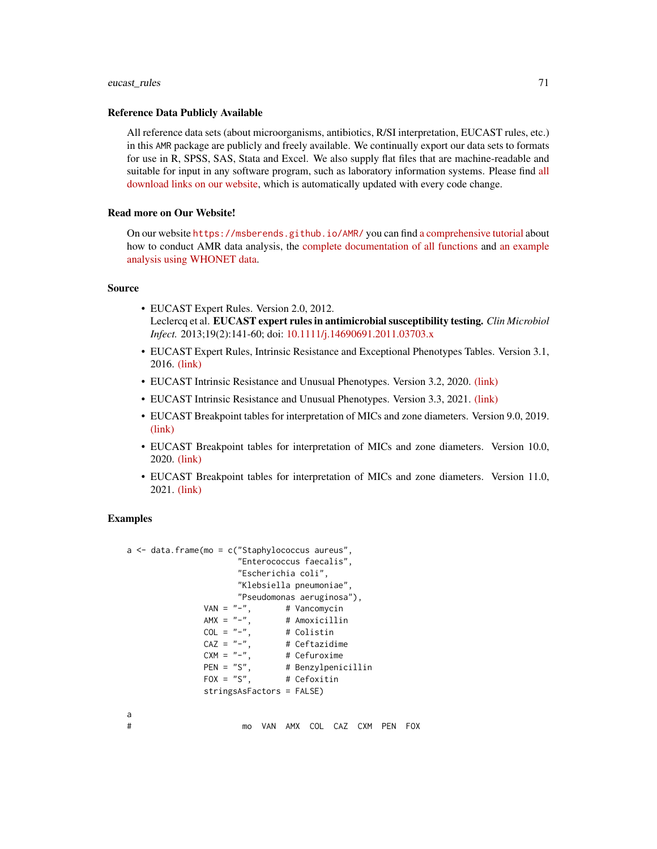## eucast\_rules 71

#### Reference Data Publicly Available

All reference data sets (about microorganisms, antibiotics, R/SI interpretation, EUCAST rules, etc.) in this AMR package are publicly and freely available. We continually export our data sets to formats for use in R, SPSS, SAS, Stata and Excel. We also supply flat files that are machine-readable and suitable for input in any software program, such as laboratory information systems. Please find [all](https://msberends.github.io/AMR/articles/datasets.html) [download links on our website,](https://msberends.github.io/AMR/articles/datasets.html) which is automatically updated with every code change.

## Read more on Our Website!

On our website <https://msberends.github.io/AMR/> you can find [a comprehensive tutorial](https://msberends.github.io/AMR/articles/AMR.html) about how to conduct AMR data analysis, the [complete documentation of all functions](https://msberends.github.io/AMR/reference/) and [an example](https://msberends.github.io/AMR/articles/WHONET.html) [analysis using WHONET data.](https://msberends.github.io/AMR/articles/WHONET.html)

#### Source

- EUCAST Expert Rules. Version 2.0, 2012. Leclercq et al. EUCAST expert rules in antimicrobial susceptibility testing. *Clin Microbiol Infect.* 2013;19(2):141-60; doi: [10.1111/j.14690691.2011.03703.x](https://doi.org/10.1111/j.1469-0691.2011.03703.x)
- EUCAST Expert Rules, Intrinsic Resistance and Exceptional Phenotypes Tables. Version 3.1, 2016. [\(link\)](https://www.eucast.org/fileadmin/src/media/PDFs/EUCAST_files/Expert_Rules/Expert_rules_intrinsic_exceptional_V3.1.pdf)
- EUCAST Intrinsic Resistance and Unusual Phenotypes. Version 3.2, 2020. [\(link\)](https://www.eucast.org/fileadmin/src/media/PDFs/EUCAST_files/Expert_Rules/2020/Intrinsic_Resistance_and_Unusual_Phenotypes_Tables_v3.2_20200225.pdf)
- EUCAST Intrinsic Resistance and Unusual Phenotypes. Version 3.3, 2021. [\(link\)](https://www.eucast.org/fileadmin/src/media/PDFs/EUCAST_files/Expert_Rules/2021/Intrinsic_Resistance_and_Unusual_Phenotypes_Tables_v3.3_20211018.pdf)
- EUCAST Breakpoint tables for interpretation of MICs and zone diameters. Version 9.0, 2019. [\(link\)](https://www.eucast.org/fileadmin/src/media/PDFs/EUCAST_files/Breakpoint_tables/v_9.0_Breakpoint_Tables.xlsx)
- EUCAST Breakpoint tables for interpretation of MICs and zone diameters. Version 10.0, 2020. [\(link\)](https://www.eucast.org/fileadmin/src/media/PDFs/EUCAST_files/Breakpoint_tables/v_10.0_Breakpoint_Tables.xlsx)
- EUCAST Breakpoint tables for interpretation of MICs and zone diameters. Version 11.0, 2021. [\(link\)](https://www.eucast.org/fileadmin/src/media/PDFs/EUCAST_files/Breakpoint_tables/v_11.0_Breakpoint_Tables.xlsx)

## Examples

```
a <- data.frame(mo = c("Staphylococcus aureus",
                          "Enterococcus faecalis",
                          "Escherichia coli",
                          "Klebsiella pneumoniae",
                          "Pseudomonas aeruginosa"),
                  VAN = "-", # Vancomycin<br>AMX = "-", # Amoxicilling
                  AMX = "-", # Amoxicillin<br>COL = "-", # Colistin
                                   # Colistin
                  CAZ = "-", # Ceftazidime<br>CXM = "-", # Cefuroxime
                                    # Cefuroxime
                  PEN = "S", # Benzylpenicillin<br>FOX = "S", # Cefoxitin
                                     # Cefoxitin
                  stringsAsFactors = FALSE)
a
# mo VAN AMX COL CAZ CXM PEN FOX
```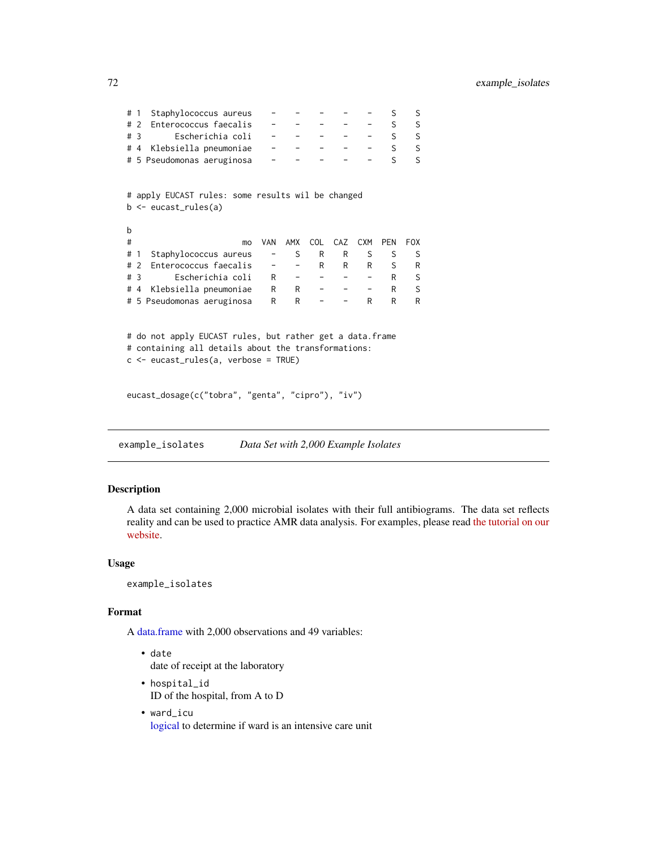| #                                                                                                                                                          | Staphylococcus aureus<br>$\overline{1}$                                   |                          |                          |      |     |                          | S          | S          |  |
|------------------------------------------------------------------------------------------------------------------------------------------------------------|---------------------------------------------------------------------------|--------------------------|--------------------------|------|-----|--------------------------|------------|------------|--|
|                                                                                                                                                            | Enterococcus faecalis<br># 2                                              |                          |                          |      |     |                          | S          | S          |  |
|                                                                                                                                                            | Escherichia coli<br># 3                                                   |                          |                          |      |     |                          | S          | S          |  |
|                                                                                                                                                            | Klebsiella pneumoniae<br>#4                                               |                          |                          |      |     |                          | S          | S          |  |
|                                                                                                                                                            | # 5 Pseudomonas aeruginosa                                                |                          |                          |      |     |                          | S          | S          |  |
|                                                                                                                                                            | # apply EUCAST rules: some results wil be changed<br>b <- eucast_rules(a) |                          |                          |      |     |                          |            |            |  |
| b                                                                                                                                                          |                                                                           |                          |                          |      |     |                          |            |            |  |
| #                                                                                                                                                          | mo                                                                        | <b>VAN</b>               | AMX                      | COL. | CAZ | <b>CXM</b>               | <b>PEN</b> | <b>FOX</b> |  |
| # 1                                                                                                                                                        | Staphylococcus aureus                                                     | $\overline{\phantom{a}}$ | S                        | R    | R   | S                        | S          | S          |  |
|                                                                                                                                                            | Enterococcus faecalis<br># 2                                              |                          | $\overline{\phantom{a}}$ | R    | R   | R                        | S          | R          |  |
| # $\overline{3}$                                                                                                                                           | Escherichia coli                                                          | R                        | $-$                      | $ -$ |     |                          | R          | S          |  |
|                                                                                                                                                            | Klebsiella pneumoniae<br>#4                                               | R                        | R                        |      |     | $\overline{\phantom{0}}$ | R          | S          |  |
|                                                                                                                                                            | # 5 Pseudomonas aeruginosa                                                | R                        | R                        |      |     | R                        | R          | R          |  |
| # do not apply EUCAST rules, but rather get a data.frame<br># containing all details about the transformations:<br>$c \le$ eucast_rules(a, verbose = TRUE) |                                                                           |                          |                          |      |     |                          |            |            |  |
|                                                                                                                                                            | eucast_dosage(c("tobra", "genta", "cipro"), "iv")                         |                          |                          |      |     |                          |            |            |  |

example\_isolates *Data Set with 2,000 Example Isolates*

# Description

A data set containing 2,000 microbial isolates with their full antibiograms. The data set reflects reality and can be used to practice AMR data analysis. For examples, please read [the tutorial on our](https://msberends.github.io/AMR/articles/AMR.html) [website.](https://msberends.github.io/AMR/articles/AMR.html)

# Usage

example\_isolates

## Format

A [data.frame](#page-0-0) with 2,000 observations and 49 variables:

- date date of receipt at the laboratory
- hospital\_id ID of the hospital, from A to D
- ward\_icu [logical](#page-0-0) to determine if ward is an intensive care unit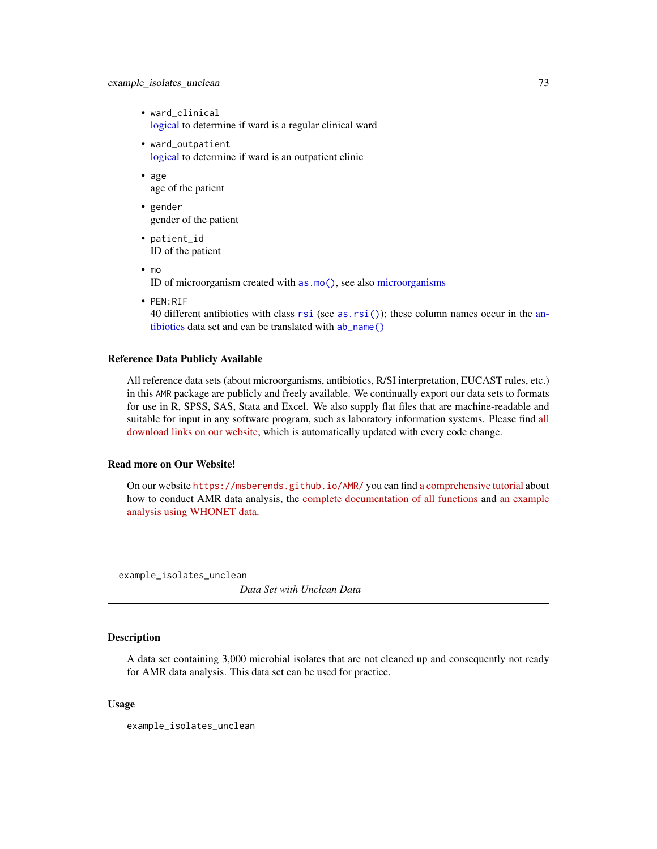# example\_isolates\_unclean 73

- ward\_clinical [logical](#page-0-0) to determine if ward is a regular clinical ward
- ward\_outpatient [logical](#page-0-0) to determine if ward is an outpatient clinic
- age age of the patient
- gender gender of the patient
- patient\_id ID of the patient
- mo ID of microorganism created with [as.mo\(\)](#page-33-0), see also [microorganisms](#page-113-0)
- PEN:RIF

40 different antibiotics with class [rsi](#page-39-0) (see [as.rsi\(\)](#page-39-1)); these column names occur in the [an](#page-14-0)[tibiotics](#page-14-0) data set and can be translated with [ab\\_name\(\)](#page-5-0)

## Reference Data Publicly Available

All reference data sets (about microorganisms, antibiotics, R/SI interpretation, EUCAST rules, etc.) in this AMR package are publicly and freely available. We continually export our data sets to formats for use in R, SPSS, SAS, Stata and Excel. We also supply flat files that are machine-readable and suitable for input in any software program, such as laboratory information systems. Please find [all](https://msberends.github.io/AMR/articles/datasets.html) [download links on our website,](https://msberends.github.io/AMR/articles/datasets.html) which is automatically updated with every code change.

#### Read more on Our Website!

On our website <https://msberends.github.io/AMR/> you can find [a comprehensive tutorial](https://msberends.github.io/AMR/articles/AMR.html) about how to conduct AMR data analysis, the [complete documentation of all functions](https://msberends.github.io/AMR/reference/) and [an example](https://msberends.github.io/AMR/articles/WHONET.html) [analysis using WHONET data.](https://msberends.github.io/AMR/articles/WHONET.html)

example\_isolates\_unclean

*Data Set with Unclean Data*

# **Description**

A data set containing 3,000 microbial isolates that are not cleaned up and consequently not ready for AMR data analysis. This data set can be used for practice.

#### Usage

example\_isolates\_unclean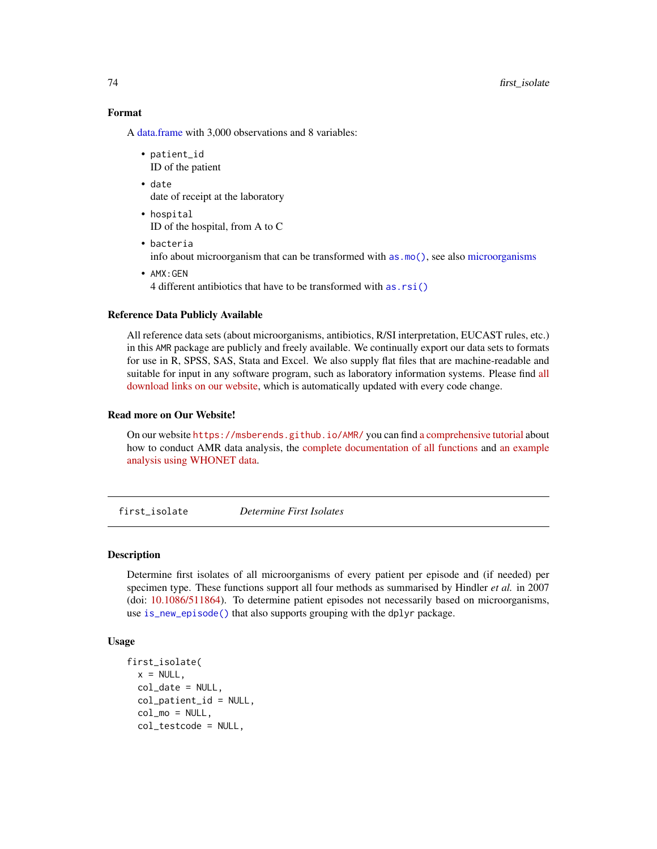74 first\_isolate

# Format

A [data.frame](#page-0-0) with 3,000 observations and 8 variables:

- patient\_id ID of the patient
- date date of receipt at the laboratory
- hospital ID of the hospital, from A to C
- bacteria info about microorganism that can be transformed with [as.mo\(\)](#page-33-0), see also [microorganisms](#page-113-0)
- AMX:GEN 4 different antibiotics that have to be transformed with [as.rsi\(\)](#page-39-1)

#### Reference Data Publicly Available

All reference data sets (about microorganisms, antibiotics, R/SI interpretation, EUCAST rules, etc.) in this AMR package are publicly and freely available. We continually export our data sets to formats for use in R, SPSS, SAS, Stata and Excel. We also supply flat files that are machine-readable and suitable for input in any software program, such as laboratory information systems. Please find [all](https://msberends.github.io/AMR/articles/datasets.html) [download links on our website,](https://msberends.github.io/AMR/articles/datasets.html) which is automatically updated with every code change.

# Read more on Our Website!

On our website <https://msberends.github.io/AMR/> you can find [a comprehensive tutorial](https://msberends.github.io/AMR/articles/AMR.html) about how to conduct AMR data analysis, the [complete documentation of all functions](https://msberends.github.io/AMR/reference/) and [an example](https://msberends.github.io/AMR/articles/WHONET.html) [analysis using WHONET data.](https://msberends.github.io/AMR/articles/WHONET.html)

<span id="page-73-0"></span>first\_isolate *Determine First Isolates*

#### <span id="page-73-1"></span>Description

Determine first isolates of all microorganisms of every patient per episode and (if needed) per specimen type. These functions support all four methods as summarised by Hindler *et al.* in 2007 (doi: [10.1086/511864\)](https://doi.org/10.1086/511864). To determine patient episodes not necessarily based on microorganisms, use [is\\_new\\_episode\(\)](#page-82-0) that also supports grouping with the dplyr package.

## Usage

```
first_isolate(
  x = NULL,
  col\_date = NULL,col_patient_id = NULL,
  col_mo = NULL,
  col_testcode = NULL,
```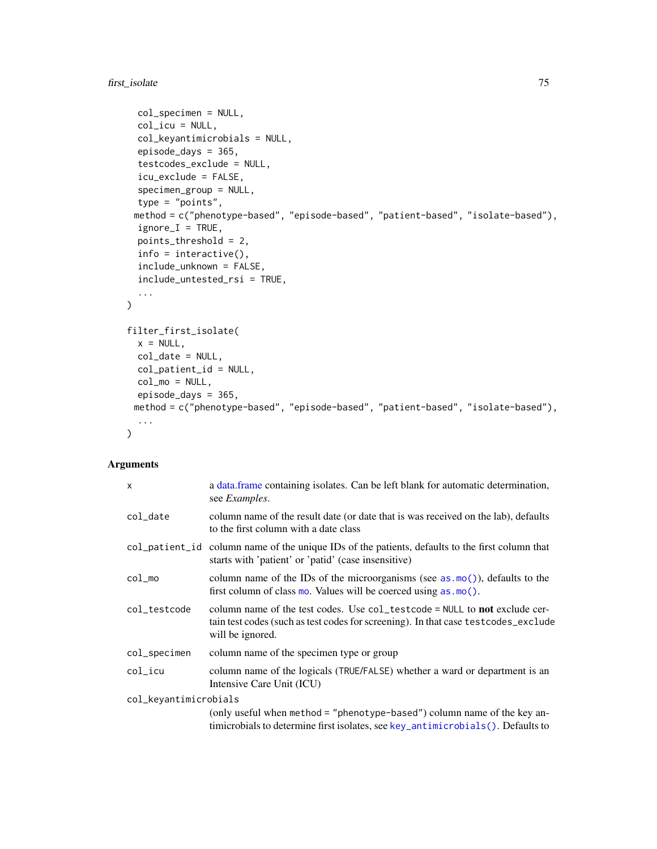first\_isolate 75

```
col_specimen = NULL,
  col\_icu = NULL,col_keyantimicrobials = NULL,
  episode_days = 365,
  testcodes_exclude = NULL,
  icu_exclude = FALSE,
  specimen_group = NULL,
  type = "points",
 method = c("phenotype-based", "episode-based", "patient-based", "isolate-based"),
  ignore_I = TRUE,points_threshold = 2,
  info = interactive(),
  include_unknown = FALSE,
  include_untested_rsi = TRUE,
  ...
\mathcal{L}filter_first_isolate(
 x = NULL,col_date = NULL,
 col_patient_id = NULL,
 col_mo = NULL,
 episode_days = 365,
 method = c("phenotype-based", "episode-based", "patient-based", "isolate-based"),
  ...
\sum
```
## Arguments

| $\boldsymbol{\mathsf{x}}$ | a data frame containing isolates. Can be left blank for automatic determination,<br>see <i>Examples</i> .                                                                             |
|---------------------------|---------------------------------------------------------------------------------------------------------------------------------------------------------------------------------------|
| col_date                  | column name of the result date (or date that is was received on the lab), defaults<br>to the first column with a date class                                                           |
|                           | col_patient_id column name of the unique IDs of the patients, defaults to the first column that<br>starts with 'patient' or 'patid' (case insensitive)                                |
| $col$ _mo                 | column name of the IDs of the microorganisms (see as $\text{mo}(\cdot)$ ), defaults to the<br>first column of class $mo$ . Values will be coerced using $as.mo()$ .                   |
| col_testcode              | column name of the test codes. Use col_testcode = NULL to not exclude cer-<br>tain test codes (such as test codes for screening). In that case test codes_exclude<br>will be ignored. |
| col_specimen              | column name of the specimen type or group                                                                                                                                             |
| col_icu                   | column name of the logicals (TRUE/FALSE) whether a ward or department is an<br>Intensive Care Unit (ICU)                                                                              |
| col_keyantimicrobials     |                                                                                                                                                                                       |
|                           | (only useful when method = "phenotype-based") column name of the key an-<br>timicrobials to determine first isolates, see key_antimicrobials(). Defaults to                           |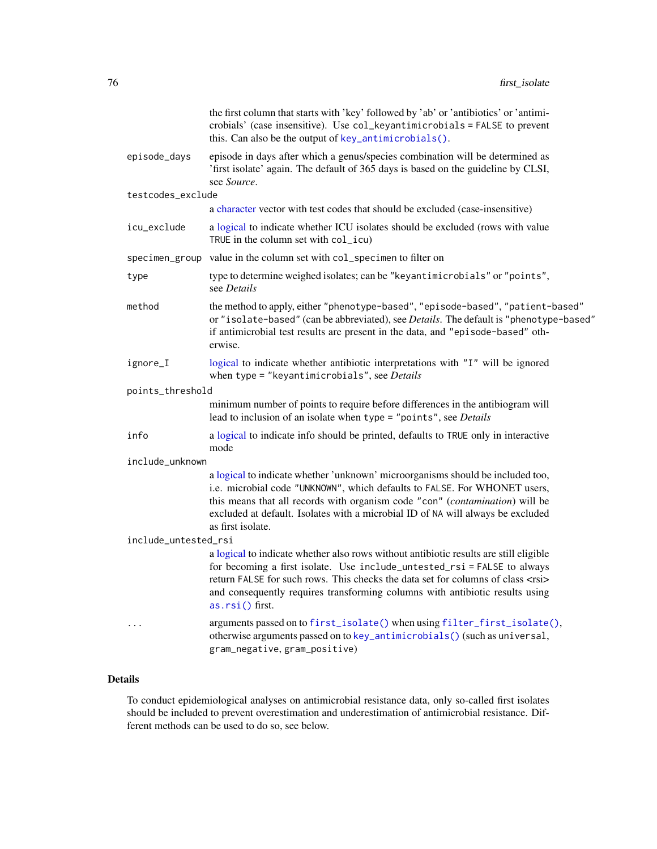|                      | the first column that starts with 'key' followed by 'ab' or 'antibiotics' or 'antimi-<br>crobials' (case insensitive). Use col_keyantimicrobials = FALSE to prevent<br>this. Can also be the output of key_antimicrobials().                                                                                                                                    |
|----------------------|-----------------------------------------------------------------------------------------------------------------------------------------------------------------------------------------------------------------------------------------------------------------------------------------------------------------------------------------------------------------|
| episode_days         | episode in days after which a genus/species combination will be determined as<br>'first isolate' again. The default of 365 days is based on the guideline by CLSI,<br>see Source.                                                                                                                                                                               |
| testcodes_exclude    |                                                                                                                                                                                                                                                                                                                                                                 |
|                      | a character vector with test codes that should be excluded (case-insensitive)                                                                                                                                                                                                                                                                                   |
| icu_exclude          | a logical to indicate whether ICU isolates should be excluded (rows with value<br>TRUE in the column set with $col\_icu$ )                                                                                                                                                                                                                                      |
|                      | specimen_group value in the column set with col_specimen to filter on                                                                                                                                                                                                                                                                                           |
| type                 | type to determine weighed isolates; can be "keyantimicrobials" or "points",<br>see Details                                                                                                                                                                                                                                                                      |
| method               | the method to apply, either "phenotype-based", "episode-based", "patient-based"<br>or "isolate-based" (can be abbreviated), see Details. The default is "phenotype-based"<br>if antimicrobial test results are present in the data, and "episode-based" oth-<br>erwise.                                                                                         |
| ignore_I             | logical to indicate whether antibiotic interpretations with "I" will be ignored<br>when type = "keyantimicrobials", see Details                                                                                                                                                                                                                                 |
| points_threshold     |                                                                                                                                                                                                                                                                                                                                                                 |
|                      | minimum number of points to require before differences in the antibiogram will<br>lead to inclusion of an isolate when type = "points", see Details                                                                                                                                                                                                             |
| info                 | a logical to indicate info should be printed, defaults to TRUE only in interactive<br>mode                                                                                                                                                                                                                                                                      |
| include_unknown      |                                                                                                                                                                                                                                                                                                                                                                 |
|                      | a logical to indicate whether 'unknown' microorganisms should be included too,<br>i.e. microbial code "UNKNOWN", which defaults to FALSE. For WHONET users,<br>this means that all records with organism code "con" (contamination) will be<br>excluded at default. Isolates with a microbial ID of NA will always be excluded<br>as first isolate.             |
| include_untested_rsi |                                                                                                                                                                                                                                                                                                                                                                 |
|                      | a logical to indicate whether also rows without antibiotic results are still eligible<br>for becoming a first isolate. Use include_untested_rsi = FALSE to always<br>return FALSE for such rows. This checks the data set for columns of class <rsi><br/>and consequently requires transforming columns with antibiotic results using<br/>as.rsi() first.</rsi> |
| $\cdots$             | arguments passed on to first_isolate() when using filter_first_isolate(),<br>otherwise arguments passed on to key_antimicrobials() (such as universal,<br>gram_negative, gram_positive)                                                                                                                                                                         |

# Details

To conduct epidemiological analyses on antimicrobial resistance data, only so-called first isolates should be included to prevent overestimation and underestimation of antimicrobial resistance. Different methods can be used to do so, see below.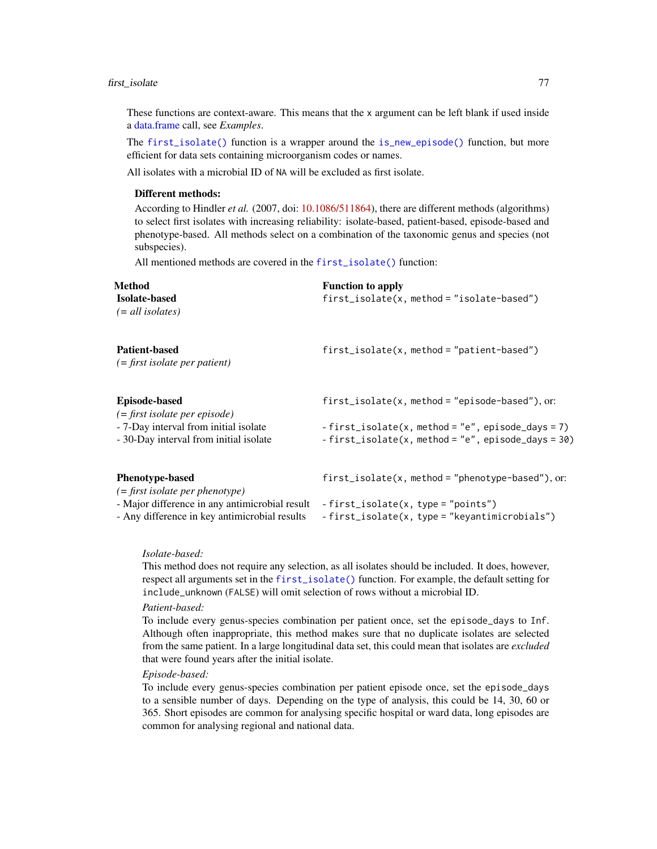## first\_isolate 77

These functions are context-aware. This means that the x argument can be left blank if used inside a [data.frame](#page-0-0) call, see *Examples*.

The [first\\_isolate\(\)](#page-73-0) function is a wrapper around the [is\\_new\\_episode\(\)](#page-82-0) function, but more efficient for data sets containing microorganism codes or names.

All isolates with a microbial ID of NA will be excluded as first isolate.

# Different methods:

According to Hindler *et al.* (2007, doi: [10.1086/511864\)](https://doi.org/10.1086/511864), there are different methods (algorithms) to select first isolates with increasing reliability: isolate-based, patient-based, episode-based and phenotype-based. All methods select on a combination of the taxonomic genus and species (not subspecies).

All mentioned methods are covered in the [first\\_isolate\(\)](#page-73-0) function:

| Method                                                                                          | <b>Function to apply</b>                                                                                    |
|-------------------------------------------------------------------------------------------------|-------------------------------------------------------------------------------------------------------------|
| <b>Isolate-based</b><br>$(= all \, isolates)$                                                   | $first\_isolate(x, method = "isolate-based")$                                                               |
| <b>Patient-based</b><br>$( = first isolate per patient)$                                        | $first\_isolate(x, method = "patient-based")$                                                               |
| <b>Episode-based</b><br>$( = first \ isolate \ per \ episode)$                                  | $first\_isolate(x, method = "episode-based"), or:$                                                          |
| - 7-Day interval from initial isolate<br>- 30-Day interval from initial isolate                 | $-$ first_isolate(x, method = "e", episode_days = 7)<br>- first_isolate(x, method = "e", episode_days = 30) |
| <b>Phenotype-based</b><br>$( = first \ isolate \ per \ phenotype)$                              | $first\_isolate(x, method = "phenotype-based"), or:$                                                        |
| - Major difference in any antimicrobial result<br>- Any difference in key antimicrobial results | -first_isolate(x, type = "points")<br>-first_isolate(x, type = "keyantimicrobials")                         |

## *Isolate-based:*

This method does not require any selection, as all isolates should be included. It does, however, respect all arguments set in the [first\\_isolate\(\)](#page-73-0) function. For example, the default setting for include\_unknown (FALSE) will omit selection of rows without a microbial ID.

#### *Patient-based:*

To include every genus-species combination per patient once, set the episode\_days to Inf. Although often inappropriate, this method makes sure that no duplicate isolates are selected from the same patient. In a large longitudinal data set, this could mean that isolates are *excluded* that were found years after the initial isolate.

#### *Episode-based:*

To include every genus-species combination per patient episode once, set the episode\_days to a sensible number of days. Depending on the type of analysis, this could be 14, 30, 60 or 365. Short episodes are common for analysing specific hospital or ward data, long episodes are common for analysing regional and national data.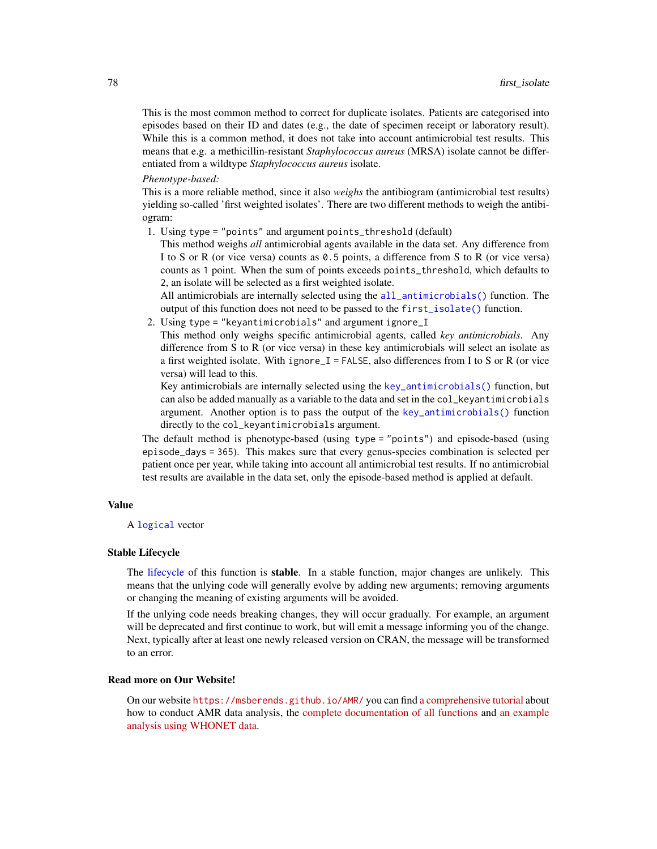This is the most common method to correct for duplicate isolates. Patients are categorised into episodes based on their ID and dates (e.g., the date of specimen receipt or laboratory result). While this is a common method, it does not take into account antimicrobial test results. This means that e.g. a methicillin-resistant *Staphylococcus aureus* (MRSA) isolate cannot be differentiated from a wildtype *Staphylococcus aureus* isolate.

#### *Phenotype-based:*

This is a more reliable method, since it also *weighs* the antibiogram (antimicrobial test results) yielding so-called 'first weighted isolates'. There are two different methods to weigh the antibiogram:

1. Using type = "points" and argument points\_threshold (default)

This method weighs *all* antimicrobial agents available in the data set. Any difference from I to S or R (or vice versa) counts as 0.5 points, a difference from S to R (or vice versa) counts as 1 point. When the sum of points exceeds points\_threshold, which defaults to 2, an isolate will be selected as a first weighted isolate.

All antimicrobials are internally selected using the [all\\_antimicrobials\(\)](#page-99-1) function. The output of this function does not need to be passed to the [first\\_isolate\(\)](#page-73-0) function.

2. Using type = "keyantimicrobials" and argument ignore\_I

This method only weighs specific antimicrobial agents, called *key antimicrobials*. Any difference from S to R (or vice versa) in these key antimicrobials will select an isolate as a first weighted isolate. With ignore\_I = FALSE, also differences from I to S or R (or vice versa) will lead to this.

Key antimicrobials are internally selected using the [key\\_antimicrobials\(\)](#page-99-0) function, but can also be added manually as a variable to the data and set in the col\_keyantimicrobials argument. Another option is to pass the output of the [key\\_antimicrobials\(\)](#page-99-0) function directly to the col\_keyantimicrobials argument.

The default method is phenotype-based (using type = "points") and episode-based (using episode\_days = 365). This makes sure that every genus-species combination is selected per patient once per year, while taking into account all antimicrobial test results. If no antimicrobial test results are available in the data set, only the episode-based method is applied at default.

#### Value

A [logical](#page-0-0) vector

## Stable Lifecycle

The [lifecycle](#page-103-0) of this function is stable. In a stable function, major changes are unlikely. This means that the unlying code will generally evolve by adding new arguments; removing arguments or changing the meaning of existing arguments will be avoided.

If the unlying code needs breaking changes, they will occur gradually. For example, an argument will be deprecated and first continue to work, but will emit a message informing you of the change. Next, typically after at least one newly released version on CRAN, the message will be transformed to an error.

# Read more on Our Website!

On our website <https://msberends.github.io/AMR/> you can find [a comprehensive tutorial](https://msberends.github.io/AMR/articles/AMR.html) about how to conduct AMR data analysis, the [complete documentation of all functions](https://msberends.github.io/AMR/reference/) and [an example](https://msberends.github.io/AMR/articles/WHONET.html) [analysis using WHONET data.](https://msberends.github.io/AMR/articles/WHONET.html)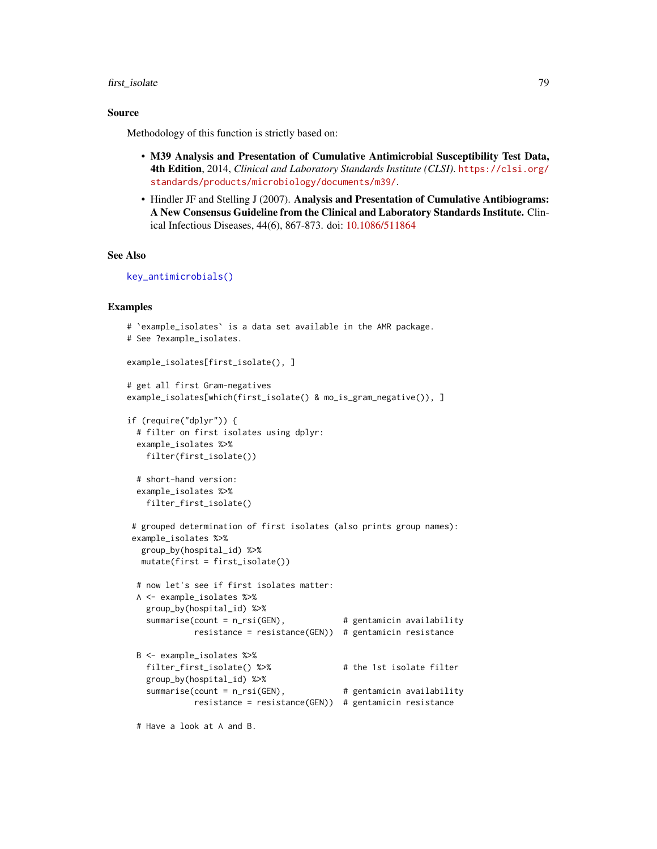## first\_isolate 79

## Source

Methodology of this function is strictly based on:

- M39 Analysis and Presentation of Cumulative Antimicrobial Susceptibility Test Data, 4th Edition, 2014, *Clinical and Laboratory Standards Institute (CLSI)*. [https://clsi.org/](https://clsi.org/standards/products/microbiology/documents/m39/) [standards/products/microbiology/documents/m39/](https://clsi.org/standards/products/microbiology/documents/m39/).
- Hindler JF and Stelling J (2007). Analysis and Presentation of Cumulative Antibiograms: A New Consensus Guideline from the Clinical and Laboratory Standards Institute. Clinical Infectious Diseases, 44(6), 867-873. doi: [10.1086/511864](https://doi.org/10.1086/511864)

# See Also

```
key_antimicrobials()
```
## Examples

```
# `example_isolates` is a data set available in the AMR package.
# See ?example_isolates.
example_isolates[first_isolate(), ]
# get all first Gram-negatives
example_isolates[which(first_isolate() & mo_is_gram_negative()), ]
if (require("dplyr")) {
 # filter on first isolates using dplyr:
 example_isolates %>%
   filter(first_isolate())
 # short-hand version:
 example_isolates %>%
   filter_first_isolate()
# grouped determination of first isolates (also prints group names):
example_isolates %>%
  group_by(hospital_id) %>%
  mutate(first = first_isolate())
 # now let's see if first isolates matter:
 A <- example_isolates %>%
   group_by(hospital_id) %>%
   summarise(count = n_rsi(GEN), # gentamicin availability
             resistance = resistance(GEN)) # gentamicin resistance
 B <- example_isolates %>%
   filter_first_isolate() %>% # the 1st isolate filter
   group_by(hospital_id) %>%
   summarise(count = n_rsi(GEN), \qquad # gentamicin availability
             resistance = resistance(GEN)) # gentamicin resistance
```
# Have a look at A and B.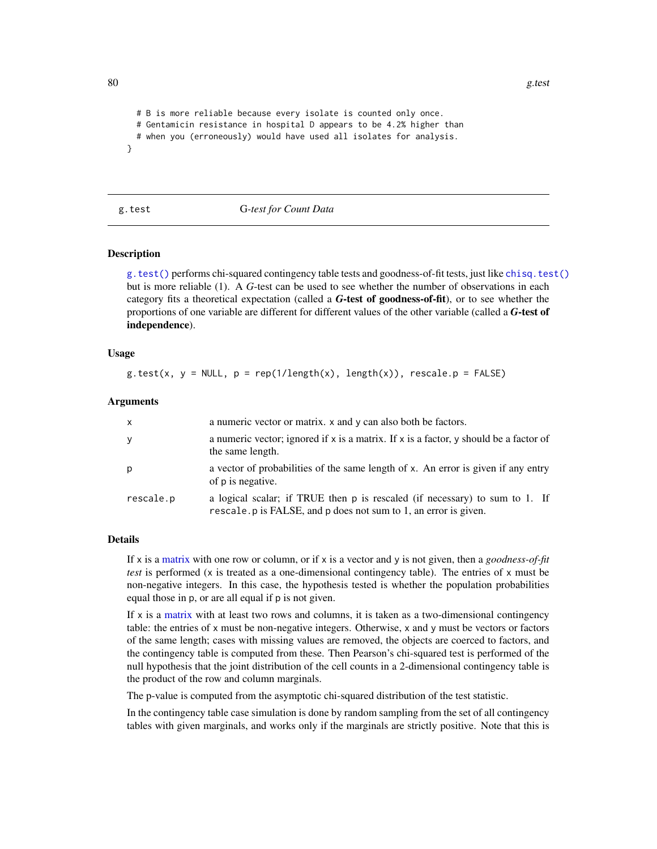```
# B is more reliable because every isolate is counted only once.
 # Gentamicin resistance in hospital D appears to be 4.2% higher than
 # when you (erroneously) would have used all isolates for analysis.
}
```
<span id="page-79-0"></span>

#### g.test G*-test for Count Data*

#### Description

[g.test\(\)](#page-79-0) performs chi-squared contingency table tests and goodness-of-fit tests, just like [chisq.test\(\)](#page-0-0) but is more reliable (1). A *G*-test can be used to see whether the number of observations in each category fits a theoretical expectation (called a *G*-test of goodness-of-fit), or to see whether the proportions of one variable are different for different values of the other variable (called a *G*-test of independence).

#### Usage

g.test(x,  $y = NULL$ ,  $p = rep(1/length(x), length(x))$ , rescale. $p = FALSE$ )

#### Arguments

| $\mathsf{x}$ | a numeric vector or matrix. x and y can also both be factors.                                                                                   |
|--------------|-------------------------------------------------------------------------------------------------------------------------------------------------|
| y            | a numeric vector; ignored if $x$ is a matrix. If $x$ is a factor, y should be a factor of<br>the same length.                                   |
| p            | a vector of probabilities of the same length of x. An error is given if any entry<br>of p is negative.                                          |
| rescale.p    | a logical scalar; if TRUE then p is rescaled (if necessary) to sum to 1. If<br>rescale. p is FALSE, and p does not sum to 1, an error is given. |

#### Details

If x is a [matrix](#page-0-0) with one row or column, or if x is a vector and y is not given, then a *goodness-of-fit test* is performed (x is treated as a one-dimensional contingency table). The entries of x must be non-negative integers. In this case, the hypothesis tested is whether the population probabilities equal those in p, or are all equal if p is not given.

If  $x$  is a [matrix](#page-0-0) with at least two rows and columns, it is taken as a two-dimensional contingency table: the entries of x must be non-negative integers. Otherwise, x and y must be vectors or factors of the same length; cases with missing values are removed, the objects are coerced to factors, and the contingency table is computed from these. Then Pearson's chi-squared test is performed of the null hypothesis that the joint distribution of the cell counts in a 2-dimensional contingency table is the product of the row and column marginals.

The p-value is computed from the asymptotic chi-squared distribution of the test statistic.

In the contingency table case simulation is done by random sampling from the set of all contingency tables with given marginals, and works only if the marginals are strictly positive. Note that this is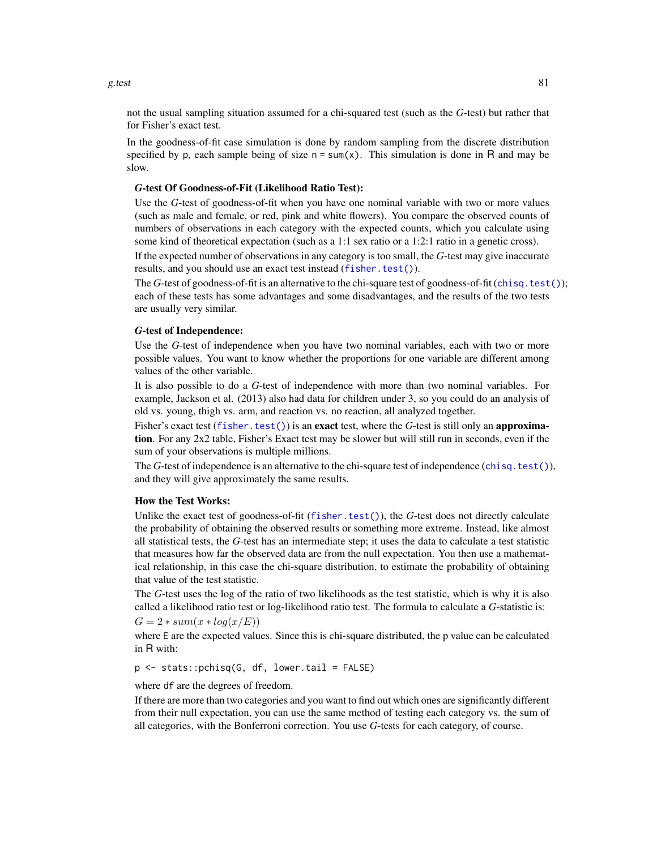not the usual sampling situation assumed for a chi-squared test (such as the *G*-test) but rather that for Fisher's exact test.

In the goodness-of-fit case simulation is done by random sampling from the discrete distribution specified by p, each sample being of size  $n = \text{sum}(x)$ . This simulation is done in R and may be slow.

#### *G*-test Of Goodness-of-Fit (Likelihood Ratio Test):

Use the *G*-test of goodness-of-fit when you have one nominal variable with two or more values (such as male and female, or red, pink and white flowers). You compare the observed counts of numbers of observations in each category with the expected counts, which you calculate using some kind of theoretical expectation (such as a 1:1 sex ratio or a 1:2:1 ratio in a genetic cross).

If the expected number of observations in any category is too small, the *G*-test may give inaccurate results, and you should use an exact test instead ([fisher.test\(\)](#page-0-0)).

The *G*-test of goodness-of-fit is an alternative to the chi-square test of goodness-of-fit ([chisq.test\(\)](#page-0-0)); each of these tests has some advantages and some disadvantages, and the results of the two tests are usually very similar.

## *G*-test of Independence:

Use the *G*-test of independence when you have two nominal variables, each with two or more possible values. You want to know whether the proportions for one variable are different among values of the other variable.

It is also possible to do a *G*-test of independence with more than two nominal variables. For example, Jackson et al. (2013) also had data for children under 3, so you could do an analysis of old vs. young, thigh vs. arm, and reaction vs. no reaction, all analyzed together.

Fisher's exact test ([fisher.test\(\)](#page-0-0)) is an exact test, where the *G*-test is still only an approximation. For any 2x2 table, Fisher's Exact test may be slower but will still run in seconds, even if the sum of your observations is multiple millions.

The *G*-test of independence is an alternative to the chi-square test of independence ([chisq.test\(\)](#page-0-0)), and they will give approximately the same results.

#### How the Test Works:

Unlike the exact test of goodness-of-fit ([fisher.test\(\)](#page-0-0)), the *G*-test does not directly calculate the probability of obtaining the observed results or something more extreme. Instead, like almost all statistical tests, the *G*-test has an intermediate step; it uses the data to calculate a test statistic that measures how far the observed data are from the null expectation. You then use a mathematical relationship, in this case the chi-square distribution, to estimate the probability of obtaining that value of the test statistic.

The *G*-test uses the log of the ratio of two likelihoods as the test statistic, which is why it is also called a likelihood ratio test or log-likelihood ratio test. The formula to calculate a *G*-statistic is:  $G = 2 * sum(x * log(x/E))$ 

where E are the expected values. Since this is chi-square distributed, the p value can be calculated in R with:

p <- stats::pchisq(G, df, lower.tail = FALSE)

where df are the degrees of freedom.

If there are more than two categories and you want to find out which ones are significantly different from their null expectation, you can use the same method of testing each category vs. the sum of all categories, with the Bonferroni correction. You use *G*-tests for each category, of course.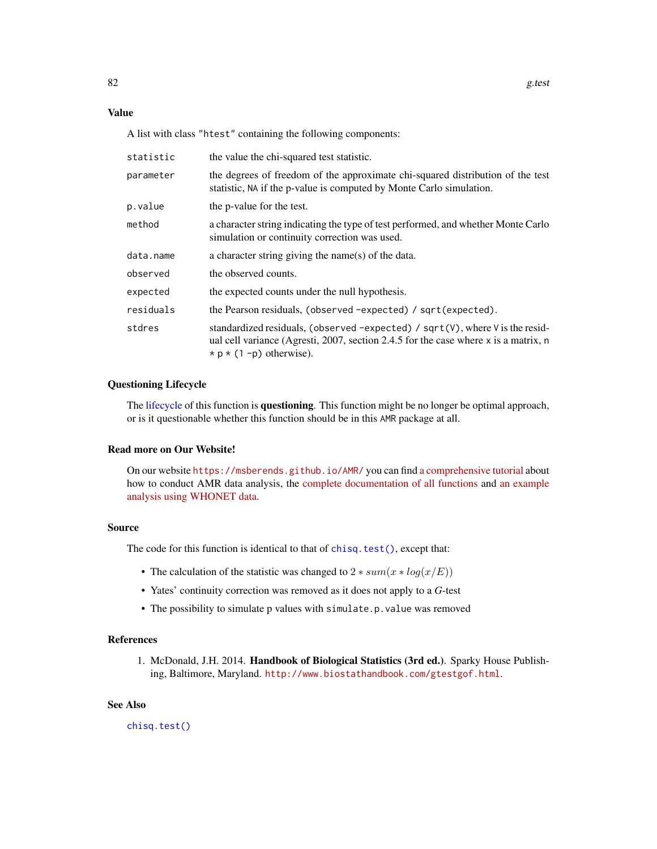# Value

A list with class "htest" containing the following components:

| statistic | the value the chi-squared test statistic.                                                                                                                                                                         |
|-----------|-------------------------------------------------------------------------------------------------------------------------------------------------------------------------------------------------------------------|
| parameter | the degrees of freedom of the approximate chi-squared distribution of the test<br>statistic, NA if the p-value is computed by Monte Carlo simulation.                                                             |
| p.value   | the p-value for the test.                                                                                                                                                                                         |
| method    | a character string indicating the type of test performed, and whether Monte Carlo<br>simulation or continuity correction was used.                                                                                |
| data.name | a character string giving the name(s) of the data.                                                                                                                                                                |
| observed  | the observed counts.                                                                                                                                                                                              |
| expected  | the expected counts under the null hypothesis.                                                                                                                                                                    |
| residuals | the Pearson residuals, (observed -expected) / sqrt(expected).                                                                                                                                                     |
| stdres    | standardized residuals, (observed -expected) / $sqrt(V)$ , where V is the resid-<br>ual cell variance (Agresti, 2007, section 2.4.5 for the case where $x$ is a matrix, n<br>$\star$ p $\star$ (1 -p) otherwise). |

#### Questioning Lifecycle

The [lifecycle](#page-103-0) of this function is questioning. This function might be no longer be optimal approach, or is it questionable whether this function should be in this AMR package at all.

#### Read more on Our Website!

On our website <https://msberends.github.io/AMR/> you can find [a comprehensive tutorial](https://msberends.github.io/AMR/articles/AMR.html) about how to conduct AMR data analysis, the [complete documentation of all functions](https://msberends.github.io/AMR/reference/) and [an example](https://msberends.github.io/AMR/articles/WHONET.html) [analysis using WHONET data.](https://msberends.github.io/AMR/articles/WHONET.html)

#### Source

The code for this function is identical to that of [chisq.test\(\)](#page-0-0), except that:

- The calculation of the statistic was changed to  $2 * sum(x * log(x/E))$
- Yates' continuity correction was removed as it does not apply to a *G*-test
- The possibility to simulate p values with simulate.p.value was removed

#### References

1. McDonald, J.H. 2014. Handbook of Biological Statistics (3rd ed.). Sparky House Publishing, Baltimore, Maryland. <http://www.biostathandbook.com/gtestgof.html>.

#### See Also

[chisq.test\(\)](#page-0-0)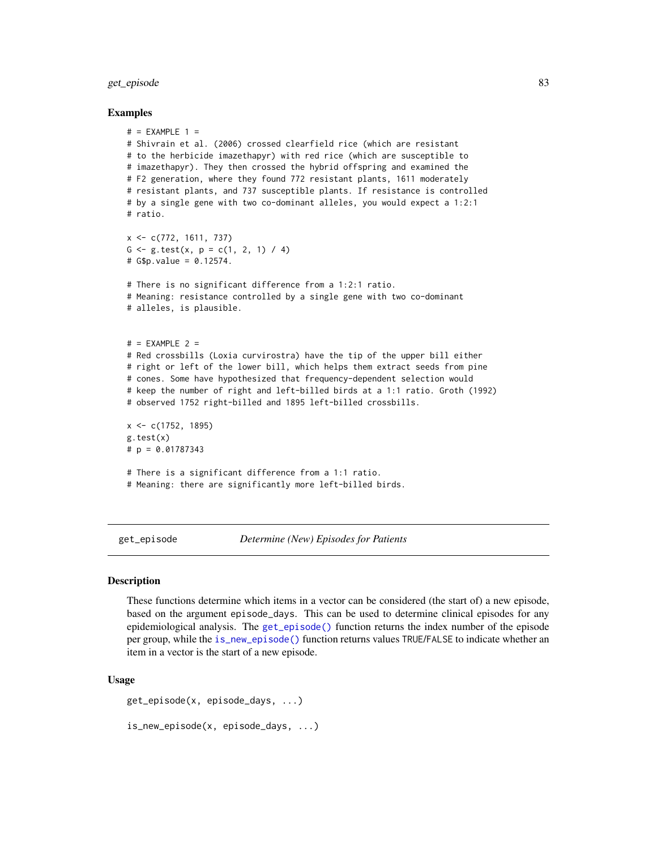# get\_episode 83

#### Examples

```
# = EXAMPLE 1 =
# Shivrain et al. (2006) crossed clearfield rice (which are resistant
# to the herbicide imazethapyr) with red rice (which are susceptible to
# imazethapyr). They then crossed the hybrid offspring and examined the
# F2 generation, where they found 772 resistant plants, 1611 moderately
# resistant plants, and 737 susceptible plants. If resistance is controlled
# by a single gene with two co-dominant alleles, you would expect a 1:2:1
# ratio.
x <- c(772, 1611, 737)
G \leftarrow g.test(x, p = c(1, 2, 1) / 4)# G$p.value = 0.12574.
# There is no significant difference from a 1:2:1 ratio.
# Meaning: resistance controlled by a single gene with two co-dominant
# alleles, is plausible.
# = EXAMPLE 2 =
# Red crossbills (Loxia curvirostra) have the tip of the upper bill either
# right or left of the lower bill, which helps them extract seeds from pine
# cones. Some have hypothesized that frequency-dependent selection would
# keep the number of right and left-billed birds at a 1:1 ratio. Groth (1992)
# observed 1752 right-billed and 1895 left-billed crossbills.
x <- c(1752, 1895)
g.test(x)
# p = 0.01787343
# There is a significant difference from a 1:1 ratio.
# Meaning: there are significantly more left-billed birds.
```
<span id="page-82-1"></span>get\_episode *Determine (New) Episodes for Patients*

#### <span id="page-82-0"></span>**Description**

These functions determine which items in a vector can be considered (the start of) a new episode, based on the argument episode\_days. This can be used to determine clinical episodes for any epidemiological analysis. The [get\\_episode\(\)](#page-82-1) function returns the index number of the episode per group, while the [is\\_new\\_episode\(\)](#page-82-0) function returns values TRUE/FALSE to indicate whether an item in a vector is the start of a new episode.

#### Usage

```
get_episode(x, episode_days, ...)
```

```
is_new_episode(x, episode_days, ...)
```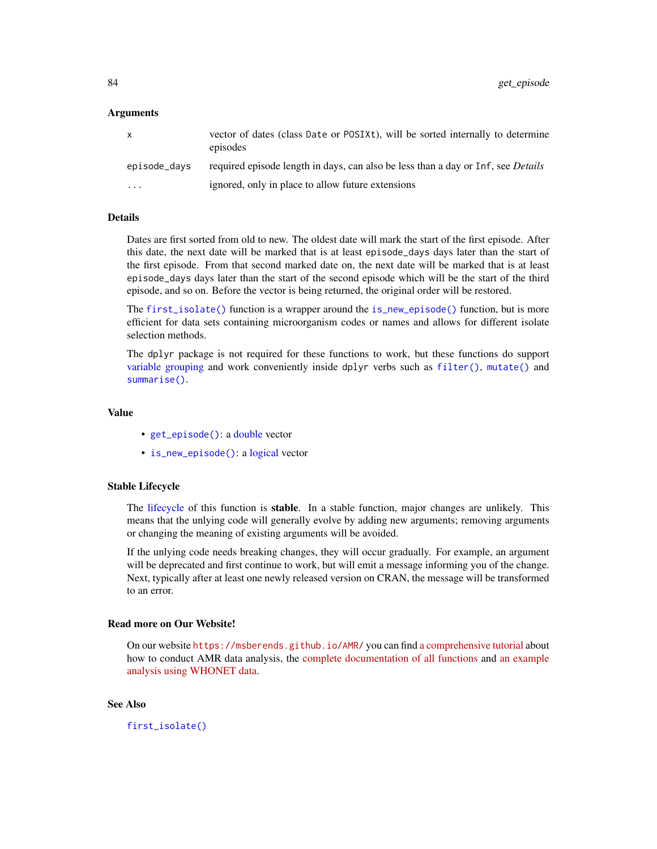## Arguments

| X            | vector of dates (class Date or POSIXt), will be sorted internally to determine<br>episodes |
|--------------|--------------------------------------------------------------------------------------------|
| episode_days | required episode length in days, can also be less than a day or Inf, see <i>Details</i>    |
| $\cdots$     | ignored, only in place to allow future extensions                                          |

## Details

Dates are first sorted from old to new. The oldest date will mark the start of the first episode. After this date, the next date will be marked that is at least episode\_days days later than the start of the first episode. From that second marked date on, the next date will be marked that is at least episode\_days days later than the start of the second episode which will be the start of the third episode, and so on. Before the vector is being returned, the original order will be restored.

The [first\\_isolate\(\)](#page-73-0) function is a wrapper around the [is\\_new\\_episode\(\)](#page-82-0) function, but is more efficient for data sets containing microorganism codes or names and allows for different isolate selection methods.

The dplyr package is not required for these functions to work, but these functions do support [variable grouping](#page-0-0) and work conveniently inside dplyr verbs such as [filter\(\)](#page-0-0), [mutate\(\)](#page-0-0) and [summarise\(\)](#page-0-0).

# Value

- [get\\_episode\(\)](#page-82-1): a [double](#page-0-0) vector
- [is\\_new\\_episode\(\)](#page-82-0): a [logical](#page-0-0) vector

#### Stable Lifecycle

The [lifecycle](#page-103-0) of this function is stable. In a stable function, major changes are unlikely. This means that the unlying code will generally evolve by adding new arguments; removing arguments or changing the meaning of existing arguments will be avoided.

If the unlying code needs breaking changes, they will occur gradually. For example, an argument will be deprecated and first continue to work, but will emit a message informing you of the change. Next, typically after at least one newly released version on CRAN, the message will be transformed to an error.

#### Read more on Our Website!

On our website <https://msberends.github.io/AMR/> you can find [a comprehensive tutorial](https://msberends.github.io/AMR/articles/AMR.html) about how to conduct AMR data analysis, the [complete documentation of all functions](https://msberends.github.io/AMR/reference/) and [an example](https://msberends.github.io/AMR/articles/WHONET.html) [analysis using WHONET data.](https://msberends.github.io/AMR/articles/WHONET.html)

# See Also

[first\\_isolate\(\)](#page-73-0)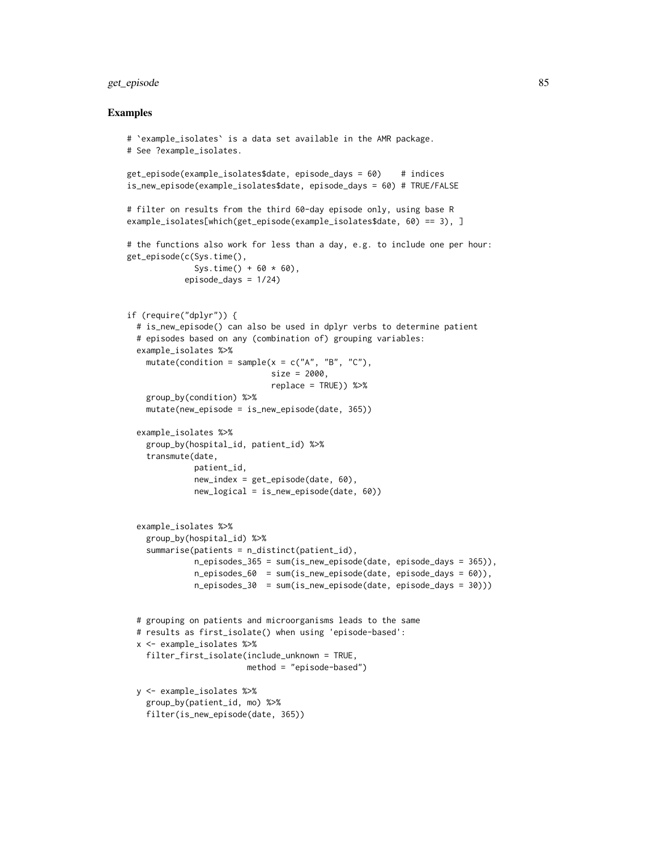# get\_episode 85

#### Examples

```
# `example_isolates` is a data set available in the AMR package.
# See ?example_isolates.
get_episode(example_isolates$date, episode_days = 60) # indices
is_new_episode(example_isolates$date, episode_days = 60) # TRUE/FALSE
# filter on results from the third 60-day episode only, using base R
example_isolates[which(get_episode(example_isolates$date, 60) == 3), ]
# the functions also work for less than a day, e.g. to include one per hour:
get_episode(c(Sys.time(),
             Sys.time() + 60 * 60,
           episode_days = 1/24)
if (require("dplyr")) {
 # is_new_episode() can also be used in dplyr verbs to determine patient
 # episodes based on any (combination of) grouping variables:
 example_isolates %>%
    mutate(condition = sample(x = c("A", "B", "C"),size = 2000.
                             replace = TRUE)) %>%
    group_by(condition) %>%
    mutate(new_episode = is_new_episode(date, 365))
 example_isolates %>%
   group_by(hospital_id, patient_id) %>%
   transmute(date,
             patient_id,
             new_index = get_episode(date, 60),
             new_logical = is_new_episode(date, 60))
 example_isolates %>%
    group_by(hospital_id) %>%
    summarise(patients = n_distinct(patient_id),
             n_episodes_365 = sum(is_new_episode(date, episode_days = 365)),
             n_episodes_60 = sum(is_new_episode(date, episode_days = 60)),
             n_episodes_30 = sum(is_new_episode(date, episode_days = 30)))
 # grouping on patients and microorganisms leads to the same
 # results as first_isolate() when using 'episode-based':
 x <- example_isolates %>%
    filter_first_isolate(include_unknown = TRUE,
                        method = "episode-based")
 y <- example_isolates %>%
    group_by(patient_id, mo) %>%
    filter(is_new_episode(date, 365))
```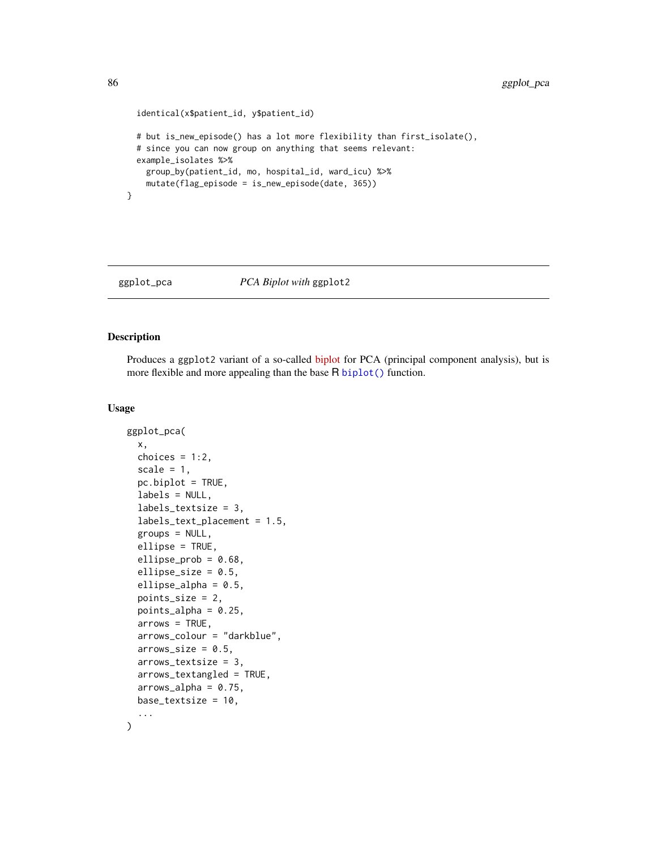```
identical(x$patient_id, y$patient_id)
# but is_new_episode() has a lot more flexibility than first_isolate(),
# since you can now group on anything that seems relevant:
example_isolates %>%
  group_by(patient_id, mo, hospital_id, ward_icu) %>%
  mutate(flag_episode = is_new_episode(date, 365))
```
}

# <span id="page-85-0"></span>ggplot\_pca *PCA Biplot with* ggplot2

# Description

Produces a ggplot2 variant of a so-called [biplot](https://en.wikipedia.org/wiki/Biplot) for PCA (principal component analysis), but is more flexible and more appealing than the base R [biplot\(\)](#page-0-0) function.

# Usage

```
ggplot_pca(
  x,
 choices = 1:2,
  scale = 1,
  pc.biplot = TRUE,
  labels = NULL,labels_textsize = 3,
  labels_text_placement = 1.5,
  groups = NULL,ellipse = TRUE,
  ellipse_prob = 0.68,
  ellipse_size = 0.5,
  ellipse_alpha = 0.5,
 points_size = 2,
 points_alpha = 0.25,
  arrows = TRUE,arrows_colour = "darkblue",
  arrows_size = 0.5,
  arrows_textsize = 3,
  arrows_textangled = TRUE,
  arrows_alpha = 0.75,
 base_textsize = 10,
  ...
)
```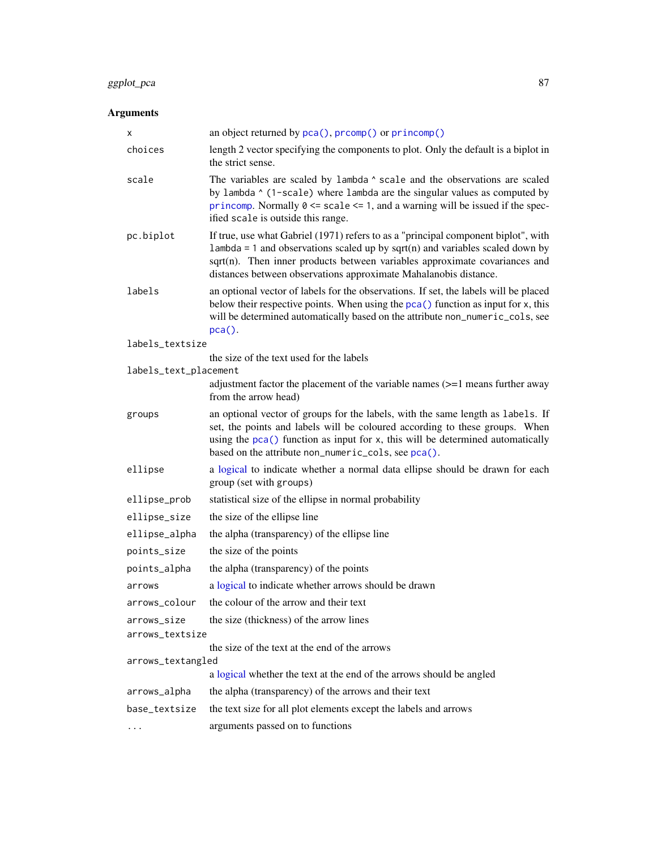# ggplot\_pca 87

# Arguments

| х                     | an object returned by $pca()$ , $prcomp()$ or $princomp()$                                                                                                                                                                                                                                                               |
|-----------------------|--------------------------------------------------------------------------------------------------------------------------------------------------------------------------------------------------------------------------------------------------------------------------------------------------------------------------|
| choices               | length 2 vector specifying the components to plot. Only the default is a biplot in<br>the strict sense.                                                                                                                                                                                                                  |
| scale                 | The variables are scaled by lambda $\land$ scale and the observations are scaled<br>by lambda ^ (1-scale) where lambda are the singular values as computed by<br>princomp. Normally $0 \le$ scale $\le$ 1, and a warning will be issued if the spec-<br>ified scale is outside this range.                               |
| pc.biplot             | If true, use what Gabriel (1971) refers to as a "principal component biplot", with<br>$l$ ambda = 1 and observations scaled up by sqrt(n) and variables scaled down by<br>sqrt(n). Then inner products between variables approximate covariances and<br>distances between observations approximate Mahalanobis distance. |
| labels                | an optional vector of labels for the observations. If set, the labels will be placed<br>below their respective points. When using the pca() function as input for x, this<br>will be determined automatically based on the attribute non_numeric_cols, see<br>$pca()$ .                                                  |
| labels_textsize       |                                                                                                                                                                                                                                                                                                                          |
|                       | the size of the text used for the labels                                                                                                                                                                                                                                                                                 |
| labels_text_placement | adjustment factor the placement of the variable names $(>=1$ means further away<br>from the arrow head)                                                                                                                                                                                                                  |
| groups                | an optional vector of groups for the labels, with the same length as labels. If<br>set, the points and labels will be coloured according to these groups. When<br>using the $pca()$ function as input for x, this will be determined automatically<br>based on the attribute non_numeric_cols, see pca().                |
| ellipse               | a logical to indicate whether a normal data ellipse should be drawn for each<br>group (set with groups)                                                                                                                                                                                                                  |
| ellipse_prob          | statistical size of the ellipse in normal probability                                                                                                                                                                                                                                                                    |
| ellipse_size          | the size of the ellipse line                                                                                                                                                                                                                                                                                             |
| ellipse_alpha         | the alpha (transparency) of the ellipse line                                                                                                                                                                                                                                                                             |
| points_size           | the size of the points                                                                                                                                                                                                                                                                                                   |
| points_alpha          | the alpha (transparency) of the points                                                                                                                                                                                                                                                                                   |
| arrows                | a logical to indicate whether arrows should be drawn                                                                                                                                                                                                                                                                     |
| arrows_colour         | the colour of the arrow and their text                                                                                                                                                                                                                                                                                   |
| arrows_size           | the size (thickness) of the arrow lines                                                                                                                                                                                                                                                                                  |
| arrows_textsize       |                                                                                                                                                                                                                                                                                                                          |
| arrows_textangled     | the size of the text at the end of the arrows                                                                                                                                                                                                                                                                            |
|                       | a logical whether the text at the end of the arrows should be angled                                                                                                                                                                                                                                                     |
| arrows_alpha          | the alpha (transparency) of the arrows and their text                                                                                                                                                                                                                                                                    |
| base_textsize         | the text size for all plot elements except the labels and arrows                                                                                                                                                                                                                                                         |
| .                     | arguments passed on to functions                                                                                                                                                                                                                                                                                         |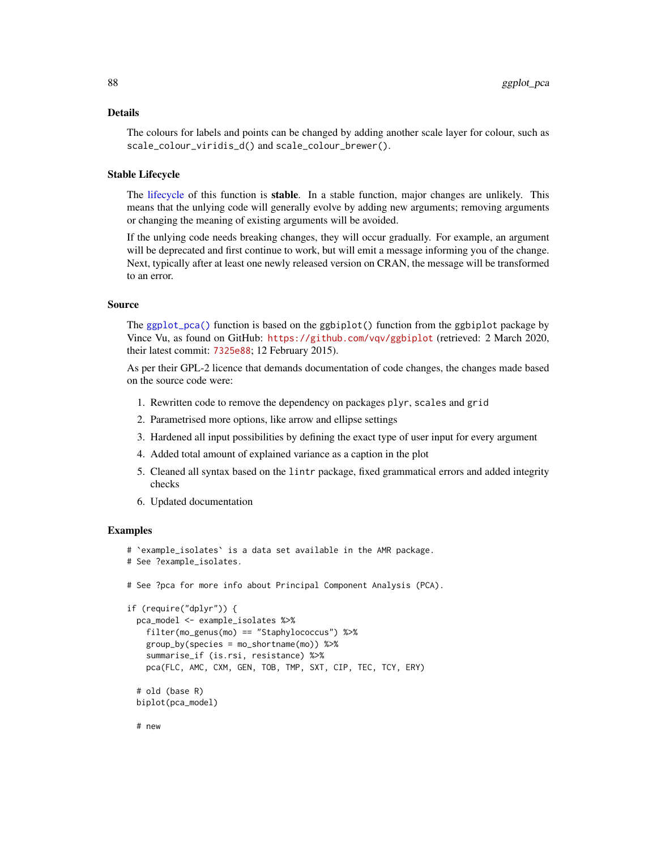## Details

The colours for labels and points can be changed by adding another scale layer for colour, such as scale\_colour\_viridis\_d() and scale\_colour\_brewer().

## Stable Lifecycle

The [lifecycle](#page-103-0) of this function is **stable**. In a stable function, major changes are unlikely. This means that the unlying code will generally evolve by adding new arguments; removing arguments or changing the meaning of existing arguments will be avoided.

If the unlying code needs breaking changes, they will occur gradually. For example, an argument will be deprecated and first continue to work, but will emit a message informing you of the change. Next, typically after at least one newly released version on CRAN, the message will be transformed to an error.

#### Source

The [ggplot\\_pca\(\)](#page-85-0) function is based on the ggbiplot() function from the ggbiplot package by Vince Vu, as found on GitHub: <https://github.com/vqv/ggbiplot> (retrieved: 2 March 2020, their latest commit: [7325e88](https://github.com/vqv/ggbiplot/commit/7325e880485bea4c07465a0304c470608fffb5d9); 12 February 2015).

As per their GPL-2 licence that demands documentation of code changes, the changes made based on the source code were:

- 1. Rewritten code to remove the dependency on packages plyr, scales and grid
- 2. Parametrised more options, like arrow and ellipse settings
- 3. Hardened all input possibilities by defining the exact type of user input for every argument
- 4. Added total amount of explained variance as a caption in the plot
- 5. Cleaned all syntax based on the lintr package, fixed grammatical errors and added integrity checks
- 6. Updated documentation

## Examples

```
# `example_isolates` is a data set available in the AMR package.
# See ?example_isolates.
# See ?pca for more info about Principal Component Analysis (PCA).
if (require("dplyr")) {
 pca_model <- example_isolates %>%
   filter(mo_genus(mo) == "Staphylococcus") %>%
   group_by(species = mo_shortname(mo)) %>%
   summarise_if (is.rsi, resistance) %>%
   pca(FLC, AMC, CXM, GEN, TOB, TMP, SXT, CIP, TEC, TCY, ERY)
 # old (base R)
 biplot(pca_model)
```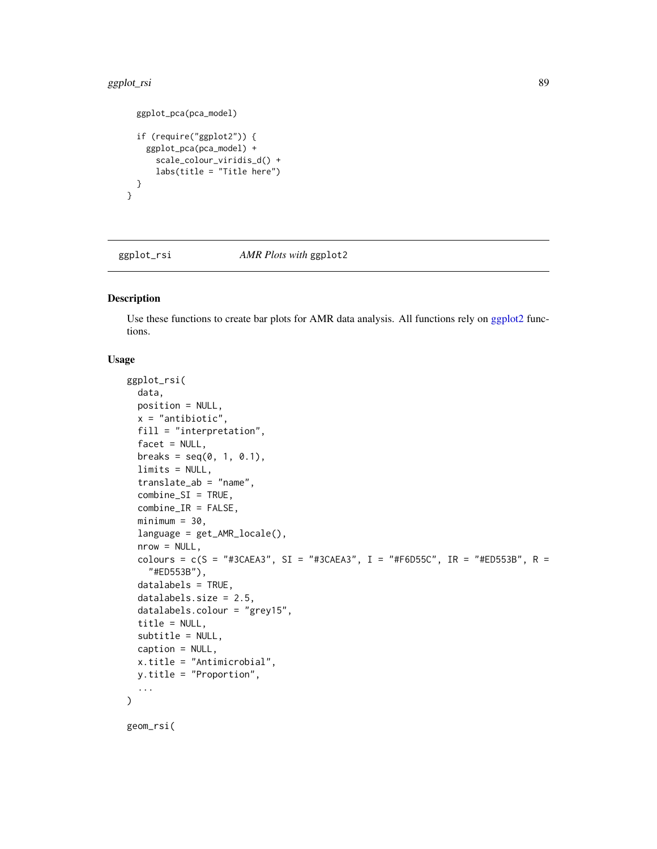#### ggplot\_rsi 89

```
ggplot_pca(pca_model)
 if (require("ggplot2")) {
   ggplot_pca(pca_model) +
     scale_colour_viridis_d() +
     labs(title = "Title here")
 }
}
```
<span id="page-88-1"></span>ggplot\_rsi *AMR Plots with* ggplot2

## <span id="page-88-0"></span>Description

Use these functions to create bar plots for AMR data analysis. All functions rely on [ggplot2](#page-0-0) functions.

# Usage

```
ggplot_rsi(
  data,
  position = NULL,
  x = "antibiotic",
  fill = "interpretation",
  facet = NULL,breaks = seq(0, 1, 0.1),
  limits = NULL,
  translate_ab = "name",
  combine_SI = TRUE,
  combine_IR = FALSE,
  minimum = 30,
  language = get_AMR_locale(),
  nrow = NULL,colours = c(S = "#3CAEA3", SI = "#3CAEA3", I = "#FBD55C", IR = "#ED553B", R ="#ED553B"),
  datalabels = TRUE,
  datalabels.size = 2.5,
  datalabels.colour = "grey15",
  title = NULL,
  subtitle = NULL,
  caption = NULL,
  x.title = "Antimicrobial",
 y.title = "Proportion",
  ...
\mathcal{L}geom_rsi(
```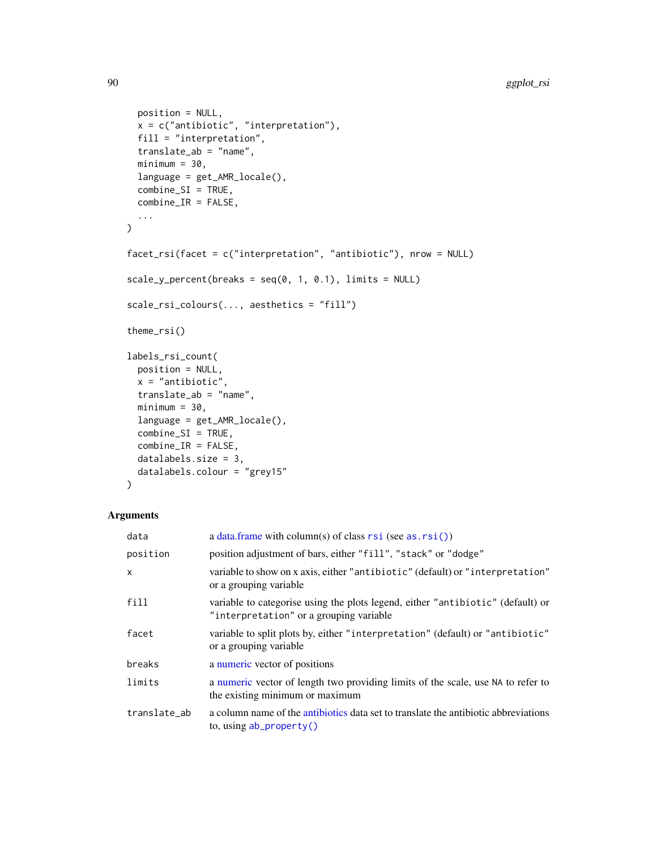```
position = NULL,
  x = c("antibiotic", "interpretation"),fill = "interpretation",
  translate_ab = "name",
 minimum = 30,language = get_AMR_locale(),
  combine\_SI = TRUE,combine_IR = FALSE,
  ...
\mathcal{L}facet_rsi(facet = c("interpretation", "antibiotic"), nrow = NULL)
scale_y_percent(breaks = seq(0, 1, 0.1), limits = NULL)scale_rsi_colours(..., aesthetics = "fill")
theme_rsi()
labels_rsi_count(
 position = NULL,
 x = "antibiotic",
  translate_ab = "name",
 minimum = 30,language = get_AMR_locale(),
  combine\_SI = TRUE,combine_IR = FALSE,
  datalabels.size = 3,
 datalabels.colour = "grey15"
)
```
## Arguments

| data         | a data.frame with column(s) of class $rsi$ (see as. $rsi()$ )                                                              |
|--------------|----------------------------------------------------------------------------------------------------------------------------|
| position     | position adjustment of bars, either "fill", "stack" or "dodge"                                                             |
| $\mathsf{x}$ | variable to show on x axis, either "antibiotic" (default) or "interpretation"<br>or a grouping variable                    |
| fill         | variable to categorise using the plots legend, either "antibiotic" (default) or<br>"interpretation" or a grouping variable |
| facet        | variable to split plots by, either "interpretation" (default) or "antibiotic"<br>or a grouping variable                    |
| breaks       | a numeric vector of positions                                                                                              |
| limits       | a numeric vector of length two providing limits of the scale, use NA to refer to<br>the existing minimum or maximum        |
| translate_ab | a column name of the antibiotics data set to translate the antibiotic abbreviations<br>to, using $ab\_property()$          |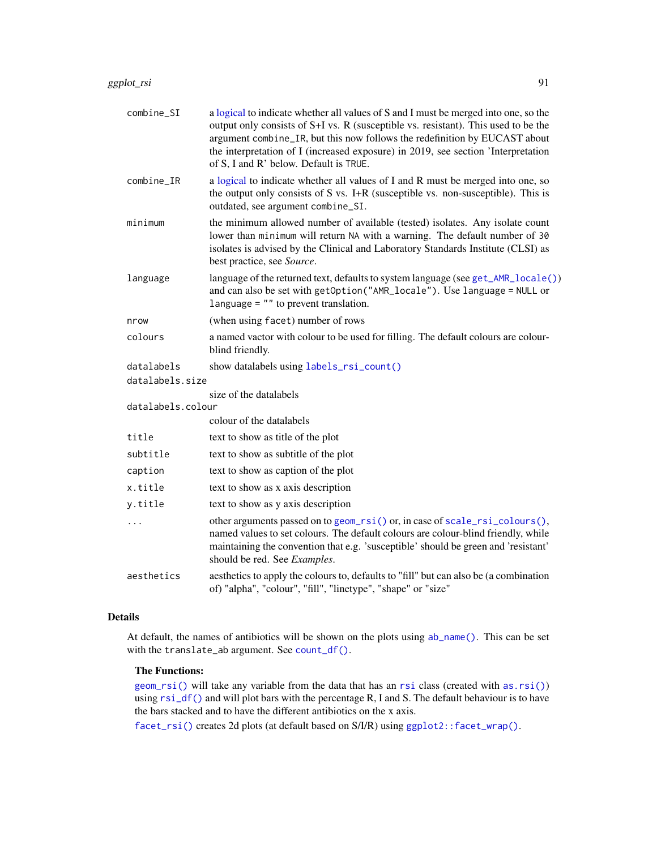| combine_SI        | a logical to indicate whether all values of S and I must be merged into one, so the<br>output only consists of S+I vs. R (susceptible vs. resistant). This used to be the<br>argument combine_IR, but this now follows the redefinition by EUCAST about<br>the interpretation of I (increased exposure) in 2019, see section 'Interpretation<br>of S, I and R' below. Default is TRUE. |
|-------------------|----------------------------------------------------------------------------------------------------------------------------------------------------------------------------------------------------------------------------------------------------------------------------------------------------------------------------------------------------------------------------------------|
| combine_IR        | a logical to indicate whether all values of I and R must be merged into one, so<br>the output only consists of S vs. I+R (susceptible vs. non-susceptible). This is<br>outdated, see argument combine_SI.                                                                                                                                                                              |
| minimum           | the minimum allowed number of available (tested) isolates. Any isolate count<br>lower than minimum will return NA with a warning. The default number of 30<br>isolates is advised by the Clinical and Laboratory Standards Institute (CLSI) as<br>best practice, see Source.                                                                                                           |
| language          | language of the returned text, defaults to system language (see get_AMR_locale())<br>and can also be set with getOption("AMR_locale"). Use language = NULL or<br>language $=$ "" to prevent translation.                                                                                                                                                                               |
| nrow              | (when using facet) number of rows                                                                                                                                                                                                                                                                                                                                                      |
| colours           | a named vactor with colour to be used for filling. The default colours are colour-<br>blind friendly.                                                                                                                                                                                                                                                                                  |
| datalabels        | show datalabels using labels_rsi_count()                                                                                                                                                                                                                                                                                                                                               |
| datalabels.size   |                                                                                                                                                                                                                                                                                                                                                                                        |
| datalabels.colour | size of the datalabels                                                                                                                                                                                                                                                                                                                                                                 |
|                   | colour of the datalabels                                                                                                                                                                                                                                                                                                                                                               |
| title             | text to show as title of the plot                                                                                                                                                                                                                                                                                                                                                      |
| subtitle          | text to show as subtitle of the plot                                                                                                                                                                                                                                                                                                                                                   |
| caption           | text to show as caption of the plot                                                                                                                                                                                                                                                                                                                                                    |
| x.title           | text to show as x axis description                                                                                                                                                                                                                                                                                                                                                     |
| y.title           | text to show as y axis description                                                                                                                                                                                                                                                                                                                                                     |
|                   | other arguments passed on to geom_rsi() or, in case of scale_rsi_colours(),<br>named values to set colours. The default colours are colour-blind friendly, while<br>maintaining the convention that e.g. 'susceptible' should be green and 'resistant'<br>should be red. See Examples.                                                                                                 |
| aesthetics        | aesthetics to apply the colours to, defaults to "fill" but can also be (a combination<br>of) "alpha", "colour", "fill", "linetype", "shape" or "size"                                                                                                                                                                                                                                  |

# Details

At default, the names of antibiotics will be shown on the plots using [ab\\_name\(\)](#page-5-0). This can be set with the translate\_ab argument. See [count\\_df\(\)](#page-54-0).

## The Functions:

[geom\\_rsi\(\)](#page-88-0) will take any variable from the data that has an [rsi](#page-39-0) class (created with [as.rsi\(\)](#page-39-1)) using  $rsi_df()$  and will plot bars with the percentage R, I and S. The default behaviour is to have the bars stacked and to have the different antibiotics on the x axis.

[facet\\_rsi\(\)](#page-88-0) creates 2d plots (at default based on S/I/R) using [ggplot2::facet\\_wrap\(\)](#page-0-0).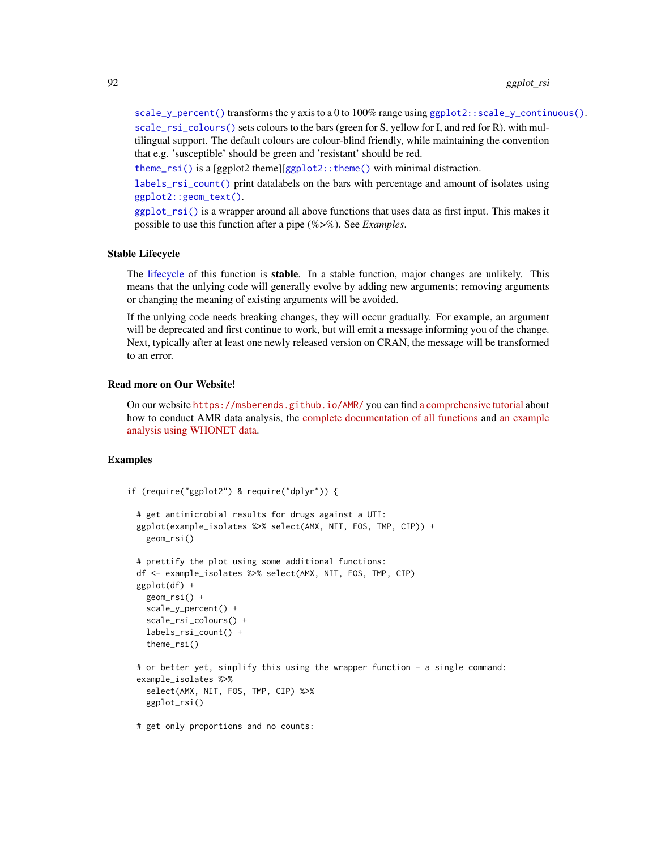[scale\\_y\\_percent\(\)](#page-88-0) transforms the y axis to a 0 to 100% range using  $ggplot2$ : : scale\_y\_continuous(). [scale\\_rsi\\_colours\(\)](#page-88-0) sets colours to the bars (green for S, yellow for I, and red for R). with mul-

tilingual support. The default colours are colour-blind friendly, while maintaining the convention that e.g. 'susceptible' should be green and 'resistant' should be red.

[theme\\_rsi\(\)](#page-88-0) is a [ggplot2 theme][[ggplot2::theme\(\)](#page-0-0) with minimal distraction.

[labels\\_rsi\\_count\(\)](#page-88-0) print datalabels on the bars with percentage and amount of isolates using [ggplot2::geom\\_text\(\)](#page-0-0).

[ggplot\\_rsi\(\)](#page-88-1) is a wrapper around all above functions that uses data as first input. This makes it possible to use this function after a pipe (%>%). See *Examples*.

#### Stable Lifecycle

The [lifecycle](#page-103-0) of this function is stable. In a stable function, major changes are unlikely. This means that the unlying code will generally evolve by adding new arguments; removing arguments or changing the meaning of existing arguments will be avoided.

If the unlying code needs breaking changes, they will occur gradually. For example, an argument will be deprecated and first continue to work, but will emit a message informing you of the change. Next, typically after at least one newly released version on CRAN, the message will be transformed to an error.

#### Read more on Our Website!

On our website <https://msberends.github.io/AMR/> you can find [a comprehensive tutorial](https://msberends.github.io/AMR/articles/AMR.html) about how to conduct AMR data analysis, the [complete documentation of all functions](https://msberends.github.io/AMR/reference/) and [an example](https://msberends.github.io/AMR/articles/WHONET.html) [analysis using WHONET data.](https://msberends.github.io/AMR/articles/WHONET.html)

## Examples

```
if (require("ggplot2") & require("dplyr")) {
```

```
# get antimicrobial results for drugs against a UTI:
ggplot(example_isolates %>% select(AMX, NIT, FOS, TMP, CIP)) +
  geom_rsi()
```

```
# prettify the plot using some additional functions:
df <- example_isolates %>% select(AMX, NIT, FOS, TMP, CIP)
ggplot(df) +
 geom_rsi() +
  scale_y_percent() +
  scale_rsi_colours() +
  labels_rsi_count() +
  theme_rsi()
# or better yet, simplify this using the wrapper function - a single command:
example_isolates %>%
  select(AMX, NIT, FOS, TMP, CIP) %>%
  ggplot_rsi()
```
# get only proportions and no counts: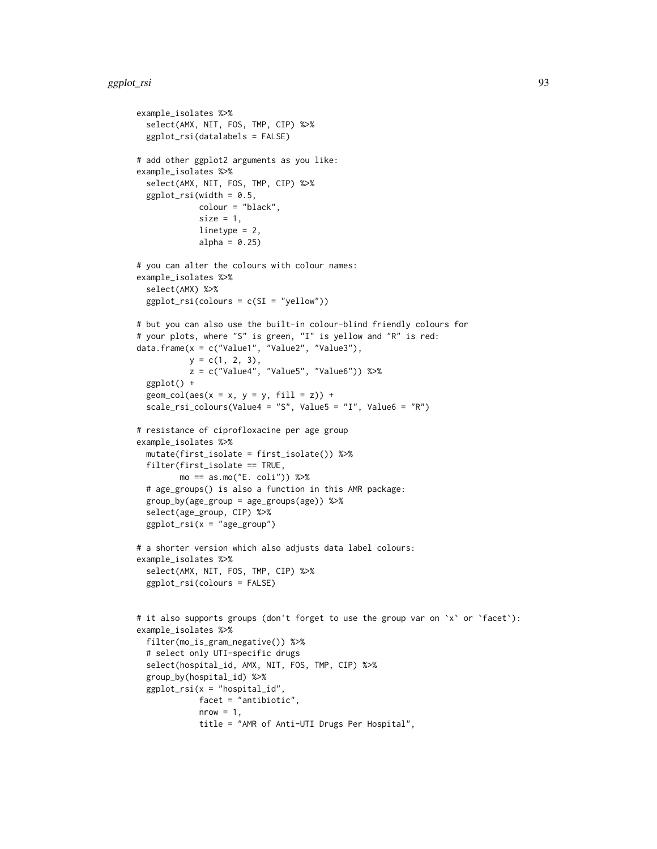```
example_isolates %>%
  select(AMX, NIT, FOS, TMP, CIP) %>%
  ggplot_rsi(datalabels = FALSE)
# add other ggplot2 arguments as you like:
example_isolates %>%
  select(AMX, NIT, FOS, TMP, CIP) %>%
  ggplot\_rsi(width = 0.5,colour = "black",
             size = 1,
             linetype = 2,
             alpha = 0.25)
# you can alter the colours with colour names:
example_isolates %>%
  select(AMX) %>%
  ggplot_rsi(colours = c(SI = "yellow"))
# but you can also use the built-in colour-blind friendly colours for
# your plots, where "S" is green, "I" is yellow and "R" is red:
data.frame(x = c("Value1", "Value2", "Value3"),
           y = c(1, 2, 3),
           z = c("Value4", "Value5", "Value6")) %>%
  ggplot() +
  geom\_col(aes(x = x, y = y, fill = z)) +scale_rsi_colours(Value4 = "S", Value5 = "I", Value6 = "R")
# resistance of ciprofloxacine per age group
example_isolates %>%
  mutate(first_isolate = first_isolate()) %>%
  filter(first_isolate == TRUE,
         mo == as.mo("E. coli") %>%
  # age_groups() is also a function in this AMR package:
  group_by(age_group = age_groups(age)) %>%
  select(age_group, CIP) %>%
  ggplot\_rsi(x = "age\_group")# a shorter version which also adjusts data label colours:
example_isolates %>%
  select(AMX, NIT, FOS, TMP, CIP) %>%
  ggplot_rsi(colours = FALSE)
# it also supports groups (don't forget to use the group var on `x` or `facet`):
example_isolates %>%
  filter(mo_is_gram_negative()) %>%
  # select only UTI-specific drugs
  select(hospital_id, AMX, NIT, FOS, TMP, CIP) %>%
  group_by(hospital_id) %>%
  ggplot\_rsi(x = "hospital_id",facet = "antibiotic",
             nrow = 1,
             title = "AMR of Anti-UTI Drugs Per Hospital",
```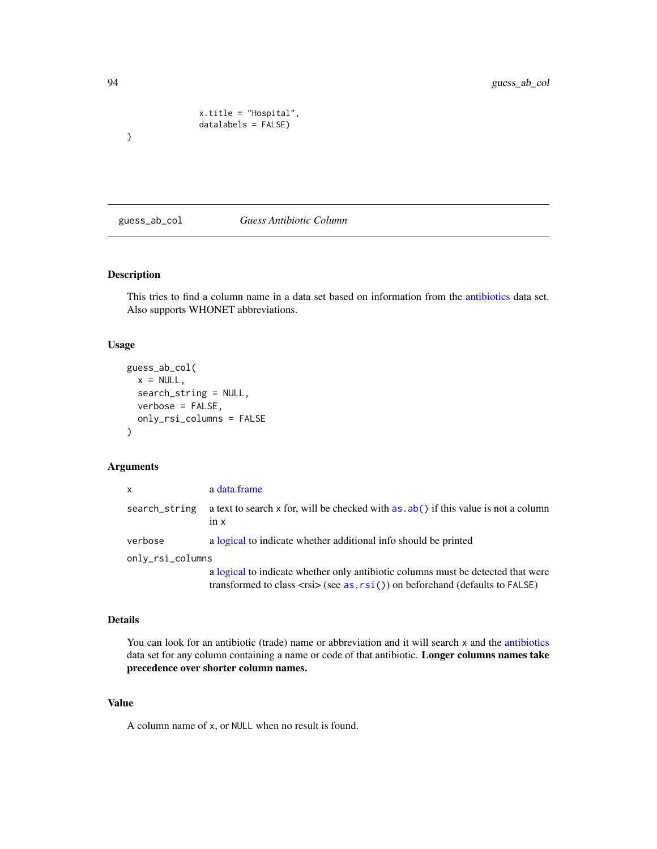```
x.title = "Hospital",
datalabels = FALSE)
```
#### guess\_ab\_col *Guess Antibiotic Column*

# Description

This tries to find a column name in a data set based on information from the [antibiotics](#page-14-0) data set. Also supports WHONET abbreviations.

#### Usage

```
guess_ab_col(
  x = NULL,search_string = NULL,
  verbose = FALSE,
  only_rsi_columns = FALSE
\mathcal{E}
```
# Arguments

| $\mathsf{x}$     | a data.frame                                                                                                                                                                       |
|------------------|------------------------------------------------------------------------------------------------------------------------------------------------------------------------------------|
| search_string    | a text to search x for, will be checked with $as$ . $ab()$ if this value is not a column<br>$1n \times$                                                                            |
| verbose          | a logical to indicate whether additional info should be printed                                                                                                                    |
| only_rsi_columns |                                                                                                                                                                                    |
|                  | a logical to indicate whether only antibiotic columns must be detected that were<br>transformed to class $\langle$ rsi $\rangle$ (see as. rsi()) on beforehand (defaults to FALSE) |

## Details

You can look for an antibiotic (trade) name or abbreviation and it will search x and the [antibiotics](#page-14-0) data set for any column containing a name or code of that antibiotic. Longer columns names take precedence over shorter column names.

# Value

A column name of x, or NULL when no result is found.

}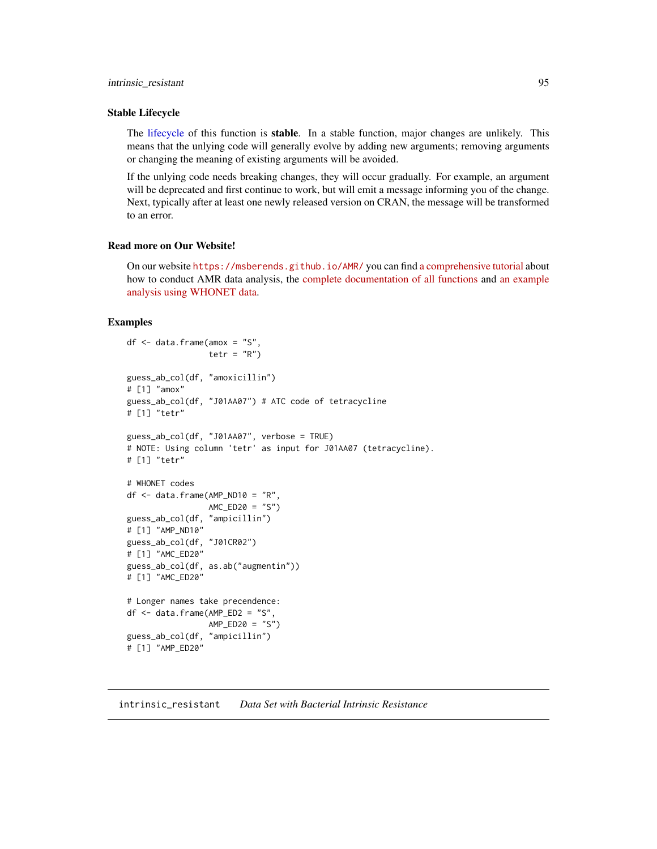## intrinsic\_resistant 95

#### Stable Lifecycle

The [lifecycle](#page-103-0) of this function is stable. In a stable function, major changes are unlikely. This means that the unlying code will generally evolve by adding new arguments; removing arguments or changing the meaning of existing arguments will be avoided.

If the unlying code needs breaking changes, they will occur gradually. For example, an argument will be deprecated and first continue to work, but will emit a message informing you of the change. Next, typically after at least one newly released version on CRAN, the message will be transformed to an error.

#### Read more on Our Website!

On our website <https://msberends.github.io/AMR/> you can find [a comprehensive tutorial](https://msberends.github.io/AMR/articles/AMR.html) about how to conduct AMR data analysis, the [complete documentation of all functions](https://msberends.github.io/AMR/reference/) and [an example](https://msberends.github.io/AMR/articles/WHONET.html) [analysis using WHONET data.](https://msberends.github.io/AMR/articles/WHONET.html)

#### Examples

```
df <- data.frame(amox = "S",
                tetr = "R")
guess_ab_col(df, "amoxicillin")
# [1] "amox"
guess_ab_col(df, "J01AA07") # ATC code of tetracycline
# [1] "tetr"
guess_ab_col(df, "J01AA07", verbose = TRUE)
# NOTE: Using column 'tetr' as input for J01AA07 (tetracycline).
# [1] "tetr"
# WHONET codes
df \leq data.frame(AMP_ND10 = "R",
                AMC_ED20 = "S")guess_ab_col(df, "ampicillin")
# [1] "AMP_ND10"
guess_ab_col(df, "J01CR02")
# [1] "AMC_ED20"
guess_ab_col(df, as.ab("augmentin"))
# [1] "AMC_ED20"
# Longer names take precendence:
df <- data.frame(AMP_ED2 = "S",
                AMP_ED20 = "S")
guess_ab_col(df, "ampicillin")
# [1] "AMP_ED20"
```
intrinsic\_resistant *Data Set with Bacterial Intrinsic Resistance*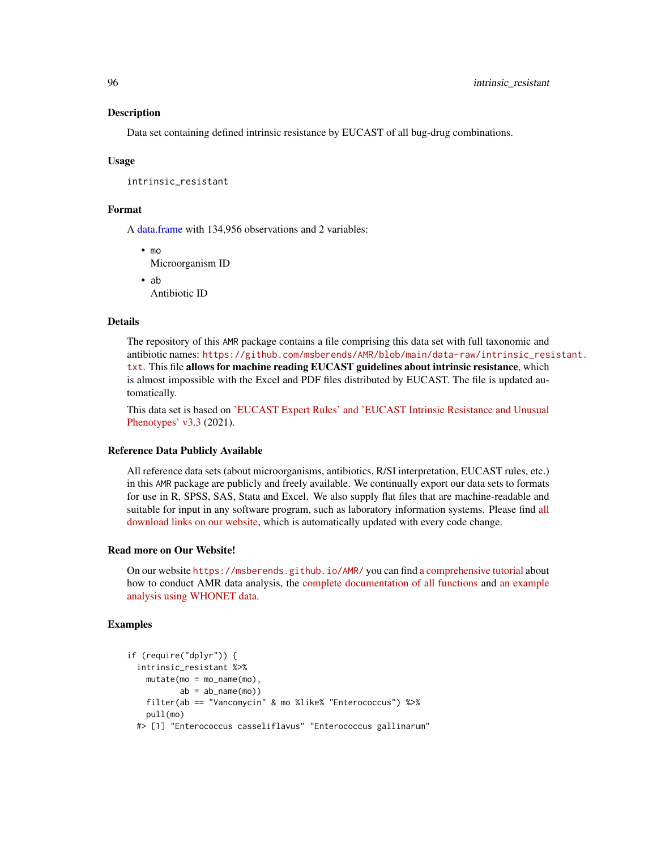#### Description

Data set containing defined intrinsic resistance by EUCAST of all bug-drug combinations.

#### Usage

intrinsic\_resistant

## Format

A [data.frame](#page-0-0) with 134,956 observations and 2 variables:

• mo Microorganism ID

• ab

Antibiotic ID

## Details

The repository of this AMR package contains a file comprising this data set with full taxonomic and antibiotic names: [https://github.com/msberends/AMR/blob/main/data-raw/intrinsic\\_res](https://github.com/msberends/AMR/blob/main/data-raw/intrinsic_resistant.txt)istant. [txt](https://github.com/msberends/AMR/blob/main/data-raw/intrinsic_resistant.txt). This file allows for machine reading EUCAST guidelines about intrinsic resistance, which is almost impossible with the Excel and PDF files distributed by EUCAST. The file is updated automatically.

This data set is based on ['EUCAST Expert Rules' and 'EUCAST Intrinsic Resistance and Unusual](https://www.eucast.org/expert_rules_and_expected_phenotypes/) [Phenotypes' v3.3](https://www.eucast.org/expert_rules_and_expected_phenotypes/) (2021).

#### Reference Data Publicly Available

All reference data sets (about microorganisms, antibiotics, R/SI interpretation, EUCAST rules, etc.) in this AMR package are publicly and freely available. We continually export our data sets to formats for use in R, SPSS, SAS, Stata and Excel. We also supply flat files that are machine-readable and suitable for input in any software program, such as laboratory information systems. Please find [all](https://msberends.github.io/AMR/articles/datasets.html) [download links on our website,](https://msberends.github.io/AMR/articles/datasets.html) which is automatically updated with every code change.

# Read more on Our Website!

On our website <https://msberends.github.io/AMR/> you can find [a comprehensive tutorial](https://msberends.github.io/AMR/articles/AMR.html) about how to conduct AMR data analysis, the [complete documentation of all functions](https://msberends.github.io/AMR/reference/) and [an example](https://msberends.github.io/AMR/articles/WHONET.html) [analysis using WHONET data.](https://msberends.github.io/AMR/articles/WHONET.html)

#### Examples

```
if (require("dplyr")) {
 intrinsic_resistant %>%
   mutate(mo = mo_name(mo),
          ab = ab_name(mo)filter(ab == "Vancomycin" & mo %like% "Enterococcus") %>%
   pull(mo)
 #> [1] "Enterococcus casseliflavus" "Enterococcus gallinarum"
```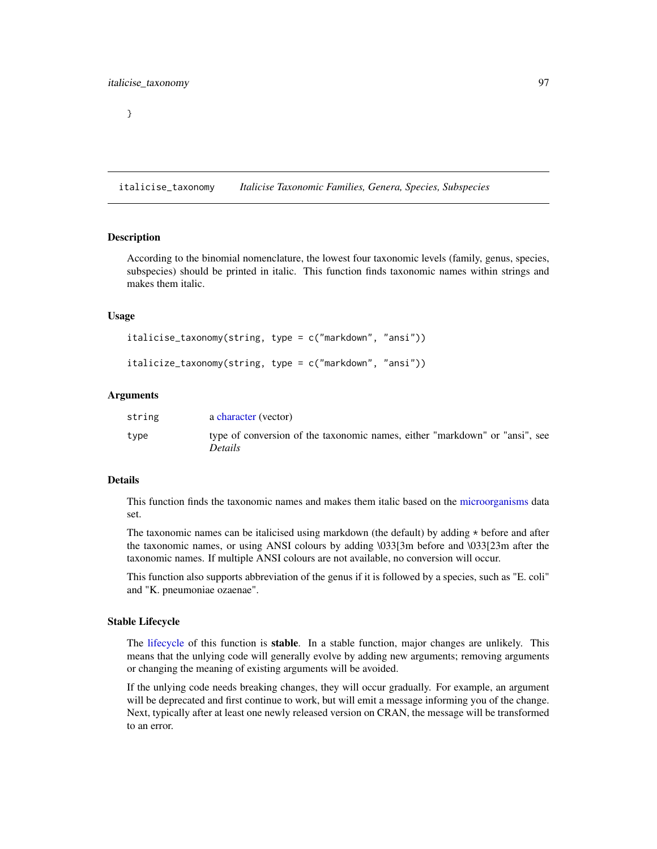italicise\_taxonomy *Italicise Taxonomic Families, Genera, Species, Subspecies*

#### **Description**

According to the binomial nomenclature, the lowest four taxonomic levels (family, genus, species, subspecies) should be printed in italic. This function finds taxonomic names within strings and makes them italic.

#### Usage

```
italicise_taxonomy(string, type = c("markdown", "ansi"))
italicize_taxonomy(string, type = c("markdown", "ansi"))
```
#### Arguments

| string | a character (vector)                                                                          |
|--------|-----------------------------------------------------------------------------------------------|
| type   | type of conversion of the taxonomic names, either "markdown" or "ansi", see<br><i>Details</i> |

#### Details

This function finds the taxonomic names and makes them italic based on the [microorganisms](#page-113-0) data set.

The taxonomic names can be italicised using markdown (the default) by adding  $*$  before and after the taxonomic names, or using ANSI colours by adding \033[3m before and \033[23m after the taxonomic names. If multiple ANSI colours are not available, no conversion will occur.

This function also supports abbreviation of the genus if it is followed by a species, such as "E. coli" and "K. pneumoniae ozaenae".

#### Stable Lifecycle

The [lifecycle](#page-103-0) of this function is stable. In a stable function, major changes are unlikely. This means that the unlying code will generally evolve by adding new arguments; removing arguments or changing the meaning of existing arguments will be avoided.

If the unlying code needs breaking changes, they will occur gradually. For example, an argument will be deprecated and first continue to work, but will emit a message informing you of the change. Next, typically after at least one newly released version on CRAN, the message will be transformed to an error.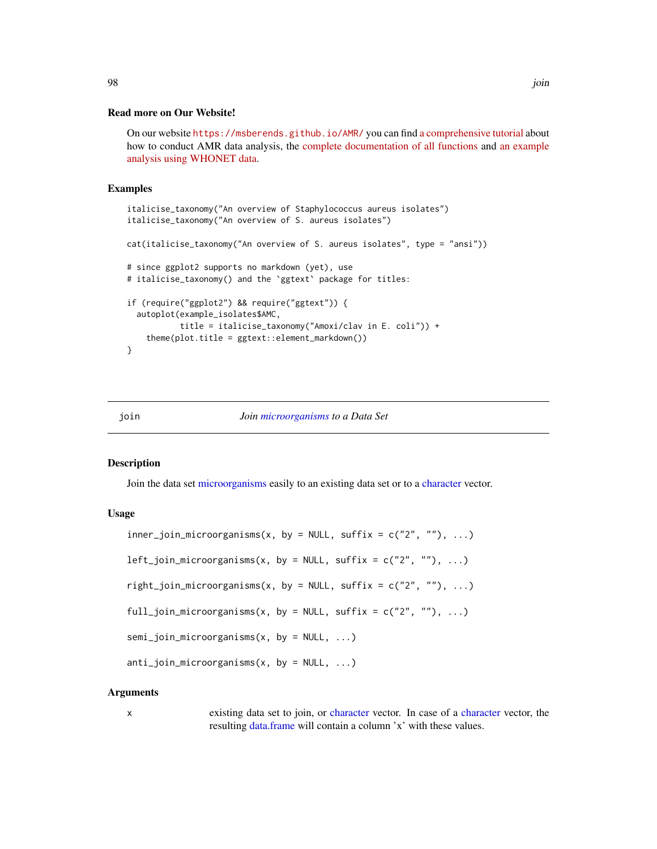#### Read more on Our Website!

On our website <https://msberends.github.io/AMR/> you can find [a comprehensive tutorial](https://msberends.github.io/AMR/articles/AMR.html) about how to conduct AMR data analysis, the [complete documentation of all functions](https://msberends.github.io/AMR/reference/) and [an example](https://msberends.github.io/AMR/articles/WHONET.html) [analysis using WHONET data.](https://msberends.github.io/AMR/articles/WHONET.html)

#### Examples

```
italicise_taxonomy("An overview of Staphylococcus aureus isolates")
italicise_taxonomy("An overview of S. aureus isolates")
cat(italicise_taxonomy("An overview of S. aureus isolates", type = "ansi"))
# since ggplot2 supports no markdown (yet), use
# italicise_taxonomy() and the `ggtext` package for titles:
if (require("ggplot2") && require("ggtext")) {
 autoplot(example_isolates$AMC,
           title = italicise_taxonomy("Amoxi/clav in E. coli")) +
    theme(plot.title = ggtext::element_markdown())
}
```
## join *Join [microorganisms](#page-113-0) to a Data Set*

#### Description

Join the data set [microorganisms](#page-113-0) easily to an existing data set or to a [character](#page-0-0) vector.

#### Usage

```
inner\_join\_microorganisms(x, by = NULL, suffix = c("2", ""), ...)left\_join\_microorganisms(x, by = NULL, suffix = c("2", ""), ...)right_join_microorganisms(x, by = NULL, suffix = c("2", ""), ...)
full_join_microorganisms(x, by = NULL, suffix = c("2", ""), ...)
semi_join_microorganisms(x, by = NULL, ...)
anti\_join\_microorganisms(x, by = NULL, ...)
```
#### Arguments

x existing data set to join, or [character](#page-0-0) vector. In case of a [character](#page-0-0) vector, the resulting [data.frame](#page-0-0) will contain a column 'x' with these values.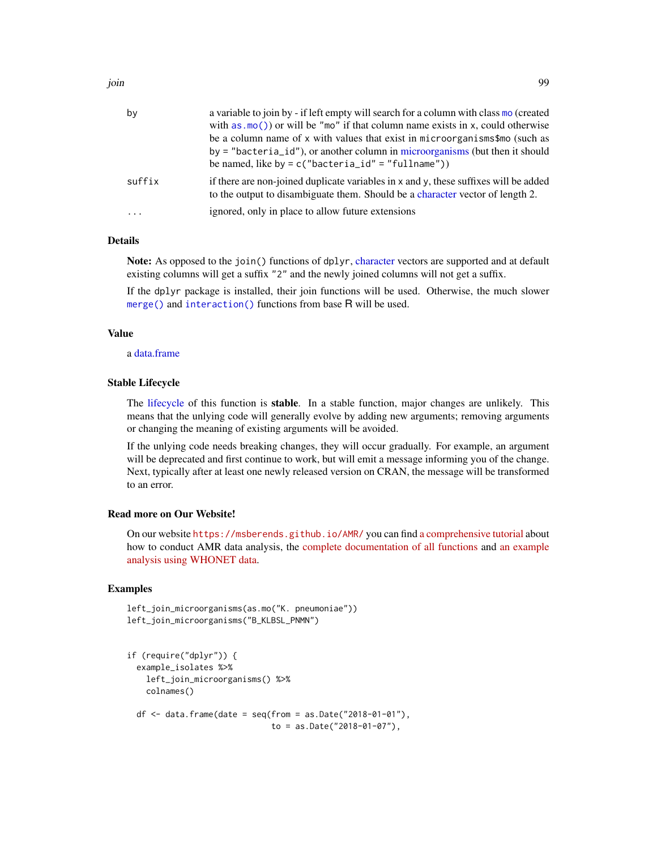| by       | a variable to join by - if left empty will search for a column with class mo (created<br>with as $\text{m}(\cdot)$ or will be "mo" if that column name exists in x, could otherwise<br>be a column name of x with values that exist in microorganisms\$mo (such as<br>$by = "bacteria_id")$ , or another column in microorganisms (but then it should<br>be named, like by = $c("bacteria_id" = "fullname"))$ |
|----------|---------------------------------------------------------------------------------------------------------------------------------------------------------------------------------------------------------------------------------------------------------------------------------------------------------------------------------------------------------------------------------------------------------------|
| suffix   | if there are non-joined duplicate variables in x and y, these suffixes will be added<br>to the output to disambiguate them. Should be a character vector of length 2.                                                                                                                                                                                                                                         |
| $\ddots$ | ignored, only in place to allow future extensions                                                                                                                                                                                                                                                                                                                                                             |

# Details

Note: As opposed to the join() functions of dplyr, [character](#page-0-0) vectors are supported and at default existing columns will get a suffix "2" and the newly joined columns will not get a suffix.

If the dplyr package is installed, their join functions will be used. Otherwise, the much slower [merge\(\)](#page-0-0) and [interaction\(\)](#page-0-0) functions from base R will be used.

#### Value

a [data.frame](#page-0-0)

# Stable Lifecycle

The [lifecycle](#page-103-0) of this function is stable. In a stable function, major changes are unlikely. This means that the unlying code will generally evolve by adding new arguments; removing arguments or changing the meaning of existing arguments will be avoided.

If the unlying code needs breaking changes, they will occur gradually. For example, an argument will be deprecated and first continue to work, but will emit a message informing you of the change. Next, typically after at least one newly released version on CRAN, the message will be transformed to an error.

#### Read more on Our Website!

On our website <https://msberends.github.io/AMR/> you can find [a comprehensive tutorial](https://msberends.github.io/AMR/articles/AMR.html) about how to conduct AMR data analysis, the [complete documentation of all functions](https://msberends.github.io/AMR/reference/) and [an example](https://msberends.github.io/AMR/articles/WHONET.html) [analysis using WHONET data.](https://msberends.github.io/AMR/articles/WHONET.html)

# Examples

```
left_join_microorganisms(as.mo("K. pneumoniae"))
left_join_microorganisms("B_KLBSL_PNMN")
```

```
if (require("dplyr")) {
 example_isolates %>%
   left_join_microorganisms() %>%
   colnames()
 df \le data.frame(date = seq(from = as.Date("2018-01-01"),
                              to = as.Date("2018-01-07"),
```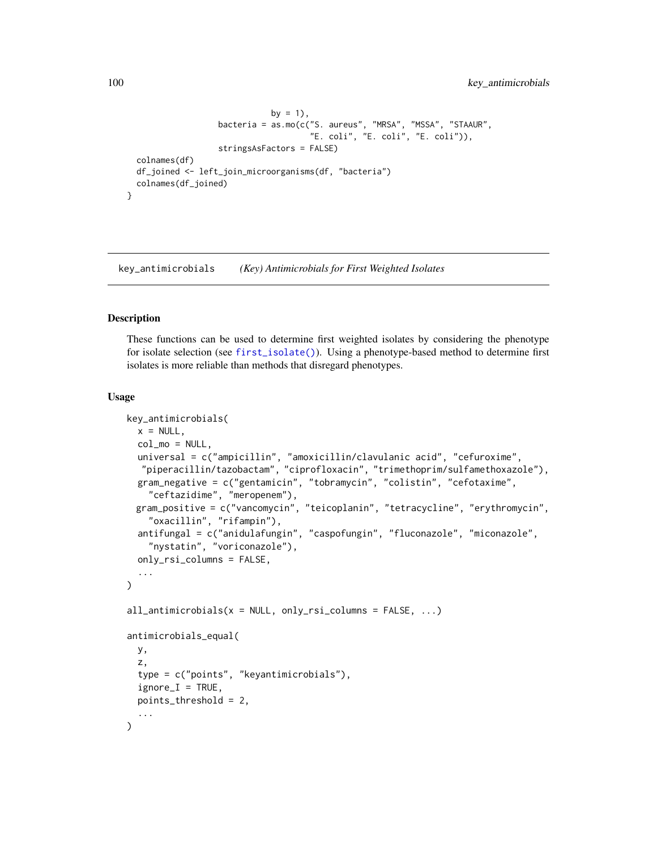```
by = 1),
                 bacteria = as.mo(c("S. aureus", "MRSA", "MSSA", "STAAUR",
                                    "E. coli", "E. coli", "E. coli")),
                 stringsAsFactors = FALSE)
colnames(df)
df_joined <- left_join_microorganisms(df, "bacteria")
colnames(df_joined)
```
<span id="page-99-0"></span>key\_antimicrobials *(Key) Antimicrobials for First Weighted Isolates*

# <span id="page-99-1"></span>**Description**

}

These functions can be used to determine first weighted isolates by considering the phenotype for isolate selection (see [first\\_isolate\(\)](#page-73-0)). Using a phenotype-based method to determine first isolates is more reliable than methods that disregard phenotypes.

#### Usage

```
key_antimicrobials(
  x = NULL,col_mo = NULL,
  universal = c("ampicillin", "amoxicillin/clavulanic acid", "cefuroxime",
  "piperacillin/tazobactam", "ciprofloxacin", "trimethoprim/sulfamethoxazole"),
  gram_negative = c("gentamicin", "tobramycin", "colistin", "cefotaxime",
    "ceftazidime", "meropenem"),
 gram_positive = c("vancomycin", "teicoplanin", "tetracycline", "erythromycin",
    "oxacillin", "rifampin"),
  antifungal = c("anidulafungin", "caspofungin", "fluconazole", "miconazole",
    "nystatin", "voriconazole"),
  only_rsi_columns = FALSE,
  ...
\lambdaall\_antimicrobials(x = NULL, only\_rsi\_columns = FALSE, ...)antimicrobials_equal(
  y,
  z,
  type = c("points", "keyantimicrobials"),
  ignore_I = TRUE,points_threshold = 2,
  ...
)
```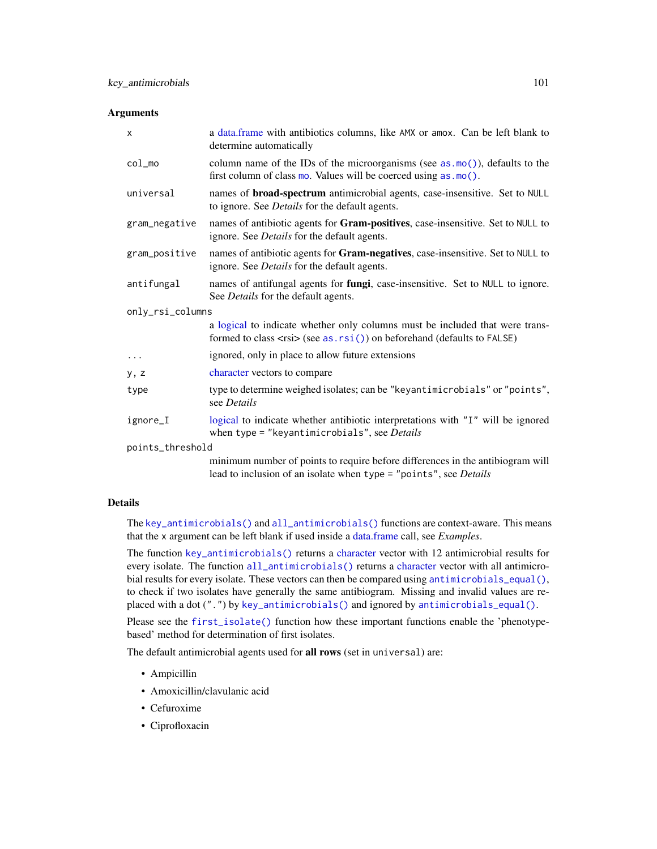#### **Arguments**

| X                | a data.frame with antibiotics columns, like AMX or amox. Can be left blank to<br>determine automatically                                                                  |  |
|------------------|---------------------------------------------------------------------------------------------------------------------------------------------------------------------------|--|
| $col_{mod}$      | column name of the IDs of the microorganisms (see $as.mo()$ ), defaults to the<br>first column of class mo. Values will be coerced using as . mo().                       |  |
| universal        | names of <b>broad-spectrum</b> antimicrobial agents, case-insensitive. Set to NULL<br>to ignore. See <i>Details</i> for the default agents.                               |  |
| gram_negative    | names of antibiotic agents for Gram-positives, case-insensitive. Set to NULL to<br>ignore. See <i>Details</i> for the default agents.                                     |  |
| gram_positive    | names of antibiotic agents for Gram-negatives, case-insensitive. Set to NULL to<br>ignore. See <i>Details</i> for the default agents.                                     |  |
| antifungal       | names of antifungal agents for fungi, case-insensitive. Set to NULL to ignore.<br>See Details for the default agents.                                                     |  |
| only_rsi_columns |                                                                                                                                                                           |  |
|                  | a logical to indicate whether only columns must be included that were trans-<br>formed to class $\langle$ rsi $\rangle$ (see as. rsi()) on beforehand (defaults to FALSE) |  |
| $\cdots$         | ignored, only in place to allow future extensions                                                                                                                         |  |
| y, z             | character vectors to compare                                                                                                                                              |  |
| type             | type to determine weighed isolates; can be "keyantimicrobials" or "points",<br>see <i>Details</i>                                                                         |  |
| ignore_I         | logical to indicate whether antibiotic interpretations with "I" will be ignored<br>when type = "keyantimicrobials", see Details                                           |  |
| points_threshold |                                                                                                                                                                           |  |
|                  | minimum number of points to require before differences in the antibiogram will<br>lead to inclusion of an isolate when type = "points", see Details                       |  |

# Details

The [key\\_antimicrobials\(\)](#page-99-0) and [all\\_antimicrobials\(\)](#page-99-1) functions are context-aware. This means that the x argument can be left blank if used inside a [data.frame](#page-0-0) call, see *Examples*.

The function [key\\_antimicrobials\(\)](#page-99-0) returns a [character](#page-0-0) vector with 12 antimicrobial results for every isolate. The function [all\\_antimicrobials\(\)](#page-99-1) returns a [character](#page-0-0) vector with all antimicrobial results for every isolate. These vectors can then be compared using [antimicrobials\\_equal\(\)](#page-99-1), to check if two isolates have generally the same antibiogram. Missing and invalid values are replaced with a dot (".") by [key\\_antimicrobials\(\)](#page-99-0) and ignored by [antimicrobials\\_equal\(\)](#page-99-1).

Please see the [first\\_isolate\(\)](#page-73-0) function how these important functions enable the 'phenotypebased' method for determination of first isolates.

The default antimicrobial agents used for all rows (set in universal) are:

- Ampicillin
- Amoxicillin/clavulanic acid
- Cefuroxime
- Ciprofloxacin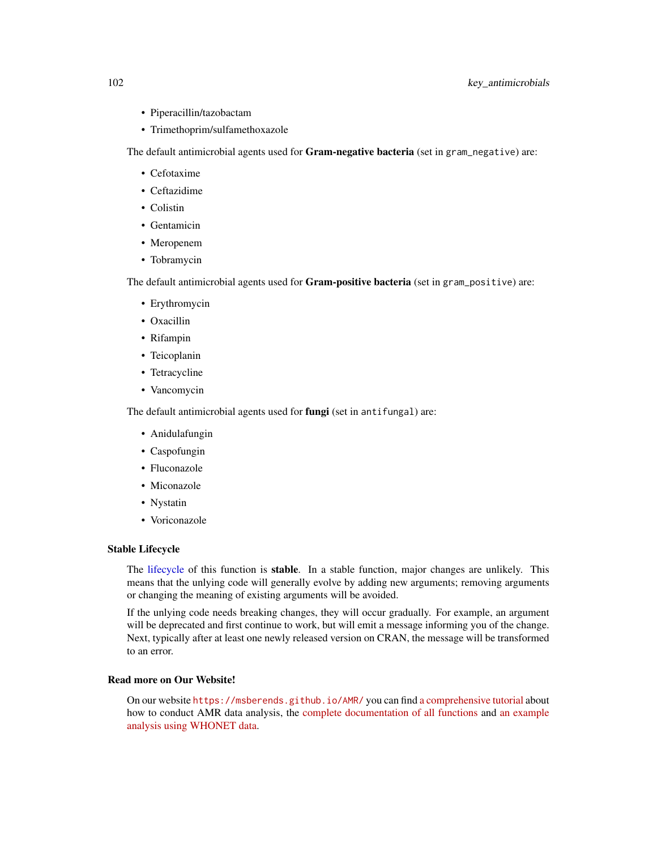- Piperacillin/tazobactam
- Trimethoprim/sulfamethoxazole

The default antimicrobial agents used for Gram-negative bacteria (set in gram\_negative) are:

- Cefotaxime
- Ceftazidime
- Colistin
- Gentamicin
- Meropenem
- Tobramycin

The default antimicrobial agents used for Gram-positive bacteria (set in gram\_positive) are:

- Erythromycin
- Oxacillin
- Rifampin
- Teicoplanin
- Tetracycline
- Vancomycin

The default antimicrobial agents used for fungi (set in antifungal) are:

- Anidulafungin
- Caspofungin
- Fluconazole
- Miconazole
- Nystatin
- Voriconazole

# Stable Lifecycle

The [lifecycle](#page-103-0) of this function is stable. In a stable function, major changes are unlikely. This means that the unlying code will generally evolve by adding new arguments; removing arguments or changing the meaning of existing arguments will be avoided.

If the unlying code needs breaking changes, they will occur gradually. For example, an argument will be deprecated and first continue to work, but will emit a message informing you of the change. Next, typically after at least one newly released version on CRAN, the message will be transformed to an error.

# Read more on Our Website!

On our website <https://msberends.github.io/AMR/> you can find [a comprehensive tutorial](https://msberends.github.io/AMR/articles/AMR.html) about how to conduct AMR data analysis, the [complete documentation of all functions](https://msberends.github.io/AMR/reference/) and [an example](https://msberends.github.io/AMR/articles/WHONET.html) [analysis using WHONET data.](https://msberends.github.io/AMR/articles/WHONET.html)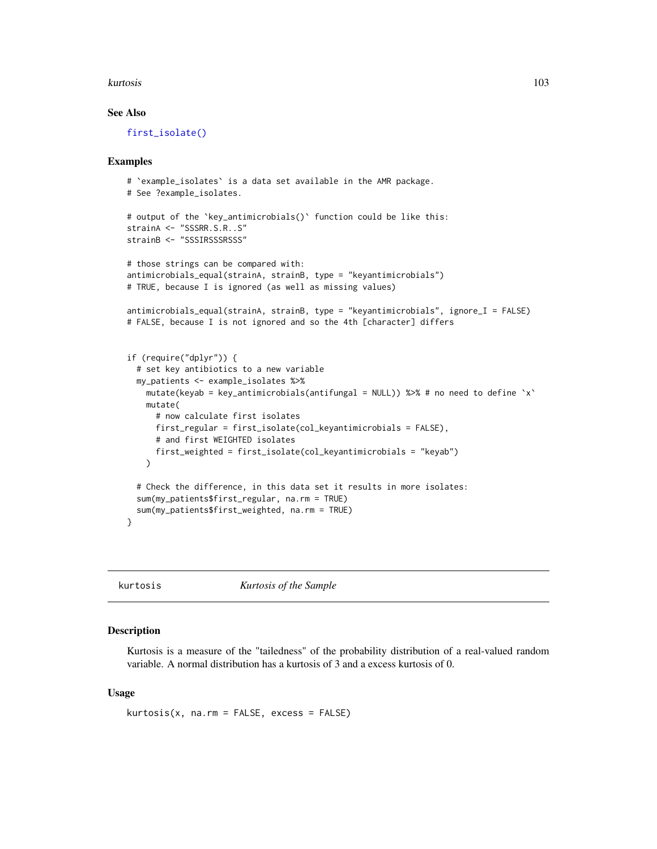#### kurtosis 103

## See Also

[first\\_isolate\(\)](#page-73-0)

#### Examples

```
# `example_isolates` is a data set available in the AMR package.
# See ?example_isolates.
# output of the `key_antimicrobials()` function could be like this:
strainA <- "SSSRR.S.R..S"
strainB <- "SSSIRSSSRSSS"
# those strings can be compared with:
antimicrobials_equal(strainA, strainB, type = "keyantimicrobials")
# TRUE, because I is ignored (as well as missing values)
antimicrobials_equal(strainA, strainB, type = "keyantimicrobials", ignore_I = FALSE)
# FALSE, because I is not ignored and so the 4th [character] differs
if (require("dplyr")) {
 # set key antibiotics to a new variable
 my_patients <- example_isolates %>%
   mutate(keyab = key_antimicrobials(antifungal = NULL)) %>% # no need to define 'x'
   mutate(
     # now calculate first isolates
     first_regular = first_isolate(col_keyantimicrobials = FALSE),
     # and first WEIGHTED isolates
     first_weighted = first_isolate(col_keyantimicrobials = "keyab")
   )
 # Check the difference, in this data set it results in more isolates:
 sum(my_patients$first_regular, na.rm = TRUE)
 sum(my_patients$first_weighted, na.rm = TRUE)
}
```
kurtosis *Kurtosis of the Sample*

## Description

Kurtosis is a measure of the "tailedness" of the probability distribution of a real-valued random variable. A normal distribution has a kurtosis of 3 and a excess kurtosis of 0.

#### Usage

 $kurtosis(x, na.rm = FALSE, excess = FALSE)$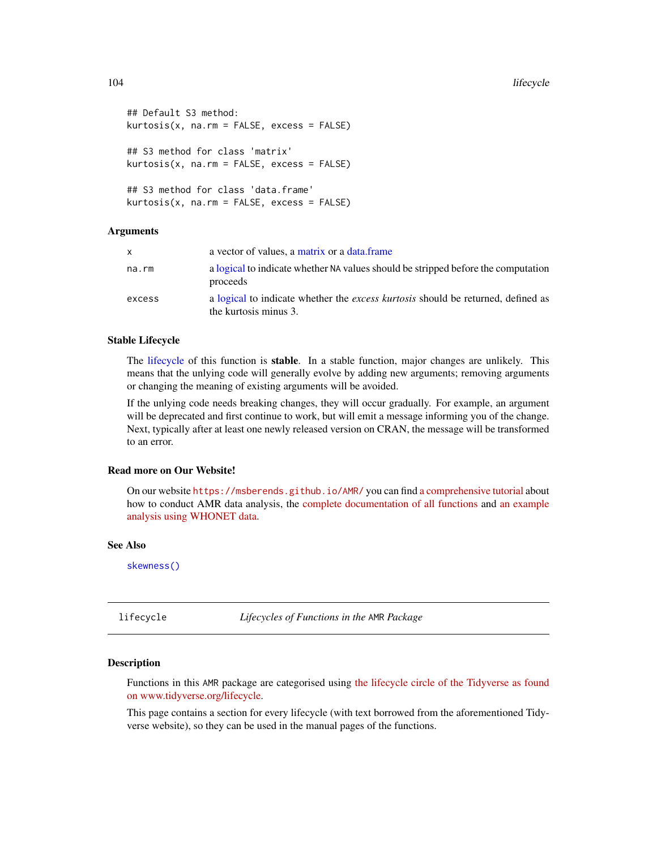```
## Default S3 method:
kurtosis(x, na.rm = FALSE, excess = FALSE)
## S3 method for class 'matrix'
kurtosis(x, na.rm = FALSE, excess = FALSE)## S3 method for class 'data.frame'
kurtosis(x, na.rm = FALSE, excess = FALSE)
```
## Arguments

| x.     | a vector of values, a matrix or a data frame                                                                     |
|--------|------------------------------------------------------------------------------------------------------------------|
| na.rm  | a logical to indicate whether NA values should be stripped before the computation<br>proceeds                    |
| excess | a logical to indicate whether the <i>excess kurtosis</i> should be returned, defined as<br>the kurtosis minus 3. |

## Stable Lifecycle

The [lifecycle](#page-103-0) of this function is stable. In a stable function, major changes are unlikely. This means that the unlying code will generally evolve by adding new arguments; removing arguments or changing the meaning of existing arguments will be avoided.

If the unlying code needs breaking changes, they will occur gradually. For example, an argument will be deprecated and first continue to work, but will emit a message informing you of the change. Next, typically after at least one newly released version on CRAN, the message will be transformed to an error.

# Read more on Our Website!

On our website <https://msberends.github.io/AMR/> you can find [a comprehensive tutorial](https://msberends.github.io/AMR/articles/AMR.html) about how to conduct AMR data analysis, the [complete documentation of all functions](https://msberends.github.io/AMR/reference/) and [an example](https://msberends.github.io/AMR/articles/WHONET.html) [analysis using WHONET data.](https://msberends.github.io/AMR/articles/WHONET.html)

#### See Also

[skewness\(\)](#page-149-0)

<span id="page-103-0"></span>lifecycle *Lifecycles of Functions in the* AMR *Package*

#### Description

Functions in this AMR package are categorised using [the lifecycle circle of the Tidyverse as found](https://lifecycle.r-lib.org/articles/stages.html) [on www.tidyverse.org/lifecycle.](https://lifecycle.r-lib.org/articles/stages.html)

This page contains a section for every lifecycle (with text borrowed from the aforementioned Tidyverse website), so they can be used in the manual pages of the functions.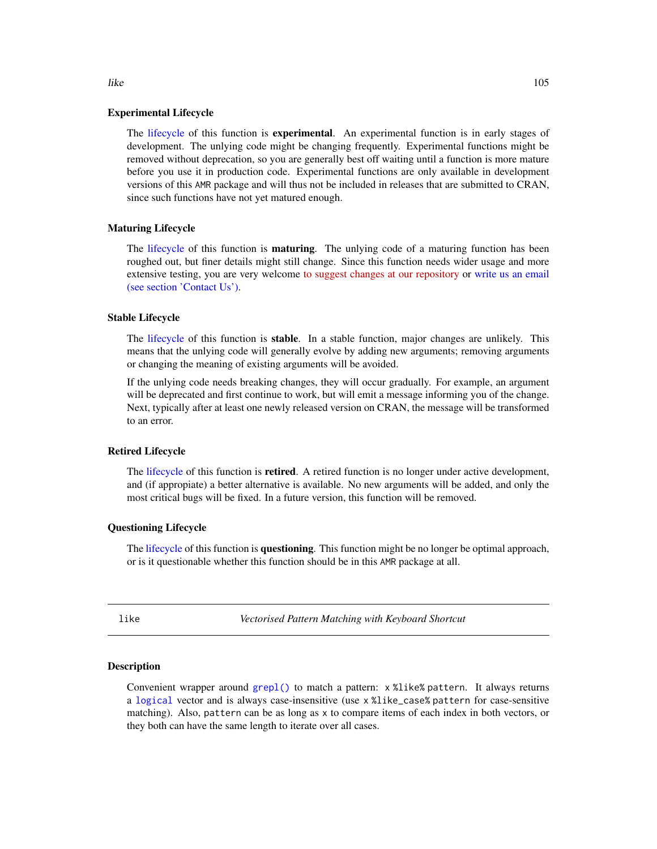#### Experimental Lifecycle

The [lifecycle](#page-103-0) of this function is **experimental**. An experimental function is in early stages of development. The unlying code might be changing frequently. Experimental functions might be removed without deprecation, so you are generally best off waiting until a function is more mature before you use it in production code. Experimental functions are only available in development versions of this AMR package and will thus not be included in releases that are submitted to CRAN, since such functions have not yet matured enough.

#### Maturing Lifecycle

The [lifecycle](#page-103-0) of this function is **maturing**. The unlying code of a maturing function has been roughed out, but finer details might still change. Since this function needs wider usage and more extensive testing, you are very welcome [to suggest changes at our repository](https://github.com/msberends/AMR/issues) or [write us an email](#page-12-0) [\(see section 'Contact Us'\).](#page-12-0)

#### Stable Lifecycle

The [lifecycle](#page-103-0) of this function is stable. In a stable function, major changes are unlikely. This means that the unlying code will generally evolve by adding new arguments; removing arguments or changing the meaning of existing arguments will be avoided.

If the unlying code needs breaking changes, they will occur gradually. For example, an argument will be deprecated and first continue to work, but will emit a message informing you of the change. Next, typically after at least one newly released version on CRAN, the message will be transformed to an error.

#### Retired Lifecycle

The [lifecycle](#page-103-0) of this function is retired. A retired function is no longer under active development, and (if appropiate) a better alternative is available. No new arguments will be added, and only the most critical bugs will be fixed. In a future version, this function will be removed.

## Questioning Lifecycle

The [lifecycle](#page-103-0) of this function is questioning. This function might be no longer be optimal approach, or is it questionable whether this function should be in this AMR package at all.

<span id="page-104-0"></span>

like *Vectorised Pattern Matching with Keyboard Shortcut*

# Description

Convenient wrapper around [grepl\(\)](#page-0-0) to match a pattern: x %like% pattern. It always returns a [logical](#page-0-0) vector and is always case-insensitive (use x %like\_case% pattern for case-sensitive matching). Also, pattern can be as long as x to compare items of each index in both vectors, or they both can have the same length to iterate over all cases.

like the 105 million of the 105 million of the 105 million of the 105 million of the 105 million of the 105 million of the 105 million of the 105 million of the 105 million of the 105 million of the 105 million of the 105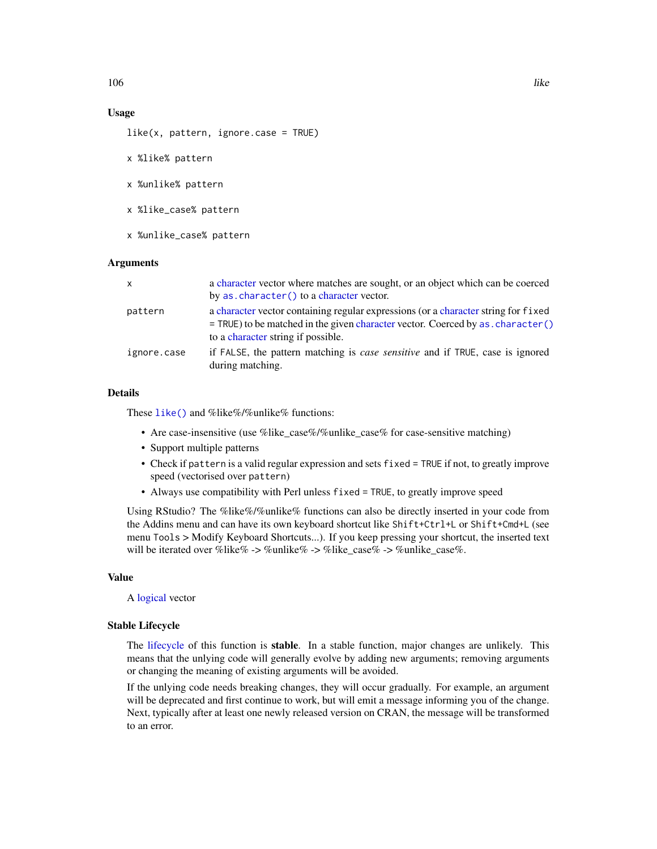# Usage

 $like(x, pattern, ignore-case = TRUE)$ 

- x %like% pattern
- x %unlike% pattern
- x %like\_case% pattern
- x %unlike\_case% pattern

#### Arguments

| x           | a character vector where matches are sought, or an object which can be coerced                                                                                          |
|-------------|-------------------------------------------------------------------------------------------------------------------------------------------------------------------------|
|             | by as. character () to a character vector.                                                                                                                              |
| pattern     | a character vector containing regular expressions (or a character string for fixed<br>= TRUE) to be matched in the given character vector. Coerced by as . character () |
|             | to a character string if possible.                                                                                                                                      |
| ignore.case | if FALSE, the pattern matching is <i>case sensitive</i> and if TRUE, case is ignored<br>during matching.                                                                |

## Details

These [like\(\)](#page-104-0) and %like%/%unlike% functions:

- Are case-insensitive (use %like case%/%unlike case% for case-sensitive matching)
- Support multiple patterns
- Check if pattern is a valid regular expression and sets fixed = TRUE if not, to greatly improve speed (vectorised over pattern)
- Always use compatibility with Perl unless fixed = TRUE, to greatly improve speed

Using RStudio? The %like%/%unlike% functions can also be directly inserted in your code from the Addins menu and can have its own keyboard shortcut like Shift+Ctrl+L or Shift+Cmd+L (see menu Tools > Modify Keyboard Shortcuts...). If you keep pressing your shortcut, the inserted text will be iterated over %like% -> %unlike% -> %like\_case% -> %unlike\_case%.

## Value

A [logical](#page-0-0) vector

#### Stable Lifecycle

The [lifecycle](#page-103-0) of this function is stable. In a stable function, major changes are unlikely. This means that the unlying code will generally evolve by adding new arguments; removing arguments or changing the meaning of existing arguments will be avoided.

If the unlying code needs breaking changes, they will occur gradually. For example, an argument will be deprecated and first continue to work, but will emit a message informing you of the change. Next, typically after at least one newly released version on CRAN, the message will be transformed to an error.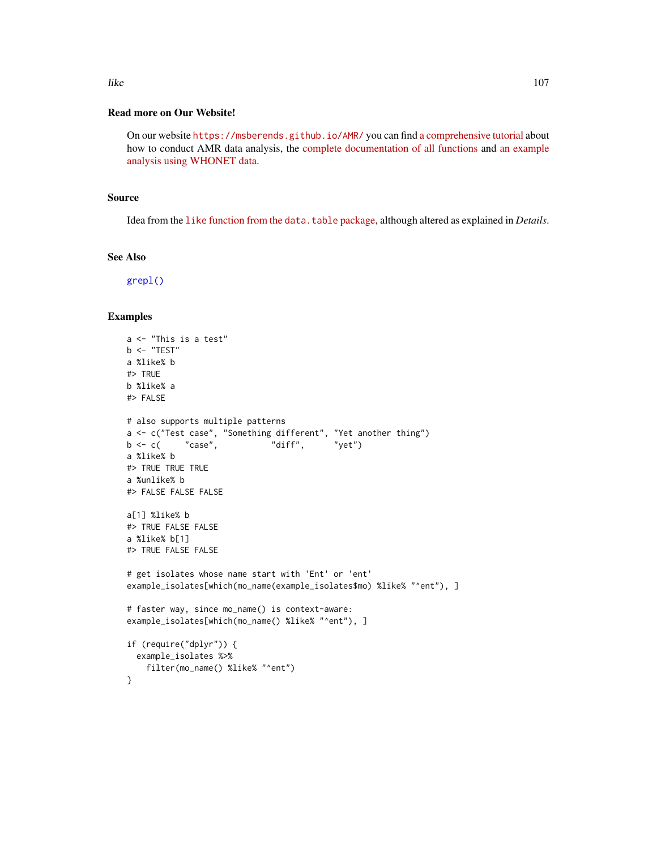# Read more on Our Website!

On our website <https://msberends.github.io/AMR/> you can find [a comprehensive tutorial](https://msberends.github.io/AMR/articles/AMR.html) about how to conduct AMR data analysis, the [complete documentation of all functions](https://msberends.github.io/AMR/reference/) and [an example](https://msberends.github.io/AMR/articles/WHONET.html) [analysis using WHONET data.](https://msberends.github.io/AMR/articles/WHONET.html)

#### Source

Idea from the like [function from the](https://github.com/Rdatatable/data.table/blob/ec1259af1bf13fc0c96a1d3f9e84d55d8106a9a4/R/like.R) data.table package, although altered as explained in *Details*.

#### See Also

[grepl\(\)](#page-0-0)

## Examples

```
a <- "This is a test"
b \leq - "TEST"
a %like% b
#> TRUE
b %like% a
#> FALSE
# also supports multiple patterns
a <- c("Test case", "Something different", "Yet another thing")
b \leq c ( "case", "diff", "yet")
a %like% b
#> TRUE TRUE TRUE
a %unlike% b
#> FALSE FALSE FALSE
a[1] %like% b
#> TRUE FALSE FALSE
a %like% b[1]
#> TRUE FALSE FALSE
# get isolates whose name start with 'Ent' or 'ent'
example_isolates[which(mo_name(example_isolates$mo) %like% "^ent"), ]
# faster way, since mo_name() is context-aware:
example_isolates[which(mo_name() %like% "^ent"), ]
if (require("dplyr")) {
  example_isolates %>%
    filter(mo_name() %like% "^ent")
}
```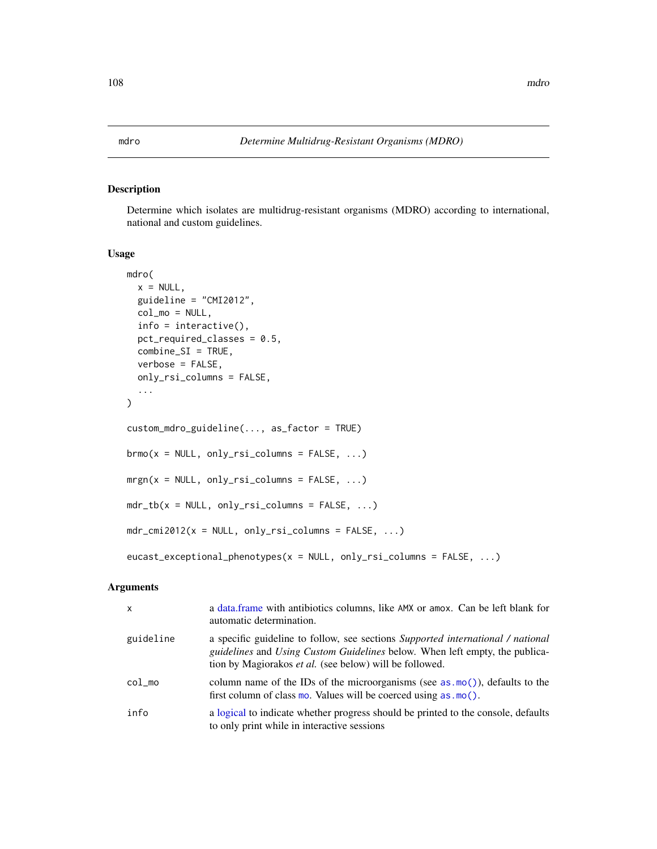# Description

Determine which isolates are multidrug-resistant organisms (MDRO) according to international, national and custom guidelines.

## Usage

```
mdro(
  x = NULL,guideline = "CMI2012",
  col_mo = NULL,
  info = interfaceive(),
  pct_required_classes = 0.5,
  combine_SI = TRUE,
  verbose = FALSE,
  only_rsi_columns = FALSE,
  ...
\mathcal{L}custom_mdro_guideline(..., as_factor = TRUE)
brmo(x = NULL, only\_rsi\_columns = FALSE, ...)mrgn(x = NULL, only\_rsi\_columns = FALSE, ...)mdr_tb(x = NULL, only\_rsi_columns = FALSE, ...)mdr\_cmi2012(x = NULL, only\_rsi\_columns = FALSE, ...)eucast_exceptional_phenotypes(x = NULL, only_rsi_columns = FALSE, ...)
```
#### Arguments

| $\mathsf{x}$ | a data frame with antibiotics columns, like AMX or amox. Can be left blank for<br>automatic determination.                                                                                                                                     |
|--------------|------------------------------------------------------------------------------------------------------------------------------------------------------------------------------------------------------------------------------------------------|
| guideline    | a specific guideline to follow, see sections <i>Supported international / national</i><br><i>guidelines</i> and <i>Using Custom Guidelines</i> below. When left empty, the publica-<br>tion by Magiorakos et al. (see below) will be followed. |
| $col_m$      | column name of the IDs of the microorganisms (see $as.mo()$ ), defaults to the<br>first column of class mo. Values will be coerced using $as.mo()$ .                                                                                           |
| info         | a logical to indicate whether progress should be printed to the console, defaults<br>to only print while in interactive sessions                                                                                                               |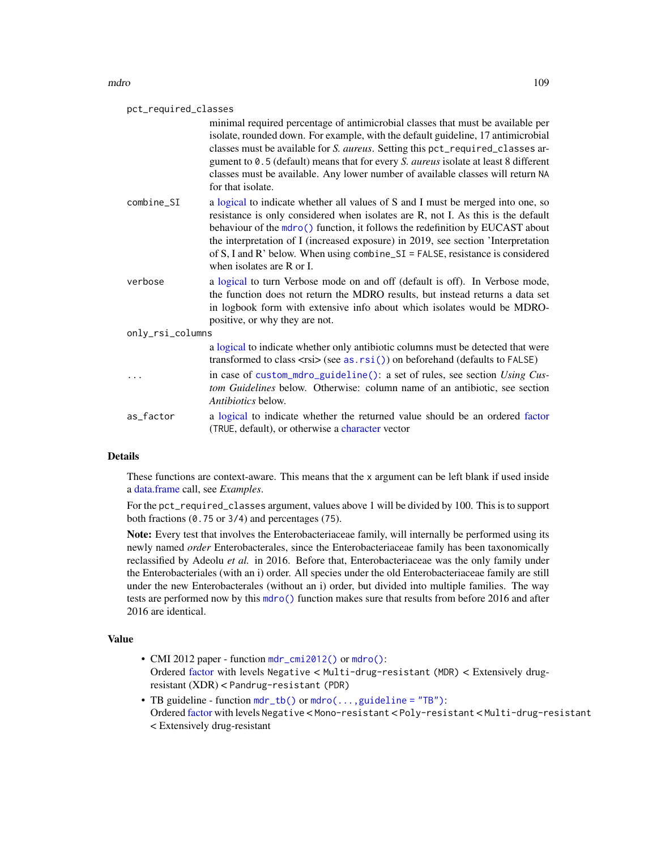## mdro terminale and the contract of the contract of the contract of the contract of the contract of the contract of the contract of the contract of the contract of the contract of the contract of the contract of the contrac

| pct_required_classes |                                                                                                                                                                                                                                                                                                                                                                                                                                                            |
|----------------------|------------------------------------------------------------------------------------------------------------------------------------------------------------------------------------------------------------------------------------------------------------------------------------------------------------------------------------------------------------------------------------------------------------------------------------------------------------|
|                      | minimal required percentage of antimicrobial classes that must be available per<br>isolate, rounded down. For example, with the default guideline, 17 antimicrobial<br>classes must be available for S. aureus. Setting this pct_required_classes ar-<br>gument to 0.5 (default) means that for every S. aureus isolate at least 8 different<br>classes must be available. Any lower number of available classes will return NA<br>for that isolate.       |
| combine SI           | a logical to indicate whether all values of S and I must be merged into one, so<br>resistance is only considered when isolates are R, not I. As this is the default<br>behaviour of the mdro() function, it follows the redefinition by EUCAST about<br>the interpretation of I (increased exposure) in 2019, see section 'Interpretation<br>of S, I and R' below. When using combine $SI = FALSE$ , resistance is considered<br>when isolates are R or I. |
| verbose              | a logical to turn Verbose mode on and off (default is off). In Verbose mode,<br>the function does not return the MDRO results, but instead returns a data set<br>in logbook form with extensive info about which isolates would be MDRO-<br>positive, or why they are not.                                                                                                                                                                                 |
| only_rsi_columns     |                                                                                                                                                                                                                                                                                                                                                                                                                                                            |
|                      | a logical to indicate whether only antibiotic columns must be detected that were<br>transformed to class $\langle rsi \rangle$ (see as. $rsi()$ ) on beforehand (defaults to FALSE)                                                                                                                                                                                                                                                                        |
|                      | in case of custom_mdro_guideline(): a set of rules, see section Using Cus-<br>tom Guidelines below. Otherwise: column name of an antibiotic, see section<br><i>Antibiotics</i> below.                                                                                                                                                                                                                                                                      |
| as factor            | a logical to indicate whether the returned value should be an ordered factor<br>(TRUE, default), or otherwise a character vector                                                                                                                                                                                                                                                                                                                           |

# Details

These functions are context-aware. This means that the x argument can be left blank if used inside a [data.frame](#page-0-0) call, see *Examples*.

For the pct\_required\_classes argument, values above 1 will be divided by 100. This is to support both fractions (0.75 or 3/4) and percentages (75).

Note: Every test that involves the Enterobacteriaceae family, will internally be performed using its newly named *order* Enterobacterales, since the Enterobacteriaceae family has been taxonomically reclassified by Adeolu *et al.* in 2016. Before that, Enterobacteriaceae was the only family under the Enterobacteriales (with an i) order. All species under the old Enterobacteriaceae family are still under the new Enterobacterales (without an i) order, but divided into multiple families. The way tests are performed now by this [mdro\(\)](#page-107-0) function makes sure that results from before 2016 and after 2016 are identical.

# Value

- CMI 2012 paper function [mdr\\_cmi2012\(\)](#page-107-1) or [mdro\(\)](#page-107-0): Ordered [factor](#page-0-0) with levels Negative < Multi-drug-resistant (MDR) < Extensively drugresistant (XDR) < Pandrug-resistant (PDR)
- TB guideline function [mdr\\_tb\(\)](#page-107-1) or [mdro\(...,guideline = "TB"\)](#page-107-0): Ordered [factor](#page-0-0) with levels Negative < Mono-resistant < Poly-resistant < Multi-drug-resistant < Extensively drug-resistant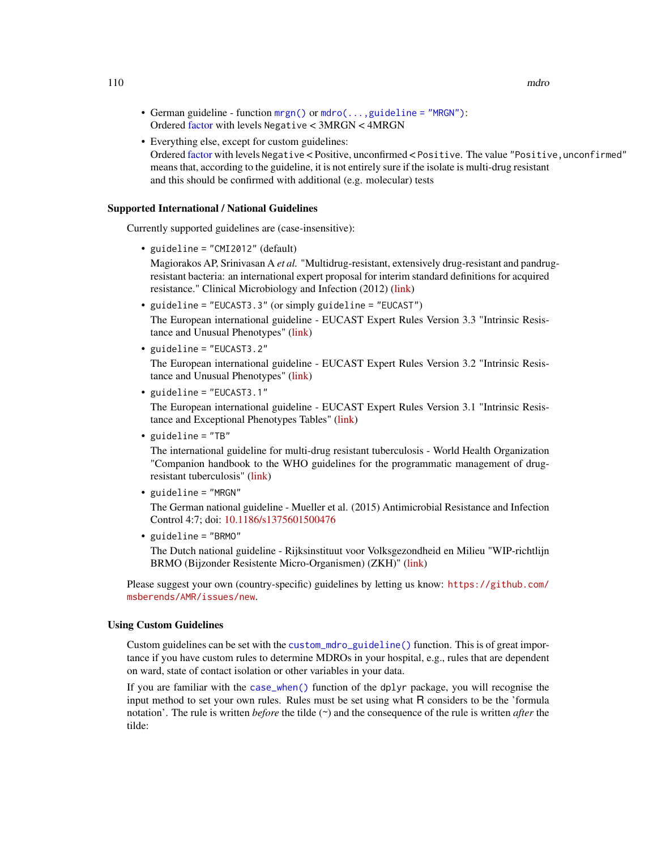110 mdro na maroka na maroka na maroka na maroka na maroka na maroka na maroka na maroka na maroka na maroka n

- German guideline function [mrgn\(\)](#page-107-1) or [mdro\(...,guideline = "MRGN"\)](#page-107-0): Ordered [factor](#page-0-0) with levels Negative < 3MRGN < 4MRGN
- Everything else, except for custom guidelines: Ordered [factor](#page-0-0) with levels Negative < Positive, unconfirmed < Positive. The value "Positive,unconfirmed" means that, according to the guideline, it is not entirely sure if the isolate is multi-drug resistant and this should be confirmed with additional (e.g. molecular) tests

# Supported International / National Guidelines

Currently supported guidelines are (case-insensitive):

• guideline = "CMI2012" (default)

Magiorakos AP, Srinivasan A *et al.* "Multidrug-resistant, extensively drug-resistant and pandrugresistant bacteria: an international expert proposal for interim standard definitions for acquired resistance." Clinical Microbiology and Infection (2012) [\(link\)](https://www.clinicalmicrobiologyandinfection.com/article/S1198-743X(14)61632-3/fulltext)

• guideline = "EUCAST3.3" (or simply guideline = "EUCAST")

The European international guideline - EUCAST Expert Rules Version 3.3 "Intrinsic Resistance and Unusual Phenotypes" [\(link\)](https://www.eucast.org/fileadmin/src/media/PDFs/EUCAST_files/Expert_Rules/2021/Intrinsic_Resistance_and_Unusual_Phenotypes_Tables_v3.3_20211018.pdf)

• guideline = "EUCAST3.2"

The European international guideline - EUCAST Expert Rules Version 3.2 "Intrinsic Resistance and Unusual Phenotypes" [\(link\)](https://www.eucast.org/fileadmin/src/media/PDFs/EUCAST_files/Expert_Rules/2020/Intrinsic_Resistance_and_Unusual_Phenotypes_Tables_v3.2_20200225.pdf)

• guideline = "EUCAST3.1"

The European international guideline - EUCAST Expert Rules Version 3.1 "Intrinsic Resistance and Exceptional Phenotypes Tables" [\(link\)](https://www.eucast.org/fileadmin/src/media/PDFs/EUCAST_files/Expert_Rules/Expert_rules_intrinsic_exceptional_V3.1.pdf)

• guideline = "TB"

The international guideline for multi-drug resistant tuberculosis - World Health Organization "Companion handbook to the WHO guidelines for the programmatic management of drugresistant tuberculosis" [\(link\)](https://www.who.int/publications/i/item/9789241548809)

• guideline = "MRGN"

The German national guideline - Mueller et al. (2015) Antimicrobial Resistance and Infection Control 4:7; doi: [10.1186/s1375601500476](https://doi.org/10.1186/s13756-015-0047-6)

• guideline = "BRMO"

The Dutch national guideline - Rijksinstituut voor Volksgezondheid en Milieu "WIP-richtlijn BRMO (Bijzonder Resistente Micro-Organismen) (ZKH)" [\(link\)](https://www.rivm.nl/wip-richtlijn-brmo-bijzonder-resistente-micro-organismen-zkh)

Please suggest your own (country-specific) guidelines by letting us know: [https://github.com/](https://github.com/msberends/AMR/issues/new) [msberends/AMR/issues/new](https://github.com/msberends/AMR/issues/new).

# Using Custom Guidelines

Custom guidelines can be set with the [custom\\_mdro\\_guideline\(\)](#page-107-1) function. This is of great importance if you have custom rules to determine MDROs in your hospital, e.g., rules that are dependent on ward, state of contact isolation or other variables in your data.

If you are familiar with the [case\\_when\(\)](#page-0-0) function of the dplyr package, you will recognise the input method to set your own rules. Rules must be set using what R considers to be the 'formula notation'. The rule is written *before* the tilde (~) and the consequence of the rule is written *after* the tilde: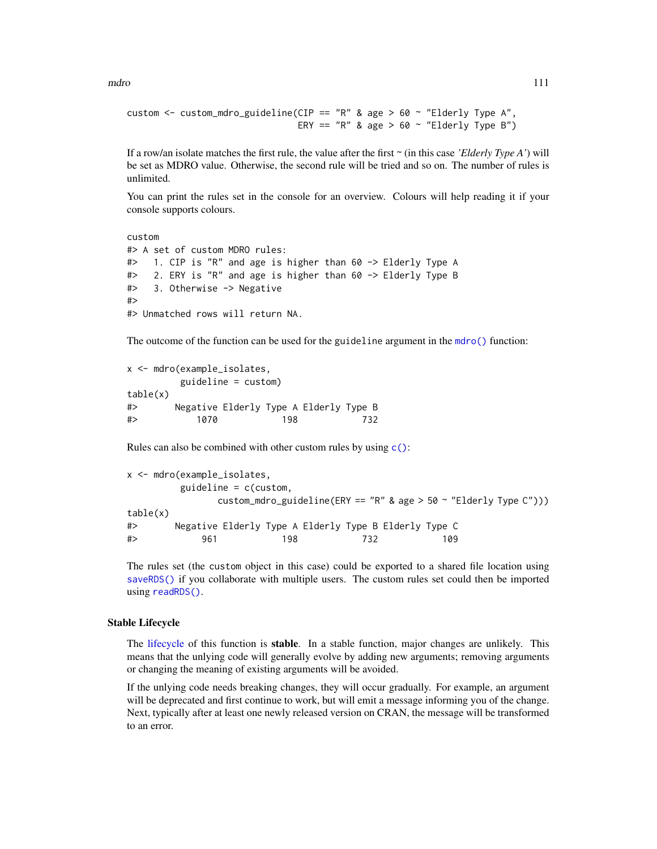mdro terminale e a contra un contra un contra un contra un contra un contra un contra un contra un contra un contra un contra un contra un contra un contra un contra un contra un contra un contra un contra un contra un con

```
custom <- custom_mdro_guideline(CIP == "R" & age > 60 ~ "Elderly Type A",
                                ERY == "R" & age > 60 \sim "Elderly Type B")
```
If a row/an isolate matches the first rule, the value after the first ~ (in this case *'Elderly Type A'*) will be set as MDRO value. Otherwise, the second rule will be tried and so on. The number of rules is unlimited.

You can print the rules set in the console for an overview. Colours will help reading it if your console supports colours.

```
custom
#> A set of custom MDRO rules:
#> 1. CIP is "R" and age is higher than 60 -> Elderly Type A
#> 2. ERY is "R" and age is higher than 60 -> Elderly Type B
#> 3. Otherwise -> Negative
#>
#> Unmatched rows will return NA.
```
The outcome of the function can be used for the guideline argument in the [mdro\(\)](#page-107-0) function:

```
x <- mdro(example_isolates,
       guideline = custom)
table(x)
#> Negative Elderly Type A Elderly Type B
#> 1070 198 732
```
Rules can also be combined with other custom rules by using  $c()$ :

```
x <- mdro(example_isolates,
        guideline = c(custom,
              custom_mdro_guideline(ERY == "R" & age > 50 \sim "Elderly Type C")))
table(x)
#> Negative Elderly Type A Elderly Type B Elderly Type C
#> 961 198 732 109
```
The rules set (the custom object in this case) could be exported to a shared file location using [saveRDS\(\)](#page-0-0) if you collaborate with multiple users. The custom rules set could then be imported using [readRDS\(\)](#page-0-0).

# Stable Lifecycle

The [lifecycle](#page-103-0) of this function is **stable**. In a stable function, major changes are unlikely. This means that the unlying code will generally evolve by adding new arguments; removing arguments or changing the meaning of existing arguments will be avoided.

If the unlying code needs breaking changes, they will occur gradually. For example, an argument will be deprecated and first continue to work, but will emit a message informing you of the change. Next, typically after at least one newly released version on CRAN, the message will be transformed to an error.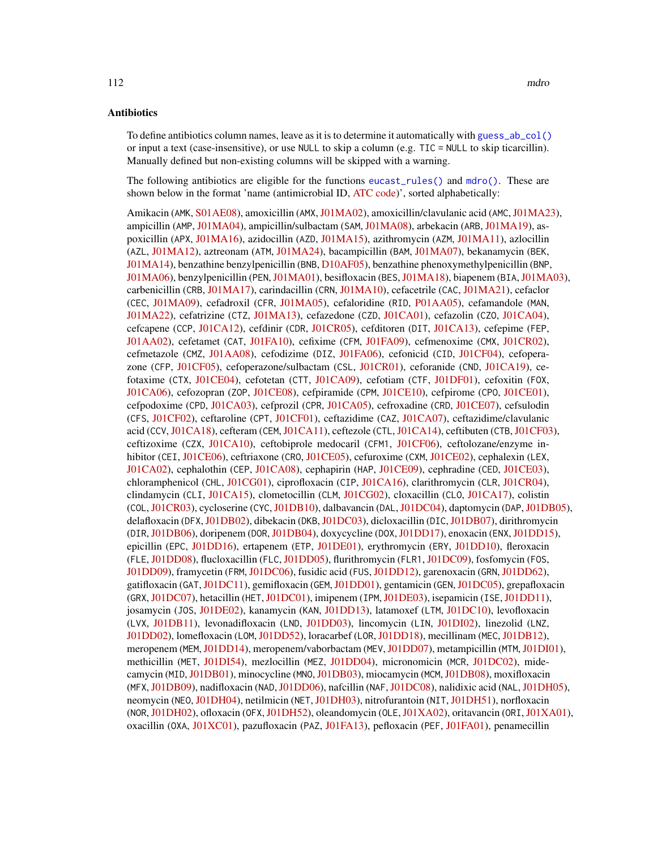To define antibiotics column names, leave as it is to determine it automatically with [guess\\_ab\\_col\(\)](#page-93-0) or input a text (case-insensitive), or use NULL to skip a column (e.g. TIC = NULL to skip ticarcillin). Manually defined but non-existing columns will be skipped with a warning.

The following antibiotics are eligible for the functions [eucast\\_rules\(\)](#page-65-0) and [mdro\(\)](#page-107-0). These are shown below in the format 'name (antimicrobial ID, [ATC code\)](https://www.whocc.no/atc/structure_and_principles/)', sorted alphabetically:

Amikacin (AMK, [S01AE08\)](https://www.whocc.no/atc_ddd_index/?code=J01GB06&showdescription=no), amoxicillin (AMX, [J01MA02\)](https://www.whocc.no/atc_ddd_index/?code=J01CA04&showdescription=no), amoxicillin/clavulanic acid (AMC, [J01MA23\)](https://www.whocc.no/atc_ddd_index/?code=J01CR02&showdescription=no), ampicillin (AMP, [J01MA04\)](https://www.whocc.no/atc_ddd_index/?code=J01CA01&showdescription=no), ampicillin/sulbactam (SAM, [J01MA08\)](https://www.whocc.no/atc_ddd_index/?code=J01CR01&showdescription=no), arbekacin (ARB, [J01MA19\)](https://www.whocc.no/atc_ddd_index/?code=J01GB12&showdescription=no), aspoxicillin (APX, [J01MA16\)](https://www.whocc.no/atc_ddd_index/?code=J01CA19&showdescription=no), azidocillin (AZD, [J01MA15\)](https://www.whocc.no/atc_ddd_index/?code=J01CE04&showdescription=no), azithromycin (AZM, [J01MA11\)](https://www.whocc.no/atc_ddd_index/?code=J01FA10&showdescription=no), azlocillin (AZL, [J01MA12\)](https://www.whocc.no/atc_ddd_index/?code=J01CA09&showdescription=no), aztreonam (ATM, [J01MA24\)](https://www.whocc.no/atc_ddd_index/?code=J01DF01&showdescription=no), bacampicillin (BAM, [J01MA07\)](https://www.whocc.no/atc_ddd_index/?code=J01CA06&showdescription=no), bekanamycin (BEK, [J01MA14\)](https://www.whocc.no/atc_ddd_index/?code=J01GB13&showdescription=no), benzathine benzylpenicillin (BNB, [D10AF05\)](https://www.whocc.no/atc_ddd_index/?code=J01CE08&showdescription=no), benzathine phenoxymethylpenicillin (BNP, [J01MA06\)](https://www.whocc.no/atc_ddd_index/?code=J01CE10&showdescription=no), benzylpenicillin (PEN,[J01MA01\)](https://www.whocc.no/atc_ddd_index/?code=J01CE01&showdescription=no), besifloxacin (BES,[J01MA18\)](https://www.whocc.no/atc_ddd_index/?code=S01AE08&showdescription=no), biapenem (BIA,[J01MA03\)](https://www.whocc.no/atc_ddd_index/?code=J01DH05&showdescription=no), carbenicillin (CRB, [J01MA17\)](https://www.whocc.no/atc_ddd_index/?code=J01CA03&showdescription=no), carindacillin (CRN, [J01MA10\)](https://www.whocc.no/atc_ddd_index/?code=J01CA05&showdescription=no), cefacetrile (CAC, [J01MA21\)](https://www.whocc.no/atc_ddd_index/?code=J01DB10&showdescription=no), cefaclor (CEC, [J01MA09\)](https://www.whocc.no/atc_ddd_index/?code=J01DC04&showdescription=no), cefadroxil (CFR, [J01MA05\)](https://www.whocc.no/atc_ddd_index/?code=J01DB05&showdescription=no), cefaloridine (RID, [P01AA05\)](https://www.whocc.no/atc_ddd_index/?code=J01DB02&showdescription=no), cefamandole (MAN, [J01MA22\)](https://www.whocc.no/atc_ddd_index/?code=J01DC03&showdescription=no), cefatrizine (CTZ, [J01MA13\)](https://www.whocc.no/atc_ddd_index/?code=J01DB07&showdescription=no), cefazedone (CZD, [J01CA01\)](https://www.whocc.no/atc_ddd_index/?code=J01DB06&showdescription=no), cefazolin (CZO, [J01CA04\)](https://www.whocc.no/atc_ddd_index/?code=J01DB04&showdescription=no), cefcapene (CCP, [J01CA12\)](https://www.whocc.no/atc_ddd_index/?code=J01DD17&showdescription=no), cefdinir (CDR, [J01CR05\)](https://www.whocc.no/atc_ddd_index/?code=J01DD15&showdescription=no), cefditoren (DIT, [J01CA13\)](https://www.whocc.no/atc_ddd_index/?code=J01DD16&showdescription=no), cefepime (FEP, [J01AA02\)](https://www.whocc.no/atc_ddd_index/?code=J01DE01&showdescription=no), cefetamet (CAT, [J01FA10\)](https://www.whocc.no/atc_ddd_index/?code=J01DD10&showdescription=no), cefixime (CFM, [J01FA09\)](https://www.whocc.no/atc_ddd_index/?code=J01DD08&showdescription=no), cefmenoxime (CMX, [J01CR02\)](https://www.whocc.no/atc_ddd_index/?code=J01DD05&showdescription=no), cefmetazole (CMZ, [J01AA08\)](https://www.whocc.no/atc_ddd_index/?code=J01DC09&showdescription=no), cefodizime (DIZ, [J01FA06\)](https://www.whocc.no/atc_ddd_index/?code=J01DD09&showdescription=no), cefonicid (CID, [J01CF04\)](https://www.whocc.no/atc_ddd_index/?code=J01DC06&showdescription=no), cefoperazone (CFP, [J01CF05\)](https://www.whocc.no/atc_ddd_index/?code=J01DD12&showdescription=no), cefoperazone/sulbactam (CSL, [J01CR01\)](https://www.whocc.no/atc_ddd_index/?code=J01DD62&showdescription=no), ceforanide (CND, [J01CA19\)](https://www.whocc.no/atc_ddd_index/?code=J01DC11&showdescription=no), cefotaxime (CTX, [J01CE04\)](https://www.whocc.no/atc_ddd_index/?code=J01DD01&showdescription=no), cefotetan (CTT, [J01CA09\)](https://www.whocc.no/atc_ddd_index/?code=J01DC05&showdescription=no), cefotiam (CTF, [J01DF01\)](https://www.whocc.no/atc_ddd_index/?code=J01DC07&showdescription=no), cefoxitin (FOX, [J01CA06\)](https://www.whocc.no/atc_ddd_index/?code=J01DC01&showdescription=no), cefozopran (ZOP, [J01CE08\)](https://www.whocc.no/atc_ddd_index/?code=J01DE03&showdescription=no), cefpiramide (CPM, [J01CE10\)](https://www.whocc.no/atc_ddd_index/?code=J01DD11&showdescription=no), cefpirome (CPO, [J01CE01\)](https://www.whocc.no/atc_ddd_index/?code=J01DE02&showdescription=no), cefpodoxime (CPD, [J01CA03\)](https://www.whocc.no/atc_ddd_index/?code=J01DD13&showdescription=no), cefprozil (CPR, [J01CA05\)](https://www.whocc.no/atc_ddd_index/?code=J01DC10&showdescription=no), cefroxadine (CRD, [J01CE07\)](https://www.whocc.no/atc_ddd_index/?code=J01DB11&showdescription=no), cefsulodin (CFS, [J01CF02\)](https://www.whocc.no/atc_ddd_index/?code=J01DD03&showdescription=no), ceftaroline (CPT, [J01CF01\)](https://www.whocc.no/atc_ddd_index/?code=J01DI02&showdescription=no), ceftazidime (CAZ, [J01CA07\)](https://www.whocc.no/atc_ddd_index/?code=J01DD02&showdescription=no), ceftazidime/clavulanic acid (CCV, [J01CA18\)](https://www.whocc.no/atc_ddd_index/?code=J01DD52&showdescription=no), cefteram (CEM, [J01CA11\)](https://www.whocc.no/atc_ddd_index/?code=J01DD18&showdescription=no), ceftezole (CTL, [J01CA14\)](https://www.whocc.no/atc_ddd_index/?code=J01DB12&showdescription=no), ceftibuten (CTB, [J01CF03\)](https://www.whocc.no/atc_ddd_index/?code=J01DD14&showdescription=no), ceftizoxime (CZX, [J01CA10\)](https://www.whocc.no/atc_ddd_index/?code=J01DD07&showdescription=no), ceftobiprole medocaril (CFM1, [J01CF06\)](https://www.whocc.no/atc_ddd_index/?code=J01DI01&showdescription=no), ceftolozane/enzyme in-hibitor (CEI, [J01CE06\)](https://www.whocc.no/atc_ddd_index/?code=J01DI54&showdescription=no), ceftriaxone (CRO, [J01CE05\)](https://www.whocc.no/atc_ddd_index/?code=J01DD04&showdescription=no), cefuroxime (CXM, [J01CE02\)](https://www.whocc.no/atc_ddd_index/?code=J01DC02&showdescription=no), cephalexin (LEX, [J01CA02\)](https://www.whocc.no/atc_ddd_index/?code=J01DB01&showdescription=no), cephalothin (CEP, [J01CA08\)](https://www.whocc.no/atc_ddd_index/?code=J01DB03&showdescription=no), cephapirin (HAP, [J01CE09\)](https://www.whocc.no/atc_ddd_index/?code=J01DB08&showdescription=no), cephradine (CED, [J01CE03\)](https://www.whocc.no/atc_ddd_index/?code=J01DB09&showdescription=no), chloramphenicol (CHL, [J01CG01\)](https://www.whocc.no/atc_ddd_index/?code=J01BA01&showdescription=no), ciprofloxacin (CIP, [J01CA16\)](https://www.whocc.no/atc_ddd_index/?code=J01MA02&showdescription=no), clarithromycin (CLR, [J01CR04\)](https://www.whocc.no/atc_ddd_index/?code=J01FA09&showdescription=no), clindamycin (CLI, [J01CA15\)](https://www.whocc.no/atc_ddd_index/?code=J01FF01&showdescription=no), clometocillin (CLM, [J01CG02\)](https://www.whocc.no/atc_ddd_index/?code=J01CE07&showdescription=no), cloxacillin (CLO, [J01CA17\)](https://www.whocc.no/atc_ddd_index/?code=J01CF02&showdescription=no), colistin (COL,[J01CR03\)](https://www.whocc.no/atc_ddd_index/?code=J01XB01&showdescription=no), cycloserine (CYC,[J01DB10\)](https://www.whocc.no/atc_ddd_index/?code=J04AB01&showdescription=no), dalbavancin (DAL,[J01DC04\)](https://www.whocc.no/atc_ddd_index/?code=J01XA04&showdescription=no), daptomycin (DAP,[J01DB05\)](https://www.whocc.no/atc_ddd_index/?code=J01XX09&showdescription=no), delafloxacin (DFX, [J01DB02\)](https://www.whocc.no/atc_ddd_index/?code=J01MA23&showdescription=no), dibekacin (DKB, [J01DC03\)](https://www.whocc.no/atc_ddd_index/?code=J01GB09&showdescription=no), dicloxacillin (DIC, [J01DB07\)](https://www.whocc.no/atc_ddd_index/?code=J01CF01&showdescription=no), dirithromycin (DIR,[J01DB06\)](https://www.whocc.no/atc_ddd_index/?code=J01FA13&showdescription=no), doripenem (DOR,[J01DB04\)](https://www.whocc.no/atc_ddd_index/?code=J01DH04&showdescription=no), doxycycline (DOX,[J01DD17\)](https://www.whocc.no/atc_ddd_index/?code=J01AA02&showdescription=no), enoxacin (ENX,[J01DD15\)](https://www.whocc.no/atc_ddd_index/?code=J01MA04&showdescription=no), epicillin (EPC, [J01DD16\)](https://www.whocc.no/atc_ddd_index/?code=J01CA07&showdescription=no), ertapenem (ETP, [J01DE01\)](https://www.whocc.no/atc_ddd_index/?code=J01DH03&showdescription=no), erythromycin (ERY, [J01DD10\)](https://www.whocc.no/atc_ddd_index/?code=J01FA01&showdescription=no), fleroxacin (FLE, [J01DD08\)](https://www.whocc.no/atc_ddd_index/?code=J01MA08&showdescription=no), flucloxacillin (FLC, [J01DD05\)](https://www.whocc.no/atc_ddd_index/?code=J01CF05&showdescription=no), flurithromycin (FLR1, [J01DC09\)](https://www.whocc.no/atc_ddd_index/?code=J01FA14&showdescription=no), fosfomycin (FOS, [J01DD09\)](https://www.whocc.no/atc_ddd_index/?code=J01XX01&showdescription=no), framycetin (FRM, [J01DC06\)](https://www.whocc.no/atc_ddd_index/?code=D09AA01&showdescription=no), fusidic acid (FUS, [J01DD12\)](https://www.whocc.no/atc_ddd_index/?code=J01XC01&showdescription=no), garenoxacin (GRN, [J01DD62\)](https://www.whocc.no/atc_ddd_index/?code=J01MA19&showdescription=no), gatifloxacin (GAT,[J01DC11\)](https://www.whocc.no/atc_ddd_index/?code=J01MA16&showdescription=no), gemifloxacin (GEM,[J01DD01\)](https://www.whocc.no/atc_ddd_index/?code=J01MA15&showdescription=no), gentamicin (GEN,[J01DC05\)](https://www.whocc.no/atc_ddd_index/?code=J01GB03&showdescription=no), grepafloxacin (GRX,[J01DC07\)](https://www.whocc.no/atc_ddd_index/?code=J01MA11&showdescription=no), hetacillin (HET,[J01DC01\)](https://www.whocc.no/atc_ddd_index/?code=J01CA18&showdescription=no), imipenem (IPM,[J01DE03\)](https://www.whocc.no/atc_ddd_index/?code=J01DH51&showdescription=no), isepamicin (ISE,[J01DD11\)](https://www.whocc.no/atc_ddd_index/?code=J01GB11&showdescription=no), josamycin (JOS, [J01DE02\)](https://www.whocc.no/atc_ddd_index/?code=J01FA07&showdescription=no), kanamycin (KAN, [J01DD13\)](https://www.whocc.no/atc_ddd_index/?code=J01GB04&showdescription=no), latamoxef (LTM, [J01DC10\)](https://www.whocc.no/atc_ddd_index/?code=J01DD06&showdescription=no), levofloxacin (LVX, [J01DB11\)](https://www.whocc.no/atc_ddd_index/?code=J01MA12&showdescription=no), levonadifloxacin (LND, [J01DD03\)](https://www.whocc.no/atc_ddd_index/?code=J01MA24&showdescription=no), lincomycin (LIN, [J01DI02\)](https://www.whocc.no/atc_ddd_index/?code=J01FF02&showdescription=no), linezolid (LNZ, [J01DD02\)](https://www.whocc.no/atc_ddd_index/?code=J01XX08&showdescription=no), lomefloxacin (LOM, [J01DD52\)](https://www.whocc.no/atc_ddd_index/?code=J01MA07&showdescription=no), loracarbef (LOR, [J01DD18\)](https://www.whocc.no/atc_ddd_index/?code=J01DC08&showdescription=no), mecillinam (MEC, [J01DB12\)](https://www.whocc.no/atc_ddd_index/?code=J01CA11&showdescription=no), meropenem (MEM,[J01DD14\)](https://www.whocc.no/atc_ddd_index/?code=J01DH02&showdescription=no), meropenem/vaborbactam (MEV,[J01DD07\)](https://www.whocc.no/atc_ddd_index/?code=J01DH52&showdescription=no), metampicillin (MTM,[J01DI01\)](https://www.whocc.no/atc_ddd_index/?code=J01CA14&showdescription=no), methicillin (MET, [J01DI54\)](https://www.whocc.no/atc_ddd_index/?code=J01CF03&showdescription=no), mezlocillin (MEZ, [J01DD04\)](https://www.whocc.no/atc_ddd_index/?code=J01CA10&showdescription=no), micronomicin (MCR, [J01DC02\)](https://www.whocc.no/atc_ddd_index/?code=S01AA22&showdescription=no), mide-camycin (MID, [J01DB01\)](https://www.whocc.no/atc_ddd_index/?code=J01FA03&showdescription=no), minocycline (MNO, [J01DB03\)](https://www.whocc.no/atc_ddd_index/?code=J01AA08&showdescription=no), miocamycin (MCM, [J01DB08\)](https://www.whocc.no/atc_ddd_index/?code=J01FA11&showdescription=no), moxifloxacin (MFX,[J01DB09\)](https://www.whocc.no/atc_ddd_index/?code=J01MA14&showdescription=no), nadifloxacin (NAD,[J01DD06\)](https://www.whocc.no/atc_ddd_index/?code=D10AF05&showdescription=no), nafcillin (NAF,[J01DC08\)](https://www.whocc.no/atc_ddd_index/?code=J01CF06&showdescription=no), nalidixic acid (NAL,[J01DH05\)](https://www.whocc.no/atc_ddd_index/?code=J01MB02&showdescription=no), neomycin (NEO, [J01DH04\)](https://www.whocc.no/atc_ddd_index/?code=J01GB05&showdescription=no), netilmicin (NET, [J01DH03\)](https://www.whocc.no/atc_ddd_index/?code=J01GB07&showdescription=no), nitrofurantoin (NIT, [J01DH51\)](https://www.whocc.no/atc_ddd_index/?code=J01XE01&showdescription=no), norfloxacin (NOR,[J01DH02\)](https://www.whocc.no/atc_ddd_index/?code=J01MA06&showdescription=no), ofloxacin (OFX,[J01DH52\)](https://www.whocc.no/atc_ddd_index/?code=J01MA01&showdescription=no), oleandomycin (OLE,[J01XA02\)](https://www.whocc.no/atc_ddd_index/?code=J01FA05&showdescription=no), oritavancin (ORI,[J01XA01\)](https://www.whocc.no/atc_ddd_index/?code=J01XA05&showdescription=no), oxacillin (OXA, [J01XC01\)](https://www.whocc.no/atc_ddd_index/?code=J01CF04&showdescription=no), pazufloxacin (PAZ, [J01FA13\)](https://www.whocc.no/atc_ddd_index/?code=J01MA18&showdescription=no), pefloxacin (PEF, [J01FA01\)](https://www.whocc.no/atc_ddd_index/?code=J01MA03&showdescription=no), penamecillin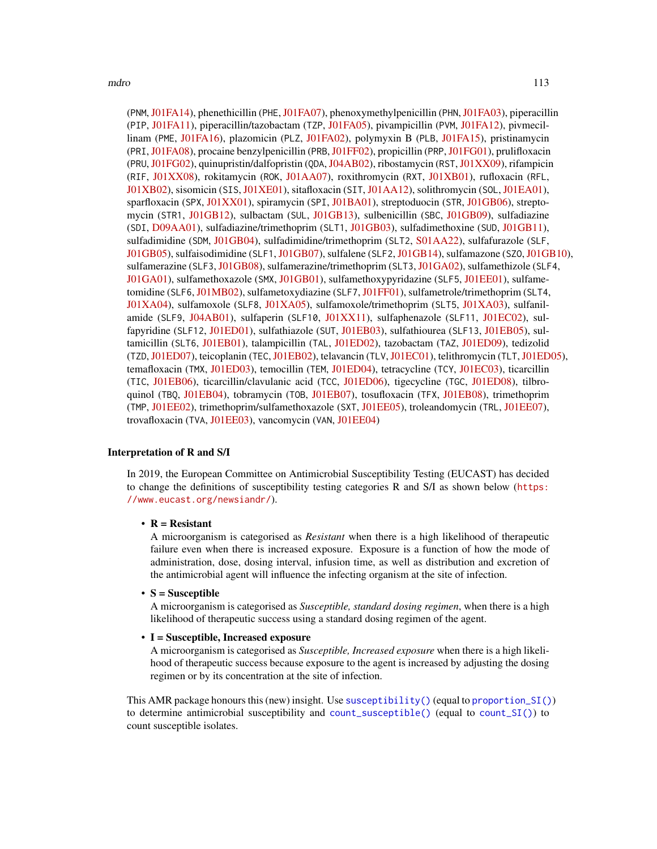(PNM, [J01FA14\)](https://www.whocc.no/atc_ddd_index/?code=J01CE06&showdescription=no), phenethicillin (PHE, [J01FA07\)](https://www.whocc.no/atc_ddd_index/?code=J01CE05&showdescription=no), phenoxymethylpenicillin (PHN, [J01FA03\)](https://www.whocc.no/atc_ddd_index/?code=J01CE02&showdescription=no), piperacillin (PIP, [J01FA11\)](https://www.whocc.no/atc_ddd_index/?code=J01CA12&showdescription=no), piperacillin/tazobactam (TZP, [J01FA05\)](https://www.whocc.no/atc_ddd_index/?code=J01CR05&showdescription=no), pivampicillin (PVM, [J01FA12\)](https://www.whocc.no/atc_ddd_index/?code=J01CA02&showdescription=no), pivmecillinam (PME, [J01FA16\)](https://www.whocc.no/atc_ddd_index/?code=J01CA08&showdescription=no), plazomicin (PLZ, [J01FA02\)](https://www.whocc.no/atc_ddd_index/?code=J01GB14&showdescription=no), polymyxin B (PLB, [J01FA15\)](https://www.whocc.no/atc_ddd_index/?code=J01XB02&showdescription=no), pristinamycin (PRI,[J01FA08\)](https://www.whocc.no/atc_ddd_index/?code=J01FG01&showdescription=no), procaine benzylpenicillin (PRB,[J01FF02\)](https://www.whocc.no/atc_ddd_index/?code=J01CE09&showdescription=no), propicillin (PRP,[J01FG01\)](https://www.whocc.no/atc_ddd_index/?code=J01CE03&showdescription=no), prulifloxacin (PRU, [J01FG02\)](https://www.whocc.no/atc_ddd_index/?code=J01MA17&showdescription=no), quinupristin/dalfopristin (QDA, [J04AB02\)](https://www.whocc.no/atc_ddd_index/?code=J01FG02&showdescription=no), ribostamycin (RST, [J01XX09\)](https://www.whocc.no/atc_ddd_index/?code=J01GB10&showdescription=no), rifampicin (RIF, [J01XX08\)](https://www.whocc.no/atc_ddd_index/?code=J04AB02&showdescription=no), rokitamycin (ROK, [J01AA07\)](https://www.whocc.no/atc_ddd_index/?code=J01FA12&showdescription=no), roxithromycin (RXT, [J01XB01\)](https://www.whocc.no/atc_ddd_index/?code=J01FA06&showdescription=no), rufloxacin (RFL, [J01XB02\)](https://www.whocc.no/atc_ddd_index/?code=J01MA10&showdescription=no), sisomicin (SIS, [J01XE01\)](https://www.whocc.no/atc_ddd_index/?code=J01GB08&showdescription=no), sitafloxacin (SIT, [J01AA12\)](https://www.whocc.no/atc_ddd_index/?code=J01MA21&showdescription=no), solithromycin (SOL, [J01EA01\)](https://www.whocc.no/atc_ddd_index/?code=J01FA16&showdescription=no), sparfloxacin (SPX, [J01XX01\)](https://www.whocc.no/atc_ddd_index/?code=J01MA09&showdescription=no), spiramycin (SPI, [J01BA01\)](https://www.whocc.no/atc_ddd_index/?code=J01FA02&showdescription=no), streptoduocin (STR, [J01GB06\)](https://www.whocc.no/atc_ddd_index/?code=J01GA02&showdescription=no), streptomycin (STR1, [J01GB12\)](https://www.whocc.no/atc_ddd_index/?code=J01GA01&showdescription=no), sulbactam (SUL, [J01GB13\)](https://www.whocc.no/atc_ddd_index/?code=J01CG01&showdescription=no), sulbenicillin (SBC, [J01GB09\)](https://www.whocc.no/atc_ddd_index/?code=J01CA16&showdescription=no), sulfadiazine (SDI, [D09AA01\)](https://www.whocc.no/atc_ddd_index/?code=J01EC02&showdescription=no), sulfadiazine/trimethoprim (SLT1, [J01GB03\)](https://www.whocc.no/atc_ddd_index/?code=J01EE02&showdescription=no), sulfadimethoxine (SUD, [J01GB11\)](https://www.whocc.no/atc_ddd_index/?code=J01ED01&showdescription=no), sulfadimidine (SDM, [J01GB04\)](https://www.whocc.no/atc_ddd_index/?code=J01EB03&showdescription=no), sulfadimidine/trimethoprim (SLT2, [S01AA22\)](https://www.whocc.no/atc_ddd_index/?code=J01EE05&showdescription=no), sulfafurazole (SLF, [J01GB05\)](https://www.whocc.no/atc_ddd_index/?code=J01EB05&showdescription=no), sulfaisodimidine (SLF1, [J01GB07\)](https://www.whocc.no/atc_ddd_index/?code=J01EB01&showdescription=no), sulfalene (SLF2, [J01GB14\)](https://www.whocc.no/atc_ddd_index/?code=J01ED02&showdescription=no), sulfamazone (SZO,[J01GB10\)](https://www.whocc.no/atc_ddd_index/?code=J01ED09&showdescription=no), sulfamerazine (SLF3, [J01GB08\)](https://www.whocc.no/atc_ddd_index/?code=J01ED07&showdescription=no), sulfamerazine/trimethoprim (SLT3, [J01GA02\)](https://www.whocc.no/atc_ddd_index/?code=J01EE07&showdescription=no), sulfamethizole (SLF4, [J01GA01\)](https://www.whocc.no/atc_ddd_index/?code=J01EB02&showdescription=no), sulfamethoxazole (SMX, [J01GB01\)](https://www.whocc.no/atc_ddd_index/?code=J01EC01&showdescription=no), sulfamethoxypyridazine (SLF5, [J01EE01\)](https://www.whocc.no/atc_ddd_index/?code=J01ED05&showdescription=no), sulfame-tomidine (SLF6, [J01MB02\)](https://www.whocc.no/atc_ddd_index/?code=J01ED03&showdescription=no), sulfametoxydiazine (SLF7, [J01FF01\)](https://www.whocc.no/atc_ddd_index/?code=J01ED04&showdescription=no), sulfametrole/trimethoprim (SLT4, [J01XA04\)](https://www.whocc.no/atc_ddd_index/?code=J01EE03&showdescription=no), sulfamoxole (SLF8, [J01XA05\)](https://www.whocc.no/atc_ddd_index/?code=J01EC03&showdescription=no), sulfamoxole/trimethoprim (SLT5, [J01XA03\)](https://www.whocc.no/atc_ddd_index/?code=J01EE04&showdescription=no), sulfanil-amide (SLF9, [J04AB01\)](https://www.whocc.no/atc_ddd_index/?code=J01EB06&showdescription=no), sulfaperin (SLF10, [J01XX11\)](https://www.whocc.no/atc_ddd_index/?code=J01ED06&showdescription=no), sulfaphenazole (SLF11, [J01EC02\)](https://www.whocc.no/atc_ddd_index/?code=J01ED08&showdescription=no), sulfapyridine (SLF12, [J01ED01\)](https://www.whocc.no/atc_ddd_index/?code=J01EB04&showdescription=no), sulfathiazole (SUT, [J01EB03\)](https://www.whocc.no/atc_ddd_index/?code=J01EB07&showdescription=no), sulfathiourea (SLF13, [J01EB05\)](https://www.whocc.no/atc_ddd_index/?code=J01EB08&showdescription=no), sultamicillin (SLT6, [J01EB01\)](https://www.whocc.no/atc_ddd_index/?code=J01CR04&showdescription=no), talampicillin (TAL, [J01ED02\)](https://www.whocc.no/atc_ddd_index/?code=J01CA15&showdescription=no), tazobactam (TAZ, [J01ED09\)](https://www.whocc.no/atc_ddd_index/?code=J01CG02&showdescription=no), tedizolid (TZD,[J01ED07\)](https://www.whocc.no/atc_ddd_index/?code=J01XX11&showdescription=no), teicoplanin (TEC,[J01EB02\)](https://www.whocc.no/atc_ddd_index/?code=J01XA02&showdescription=no), telavancin (TLV,[J01EC01\)](https://www.whocc.no/atc_ddd_index/?code=J01XA03&showdescription=no), telithromycin (TLT,[J01ED05\)](https://www.whocc.no/atc_ddd_index/?code=J01FA15&showdescription=no), temafloxacin (TMX, [J01ED03\)](https://www.whocc.no/atc_ddd_index/?code=J01MA05&showdescription=no), temocillin (TEM, [J01ED04\)](https://www.whocc.no/atc_ddd_index/?code=J01CA17&showdescription=no), tetracycline (TCY, [J01EC03\)](https://www.whocc.no/atc_ddd_index/?code=J01AA07&showdescription=no), ticarcillin (TIC, [J01EB06\)](https://www.whocc.no/atc_ddd_index/?code=J01CA13&showdescription=no), ticarcillin/clavulanic acid (TCC, [J01ED06\)](https://www.whocc.no/atc_ddd_index/?code=J01CR03&showdescription=no), tigecycline (TGC, [J01ED08\)](https://www.whocc.no/atc_ddd_index/?code=J01AA12&showdescription=no), tilbroquinol (TBQ, [J01EB04\)](https://www.whocc.no/atc_ddd_index/?code=P01AA05&showdescription=no), tobramycin (TOB, [J01EB07\)](https://www.whocc.no/atc_ddd_index/?code=J01GB01&showdescription=no), tosufloxacin (TFX, [J01EB08\)](https://www.whocc.no/atc_ddd_index/?code=J01MA22&showdescription=no), trimethoprim (TMP, [J01EE02\)](https://www.whocc.no/atc_ddd_index/?code=J01EA01&showdescription=no), trimethoprim/sulfamethoxazole (SXT, [J01EE05\)](https://www.whocc.no/atc_ddd_index/?code=J01EE01&showdescription=no), troleandomycin (TRL, [J01EE07\)](https://www.whocc.no/atc_ddd_index/?code=J01FA08&showdescription=no), trovafloxacin (TVA, [J01EE03\)](https://www.whocc.no/atc_ddd_index/?code=J01MA13&showdescription=no), vancomycin (VAN, [J01EE04\)](https://www.whocc.no/atc_ddd_index/?code=J01XA01&showdescription=no)

#### Interpretation of R and S/I

In 2019, the European Committee on Antimicrobial Susceptibility Testing (EUCAST) has decided to change the definitions of susceptibility testing categories R and S/I as shown below ([https:](https://www.eucast.org/newsiandr/) [//www.eucast.org/newsiandr/](https://www.eucast.org/newsiandr/)).

## •  $R =$  Resistant

A microorganism is categorised as *Resistant* when there is a high likelihood of therapeutic failure even when there is increased exposure. Exposure is a function of how the mode of administration, dose, dosing interval, infusion time, as well as distribution and excretion of the antimicrobial agent will influence the infecting organism at the site of infection.

#### •  $S =$  Susceptible

A microorganism is categorised as *Susceptible, standard dosing regimen*, when there is a high likelihood of therapeutic success using a standard dosing regimen of the agent.

# • I = Susceptible, Increased exposure

A microorganism is categorised as *Susceptible, Increased exposure* when there is a high likelihood of therapeutic success because exposure to the agent is increased by adjusting the dosing regimen or by its concentration at the site of infection.

This AMR package honours this (new) insight. Use [susceptibility\(\)](#page-137-0) (equal to [proportion\\_SI\(\)](#page-137-0)) to determine antimicrobial susceptibility and [count\\_susceptible\(\)](#page-54-0) (equal to [count\\_SI\(\)](#page-54-0)) to count susceptible isolates.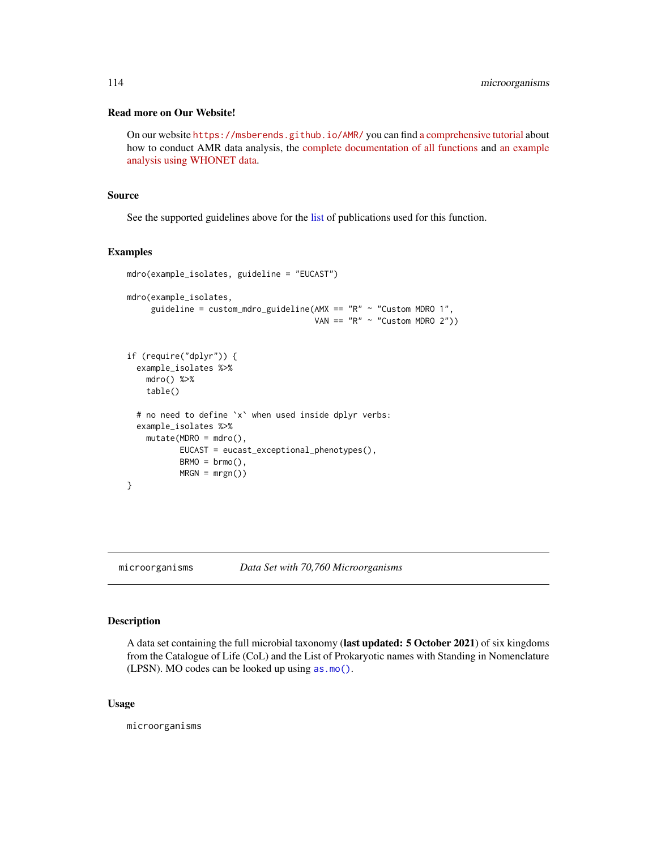# Read more on Our Website!

On our website <https://msberends.github.io/AMR/> you can find [a comprehensive tutorial](https://msberends.github.io/AMR/articles/AMR.html) about how to conduct AMR data analysis, the [complete documentation of all functions](https://msberends.github.io/AMR/reference/) and [an example](https://msberends.github.io/AMR/articles/WHONET.html) [analysis using WHONET data.](https://msberends.github.io/AMR/articles/WHONET.html)

## Source

See the supported guidelines above for the [list](#page-0-0) of publications used for this function.

# Examples

```
mdro(example_isolates, guideline = "EUCAST")
mdro(example_isolates,
     guideline = \text{custom\_mdro\_guideline}(\text{AMX} == "R" ~ "Customer MDRO 1",VAN == "R" ~ "Customer MDRO 2")if (require("dplyr")) {
  example_isolates %>%
    mdro() %>%
    table()
  # no need to define `x` when used inside dplyr verbs:
  example_isolates %>%
    mutate(MDRO = mdro(),
           EUCAST = eucast_exceptional_phenotypes(),
           BRMO = brmo(),
           MRSN = mrgn()}
```
# <span id="page-113-0"></span>microorganisms *Data Set with 70,760 Microorganisms*

# Description

A data set containing the full microbial taxonomy (last updated: 5 October 2021) of six kingdoms from the Catalogue of Life (CoL) and the List of Prokaryotic names with Standing in Nomenclature (LPSN). MO codes can be looked up using [as.mo\(\)](#page-33-0).

# Usage

microorganisms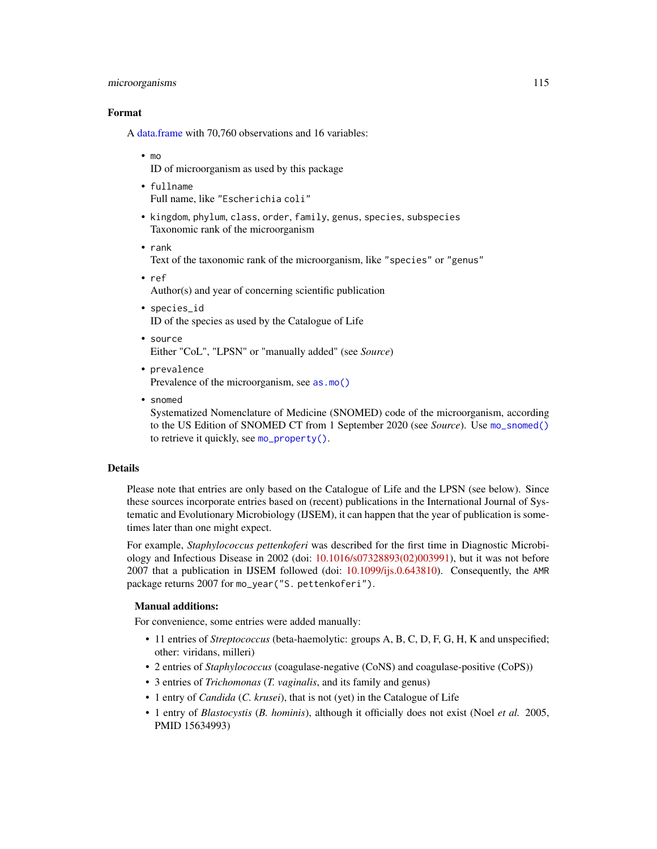## microorganisms 115

# Format

A [data.frame](#page-0-0) with 70,760 observations and 16 variables:

• mo

ID of microorganism as used by this package

- fullname Full name, like "Escherichia coli"
- kingdom, phylum, class, order, family, genus, species, subspecies Taxonomic rank of the microorganism
- rank

Text of the taxonomic rank of the microorganism, like "species" or "genus"

• ref

Author(s) and year of concerning scientific publication

- species\_id ID of the species as used by the Catalogue of Life
- source Either "CoL", "LPSN" or "manually added" (see *Source*)
- prevalence Prevalence of the microorganism, see [as.mo\(\)](#page-33-0)
- snomed

Systematized Nomenclature of Medicine (SNOMED) code of the microorganism, according to the US Edition of SNOMED CT from 1 September 2020 (see *Source*). Use [mo\\_snomed\(\)](#page-121-0) to retrieve it quickly, see [mo\\_property\(\)](#page-121-1).

# Details

Please note that entries are only based on the Catalogue of Life and the LPSN (see below). Since these sources incorporate entries based on (recent) publications in the International Journal of Systematic and Evolutionary Microbiology (IJSEM), it can happen that the year of publication is sometimes later than one might expect.

For example, *Staphylococcus pettenkoferi* was described for the first time in Diagnostic Microbiology and Infectious Disease in 2002 (doi: [10.1016/s07328893\(02\)003991\)](https://doi.org/10.1016/s0732-8893(02)00399-1), but it was not before 2007 that a publication in IJSEM followed (doi: [10.1099/ijs.0.643810\)](https://doi.org/10.1099/ijs.0.64381-0). Consequently, the AMR package returns 2007 for mo\_year("S. pettenkoferi").

# Manual additions:

For convenience, some entries were added manually:

- 11 entries of *Streptococcus* (beta-haemolytic: groups A, B, C, D, F, G, H, K and unspecified; other: viridans, milleri)
- 2 entries of *Staphylococcus* (coagulase-negative (CoNS) and coagulase-positive (CoPS))
- 3 entries of *Trichomonas* (*T. vaginalis*, and its family and genus)
- 1 entry of *Candida* (*C. krusei*), that is not (yet) in the Catalogue of Life
- 1 entry of *Blastocystis* (*B. hominis*), although it officially does not exist (Noel *et al.* 2005, PMID 15634993)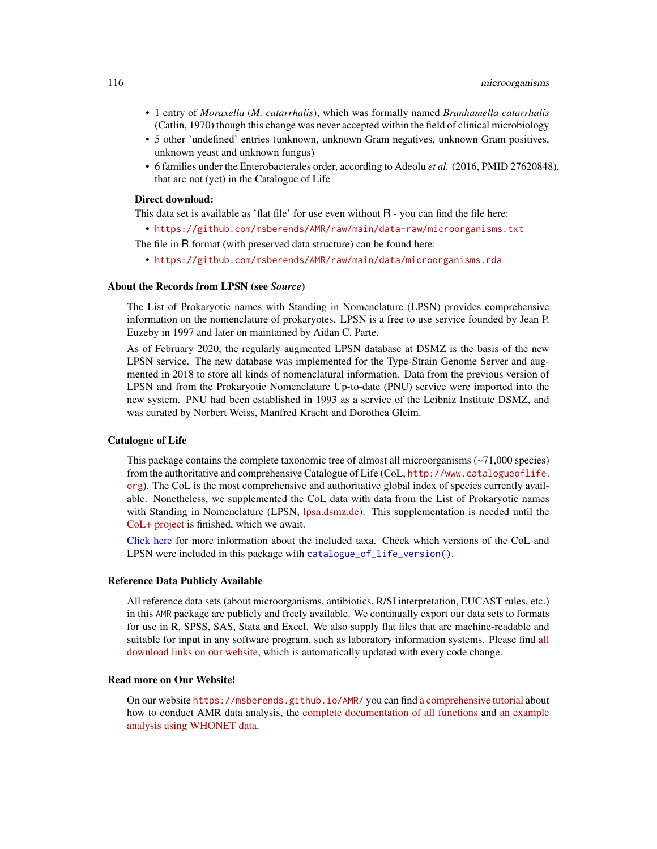- 1 entry of *Moraxella* (*M. catarrhalis*), which was formally named *Branhamella catarrhalis* (Catlin, 1970) though this change was never accepted within the field of clinical microbiology
- 5 other 'undefined' entries (unknown, unknown Gram negatives, unknown Gram positives, unknown yeast and unknown fungus)
- 6 families under the Enterobacterales order, according to Adeolu *et al.* (2016, PMID 27620848), that are not (yet) in the Catalogue of Life

## Direct download:

This data set is available as 'flat file' for use even without R - you can find the file here:

• <https://github.com/msberends/AMR/raw/main/data-raw/microorganisms.txt>

The file in R format (with preserved data structure) can be found here:

• <https://github.com/msberends/AMR/raw/main/data/microorganisms.rda>

# About the Records from LPSN (see *Source*)

The List of Prokaryotic names with Standing in Nomenclature (LPSN) provides comprehensive information on the nomenclature of prokaryotes. LPSN is a free to use service founded by Jean P. Euzeby in 1997 and later on maintained by Aidan C. Parte.

As of February 2020, the regularly augmented LPSN database at DSMZ is the basis of the new LPSN service. The new database was implemented for the Type-Strain Genome Server and augmented in 2018 to store all kinds of nomenclatural information. Data from the previous version of LPSN and from the Prokaryotic Nomenclature Up-to-date (PNU) service were imported into the new system. PNU had been established in 1993 as a service of the Leibniz Institute DSMZ, and was curated by Norbert Weiss, Manfred Kracht and Dorothea Gleim.

# Catalogue of Life

This package contains the complete taxonomic tree of almost all microorganisms (~71,000 species) from the authoritative and comprehensive Catalogue of Life (CoL, [http://www.catalogueoflife.](http://www.catalogueoflife.org) [org](http://www.catalogueoflife.org)). The CoL is the most comprehensive and authoritative global index of species currently available. Nonetheless, we supplemented the CoL data with data from the List of Prokaryotic names with Standing in Nomenclature (LPSN, [lpsn.dsmz.de\)](https://lpsn.dsmz.de). This supplementation is needed until the [CoL+ project](https://github.com/CatalogueOfLife/general) is finished, which we await.

[Click here](#page-51-0) for more information about the included taxa. Check which versions of the CoL and LPSN were included in this package with [catalogue\\_of\\_life\\_version\(\)](#page-53-0).

# Reference Data Publicly Available

All reference data sets (about microorganisms, antibiotics, R/SI interpretation, EUCAST rules, etc.) in this AMR package are publicly and freely available. We continually export our data sets to formats for use in R, SPSS, SAS, Stata and Excel. We also supply flat files that are machine-readable and suitable for input in any software program, such as laboratory information systems. Please find [all](https://msberends.github.io/AMR/articles/datasets.html) [download links on our website,](https://msberends.github.io/AMR/articles/datasets.html) which is automatically updated with every code change.

# Read more on Our Website!

On our website <https://msberends.github.io/AMR/> you can find [a comprehensive tutorial](https://msberends.github.io/AMR/articles/AMR.html) about how to conduct AMR data analysis, the [complete documentation of all functions](https://msberends.github.io/AMR/reference/) and [an example](https://msberends.github.io/AMR/articles/WHONET.html) [analysis using WHONET data.](https://msberends.github.io/AMR/articles/WHONET.html)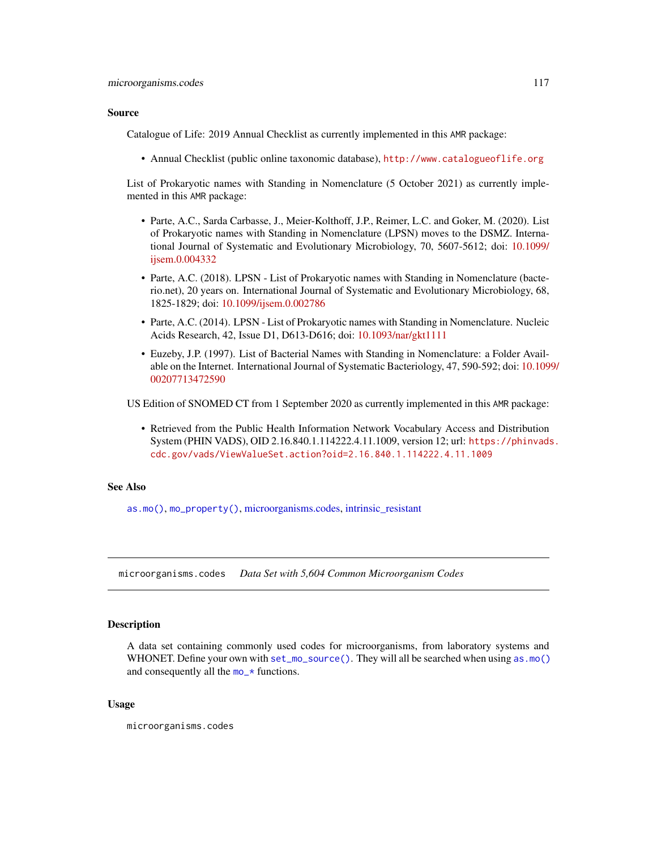# Source

Catalogue of Life: 2019 Annual Checklist as currently implemented in this AMR package:

• Annual Checklist (public online taxonomic database), <http://www.catalogueoflife.org>

List of Prokaryotic names with Standing in Nomenclature (5 October 2021) as currently implemented in this AMR package:

- Parte, A.C., Sarda Carbasse, J., Meier-Kolthoff, J.P., Reimer, L.C. and Goker, M. (2020). List of Prokaryotic names with Standing in Nomenclature (LPSN) moves to the DSMZ. International Journal of Systematic and Evolutionary Microbiology, 70, 5607-5612; doi: [10.1099/](https://doi.org/10.1099/ijsem.0.004332) [ijsem.0.004332](https://doi.org/10.1099/ijsem.0.004332)
- Parte, A.C. (2018). LPSN List of Prokaryotic names with Standing in Nomenclature (bacterio.net), 20 years on. International Journal of Systematic and Evolutionary Microbiology, 68, 1825-1829; doi: [10.1099/ijsem.0.002786](https://doi.org/10.1099/ijsem.0.002786)
- Parte, A.C. (2014). LPSN List of Prokaryotic names with Standing in Nomenclature. Nucleic Acids Research, 42, Issue D1, D613-D616; doi: [10.1093/nar/gkt1111](https://doi.org/10.1093/nar/gkt1111)
- Euzeby, J.P. (1997). List of Bacterial Names with Standing in Nomenclature: a Folder Available on the Internet. International Journal of Systematic Bacteriology, 47, 590-592; doi: [10.109](https://doi.org/10.1099/00207713-47-2-590)9/ [00207713472590](https://doi.org/10.1099/00207713-47-2-590)

US Edition of SNOMED CT from 1 September 2020 as currently implemented in this AMR package:

• Retrieved from the Public Health Information Network Vocabulary Access and Distribution System (PHIN VADS), OID 2.16.840.1.114222.4.11.1009, version 12; url: [https://phinvads](https://phinvads.cdc.gov/vads/ViewValueSet.action?oid=2.16.840.1.114222.4.11.1009). [cdc.gov/vads/ViewValueSet.action?oid=2.16.840.1.114222.4.11.1009](https://phinvads.cdc.gov/vads/ViewValueSet.action?oid=2.16.840.1.114222.4.11.1009)

# See Also

[as.mo\(\)](#page-33-0), [mo\\_property\(\)](#page-121-1), [microorganisms.codes,](#page-116-0) [intrinsic\\_resistant](#page-94-0)

<span id="page-116-0"></span>microorganisms.codes *Data Set with 5,604 Common Microorganism Codes*

# Description

A data set containing commonly used codes for microorganisms, from laboratory systems and WHONET. Define your own with [set\\_mo\\_source\(\)](#page-128-0). They will all be searched when using [as.mo\(\)](#page-33-0) and consequently all the mo\_ $\star$  functions.

# Usage

microorganisms.codes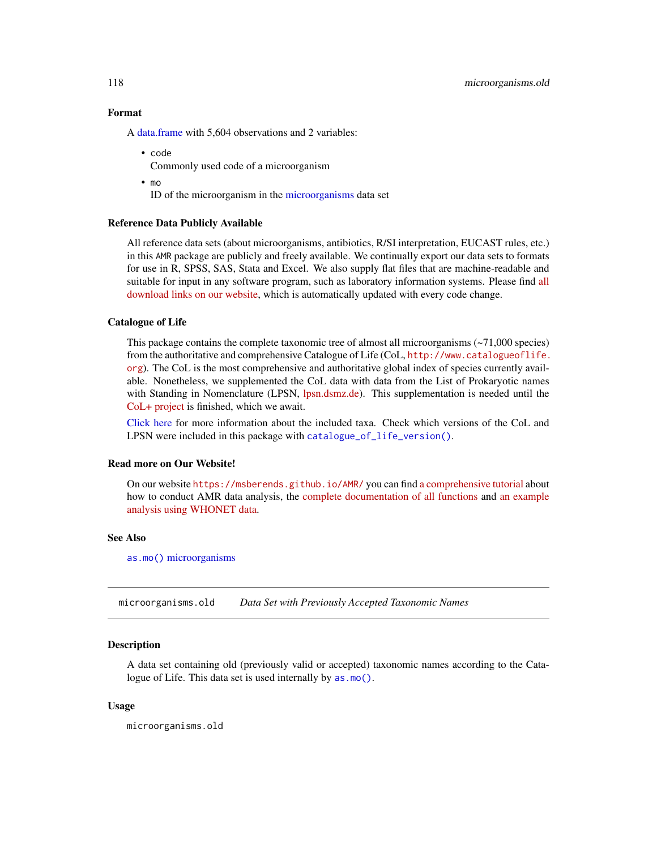# Format

A [data.frame](#page-0-0) with 5,604 observations and 2 variables:

- code Commonly used code of a microorganism
- mo

ID of the microorganism in the [microorganisms](#page-113-0) data set

# Reference Data Publicly Available

All reference data sets (about microorganisms, antibiotics, R/SI interpretation, EUCAST rules, etc.) in this AMR package are publicly and freely available. We continually export our data sets to formats for use in R, SPSS, SAS, Stata and Excel. We also supply flat files that are machine-readable and suitable for input in any software program, such as laboratory information systems. Please find [all](https://msberends.github.io/AMR/articles/datasets.html) [download links on our website,](https://msberends.github.io/AMR/articles/datasets.html) which is automatically updated with every code change.

# Catalogue of Life

This package contains the complete taxonomic tree of almost all microorganisms  $(-71,000$  species) from the authoritative and comprehensive Catalogue of Life (CoL, [http://www.catalogueoflife.](http://www.catalogueoflife.org) [org](http://www.catalogueoflife.org)). The CoL is the most comprehensive and authoritative global index of species currently available. Nonetheless, we supplemented the CoL data with data from the List of Prokaryotic names with Standing in Nomenclature (LPSN, [lpsn.dsmz.de\)](https://lpsn.dsmz.de). This supplementation is needed until the [CoL+ project](https://github.com/CatalogueOfLife/general) is finished, which we await.

[Click here](#page-51-0) for more information about the included taxa. Check which versions of the CoL and LPSN were included in this package with [catalogue\\_of\\_life\\_version\(\)](#page-53-0).

#### Read more on Our Website!

On our website <https://msberends.github.io/AMR/> you can find [a comprehensive tutorial](https://msberends.github.io/AMR/articles/AMR.html) about how to conduct AMR data analysis, the [complete documentation of all functions](https://msberends.github.io/AMR/reference/) and [an example](https://msberends.github.io/AMR/articles/WHONET.html) [analysis using WHONET data.](https://msberends.github.io/AMR/articles/WHONET.html)

# See Also

[as.mo\(\)](#page-33-0) [microorganisms](#page-113-0)

microorganisms.old *Data Set with Previously Accepted Taxonomic Names*

## **Description**

A data set containing old (previously valid or accepted) taxonomic names according to the Catalogue of Life. This data set is used internally by [as.mo\(\)](#page-33-0).

# Usage

microorganisms.old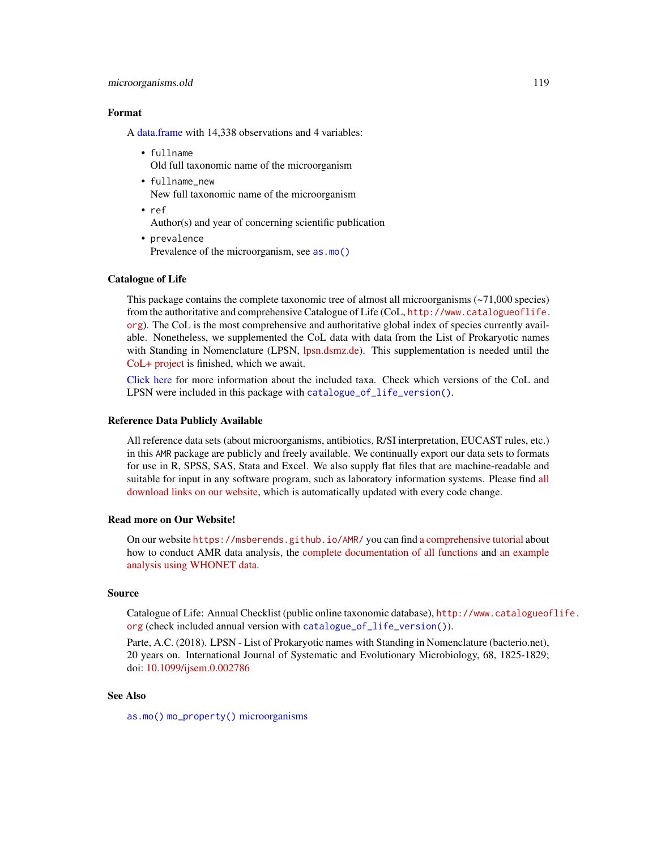#### microorganisms.old 119

# Format

A [data.frame](#page-0-0) with 14,338 observations and 4 variables:

- fullname Old full taxonomic name of the microorganism
- fullname new New full taxonomic name of the microorganism
- ref Author(s) and year of concerning scientific publication
- prevalence Prevalence of the microorganism, see [as.mo\(\)](#page-33-0)

## Catalogue of Life

This package contains the complete taxonomic tree of almost all microorganisms  $(\sim 71,000$  species) from the authoritative and comprehensive Catalogue of Life (CoL, [http://www.catalogueoflife.](http://www.catalogueoflife.org) [org](http://www.catalogueoflife.org)). The CoL is the most comprehensive and authoritative global index of species currently available. Nonetheless, we supplemented the CoL data with data from the List of Prokaryotic names with Standing in Nomenclature (LPSN, [lpsn.dsmz.de\)](https://lpsn.dsmz.de). This supplementation is needed until the [CoL+ project](https://github.com/CatalogueOfLife/general) is finished, which we await.

[Click here](#page-51-0) for more information about the included taxa. Check which versions of the CoL and LPSN were included in this package with [catalogue\\_of\\_life\\_version\(\)](#page-53-0).

#### Reference Data Publicly Available

All reference data sets (about microorganisms, antibiotics, R/SI interpretation, EUCAST rules, etc.) in this AMR package are publicly and freely available. We continually export our data sets to formats for use in R, SPSS, SAS, Stata and Excel. We also supply flat files that are machine-readable and suitable for input in any software program, such as laboratory information systems. Please find [all](https://msberends.github.io/AMR/articles/datasets.html) [download links on our website,](https://msberends.github.io/AMR/articles/datasets.html) which is automatically updated with every code change.

## Read more on Our Website!

On our website <https://msberends.github.io/AMR/> you can find [a comprehensive tutorial](https://msberends.github.io/AMR/articles/AMR.html) about how to conduct AMR data analysis, the [complete documentation of all functions](https://msberends.github.io/AMR/reference/) and [an example](https://msberends.github.io/AMR/articles/WHONET.html) [analysis using WHONET data.](https://msberends.github.io/AMR/articles/WHONET.html)

#### Source

Catalogue of Life: Annual Checklist (public online taxonomic database), [http://www.catalogueof](http://www.catalogueoflife.org)life. [org](http://www.catalogueoflife.org) (check included annual version with [catalogue\\_of\\_life\\_version\(\)](#page-53-0)).

Parte, A.C. (2018). LPSN - List of Prokaryotic names with Standing in Nomenclature (bacterio.net), 20 years on. International Journal of Systematic and Evolutionary Microbiology, 68, 1825-1829; doi: [10.1099/ijsem.0.002786](https://doi.org/10.1099/ijsem.0.002786)

## See Also

[as.mo\(\)](#page-33-0) [mo\\_property\(\)](#page-121-1) [microorganisms](#page-113-0)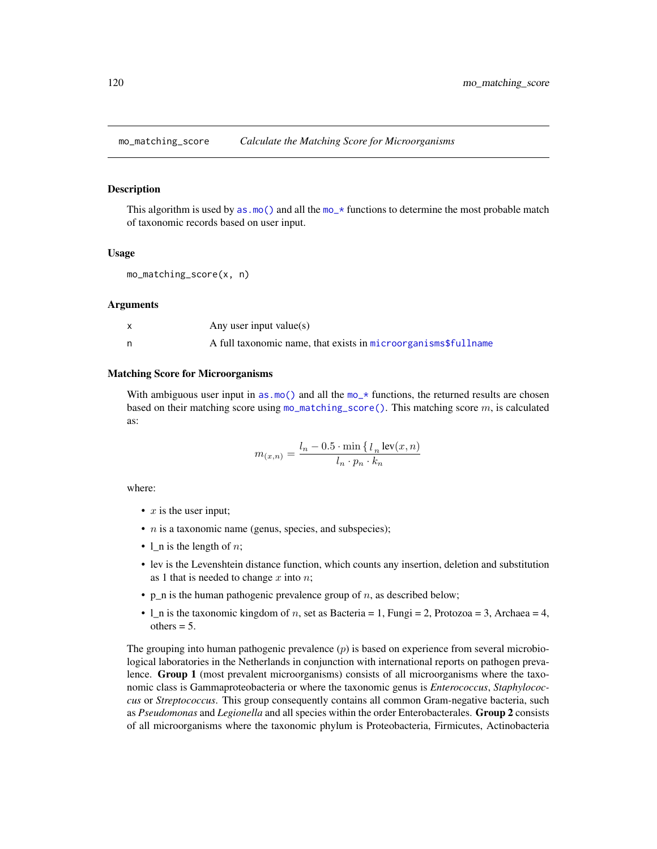<span id="page-119-0"></span>mo\_matching\_score *Calculate the Matching Score for Microorganisms*

# Description

This algorithm is used by  $as.m()$  and all the mo\_ $\star$  functions to determine the most probable match of taxonomic records based on user input.

# Usage

mo\_matching\_score(x, n)

### Arguments

| Any user input value(s)                                        |
|----------------------------------------------------------------|
| A full taxonomic name, that exists in microorganisms\$fullname |

# Matching Score for Microorganisms

With ambiguous user input in [as.mo\(\)](#page-33-0) and all the  $m<sub>o</sub>$  functions, the returned results are chosen based on their matching score using [mo\\_matching\\_score\(\)](#page-119-0). This matching score  $m$ , is calculated as:

$$
m_{(x,n)} = \frac{l_n - 0.5 \cdot \min\left\{l_n \text{ lev}(x,n)\right\}}{l_n \cdot p_n \cdot k_n}
$$

where:

- $x$  is the user input;
- $n$  is a taxonomic name (genus, species, and subspecies);
- 1\_n is the length of  $n$ ;
- lev is the Levenshtein distance function, which counts any insertion, deletion and substitution as 1 that is needed to change  $x$  into  $n$ ;
- p\_n is the human pathogenic prevalence group of  $n$ , as described below;
- $l$ <sub>n</sub> is the taxonomic kingdom of *n*, set as Bacteria = 1, Fungi = 2, Protozoa = 3, Archaea = 4,  $others = 5$ .

The grouping into human pathogenic prevalence  $(p)$  is based on experience from several microbiological laboratories in the Netherlands in conjunction with international reports on pathogen prevalence. Group 1 (most prevalent microorganisms) consists of all microorganisms where the taxonomic class is Gammaproteobacteria or where the taxonomic genus is *Enterococcus*, *Staphylococcus* or *Streptococcus*. This group consequently contains all common Gram-negative bacteria, such as *Pseudomonas* and *Legionella* and all species within the order Enterobacterales. Group 2 consists of all microorganisms where the taxonomic phylum is Proteobacteria, Firmicutes, Actinobacteria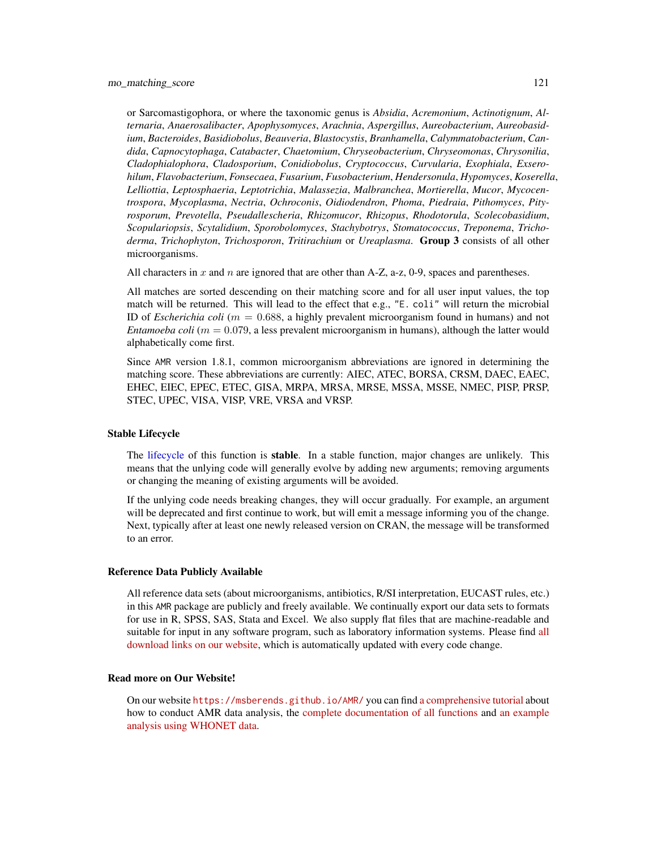or Sarcomastigophora, or where the taxonomic genus is *Absidia*, *Acremonium*, *Actinotignum*, *Alternaria*, *Anaerosalibacter*, *Apophysomyces*, *Arachnia*, *Aspergillus*, *Aureobacterium*, *Aureobasidium*, *Bacteroides*, *Basidiobolus*, *Beauveria*, *Blastocystis*, *Branhamella*, *Calymmatobacterium*, *Candida*, *Capnocytophaga*, *Catabacter*, *Chaetomium*, *Chryseobacterium*, *Chryseomonas*, *Chrysonilia*, *Cladophialophora*, *Cladosporium*, *Conidiobolus*, *Cryptococcus*, *Curvularia*, *Exophiala*, *Exserohilum*, *Flavobacterium*, *Fonsecaea*, *Fusarium*, *Fusobacterium*, *Hendersonula*, *Hypomyces*, *Koserella*, *Lelliottia*, *Leptosphaeria*, *Leptotrichia*, *Malassezia*, *Malbranchea*, *Mortierella*, *Mucor*, *Mycocentrospora*, *Mycoplasma*, *Nectria*, *Ochroconis*, *Oidiodendron*, *Phoma*, *Piedraia*, *Pithomyces*, *Pityrosporum*, *Prevotella*, *Pseudallescheria*, *Rhizomucor*, *Rhizopus*, *Rhodotorula*, *Scolecobasidium*, *Scopulariopsis*, *Scytalidium*, *Sporobolomyces*, *Stachybotrys*, *Stomatococcus*, *Treponema*, *Trichoderma*, *Trichophyton*, *Trichosporon*, *Tritirachium* or *Ureaplasma*. Group 3 consists of all other microorganisms.

All characters in x and n are ignored that are other than A-Z, a-z, 0-9, spaces and parentheses.

All matches are sorted descending on their matching score and for all user input values, the top match will be returned. This will lead to the effect that e.g., "E. coli" will return the microbial ID of *Escherichia coli* ( $m = 0.688$ , a highly prevalent microorganism found in humans) and not *Entamoeba coli* ( $m = 0.079$ , a less prevalent microorganism in humans), although the latter would alphabetically come first.

Since AMR version 1.8.1, common microorganism abbreviations are ignored in determining the matching score. These abbreviations are currently: AIEC, ATEC, BORSA, CRSM, DAEC, EAEC, EHEC, EIEC, EPEC, ETEC, GISA, MRPA, MRSA, MRSE, MSSA, MSSE, NMEC, PISP, PRSP, STEC, UPEC, VISA, VISP, VRE, VRSA and VRSP.

# Stable Lifecycle

The [lifecycle](#page-103-0) of this function is **stable**. In a stable function, major changes are unlikely. This means that the unlying code will generally evolve by adding new arguments; removing arguments or changing the meaning of existing arguments will be avoided.

If the unlying code needs breaking changes, they will occur gradually. For example, an argument will be deprecated and first continue to work, but will emit a message informing you of the change. Next, typically after at least one newly released version on CRAN, the message will be transformed to an error.

# Reference Data Publicly Available

All reference data sets (about microorganisms, antibiotics, R/SI interpretation, EUCAST rules, etc.) in this AMR package are publicly and freely available. We continually export our data sets to formats for use in R, SPSS, SAS, Stata and Excel. We also supply flat files that are machine-readable and suitable for input in any software program, such as laboratory information systems. Please find [all](https://msberends.github.io/AMR/articles/datasets.html) [download links on our website,](https://msberends.github.io/AMR/articles/datasets.html) which is automatically updated with every code change.

# Read more on Our Website!

On our website <https://msberends.github.io/AMR/> you can find [a comprehensive tutorial](https://msberends.github.io/AMR/articles/AMR.html) about how to conduct AMR data analysis, the [complete documentation of all functions](https://msberends.github.io/AMR/reference/) and [an example](https://msberends.github.io/AMR/articles/WHONET.html) [analysis using WHONET data.](https://msberends.github.io/AMR/articles/WHONET.html)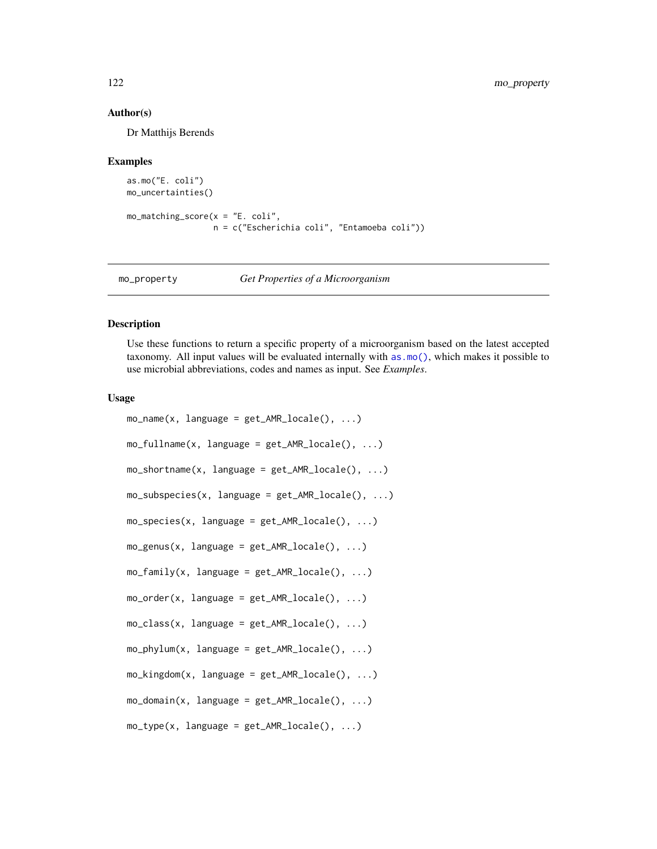# Author(s)

Dr Matthijs Berends

#### Examples

```
as.mo("E. coli")
mo_uncertainties()
mo_matching_score(x = "E. coli",
                  n = c("Escherichia coli", "Entamoeba coli"))
```
<span id="page-121-1"></span>mo\_property *Get Properties of a Microorganism*

# <span id="page-121-0"></span>Description

Use these functions to return a specific property of a microorganism based on the latest accepted taxonomy. All input values will be evaluated internally with [as.mo\(\)](#page-33-0), which makes it possible to use microbial abbreviations, codes and names as input. See *Examples*.

#### Usage

```
mo_name(x, language = get_AMR\_locale(), ...)mo_fullname(x, language = get_AMR_locale(), ...)
mo\_shortname(x, language = get\_AMR\_locale(), ...)mo\_subspecies(x, language = get\_AMR\_locale(), ...)mo\_species(x, language = get\_AMR\_locale(), ...)mo\_genus(x, language = get\_AMR\_locale(), ...)mo_family(x, language = get_AMR\_locale(), ...)moįorder(x, language = get_AMR_locale(), ...)
mo_class(x, language = get_AMR\_locale(), ...)mo\_phylum(x, language = get\_AMR\_locale(), ...)mo_kingdom(x, language = get_AMR\_locale(), ...)mo\_domain(x, language = get\_AMR\_locale(), ...)mo_type(x, language = get_AMR\_locale(), ...)
```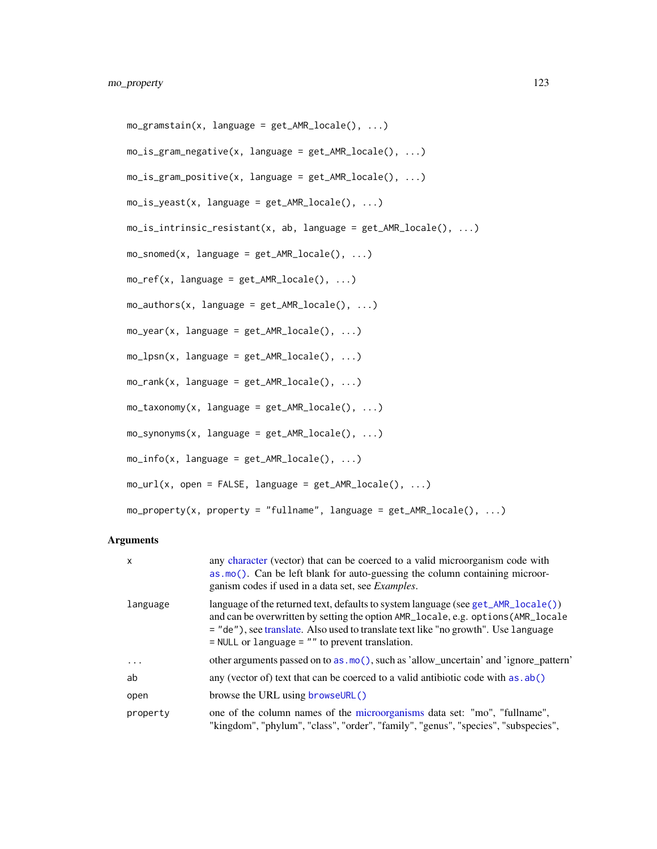```
mo\_gramstain(x, language = get\_AMR\_locale(), ...)mo_is_gram\_negative(x, language = get_AMR\_locale(), ...)mo_is_gram_positive(x, language = get_AMR_locale(), ...)
mo_is_yeast(x, language = get_AMR\_locale(), ...)mo_is_intrinsic_resistant(x, ab, language = get_AMR_locale(), ...)
mo\_s nomed(x, language = get\_AMR\_locale(), ...)mo_ref(x, language = get_AMR\_locale(), ...)mo_authors(x, language = get_AMR_locale(), ...)mo\_year(x, language = get\_AMR\_locale(), ...)mo_lpsn(x, language = get_AMR_locale(), ...)mo\_rank(x, \; \; \text{language} = get\_AMR\_locale(), \; \ldots)mo\_taxonomy(x, language = get\_AMR\_locale(), ...)mo_synonyms(x, language = get_AMR_locale(), ...)
mo_info(x, language = get\_AMR\_locale(), ...)mo\_url(x, open = FALSE, language = get\_AMR\_locale(), ...)mo\_property(x, property = "fullname", language = get\_AMR\_locale(), ...)
```
# Arguments

| $\mathsf{x}$ | any character (vector) that can be coerced to a valid microorganism code with<br>$\alpha$ as $\mathsf{m}\in\mathbb{C}$ . Can be left blank for auto-guessing the column containing microor-<br>ganism codes if used in a data set, see <i>Examples</i> .                                                            |
|--------------|---------------------------------------------------------------------------------------------------------------------------------------------------------------------------------------------------------------------------------------------------------------------------------------------------------------------|
| language     | language of the returned text, defaults to system language (see get_AMR_locale())<br>and can be overwritten by setting the option AMR_locale, e.g. options (AMR_locale<br>= "de"), see translate. Also used to translate text like "no growth". Use language<br>$=$ NULL or language $=$ "" to prevent translation. |
| .            | other arguments passed on to as . mo(), such as 'allow_uncertain' and 'ignore_pattern'                                                                                                                                                                                                                              |
| ab           | any (vector of) text that can be coerced to a valid antibiotic code with as . ab()                                                                                                                                                                                                                                  |
| open         | browse the URL using browseURL()                                                                                                                                                                                                                                                                                    |
| property     | one of the column names of the microorganisms data set: "mo", "fullname",<br>"kingdom", "phylum", "class", "order", "family", "genus", "species", "subspecies",                                                                                                                                                     |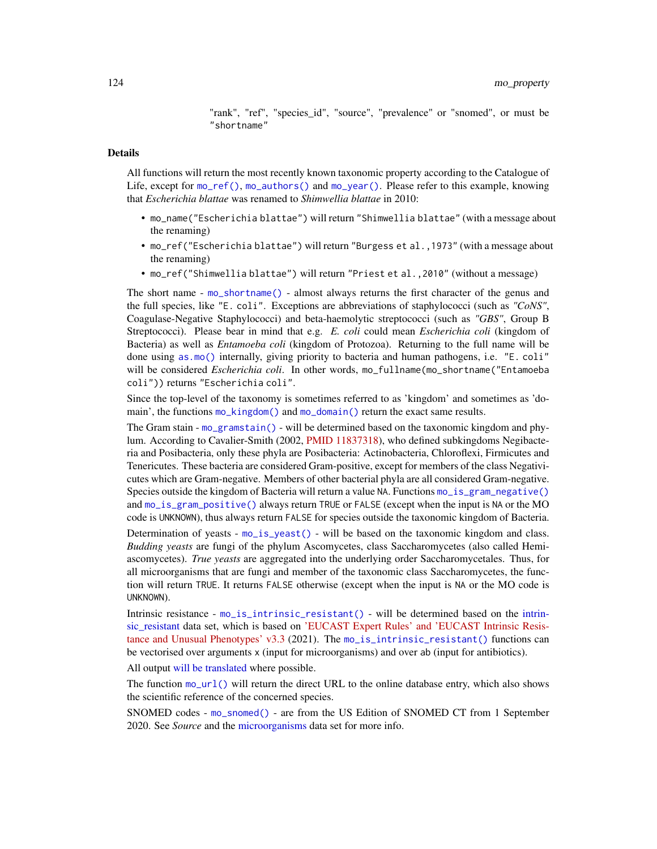"rank", "ref", "species\_id", "source", "prevalence" or "snomed", or must be "shortname"

# Details

All functions will return the most recently known taxonomic property according to the Catalogue of Life, except for [mo\\_ref\(\)](#page-121-0), [mo\\_authors\(\)](#page-121-0) and [mo\\_year\(\)](#page-121-0). Please refer to this example, knowing that *Escherichia blattae* was renamed to *Shimwellia blattae* in 2010:

- mo\_name("Escherichia blattae") will return "Shimwellia blattae" (with a message about the renaming)
- mo\_ref("Escherichia blattae") will return "Burgess et al.,1973" (with a message about the renaming)
- mo\_ref("Shimwellia blattae") will return "Priest et al.,2010" (without a message)

The short name - [mo\\_shortname\(\)](#page-121-0) - almost always returns the first character of the genus and the full species, like "E. coli". Exceptions are abbreviations of staphylococci (such as *"CoNS"*, Coagulase-Negative Staphylococci) and beta-haemolytic streptococci (such as *"GBS"*, Group B Streptococci). Please bear in mind that e.g. *E. coli* could mean *Escherichia coli* (kingdom of Bacteria) as well as *Entamoeba coli* (kingdom of Protozoa). Returning to the full name will be done using [as.mo\(\)](#page-33-0) internally, giving priority to bacteria and human pathogens, i.e. "E. coli" will be considered *Escherichia coli*. In other words, mo\_fullname(mo\_shortname("Entamoeba coli")) returns "Escherichia coli".

Since the top-level of the taxonomy is sometimes referred to as 'kingdom' and sometimes as 'domain', the functions [mo\\_kingdom\(\)](#page-121-0) and [mo\\_domain\(\)](#page-121-0) return the exact same results.

The Gram stain - [mo\\_gramstain\(\)](#page-121-0) - will be determined based on the taxonomic kingdom and phylum. According to Cavalier-Smith (2002, [PMID 11837318\)](https://pubmed.ncbi.nlm.nih.gov/11837318), who defined subkingdoms Negibacteria and Posibacteria, only these phyla are Posibacteria: Actinobacteria, Chloroflexi, Firmicutes and Tenericutes. These bacteria are considered Gram-positive, except for members of the class Negativicutes which are Gram-negative. Members of other bacterial phyla are all considered Gram-negative. Species outside the kingdom of Bacteria will return a value NA. Functions [mo\\_is\\_gram\\_negative\(\)](#page-121-0) and [mo\\_is\\_gram\\_positive\(\)](#page-121-0) always return TRUE or FALSE (except when the input is NA or the MO code is UNKNOWN), thus always return FALSE for species outside the taxonomic kingdom of Bacteria.

Determination of yeasts - [mo\\_is\\_yeast\(\)](#page-121-0) - will be based on the taxonomic kingdom and class. *Budding yeasts* are fungi of the phylum Ascomycetes, class Saccharomycetes (also called Hemiascomycetes). *True yeasts* are aggregated into the underlying order Saccharomycetales. Thus, for all microorganisms that are fungi and member of the taxonomic class Saccharomycetes, the function will return TRUE. It returns FALSE otherwise (except when the input is NA or the MO code is UNKNOWN).

Intrinsic resistance - [mo\\_is\\_intrinsic\\_resistant\(\)](#page-121-0) - will be determined based on the [intrin](#page-94-0)[sic\\_resistant](#page-94-0) data set, which is based on ['EUCAST Expert Rules' and 'EUCAST Intrinsic Resis](https://www.eucast.org/expert_rules_and_expected_phenotypes/)[tance and Unusual Phenotypes' v3.3](https://www.eucast.org/expert_rules_and_expected_phenotypes/) (2021). The [mo\\_is\\_intrinsic\\_resistant\(\)](#page-121-0) functions can be vectorised over arguments x (input for microorganisms) and over ab (input for antibiotics).

All output [will be translated](#page-150-1) where possible.

The function  $mo\_url()$  will return the direct URL to the online database entry, which also shows the scientific reference of the concerned species.

SNOMED codes - [mo\\_snomed\(\)](#page-121-0) - are from the US Edition of SNOMED CT from 1 September 2020. See *Source* and the [microorganisms](#page-113-0) data set for more info.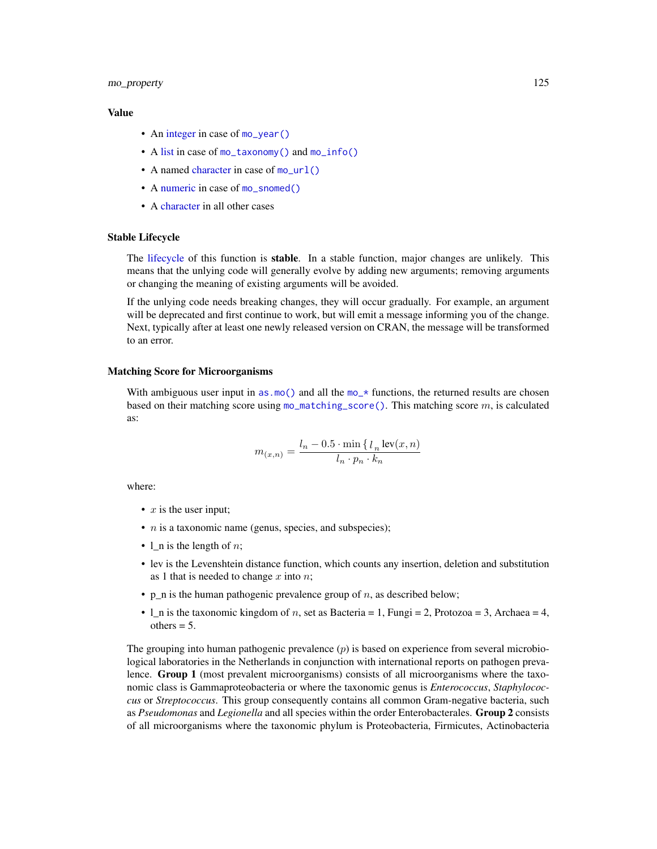# mo\_property 125

# Value

- An [integer](#page-0-0) in case of [mo\\_year\(\)](#page-121-0)
- A [list](#page-0-0) in case of [mo\\_taxonomy\(\)](#page-121-0) and [mo\\_info\(\)](#page-121-0)
- A named [character](#page-0-0) in case of [mo\\_url\(\)](#page-121-0)
- A [numeric](#page-0-0) in case of [mo\\_snomed\(\)](#page-121-0)
- A [character](#page-0-0) in all other cases

# Stable Lifecycle

The [lifecycle](#page-103-0) of this function is stable. In a stable function, major changes are unlikely. This means that the unlying code will generally evolve by adding new arguments; removing arguments or changing the meaning of existing arguments will be avoided.

If the unlying code needs breaking changes, they will occur gradually. For example, an argument will be deprecated and first continue to work, but will emit a message informing you of the change. Next, typically after at least one newly released version on CRAN, the message will be transformed to an error.

# Matching Score for Microorganisms

With ambiguous user input in [as.mo\(\)](#page-33-0) and all the  $mo-*$  functions, the returned results are chosen based on their matching score using [mo\\_matching\\_score\(\)](#page-119-0). This matching score  $m$ , is calculated as:

$$
m_{(x,n)} = \frac{l_n - 0.5 \cdot \min\left\{l_n \operatorname{lev}(x,n)\right\}}{l_n \cdot p_n \cdot k_n}
$$

where:

- $x$  is the user input;
- $n$  is a taxonomic name (genus, species, and subspecies);
- 1 n is the length of  $n$ ;
- lev is the Levenshtein distance function, which counts any insertion, deletion and substitution as 1 that is needed to change  $x$  into  $n$ ;
- p\_n is the human pathogenic prevalence group of  $n$ , as described below;
- 1 n is the taxonomic kingdom of n, set as Bacteria = 1, Fungi = 2, Protozoa = 3, Archaea = 4, others  $= 5$ .

The grouping into human pathogenic prevalence  $(p)$  is based on experience from several microbiological laboratories in the Netherlands in conjunction with international reports on pathogen prevalence. Group 1 (most prevalent microorganisms) consists of all microorganisms where the taxonomic class is Gammaproteobacteria or where the taxonomic genus is *Enterococcus*, *Staphylococcus* or *Streptococcus*. This group consequently contains all common Gram-negative bacteria, such as *Pseudomonas* and *Legionella* and all species within the order Enterobacterales. Group 2 consists of all microorganisms where the taxonomic phylum is Proteobacteria, Firmicutes, Actinobacteria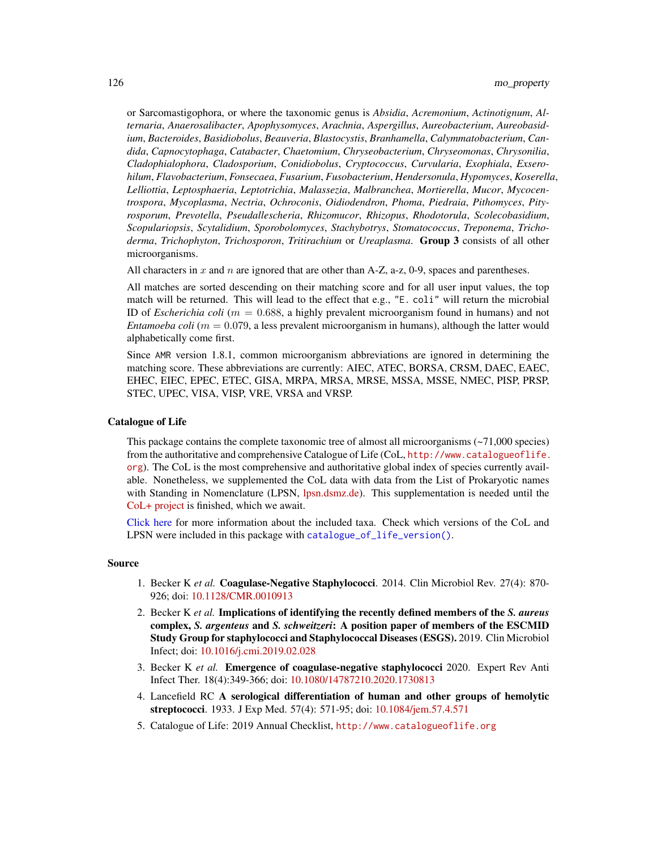or Sarcomastigophora, or where the taxonomic genus is *Absidia*, *Acremonium*, *Actinotignum*, *Alternaria*, *Anaerosalibacter*, *Apophysomyces*, *Arachnia*, *Aspergillus*, *Aureobacterium*, *Aureobasidium*, *Bacteroides*, *Basidiobolus*, *Beauveria*, *Blastocystis*, *Branhamella*, *Calymmatobacterium*, *Candida*, *Capnocytophaga*, *Catabacter*, *Chaetomium*, *Chryseobacterium*, *Chryseomonas*, *Chrysonilia*, *Cladophialophora*, *Cladosporium*, *Conidiobolus*, *Cryptococcus*, *Curvularia*, *Exophiala*, *Exserohilum*, *Flavobacterium*, *Fonsecaea*, *Fusarium*, *Fusobacterium*, *Hendersonula*, *Hypomyces*, *Koserella*, *Lelliottia*, *Leptosphaeria*, *Leptotrichia*, *Malassezia*, *Malbranchea*, *Mortierella*, *Mucor*, *Mycocentrospora*, *Mycoplasma*, *Nectria*, *Ochroconis*, *Oidiodendron*, *Phoma*, *Piedraia*, *Pithomyces*, *Pityrosporum*, *Prevotella*, *Pseudallescheria*, *Rhizomucor*, *Rhizopus*, *Rhodotorula*, *Scolecobasidium*, *Scopulariopsis*, *Scytalidium*, *Sporobolomyces*, *Stachybotrys*, *Stomatococcus*, *Treponema*, *Trichoderma*, *Trichophyton*, *Trichosporon*, *Tritirachium* or *Ureaplasma*. Group 3 consists of all other microorganisms.

All characters in x and n are ignored that are other than A-Z, a-z, 0-9, spaces and parentheses.

All matches are sorted descending on their matching score and for all user input values, the top match will be returned. This will lead to the effect that e.g., "E. coli" will return the microbial ID of *Escherichia coli* ( $m = 0.688$ , a highly prevalent microorganism found in humans) and not *Entamoeba coli* ( $m = 0.079$ , a less prevalent microorganism in humans), although the latter would alphabetically come first.

Since AMR version 1.8.1, common microorganism abbreviations are ignored in determining the matching score. These abbreviations are currently: AIEC, ATEC, BORSA, CRSM, DAEC, EAEC, EHEC, EIEC, EPEC, ETEC, GISA, MRPA, MRSA, MRSE, MSSA, MSSE, NMEC, PISP, PRSP, STEC, UPEC, VISA, VISP, VRE, VRSA and VRSP.

# Catalogue of Life

This package contains the complete taxonomic tree of almost all microorganisms  $(\sim 71,000$  species) from the authoritative and comprehensive Catalogue of Life (CoL, [http://www.catalogueoflife.](http://www.catalogueoflife.org) [org](http://www.catalogueoflife.org)). The CoL is the most comprehensive and authoritative global index of species currently available. Nonetheless, we supplemented the CoL data with data from the List of Prokaryotic names with Standing in Nomenclature (LPSN, [lpsn.dsmz.de\)](https://lpsn.dsmz.de). This supplementation is needed until the [CoL+ project](https://github.com/CatalogueOfLife/general) is finished, which we await.

[Click here](#page-51-0) for more information about the included taxa. Check which versions of the CoL and LPSN were included in this package with [catalogue\\_of\\_life\\_version\(\)](#page-53-0).

# Source

- 1. Becker K *et al.* Coagulase-Negative Staphylococci. 2014. Clin Microbiol Rev. 27(4): 870- 926; doi: [10.1128/CMR.0010913](https://doi.org/10.1128/CMR.00109-13)
- 2. Becker K *et al.* Implications of identifying the recently defined members of the *S. aureus* complex, *S. argenteus* and *S. schweitzeri*: A position paper of members of the ESCMID Study Group for staphylococci and Staphylococcal Diseases (ESGS). 2019. Clin Microbiol Infect; doi: [10.1016/j.cmi.2019.02.028](https://doi.org/10.1016/j.cmi.2019.02.028)
- 3. Becker K *et al.* Emergence of coagulase-negative staphylococci 2020. Expert Rev Anti Infect Ther. 18(4):349-366; doi: [10.1080/14787210.2020.1730813](https://doi.org/10.1080/14787210.2020.1730813)
- 4. Lancefield RC A serological differentiation of human and other groups of hemolytic streptococci. 1933. J Exp Med. 57(4): 571-95; doi: [10.1084/jem.57.4.571](https://doi.org/10.1084/jem.57.4.571)
- 5. Catalogue of Life: 2019 Annual Checklist, <http://www.catalogueoflife.org>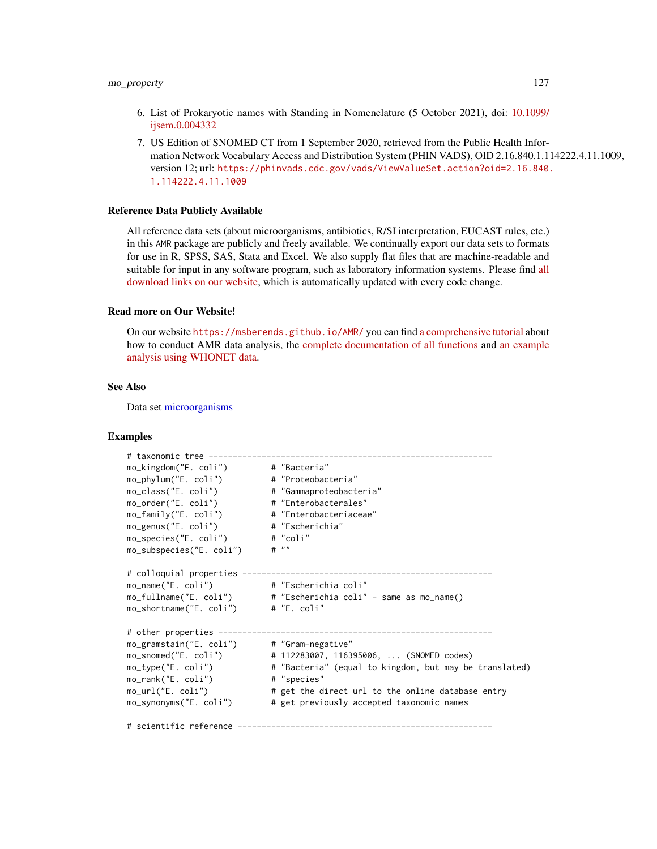- 6. List of Prokaryotic names with Standing in Nomenclature (5 October 2021), doi: [10.1099/](https://doi.org/10.1099/ijsem.0.004332) [ijsem.0.004332](https://doi.org/10.1099/ijsem.0.004332)
- 7. US Edition of SNOMED CT from 1 September 2020, retrieved from the Public Health Information Network Vocabulary Access and Distribution System (PHIN VADS), OID 2.16.840.1.114222.4.11.1009, version 12; url: [https://phinvads.cdc.gov/vads/ViewValueSet.action?oid=2.16.840.](https://phinvads.cdc.gov/vads/ViewValueSet.action?oid=2.16.840.1.114222.4.11.1009) [1.114222.4.11.1009](https://phinvads.cdc.gov/vads/ViewValueSet.action?oid=2.16.840.1.114222.4.11.1009)

# Reference Data Publicly Available

All reference data sets (about microorganisms, antibiotics, R/SI interpretation, EUCAST rules, etc.) in this AMR package are publicly and freely available. We continually export our data sets to formats for use in R, SPSS, SAS, Stata and Excel. We also supply flat files that are machine-readable and suitable for input in any software program, such as laboratory information systems. Please find [all](https://msberends.github.io/AMR/articles/datasets.html) [download links on our website,](https://msberends.github.io/AMR/articles/datasets.html) which is automatically updated with every code change.

# Read more on Our Website!

On our website <https://msberends.github.io/AMR/> you can find [a comprehensive tutorial](https://msberends.github.io/AMR/articles/AMR.html) about how to conduct AMR data analysis, the [complete documentation of all functions](https://msberends.github.io/AMR/reference/) and [an example](https://msberends.github.io/AMR/articles/WHONET.html) [analysis using WHONET data.](https://msberends.github.io/AMR/articles/WHONET.html)

#### See Also

Data set [microorganisms](#page-113-0)

# Examples

```
# taxonomic tree -----------------------------------------------------------
mo_kingdom("E. coli") # "Bacteria"
mo_phylum("E. coli") # "Proteobacteria"
mo_class("E. coli") # "Gammaproteobacteria"
mo_order("E. coli") # "Enterobacterales"
mo_family("E. coli") # "Enterobacteriaceae"
mo_genus("E. coli") # "Escherichia"
mo_species("E. coli") # "coli"
mo_subspecies("E. coli") # ""
# colloquial properties ----------------------------------------------------
mo_name("E. coli") # "Escherichia coli"
mo_fullname("E. coli") # "Escherichia coli" - same as mo_name()
mo_shortname("E. coli") # "E. coli"
# other properties ---------------------------------------------------------
mo_gramstain("E. coli") # "Gram-negative"
mo_snomed("E. coli") # 112283007, 116395006, ... (SNOMED codes)
mo_type("E. coli") \qquad # "Bacteria" (equal to kingdom, but may be translated)
mo_rank("E. coli")
mo_rank("E. coli")  # "species"<br>mo_url("E. coli")  # get the direct url to the online database entry<br>mo_synonyms("E. coli")  # get previously accepted taxonomic names
                            # get previously accepted taxonomic names
# scientific reference -----------------------------------------------------
```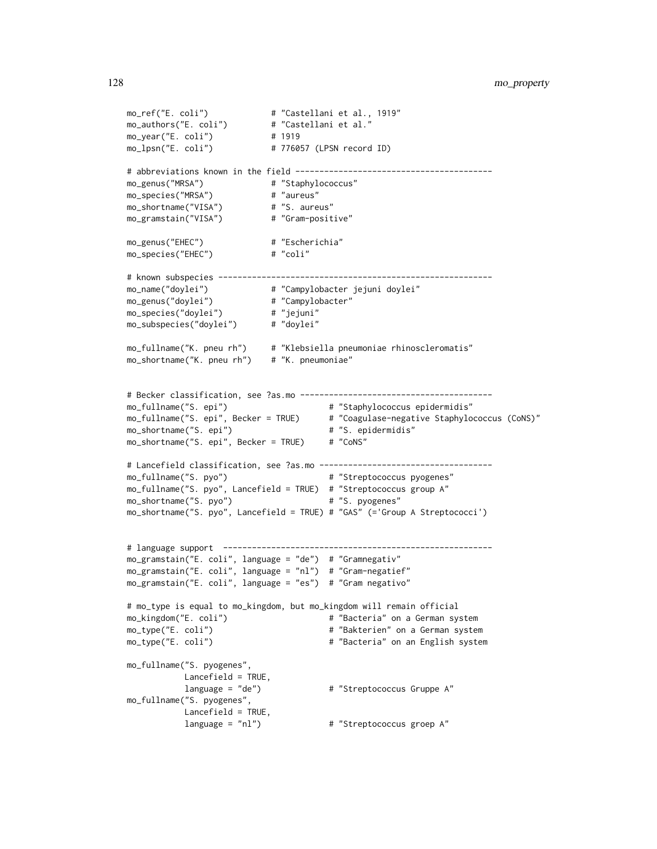```
mo_ref("E. coli") # "Castellani et al., 1919"
mo_authors("E. coli") # "Castellani et al."
mo_year("E. coli") # 1919
mo_lpsn("E. coli") # 776057 (LPSN record ID)
# abbreviations known in the field -----------------------------------------
mo_genus("MRSA") # "Staphylococcus"
mo_species("MRSA") # "aureus"
mo_shortname("VISA") # "S. aureus"
mo_gramstain("VISA") # "Gram-positive"
mo_genus("EHEC") # "Escherichia"
mo_species("EHEC") # "coli"
# known subspecies ---------------------------------------------------------
mo_name("doylei") # "Campylobacter jejuni doylei"
mo_genus("doylei") # "Campylobacter"
mo_species("doylei") # "jejuni"
mo_subspecies("doylei") # "doylei"
mo_fullname("K. pneu rh") # "Klebsiella pneumoniae rhinoscleromatis"
mo_shortname("K. pneu rh") # "K. pneumoniae"
# Becker classification, see ?as.mo ----------------------------------------
mo_fullname("S. epi") # "Staphylococcus epidermidis"
mo_fullname("S. epi", Becker = TRUE) # "Coagulase-negative Staphylococcus (CoNS)"
mo_shortname("S. epi") # "S. epidermidis"
mo_shortname("S. epi", Becker = TRUE) # "CoNS"
# Lancefield classification, see ?as.mo ------------------------------------
mo_fullname("S. pyo") \qquad \qquad \qquad # "Streptococcus pyogenes"
mo_fullname("S. pyo", Lancefield = TRUE) # "Streptococcus group A"
mo_shortname("S. pyo") # "S. pyogenes"
mo_shortname("S. pyo", Lancefield = TRUE) # "GAS" (='Group A Streptococci')
# language support --------------------------------------------------------
mo_gramstain("E. coli", language = "de") # "Gramnegativ"
mo_gramstain("E. coli", language = "nl") # "Gram-negatief"
mo_gramstain("E. coli", language = "es") # "Gram negativo"
# mo_type is equal to mo_kingdom, but mo_kingdom will remain official
mo_kingdom("E. coli") \qquad \qquad \qquad # "Bacteria" on a German system
mo_type("E. coli") # "Bakterien" on a German system
mo_type("E. coli") \qquad \qquad \qquad # "Bacteria" on an English system
mo_fullname("S. pyogenes",
          Lancefield = TRUE,
          language = "de") \qquad # "Streptococcus Gruppe A"
mo_fullname("S. pyogenes",
          Lancefield = TRUE,
          language = "nl") # "Streptococcus groep A"
```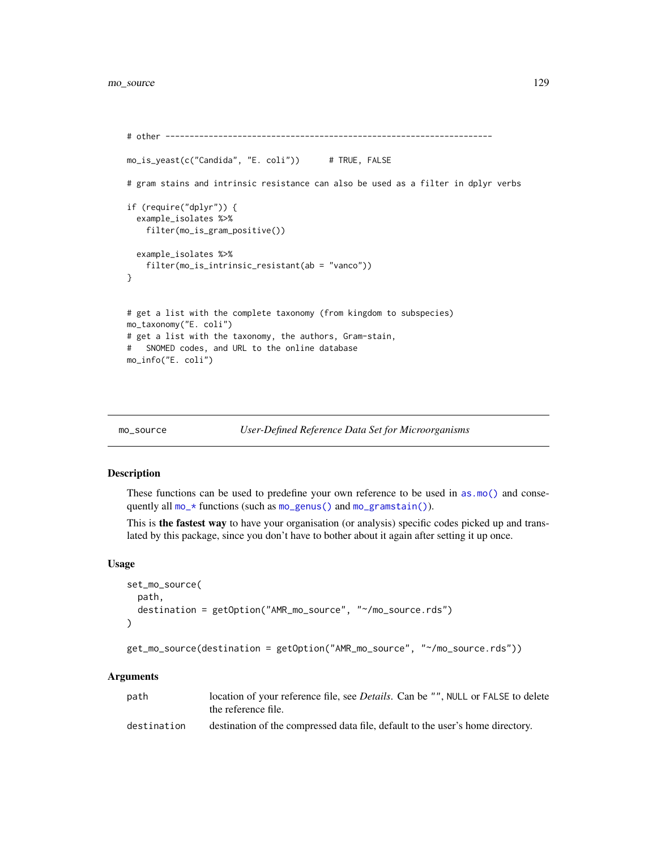```
# other --------------------------------------------------------------------
mo_is_yeast(c("Candida", "E. coli")) # TRUE, FALSE
# gram stains and intrinsic resistance can also be used as a filter in dplyr verbs
if (require("dplyr")) {
  example_isolates %>%
    filter(mo_is_gram_positive())
  example_isolates %>%
    filter(mo_is_intrinsic_resistant(ab = "vanco"))
}
# get a list with the complete taxonomy (from kingdom to subspecies)
mo_taxonomy("E. coli")
# get a list with the taxonomy, the authors, Gram-stain,
# SNOMED codes, and URL to the online database
mo_info("E. coli")
```

```
mo_source User-Defined Reference Data Set for Microorganisms
```
#### <span id="page-128-0"></span>Description

These functions can be used to predefine your own reference to be used in [as.mo\(\)](#page-33-0) and consequently all [mo\\_\\*](#page-121-1) functions (such as [mo\\_genus\(\)](#page-121-0) and [mo\\_gramstain\(\)](#page-121-0)).

This is the fastest way to have your organisation (or analysis) specific codes picked up and translated by this package, since you don't have to bother about it again after setting it up once.

## Usage

```
set_mo_source(
 path,
 destination = getOption("AMR_mo_source", "~/mo_source.rds")
)
```

```
get_mo_source(destination = getOption("AMR_mo_source", "~/mo_source.rds"))
```
## Arguments

| path        | location of your reference file, see <i>Details</i> . Can be "", NULL or FALSE to delete<br>the reference file. |
|-------------|-----------------------------------------------------------------------------------------------------------------|
| destination | destination of the compressed data file, default to the user's home directory.                                  |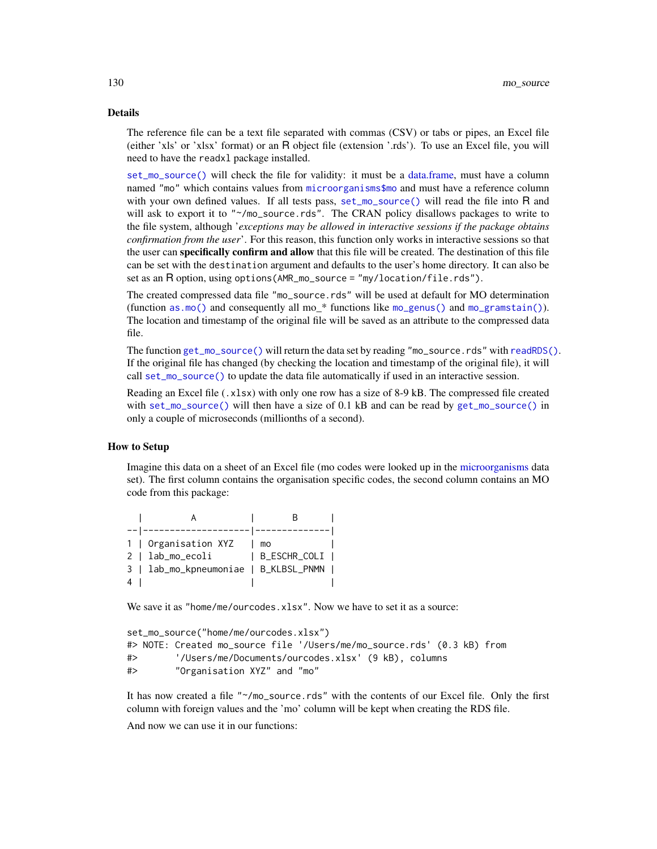# Details

The reference file can be a text file separated with commas (CSV) or tabs or pipes, an Excel file (either 'xls' or 'xlsx' format) or an R object file (extension '.rds'). To use an Excel file, you will need to have the readxl package installed.

[set\\_mo\\_source\(\)](#page-128-0) will check the file for validity: it must be a [data.frame,](#page-0-0) must have a column named "mo" which contains values from [microorganisms\\$mo](#page-113-0) and must have a reference column with your own defined values. If all tests pass, [set\\_mo\\_source\(\)](#page-128-0) will read the file into R and will ask to export it to "~/mo\_source.rds". The CRAN policy disallows packages to write to the file system, although '*exceptions may be allowed in interactive sessions if the package obtains confirmation from the user*'. For this reason, this function only works in interactive sessions so that the user can **specifically confirm and allow** that this file will be created. The destination of this file can be set with the destination argument and defaults to the user's home directory. It can also be set as an R option, using options(AMR\_mo\_source = "my/location/file.rds").

The created compressed data file "mo\_source.rds" will be used at default for MO determination (function [as.mo\(\)](#page-33-0) and consequently all mo  $*$  functions like [mo\\_genus\(\)](#page-121-0) and [mo\\_gramstain\(\)](#page-121-0)). The location and timestamp of the original file will be saved as an attribute to the compressed data file.

The function [get\\_mo\\_source\(\)](#page-128-0) will return the data set by reading "mo\_source.rds" with [readRDS\(\)](#page-0-0). If the original file has changed (by checking the location and timestamp of the original file), it will call [set\\_mo\\_source\(\)](#page-128-0) to update the data file automatically if used in an interactive session.

Reading an Excel file (.xlsx) with only one row has a size of 8-9 kB. The compressed file created with [set\\_mo\\_source\(\)](#page-128-0) will then have a size of 0.1 kB and can be read by [get\\_mo\\_source\(\)](#page-128-0) in only a couple of microseconds (millionths of a second).

# How to Setup

Imagine this data on a sheet of an Excel file (mo codes were looked up in the [microorganisms](#page-113-0) data set). The first column contains the organisation specific codes, the second column contains an MO code from this package:

|  | 1   Organisation XYZ   mo             |              |  |
|--|---------------------------------------|--------------|--|
|  | 2   lab_mo_ecoli                      | B_ESCHR_COLI |  |
|  | 3   lab_mo_kpneumoniae   B_KLBSL_PNMN |              |  |
|  |                                       |              |  |

We save it as "home/me/ourcodes.xlsx". Now we have to set it as a source:

```
set_mo_source("home/me/ourcodes.xlsx")
#> NOTE: Created mo_source file '/Users/me/mo_source.rds' (0.3 kB) from
#> '/Users/me/Documents/ourcodes.xlsx' (9 kB), columns
#> "Organisation XYZ" and "mo"
```
It has now created a file "~/mo\_source.rds" with the contents of our Excel file. Only the first column with foreign values and the 'mo' column will be kept when creating the RDS file.

And now we can use it in our functions: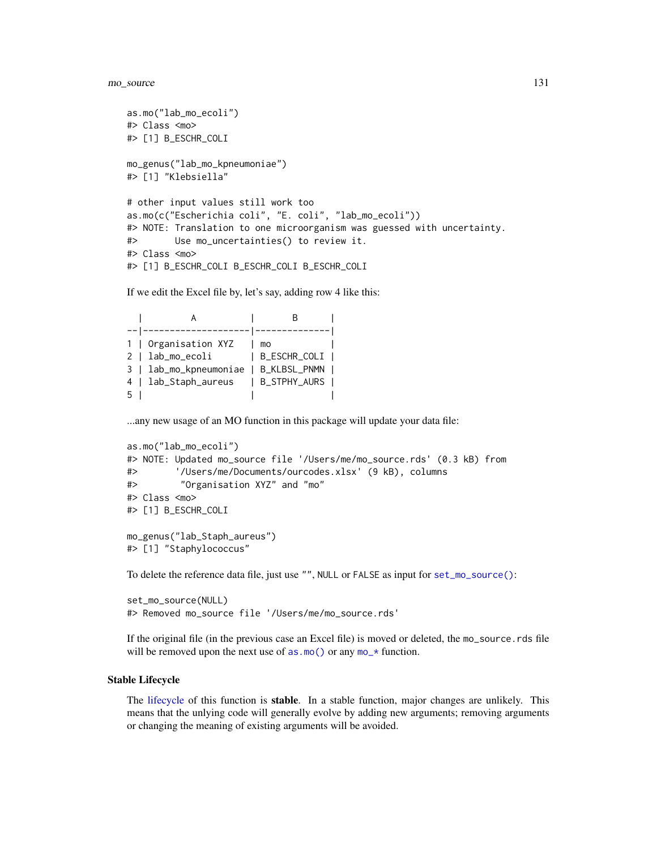```
as.mo("lab_mo_ecoli")
#> Class <mo>
#> [1] B_ESCHR_COLI
mo_genus("lab_mo_kpneumoniae")
#> [1] "Klebsiella"
# other input values still work too
as.mo(c("Escherichia coli", "E. coli", "lab_mo_ecoli"))
#> NOTE: Translation to one microorganism was guessed with uncertainty.
#> Use mo_uncertainties() to review it.
#> Class <mo>
#> [1] B_ESCHR_COLI B_ESCHR_COLI B_ESCHR_COLI
```
If we edit the Excel file by, let's say, adding row 4 like this:

|   | 1   Organisation XYZ                  | mo           |  |
|---|---------------------------------------|--------------|--|
|   | 2   lab_mo_ecoli                      | B_ESCHR_COLI |  |
|   | 3   lab_mo_kpneumoniae   B_KLBSL_PNMN |              |  |
|   | 4   lab_Staph_aureus   B_STPHY_AURS   |              |  |
| 5 |                                       |              |  |

...any new usage of an MO function in this package will update your data file:

```
as.mo("lab_mo_ecoli")
#> NOTE: Updated mo_source file '/Users/me/mo_source.rds' (0.3 kB) from
#> '/Users/me/Documents/ourcodes.xlsx' (9 kB), columns
#> "Organisation XYZ" and "mo"
#> Class <mo>
#> [1] B_ESCHR_COLI
mo_genus("lab_Staph_aureus")
#> [1] "Staphylococcus"
```
To delete the reference data file, just use "", NULL or FALSE as input for [set\\_mo\\_source\(\)](#page-128-0):

```
set_mo_source(NULL)
#> Removed mo_source file '/Users/me/mo_source.rds'
```
If the original file (in the previous case an Excel file) is moved or deleted, the mo\_source.rds file will be removed upon the next use of  $as.mo()$  or any  $mo-*$  function.

## Stable Lifecycle

The [lifecycle](#page-103-0) of this function is stable. In a stable function, major changes are unlikely. This means that the unlying code will generally evolve by adding new arguments; removing arguments or changing the meaning of existing arguments will be avoided.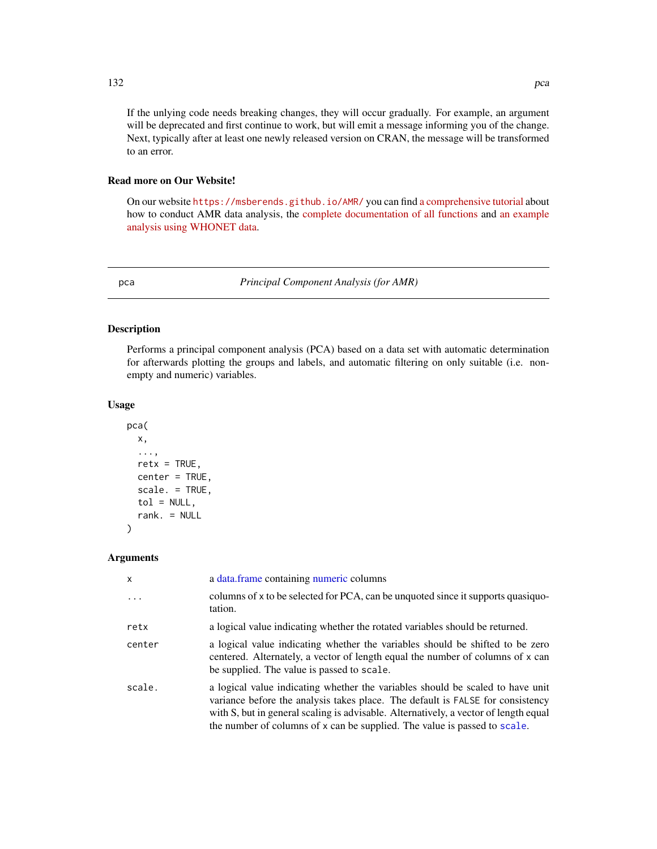# Read more on Our Website!

On our website <https://msberends.github.io/AMR/> you can find [a comprehensive tutorial](https://msberends.github.io/AMR/articles/AMR.html) about how to conduct AMR data analysis, the [complete documentation of all functions](https://msberends.github.io/AMR/reference/) and [an example](https://msberends.github.io/AMR/articles/WHONET.html) [analysis using WHONET data.](https://msberends.github.io/AMR/articles/WHONET.html)

<span id="page-131-0"></span>pca *Principal Component Analysis (for AMR)*

# Description

Performs a principal component analysis (PCA) based on a data set with automatic determination for afterwards plotting the groups and labels, and automatic filtering on only suitable (i.e. nonempty and numeric) variables.

## Usage

```
pca(
  x,
  ...,
  retx = TRUE,center = TRUE,
  scale. = TRUE,
  tol = NULL,rank. = NULL
```
# **Arguments**

)

| X        | a data.frame containing numeric columns                                                                                                                                                                                                                                                                                               |
|----------|---------------------------------------------------------------------------------------------------------------------------------------------------------------------------------------------------------------------------------------------------------------------------------------------------------------------------------------|
| $\ddots$ | columns of x to be selected for PCA, can be unquoted since it supports quasiquo-<br>tation.                                                                                                                                                                                                                                           |
| retx     | a logical value indicating whether the rotated variables should be returned.                                                                                                                                                                                                                                                          |
| center   | a logical value indicating whether the variables should be shifted to be zero<br>centered. Alternately, a vector of length equal the number of columns of x can<br>be supplied. The value is passed to scale.                                                                                                                         |
| scale.   | a logical value indicating whether the variables should be scaled to have unit<br>variance before the analysis takes place. The default is FALSE for consistency<br>with S, but in general scaling is advisable. Alternatively, a vector of length equal<br>the number of columns of x can be supplied. The value is passed to scale. |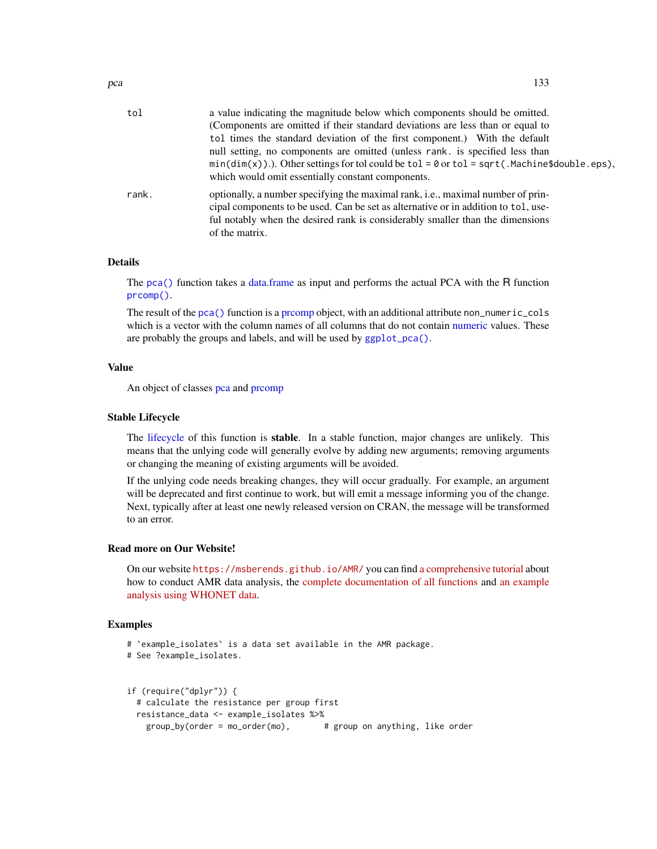| tol   | a value indicating the magnitude below which components should be omitted.<br>(Components are omitted if their standard deviations are less than or equal to<br>tol times the standard deviation of the first component.) With the default<br>null setting, no components are omitted (unless rank. is specified less than<br>$min(dim(x))$ . Other settings for tol could be tol = 0 or tol = sqrt(.Machine\$double.eps),<br>which would omit essentially constant components. |
|-------|---------------------------------------------------------------------------------------------------------------------------------------------------------------------------------------------------------------------------------------------------------------------------------------------------------------------------------------------------------------------------------------------------------------------------------------------------------------------------------|
| rank. | optionally, a number specifying the maximal rank, i.e., maximal number of prin-<br>cipal components to be used. Can be set as alternative or in addition to tol, use-<br>ful notably when the desired rank is considerably smaller than the dimensions<br>of the matrix.                                                                                                                                                                                                        |

# Details

The [pca\(\)](#page-131-0) function takes a [data.frame](#page-0-0) as input and performs the actual PCA with the R function [prcomp\(\)](#page-0-0).

The result of the [pca\(\)](#page-131-0) function is a [prcomp](#page-0-0) object, with an additional attribute non\_numeric\_cols which is a vector with the column names of all columns that do not contain [numeric](#page-0-0) values. These are probably the groups and labels, and will be used by [ggplot\\_pca\(\)](#page-85-0).

## Value

An object of classes [pca](#page-131-0) and promp

## Stable Lifecycle

The [lifecycle](#page-103-0) of this function is stable. In a stable function, major changes are unlikely. This means that the unlying code will generally evolve by adding new arguments; removing arguments or changing the meaning of existing arguments will be avoided.

If the unlying code needs breaking changes, they will occur gradually. For example, an argument will be deprecated and first continue to work, but will emit a message informing you of the change. Next, typically after at least one newly released version on CRAN, the message will be transformed to an error.

# Read more on Our Website!

On our website <https://msberends.github.io/AMR/> you can find [a comprehensive tutorial](https://msberends.github.io/AMR/articles/AMR.html) about how to conduct AMR data analysis, the [complete documentation of all functions](https://msberends.github.io/AMR/reference/) and [an example](https://msberends.github.io/AMR/articles/WHONET.html) [analysis using WHONET data.](https://msberends.github.io/AMR/articles/WHONET.html)

# Examples

```
# `example_isolates` is a data set available in the AMR package.
# See ?example_isolates.
if (require("dplyr")) {
 # calculate the resistance per group first
 resistance_data <- example_isolates %>%
   group_by(order = mo_order(mo), # group on anything, like order
```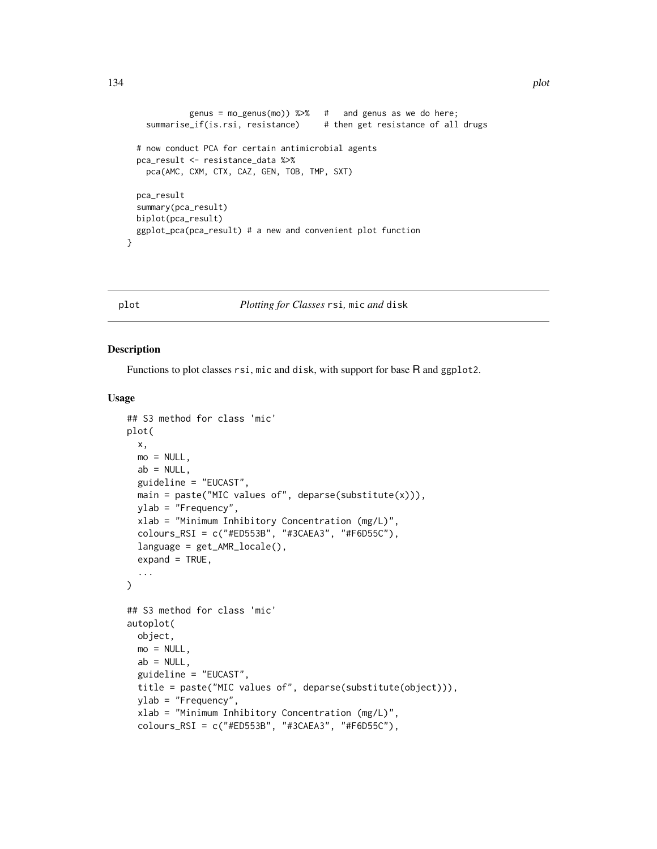```
genus = mo\_genus(mo)) %\gg% # and genus as we do here;
  summarise_if(is.rsi, resistance) # then get resistance of all drugs
# now conduct PCA for certain antimicrobial agents
pca_result <- resistance_data %>%
  pca(AMC, CXM, CTX, CAZ, GEN, TOB, TMP, SXT)
pca_result
summary(pca_result)
biplot(pca_result)
ggplot_pca(pca_result) # a new and convenient plot function
```
}

plot *Plotting for Classes* rsi*,* mic *and* disk

## Description

Functions to plot classes rsi, mic and disk, with support for base R and ggplot2.

#### Usage

```
## S3 method for class 'mic'
plot(
  x,
 mo = NULL,
  ab = NULL,
  guideline = "EUCAST",
  main = paste("MIC values of", deparse(substitute(x))),
 ylab = "Frequency",
  xlab = "Minimum Inhibitory Concentration (mg/L)",
  colours_RSI = c("#ED553B", "#3CAEA3", "#F6D55C"),
  language = get_AMR_locale(),
  expand = TRUE,...
\lambda## S3 method for class 'mic'
autoplot(
  object,
 mo = NULL,ab = NULL,
  guideline = "EUCAST",
  title = paste("MIC values of", deparse(substitute(object))),
  ylab = "Frequency",
  xlab = "Minimum Inhibitory Concentration (mg/L)",
  colours_RSI = c("#ED553B", "#3CAEA3", "#F6D55C"),
```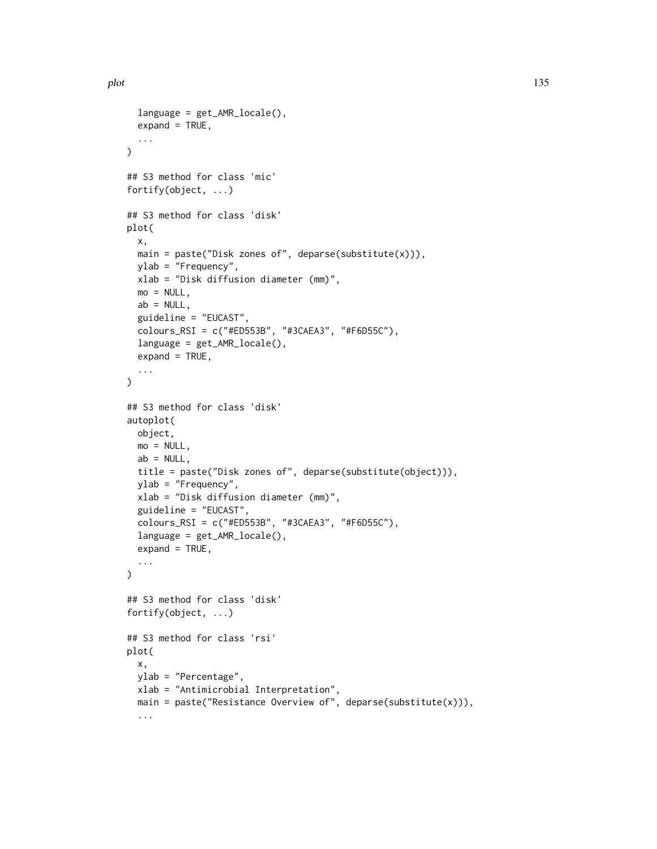```
language = get_AMR_locale(),
  expand = TRUE,...
\lambda## S3 method for class 'mic'
fortify(object, ...)
## S3 method for class 'disk'
plot(
  x,
  main = paste("Disk zones of", deparse(substitute(x))),
 ylab = "Frequency",
  xlab = "Disk diffusion diameter (mm)",
 mo = NULL,ab = NULL,guideline = "EUCAST",
  colours_RSI = c("#ED553B", "#3CAEA3", "#F6D55C"),
  language = get_AMR_locale(),
  expand = TRUE,...
\mathcal{L}## S3 method for class 'disk'
autoplot(
 object,
 mo = NULL,ab = NULL,title = paste("Disk zones of", deparse(substitute(object))),
 ylab = "Frequency",
  xlab = "Disk diffusion diameter (mm)",
  guideline = "EUCAST",
  colours_RSI = c("#ED553B", "#3CAEA3", "#F6D55C"),
  language = get_AMR_locale(),
  expand = TRUE,...
\lambda## S3 method for class 'disk'
fortify(object, ...)
## S3 method for class 'rsi'
plot(
  x,
 ylab = "Percentage",
 xlab = "Antimicrobial Interpretation",
 main = paste("Resistance Overview of", deparse(substitute(x))),
  ...
```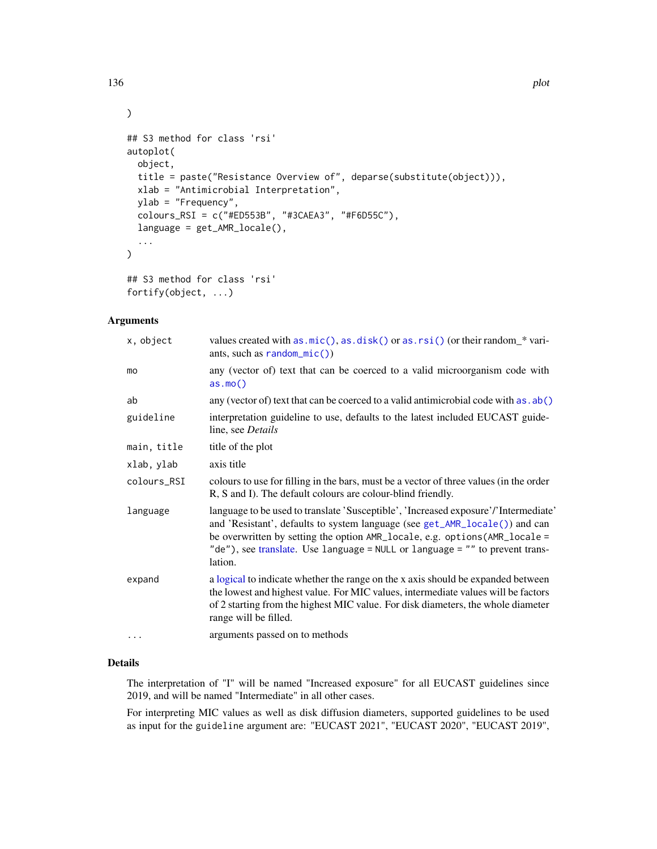```
## S3 method for class 'rsi'
autoplot(
 object,
 title = paste("Resistance Overview of", deparse(substitute(object))),
 xlab = "Antimicrobial Interpretation",
 ylab = "Frequency",
 colours_RSI = c("#ED553B", "#3CAEA3", "#F6D55C"),
 language = get_AMR_locale(),
  ...
)
## S3 method for class 'rsi'
```
# fortify(object, ...)

# Arguments

| x, object   | values created with as $\text{mic}()$ , as $\text{disk()}$ or as $\text{rsi()}$ (or their random $*$ vari-<br>ants, such as $random\_mic()$                                                                                                                                                                                                  |
|-------------|----------------------------------------------------------------------------------------------------------------------------------------------------------------------------------------------------------------------------------------------------------------------------------------------------------------------------------------------|
| mo          | any (vector of) text that can be coerced to a valid microorganism code with<br>as.mo()                                                                                                                                                                                                                                                       |
| ab          | any (vector of) text that can be coerced to a valid antimicrobial code with as . ab()                                                                                                                                                                                                                                                        |
| guideline   | interpretation guideline to use, defaults to the latest included EUCAST guide-<br>line, see Details                                                                                                                                                                                                                                          |
| main, title | title of the plot                                                                                                                                                                                                                                                                                                                            |
| xlab, ylab  | axis title                                                                                                                                                                                                                                                                                                                                   |
| colours_RSI | colours to use for filling in the bars, must be a vector of three values (in the order<br>R, S and I). The default colours are colour-blind friendly.                                                                                                                                                                                        |
| language    | language to be used to translate 'Susceptible', 'Increased exposure'/'Intermediate'<br>and 'Resistant', defaults to system language (see get_AMR_locale()) and can<br>be overwritten by setting the option AMR_locale, e.g. options (AMR_locale =<br>"de"), see translate. Use language = NULL or language = "" to prevent trans-<br>lation. |
| expand      | a logical to indicate whether the range on the x axis should be expanded between<br>the lowest and highest value. For MIC values, intermediate values will be factors<br>of 2 starting from the highest MIC value. For disk diameters, the whole diameter<br>range will be filled.                                                           |
|             | arguments passed on to methods                                                                                                                                                                                                                                                                                                               |
|             |                                                                                                                                                                                                                                                                                                                                              |

# Details

The interpretation of "I" will be named "Increased exposure" for all EUCAST guidelines since 2019, and will be named "Intermediate" in all other cases.

For interpreting MIC values as well as disk diffusion diameters, supported guidelines to be used as input for the guideline argument are: "EUCAST 2021", "EUCAST 2020", "EUCAST 2019",

)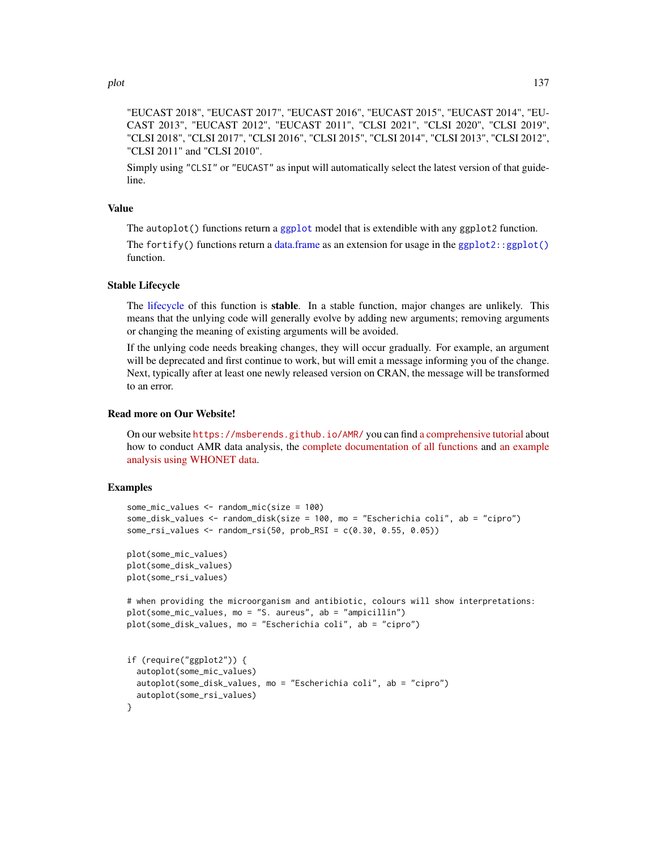"EUCAST 2018", "EUCAST 2017", "EUCAST 2016", "EUCAST 2015", "EUCAST 2014", "EU-CAST 2013", "EUCAST 2012", "EUCAST 2011", "CLSI 2021", "CLSI 2020", "CLSI 2019", "CLSI 2018", "CLSI 2017", "CLSI 2016", "CLSI 2015", "CLSI 2014", "CLSI 2013", "CLSI 2012", "CLSI 2011" and "CLSI 2010".

Simply using "CLSI" or "EUCAST" as input will automatically select the latest version of that guideline.

# Value

The autoplot() functions return a [ggplot](#page-0-0) model that is extendible with any ggplot2 function.

The fortify() functions return a [data.frame](#page-0-0) as an extension for usage in the  $ggplot2::ggplot()$ function.

# Stable Lifecycle

The [lifecycle](#page-103-0) of this function is **stable**. In a stable function, major changes are unlikely. This means that the unlying code will generally evolve by adding new arguments; removing arguments or changing the meaning of existing arguments will be avoided.

If the unlying code needs breaking changes, they will occur gradually. For example, an argument will be deprecated and first continue to work, but will emit a message informing you of the change. Next, typically after at least one newly released version on CRAN, the message will be transformed to an error.

# Read more on Our Website!

On our website <https://msberends.github.io/AMR/> you can find [a comprehensive tutorial](https://msberends.github.io/AMR/articles/AMR.html) about how to conduct AMR data analysis, the [complete documentation of all functions](https://msberends.github.io/AMR/reference/) and [an example](https://msberends.github.io/AMR/articles/WHONET.html) [analysis using WHONET data.](https://msberends.github.io/AMR/articles/WHONET.html)

# Examples

```
some_mic_values <- random_mic(size = 100)
some_disk_values <- random_disk(size = 100, mo = "Escherichia coli", ab = "cipro")
some_rsi_values <- random_rsi(50, prob_RSI = c(0.30, 0.55, 0.05))
plot(some_mic_values)
plot(some_disk_values)
plot(some_rsi_values)
# when providing the microorganism and antibiotic, colours will show interpretations:
plot(some_mic_values, mo = "S. aureus", ab = "ampicillin")
plot(some_disk_values, mo = "Escherichia coli", ab = "cipro")
if (require("ggplot2")) {
 autoplot(some_mic_values)
 autoplot(some_disk_values, mo = "Escherichia coli", ab = "cipro")
 autoplot(some_rsi_values)
}
```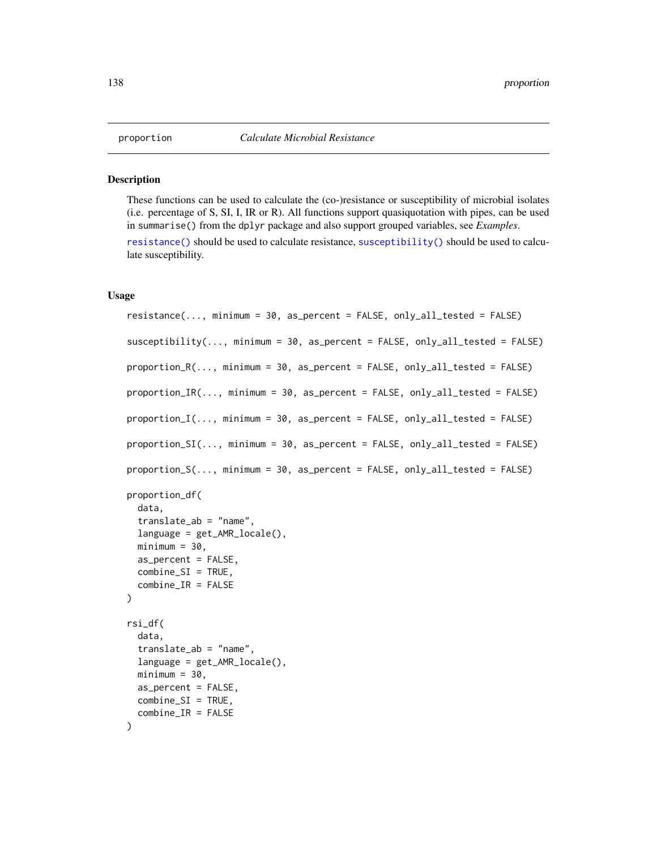#### <span id="page-137-0"></span>Description

These functions can be used to calculate the (co-)resistance or susceptibility of microbial isolates (i.e. percentage of S, SI, I, IR or R). All functions support quasiquotation with pipes, can be used in summarise() from the dplyr package and also support grouped variables, see *Examples*.

[resistance\(\)](#page-137-0) should be used to calculate resistance, [susceptibility\(\)](#page-137-0) should be used to calculate susceptibility.

# Usage

```
resistance(..., minimum = 30, as_percent = FALSE, only_all_tested = FALSE)
susceptibility(..., minimum = 30, as_percent = FALSE, only_all_tested = FALSE)
proportion_R(..., minimum = 30, as_percent = FALSE, only_all_tested = FALSE)
proportion_IR(..., minimum = 30, as_percent = FALSE, only_all_tested = FALSE)
proportion_I(..., minimum = 30, as_percent = FALSE, only_all_tested = FALSE)
proportion_SI(\ldots, minimum = 30, as_percent = FALSE, only_all_tested = FALSE)
proportion_S(..., minimum = 30, as_percent = FALSE, only_all_tested = FALSE)
proportion_df(
  data,
  translate_ab = "name",
  language = get_AMR_locale(),
 minimum = 30,
  as_percent = FALSE,
  combine_SI = TRUE,
  combine_IR = FALSE
)
rsi_df(
  data,
  translate_ab = "name",
  language = get\_AMR\_locale(),
 minimum = 30,as\_percent = FALSE,
 combine_SI = TRUE,
  combine_IR = FALSE
)
```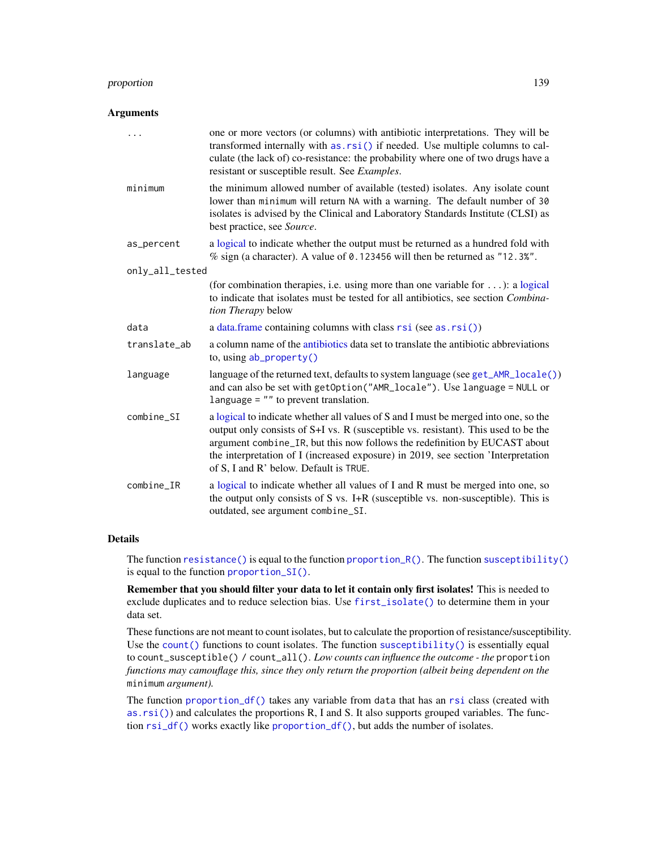# proportion 139

### **Arguments**

| $\ddotsc$       | one or more vectors (or columns) with antibiotic interpretations. They will be<br>transformed internally with as rsi() if needed. Use multiple columns to cal-<br>culate (the lack of) co-resistance: the probability where one of two drugs have a<br>resistant or susceptible result. See Examples.                                                                                  |  |  |  |
|-----------------|----------------------------------------------------------------------------------------------------------------------------------------------------------------------------------------------------------------------------------------------------------------------------------------------------------------------------------------------------------------------------------------|--|--|--|
| minimum         | the minimum allowed number of available (tested) isolates. Any isolate count<br>lower than minimum will return NA with a warning. The default number of 30<br>isolates is advised by the Clinical and Laboratory Standards Institute (CLSI) as<br>best practice, see Source.                                                                                                           |  |  |  |
| as_percent      | a logical to indicate whether the output must be returned as a hundred fold with<br>% sign (a character). A value of 0.123456 will then be returned as "12.3%".                                                                                                                                                                                                                        |  |  |  |
| only_all_tested |                                                                                                                                                                                                                                                                                                                                                                                        |  |  |  |
|                 | (for combination therapies, i.e. using more than one variable for $\dots$ ): a logical<br>to indicate that isolates must be tested for all antibiotics, see section Combina-<br>tion Therapy below                                                                                                                                                                                     |  |  |  |
| data            | a data.frame containing columns with class $rsi$ (see as. $rsi()$ )                                                                                                                                                                                                                                                                                                                    |  |  |  |
| translate_ab    | a column name of the antibiotics data set to translate the antibiotic abbreviations<br>to, using $ab$ _property()                                                                                                                                                                                                                                                                      |  |  |  |
| language        | language of the returned text, defaults to system language (see get_AMR_locale())<br>and can also be set with getOption("AMR_locale"). Use language = NULL or<br>language $=$ "" to prevent translation.                                                                                                                                                                               |  |  |  |
| combine_SI      | a logical to indicate whether all values of S and I must be merged into one, so the<br>output only consists of S+I vs. R (susceptible vs. resistant). This used to be the<br>argument combine_IR, but this now follows the redefinition by EUCAST about<br>the interpretation of I (increased exposure) in 2019, see section 'Interpretation<br>of S, I and R' below. Default is TRUE. |  |  |  |
| $combine_I$ R   | a logical to indicate whether all values of I and R must be merged into one, so<br>the output only consists of S vs. I+R (susceptible vs. non-susceptible). This is<br>outdated, see argument combine_SI.                                                                                                                                                                              |  |  |  |

# Details

The function [resistance\(\)](#page-137-0) is equal to the function proportion\_ $R()$ . The function [susceptibility\(\)](#page-137-0) is equal to the function [proportion\\_SI\(\)](#page-137-0).

Remember that you should filter your data to let it contain only first isolates! This is needed to exclude duplicates and to reduce selection bias. Use [first\\_isolate\(\)](#page-73-0) to determine them in your data set.

These functions are not meant to count isolates, but to calculate the proportion of resistance/susceptibility. Use the [count\(\)](#page-54-1) functions to count isolates. The function [susceptibility\(\)](#page-137-0) is essentially equal to count\_susceptible() / count\_all(). *Low counts can influence the outcome - the* proportion *functions may camouflage this, since they only return the proportion (albeit being dependent on the* minimum *argument).*

The function [proportion\\_df\(\)](#page-137-0) takes any variable from data that has an [rsi](#page-39-1) class (created with [as.rsi\(\)](#page-39-0)) and calculates the proportions R, I and S. It also supports grouped variables. The function [rsi\\_df\(\)](#page-137-0) works exactly like [proportion\\_df\(\)](#page-137-0), but adds the number of isolates.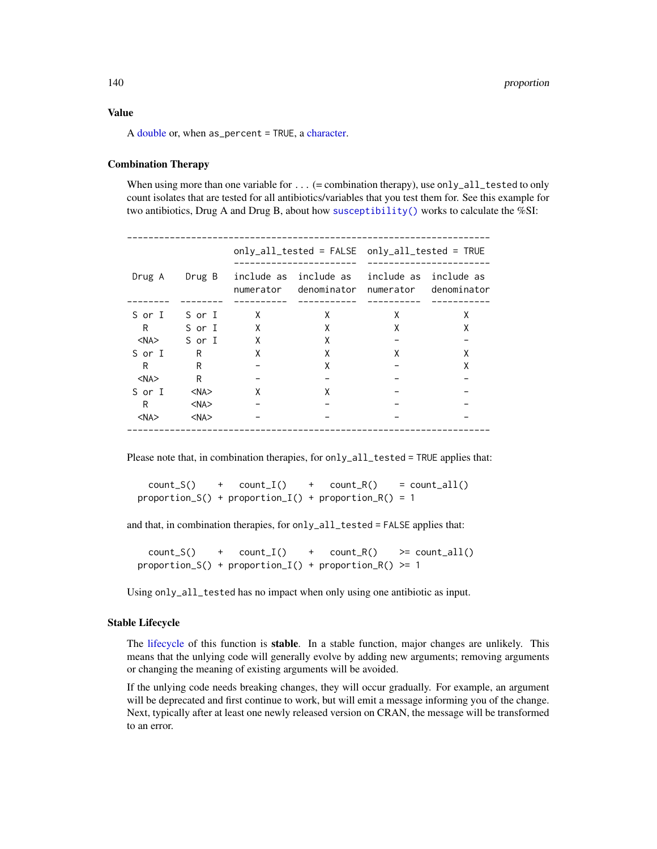# Value

A [double](#page-0-0) or, when as\_percent = TRUE, a [character.](#page-0-0)

# Combination Therapy

When using more than one variable for  $\dots$  (= combination therapy), use only\_all\_tested to only count isolates that are tested for all antibiotics/variables that you test them for. See this example for two antibiotics, Drug A and Drug B, about how [susceptibility\(\)](#page-137-0) works to calculate the %SI:

| Drug A     | Drug B     | numerator | include as include as<br>denominator | numerator | include as include as<br>denominator |
|------------|------------|-----------|--------------------------------------|-----------|--------------------------------------|
| S or I     | S or I     | X         | X                                    | X         | X                                    |
| R          | S or I     | X         | X                                    | X         | x                                    |
| <na></na>  | S or I     | X         | X                                    |           |                                      |
| S or I     | R          | χ         | X                                    | x         | x                                    |
| R          | R          |           | X                                    |           | Χ                                    |
| $<$ NA $>$ | R          |           |                                      |           |                                      |
| S or I     | $<$ NA $>$ | X         | X                                    |           |                                      |
| R.         | $<$ NA $>$ |           |                                      |           |                                      |
| $<$ NA $>$ | $<$ NA $>$ |           |                                      |           |                                      |
|            |            |           |                                      |           |                                      |

Please note that, in combination therapies, for only\_all\_tested = TRUE applies that:

 $count_S()$  +  $count_I()$  +  $count_R()$  =  $count_all()$ proportion\_S() + proportion\_I() + proportion\_R() = 1

and that, in combination therapies, for only\_all\_tested = FALSE applies that:

 $count_S()$  +  $count_I()$  +  $count_R()$  >=  $count_all()$ proportion\_S() + proportion\_I() + proportion\_R() >= 1

Using only\_all\_tested has no impact when only using one antibiotic as input.

#### Stable Lifecycle

The [lifecycle](#page-103-0) of this function is stable. In a stable function, major changes are unlikely. This means that the unlying code will generally evolve by adding new arguments; removing arguments or changing the meaning of existing arguments will be avoided.

If the unlying code needs breaking changes, they will occur gradually. For example, an argument will be deprecated and first continue to work, but will emit a message informing you of the change. Next, typically after at least one newly released version on CRAN, the message will be transformed to an error.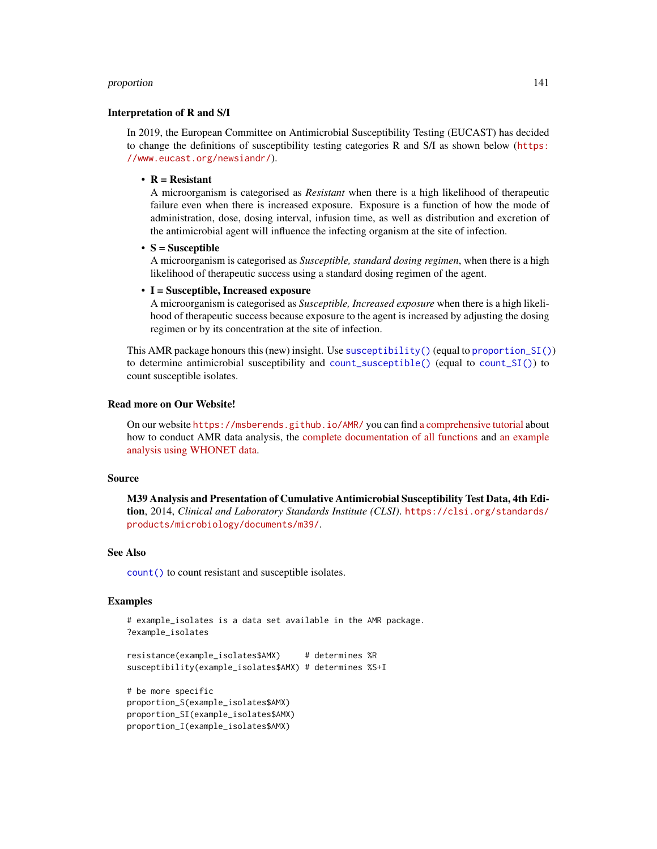## proportion and the set of the set of the set of the set of the set of the set of the set of the set of the set of the set of the set of the set of the set of the set of the set of the set of the set of the set of the set o

## Interpretation of R and S/I

In 2019, the European Committee on Antimicrobial Susceptibility Testing (EUCAST) has decided to change the definitions of susceptibility testing categories R and S/I as shown below ([https:](https://www.eucast.org/newsiandr/) [//www.eucast.org/newsiandr/](https://www.eucast.org/newsiandr/)).

#### •  $R =$  Resistant

A microorganism is categorised as *Resistant* when there is a high likelihood of therapeutic failure even when there is increased exposure. Exposure is a function of how the mode of administration, dose, dosing interval, infusion time, as well as distribution and excretion of the antimicrobial agent will influence the infecting organism at the site of infection.

•  $S =$  Susceptible

A microorganism is categorised as *Susceptible, standard dosing regimen*, when there is a high likelihood of therapeutic success using a standard dosing regimen of the agent.

## • I = Susceptible, Increased exposure

A microorganism is categorised as *Susceptible, Increased exposure* when there is a high likelihood of therapeutic success because exposure to the agent is increased by adjusting the dosing regimen or by its concentration at the site of infection.

This AMR package honours this (new) insight. Use [susceptibility\(\)](#page-137-0) (equal to [proportion\\_SI\(\)](#page-137-0)) to determine antimicrobial susceptibility and [count\\_susceptible\(\)](#page-54-0) (equal to [count\\_SI\(\)](#page-54-0)) to count susceptible isolates.

#### Read more on Our Website!

On our website <https://msberends.github.io/AMR/> you can find [a comprehensive tutorial](https://msberends.github.io/AMR/articles/AMR.html) about how to conduct AMR data analysis, the [complete documentation of all functions](https://msberends.github.io/AMR/reference/) and [an example](https://msberends.github.io/AMR/articles/WHONET.html) [analysis using WHONET data.](https://msberends.github.io/AMR/articles/WHONET.html)

# Source

M39 Analysis and Presentation of Cumulative Antimicrobial Susceptibility Test Data, 4th Edition, 2014, *Clinical and Laboratory Standards Institute (CLSI)*. [https://clsi.org/standards/](https://clsi.org/standards/products/microbiology/documents/m39/) [products/microbiology/documents/m39/](https://clsi.org/standards/products/microbiology/documents/m39/).

# See Also

[count\(\)](#page-54-1) to count resistant and susceptible isolates.

#### Examples

```
# example_isolates is a data set available in the AMR package.
?example_isolates
```

```
resistance(example_isolates$AMX) # determines %R
susceptibility(example_isolates$AMX) # determines %S+I
```

```
# be more specific
proportion_S(example_isolates$AMX)
proportion_SI(example_isolates$AMX)
proportion_I(example_isolates$AMX)
```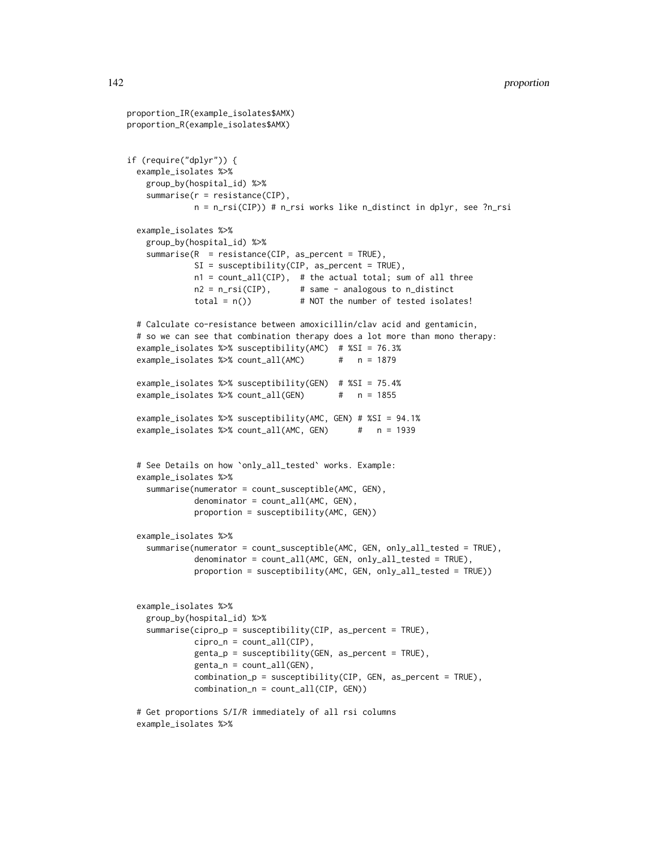```
proportion_IR(example_isolates$AMX)
proportion_R(example_isolates$AMX)
if (require("dplyr")) {
 example_isolates %>%
   group_by(hospital_id) %>%
   summarise(r = resistance(CIP),
             n = n_rsi(CIP)) # n_rsi works like n_distinct in dplyr, see ?n_rsi
 example_isolates %>%
   group_by(hospital_id) %>%
   summarise(R = resistance(CIP, as_percent = TRUE),
             SI = susceptibility(CIP, as_percent = TRUE),n1 = count_all(CIP), # the actual total; sum of all three
             n2 = n_r\sin(CIP), # same - analogous to n_d distinct
             total = n() \# NOT the number of tested isolates!
 # Calculate co-resistance between amoxicillin/clav acid and gentamicin,
 # so we can see that combination therapy does a lot more than mono therapy:
 example_isolates %>% susceptibility(AMC) # %SI = 76.3%
 example_isolates %>% count_all(AMC) # n = 1879
 example_isolates %>% susceptibility(GEN) # %SI = 75.4%
 example_isolates %>% count_all(GEN) # n = 1855
 example_isolates %>% susceptibility(AMC, GEN) # %SI = 94.1%
 example_isolates %>% count_all(AMC, GEN) # n = 1939
 # See Details on how `only_all_tested` works. Example:
 example_isolates %>%
   summarise(numerator = count_susceptible(AMC, GEN),
             denominator = count_all(AMC, GEN),
             proportion = susceptibility(AMC, GEN))
 example_isolates %>%
   summarise(numerator = count_susceptible(AMC, GEN, only_all_tested = TRUE),
             denominator = count_all(AMC, GEN, only_all_tested = TRUE),
             proportion = susceptibility(AMC, GEN, only_all_tested = TRUE))
 example_isolates %>%
   group_by(hospital_id) %>%
   summarise(cipro_p = susceptibility(CIP, as_percent = TRUE),
             cipro_n = count_all(CIP),
             genta_p = susceptibility(GEN, as_percent = TRUE),
             genta_n = count_all(GEN),
             combination_p = susceptibility(CIP, GEN, as_percent = TRUE),
             combination_n = count_all(CIP, GEN))
 # Get proportions S/I/R immediately of all rsi columns
 example_isolates %>%
```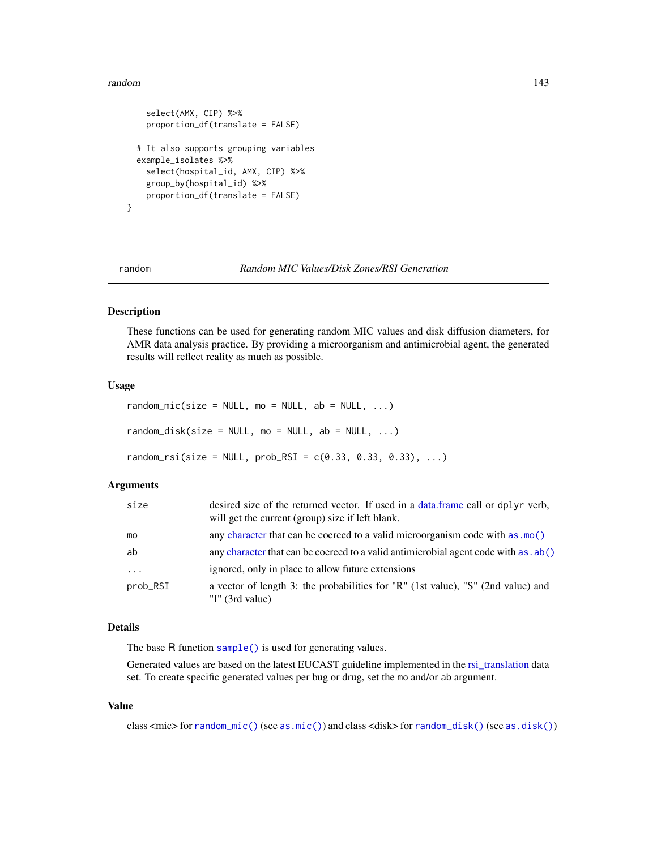## random 143

```
select(AMX, CIP) %>%
   proportion_df(translate = FALSE)
 # It also supports grouping variables
 example_isolates %>%
    select(hospital_id, AMX, CIP) %>%
   group_by(hospital_id) %>%
   proportion_df(translate = FALSE)
}
```
random *Random MIC Values/Disk Zones/RSI Generation*

# <span id="page-142-0"></span>Description

These functions can be used for generating random MIC values and disk diffusion diameters, for AMR data analysis practice. By providing a microorganism and antimicrobial agent, the generated results will reflect reality as much as possible.

# Usage

```
random\_mic(size = NULL, mo = NULL, ab = NULL, ...)random\_disk(size = NULL, mo = NULL, ab = NULL, ...)random\_rsi(size = NULL, prob\_RSI = c(0.33, 0.33, 0.33), ...)
```
## Arguments

| size     | desired size of the returned vector. If used in a data frame call or dplyr verb,<br>will get the current (group) size if left blank. |
|----------|--------------------------------------------------------------------------------------------------------------------------------------|
| mo       | any character that can be coerced to a valid microorganism code with as $\text{mo}()$                                                |
| ab       | any character that can be coerced to a valid antimicrobial agent code with as . ab()                                                 |
| $\cdot$  | ignored, only in place to allow future extensions                                                                                    |
| prob_RSI | a vector of length 3: the probabilities for "R" (1st value), "S" (2nd value) and<br>"I" $(3rd value)$                                |

## Details

The base R function [sample\(\)](#page-0-0) is used for generating values.

Generated values are based on the latest EUCAST guideline implemented in the [rsi\\_translation](#page-148-0) data set. To create specific generated values per bug or drug, set the mo and/or ab argument.

# Value

class <mic> for [random\\_mic\(\)](#page-142-0) (see [as.mic\(\)](#page-30-0)) and class <disk> for [random\\_disk\(\)](#page-142-0) (see [as.disk\(\)](#page-29-0))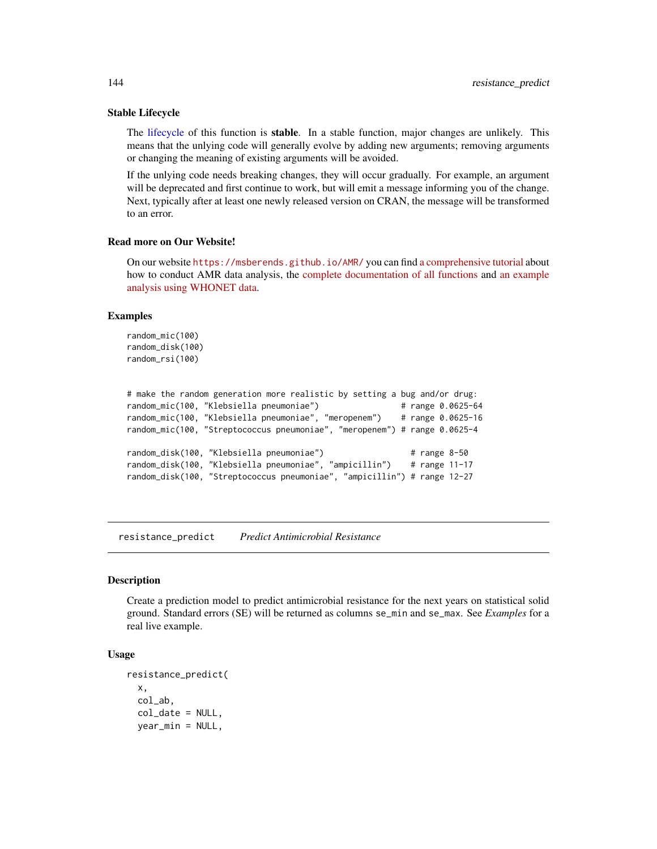## Stable Lifecycle

The [lifecycle](#page-103-0) of this function is stable. In a stable function, major changes are unlikely. This means that the unlying code will generally evolve by adding new arguments; removing arguments or changing the meaning of existing arguments will be avoided.

If the unlying code needs breaking changes, they will occur gradually. For example, an argument will be deprecated and first continue to work, but will emit a message informing you of the change. Next, typically after at least one newly released version on CRAN, the message will be transformed to an error.

# Read more on Our Website!

On our website <https://msberends.github.io/AMR/> you can find [a comprehensive tutorial](https://msberends.github.io/AMR/articles/AMR.html) about how to conduct AMR data analysis, the [complete documentation of all functions](https://msberends.github.io/AMR/reference/) and [an example](https://msberends.github.io/AMR/articles/WHONET.html) [analysis using WHONET data.](https://msberends.github.io/AMR/articles/WHONET.html)

# Examples

```
random_mic(100)
random_disk(100)
random_rsi(100)
```

```
# make the random generation more realistic by setting a bug and/or drug:
random_mic(100, "Klebsiella pneumoniae") # range 0.0625-64
random_mic(100, "Klebsiella pneumoniae", "meropenem") # range 0.0625-16
random_mic(100, "Streptococcus pneumoniae", "meropenem") # range 0.0625-4
random_disk(100, "Klebsiella pneumoniae") \qquad # range 8-50
random_disk(100, "Klebsiella pneumoniae", "ampicillin") # range 11-17
random_disk(100, "Streptococcus pneumoniae", "ampicillin") # range 12-27
```
resistance\_predict *Predict Antimicrobial Resistance*

#### **Description**

Create a prediction model to predict antimicrobial resistance for the next years on statistical solid ground. Standard errors (SE) will be returned as columns se\_min and se\_max. See *Examples* for a real live example.

# Usage

```
resistance_predict(
  x,
  col_ab,
  col_date = NULL,
  year_min = NULL,
```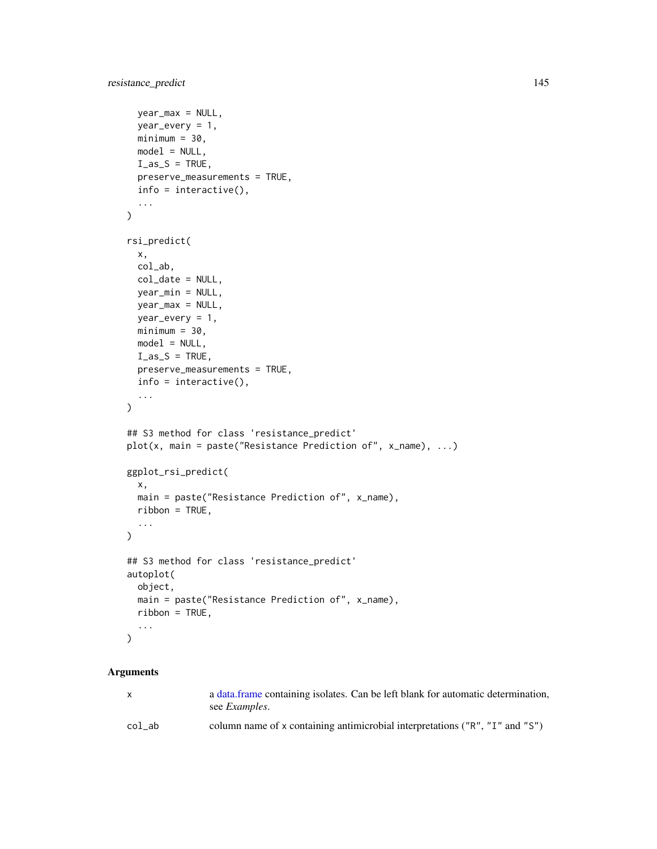```
year_max = NULL,
 year_every = 1,
 minimum = 30,
 model = NULL,I<sub>as_S</sub> = TRUE,preserve_measurements = TRUE,
 info = interactive(),
  ...
\mathcal{L}rsi_predict(
 x,
 col_ab,
 col_date = NULL,
 year_min = NULL,
  year_max = NULL,
 year_every = 1,
 minimum = 30,model = NULL,I<sub>as</sub>S = TRUE,
 preserve_measurements = TRUE,
 info = interactive(),
  ...
\mathcal{L}## S3 method for class 'resistance_predict'
plot(x, main = paste("Resistance Prediction of", x_name), ...)
ggplot_rsi_predict(
 x,
 main = paste("Resistance Prediction of", x_name),
 ribbon = TRUE,...
\lambda## S3 method for class 'resistance_predict'
autoplot(
 object,
 main = paste("Resistance Prediction of", x_name),
 ribbon = TRUE,
  ...
\mathcal{L}
```
# Arguments

| $\mathsf{x}$ | a data frame containing isolates. Can be left blank for automatic determination,<br>see <i>Examples</i> . |
|--------------|-----------------------------------------------------------------------------------------------------------|
| col ab       | column name of x containing antimicrobial interpretations ("R", "I" and "S")                              |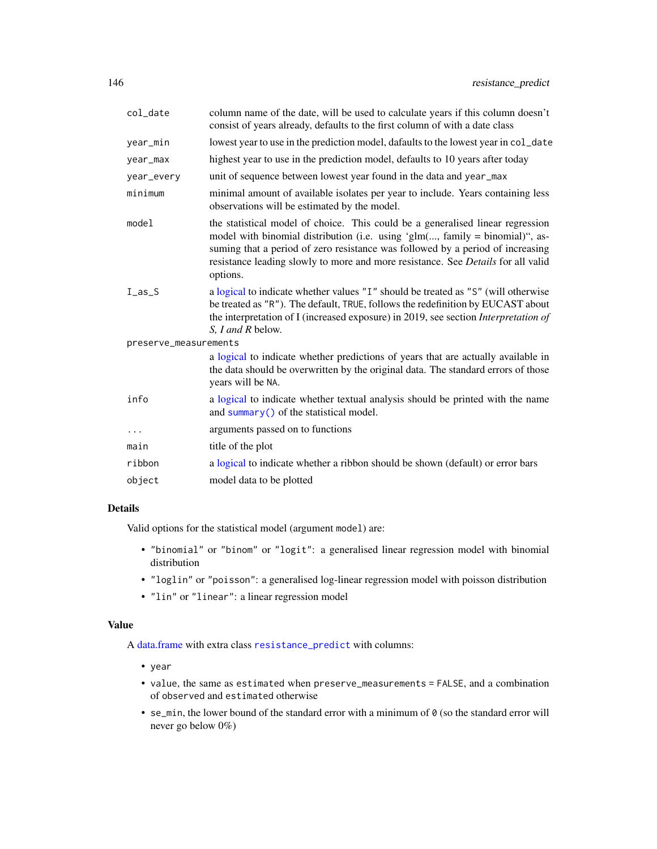<span id="page-145-0"></span>

| col_date              | column name of the date, will be used to calculate years if this column doesn't<br>consist of years already, defaults to the first column of with a date class                                                                                                                                                                                       |
|-----------------------|------------------------------------------------------------------------------------------------------------------------------------------------------------------------------------------------------------------------------------------------------------------------------------------------------------------------------------------------------|
| year_min              | lowest year to use in the prediction model, dafaults to the lowest year in col_date                                                                                                                                                                                                                                                                  |
| year_max              | highest year to use in the prediction model, defaults to 10 years after today                                                                                                                                                                                                                                                                        |
| year_every            | unit of sequence between lowest year found in the data and year_max                                                                                                                                                                                                                                                                                  |
| minimum               | minimal amount of available isolates per year to include. Years containing less<br>observations will be estimated by the model.                                                                                                                                                                                                                      |
| model                 | the statistical model of choice. This could be a generalised linear regression<br>model with binomial distribution (i.e. using ' $glm(, family = binomial)$ ", as-<br>suming that a period of zero resistance was followed by a period of increasing<br>resistance leading slowly to more and more resistance. See Details for all valid<br>options. |
| I <sub>as</sub> S     | a logical to indicate whether values "I" should be treated as "S" (will otherwise<br>be treated as "R"). The default, TRUE, follows the redefinition by EUCAST about<br>the interpretation of I (increased exposure) in 2019, see section Interpretation of<br>S, I and R below.                                                                     |
| preserve_measurements |                                                                                                                                                                                                                                                                                                                                                      |
|                       | a logical to indicate whether predictions of years that are actually available in<br>the data should be overwritten by the original data. The standard errors of those<br>years will be NA.                                                                                                                                                          |
| info                  | a logical to indicate whether textual analysis should be printed with the name<br>and summary () of the statistical model.                                                                                                                                                                                                                           |
| $\cdots$              | arguments passed on to functions                                                                                                                                                                                                                                                                                                                     |
| main                  | title of the plot                                                                                                                                                                                                                                                                                                                                    |
| ribbon                | a logical to indicate whether a ribbon should be shown (default) or error bars                                                                                                                                                                                                                                                                       |
| object                | model data to be plotted                                                                                                                                                                                                                                                                                                                             |
|                       |                                                                                                                                                                                                                                                                                                                                                      |

# Details

Valid options for the statistical model (argument model) are:

- "binomial" or "binom" or "logit": a generalised linear regression model with binomial distribution
- "loglin" or "poisson": a generalised log-linear regression model with poisson distribution
- "lin" or "linear": a linear regression model

# Value

A [data.frame](#page-0-0) with extra class [resistance\\_predict](#page-143-0) with columns:

- year
- value, the same as estimated when preserve\_measurements = FALSE, and a combination of observed and estimated otherwise
- se\_min, the lower bound of the standard error with a minimum of 0 (so the standard error will never go below 0%)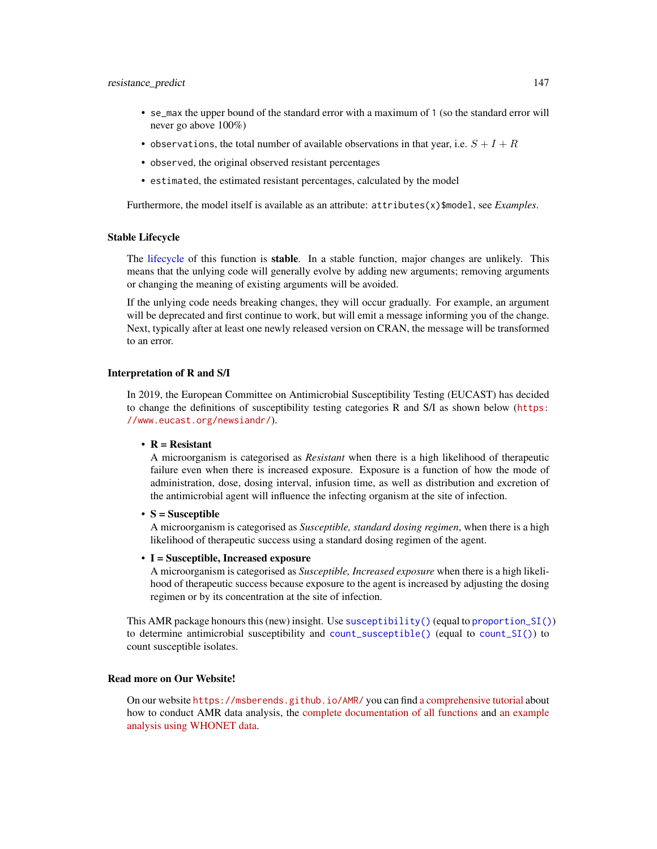#### <span id="page-146-0"></span>resistance\_predict 147

- se\_max the upper bound of the standard error with a maximum of 1 (so the standard error will never go above 100%)
- observations, the total number of available observations in that year, i.e.  $S + I + R$
- observed, the original observed resistant percentages
- estimated, the estimated resistant percentages, calculated by the model

Furthermore, the model itself is available as an attribute: attributes(x)\$model, see *Examples*.

#### Stable Lifecycle

The [lifecycle](#page-103-0) of this function is stable. In a stable function, major changes are unlikely. This means that the unlying code will generally evolve by adding new arguments; removing arguments or changing the meaning of existing arguments will be avoided.

If the unlying code needs breaking changes, they will occur gradually. For example, an argument will be deprecated and first continue to work, but will emit a message informing you of the change. Next, typically after at least one newly released version on CRAN, the message will be transformed to an error.

#### Interpretation of R and S/I

In 2019, the European Committee on Antimicrobial Susceptibility Testing (EUCAST) has decided to change the definitions of susceptibility testing categories R and S/I as shown below ([https:](https://www.eucast.org/newsiandr/) [//www.eucast.org/newsiandr/](https://www.eucast.org/newsiandr/)).

#### •  $R =$  Resistant

A microorganism is categorised as *Resistant* when there is a high likelihood of therapeutic failure even when there is increased exposure. Exposure is a function of how the mode of administration, dose, dosing interval, infusion time, as well as distribution and excretion of the antimicrobial agent will influence the infecting organism at the site of infection.

•  $S =$  Susceptible

A microorganism is categorised as *Susceptible, standard dosing regimen*, when there is a high likelihood of therapeutic success using a standard dosing regimen of the agent.

# • I = Susceptible, Increased exposure

A microorganism is categorised as *Susceptible, Increased exposure* when there is a high likelihood of therapeutic success because exposure to the agent is increased by adjusting the dosing regimen or by its concentration at the site of infection.

This AMR package honours this (new) insight. Use [susceptibility\(\)](#page-137-0) (equal to [proportion\\_SI\(\)](#page-137-0)) to determine antimicrobial susceptibility and [count\\_susceptible\(\)](#page-54-0) (equal to [count\\_SI\(\)](#page-54-0)) to count susceptible isolates.

#### Read more on Our Website!

On our website <https://msberends.github.io/AMR/> you can find [a comprehensive tutorial](https://msberends.github.io/AMR/articles/AMR.html) about how to conduct AMR data analysis, the [complete documentation of all functions](https://msberends.github.io/AMR/reference/) and [an example](https://msberends.github.io/AMR/articles/WHONET.html) [analysis using WHONET data.](https://msberends.github.io/AMR/articles/WHONET.html)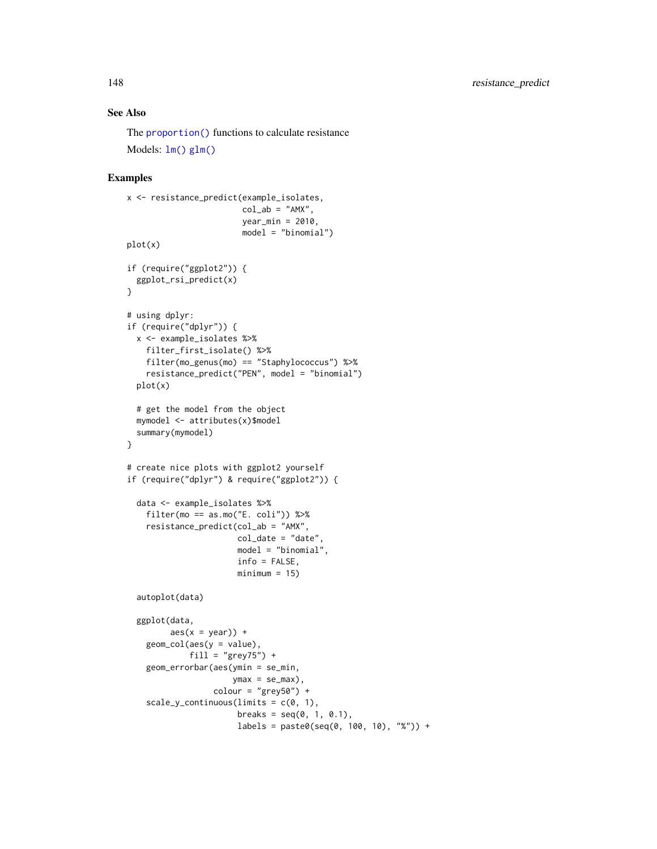# See Also

The [proportion\(\)](#page-137-1) functions to calculate resistance Models: [lm\(\)](#page-0-0) [glm\(\)](#page-0-0)

# Examples

```
x <- resistance_predict(example_isolates,
                        col\_ab = "AMX",year_min = 2010,
                        model = "binomial")
plot(x)
if (require("ggplot2")) {
  ggplot_rsi_predict(x)
}
# using dplyr:
if (require("dplyr")) {
  x <- example_isolates %>%
    filter_first_isolate() %>%
    filter(mo_genus(mo) == "Staphylococcus") %>%
    resistance_predict("PEN", model = "binomial")
  plot(x)
  # get the model from the object
  mymodel <- attributes(x)$model
  summary(mymodel)
}
# create nice plots with ggplot2 yourself
if (require("dplyr") & require("ggplot2")) {
  data <- example_isolates %>%
    filter(mo == as.mo("E. coli")) %>%
    resistance_predict(col_ab = "AMX",
                       col\_date = "date"model = "binomial",
                       info = FALSE,
                       minimum = 15autoplot(data)
  ggplot(data,
         \text{aes}(x = \text{year}) +
    geom\_col(aes(y = value),
             fill = "grey75") +
    geom_errorbar(aes(ymin = se_min,
                      ymax = se_max),
                  color = "grey50") +scale_y_{continuous(limits = c(0, 1)),
                       breaks = seq(0, 1, 0.1),
                       labels = paste0(seq(0, 100, 10), "%")) +
```
<span id="page-147-0"></span>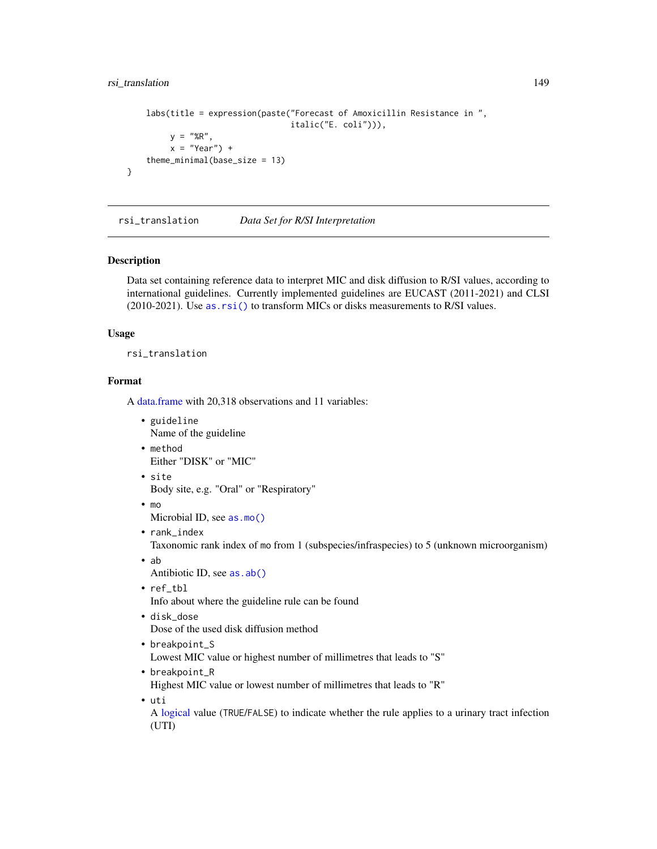# <span id="page-148-0"></span>rsi\_translation 149

```
labs(title = expression(paste("Forecast of Amoxicillin Resistance in ",
                              italic("E. coli"))),
    y = "%R",
    x = "Year") +theme_minimal(base_size = 13)
```
rsi\_translation *Data Set for R/SI Interpretation*

# **Description**

}

Data set containing reference data to interpret MIC and disk diffusion to R/SI values, according to international guidelines. Currently implemented guidelines are EUCAST (2011-2021) and CLSI (2010-2021). Use [as.rsi\(\)](#page-39-0) to transform MICs or disks measurements to R/SI values.

#### Usage

rsi\_translation

# Format

A [data.frame](#page-0-0) with 20,318 observations and 11 variables:

- guideline Name of the guideline
- method Either "DISK" or "MIC"
- site Body site, e.g. "Oral" or "Respiratory"
- mo

Microbial ID, see [as.mo\(\)](#page-33-0)

• rank\_index

Taxonomic rank index of mo from 1 (subspecies/infraspecies) to 5 (unknown microorganism)

• ab

Antibiotic ID, see [as.ab\(\)](#page-26-0)

• ref\_tbl

Info about where the guideline rule can be found

- disk\_dose Dose of the used disk diffusion method
- breakpoint\_S

Lowest MIC value or highest number of millimetres that leads to "S"

• breakpoint\_R

Highest MIC value or lowest number of millimetres that leads to "R"

• uti

A [logical](#page-0-0) value (TRUE/FALSE) to indicate whether the rule applies to a urinary tract infection (UTI)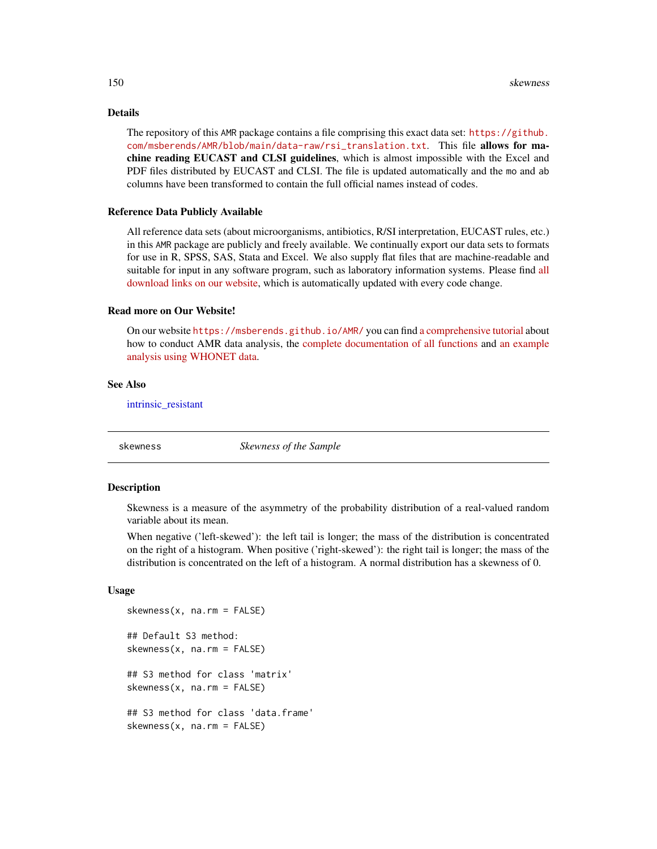# Details

The repository of this AMR package contains a file comprising this exact data set: [https://github.](https://github.com/msberends/AMR/blob/main/data-raw/rsi_translation.txt) [com/msberends/AMR/blob/main/data-raw/rsi\\_translation.txt](https://github.com/msberends/AMR/blob/main/data-raw/rsi_translation.txt). This file allows for machine reading EUCAST and CLSI guidelines, which is almost impossible with the Excel and PDF files distributed by EUCAST and CLSI. The file is updated automatically and the mo and ab columns have been transformed to contain the full official names instead of codes.

# Reference Data Publicly Available

All reference data sets (about microorganisms, antibiotics, R/SI interpretation, EUCAST rules, etc.) in this AMR package are publicly and freely available. We continually export our data sets to formats for use in R, SPSS, SAS, Stata and Excel. We also supply flat files that are machine-readable and suitable for input in any software program, such as laboratory information systems. Please find [all](https://msberends.github.io/AMR/articles/datasets.html) [download links on our website,](https://msberends.github.io/AMR/articles/datasets.html) which is automatically updated with every code change.

#### Read more on Our Website!

On our website <https://msberends.github.io/AMR/> you can find [a comprehensive tutorial](https://msberends.github.io/AMR/articles/AMR.html) about how to conduct AMR data analysis, the [complete documentation of all functions](https://msberends.github.io/AMR/reference/) and [an example](https://msberends.github.io/AMR/articles/WHONET.html) [analysis using WHONET data.](https://msberends.github.io/AMR/articles/WHONET.html)

# See Also

[intrinsic\\_resistant](#page-94-0)

skewness *Skewness of the Sample*

#### Description

Skewness is a measure of the asymmetry of the probability distribution of a real-valued random variable about its mean.

When negative ('left-skewed'): the left tail is longer; the mass of the distribution is concentrated on the right of a histogram. When positive ('right-skewed'): the right tail is longer; the mass of the distribution is concentrated on the left of a histogram. A normal distribution has a skewness of 0.

#### Usage

```
skewness(x, na.rm = FALSE)
## Default S3 method:
skewness(x, na.rm = FALSE)
## S3 method for class 'matrix'
skewness(x, na.rm = FALSE)
## S3 method for class 'data.frame'
skewness(x, na.rm = FALSE)
```
<span id="page-149-0"></span>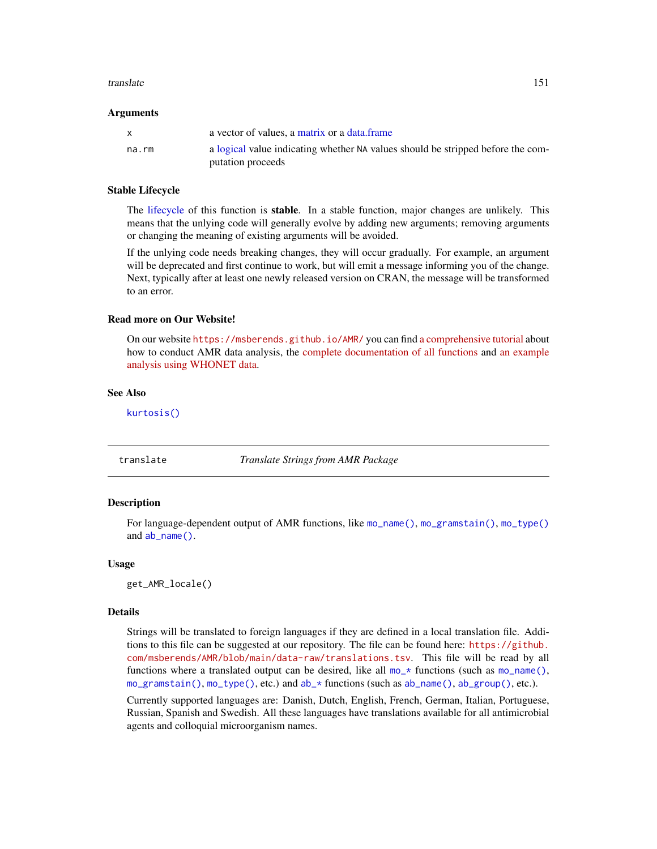#### <span id="page-150-0"></span>translate the contract of the contract of the contract of the contract of the contract of the contract of the contract of the contract of the contract of the contract of the contract of the contract of the contract of the

#### Arguments

|       | a vector of values, a matrix or a data frame                                    |
|-------|---------------------------------------------------------------------------------|
| na.rm | a logical value indicating whether NA values should be stripped before the com- |
|       | putation proceeds                                                               |

#### Stable Lifecycle

The [lifecycle](#page-103-0) of this function is stable. In a stable function, major changes are unlikely. This means that the unlying code will generally evolve by adding new arguments; removing arguments or changing the meaning of existing arguments will be avoided.

If the unlying code needs breaking changes, they will occur gradually. For example, an argument will be deprecated and first continue to work, but will emit a message informing you of the change. Next, typically after at least one newly released version on CRAN, the message will be transformed to an error.

#### Read more on Our Website!

On our website <https://msberends.github.io/AMR/> you can find [a comprehensive tutorial](https://msberends.github.io/AMR/articles/AMR.html) about how to conduct AMR data analysis, the [complete documentation of all functions](https://msberends.github.io/AMR/reference/) and [an example](https://msberends.github.io/AMR/articles/WHONET.html) [analysis using WHONET data.](https://msberends.github.io/AMR/articles/WHONET.html)

# See Also

[kurtosis\(\)](#page-102-0)

translate *Translate Strings from AMR Package*

#### Description

For language-dependent output of AMR functions, like [mo\\_name\(\)](#page-121-0), [mo\\_gramstain\(\)](#page-121-0), [mo\\_type\(\)](#page-121-0) and [ab\\_name\(\)](#page-5-0).

#### Usage

get\_AMR\_locale()

#### Details

Strings will be translated to foreign languages if they are defined in a local translation file. Additions to this file can be suggested at our repository. The file can be found here: [https://github.](https://github.com/msberends/AMR/blob/main/data-raw/translations.tsv) [com/msberends/AMR/blob/main/data-raw/translations.tsv](https://github.com/msberends/AMR/blob/main/data-raw/translations.tsv). This file will be read by all functions where a translated output can be desired, like all  $mo-*$  functions (such as  $mo\_name()$ , [mo\\_gramstain\(\)](#page-121-0), [mo\\_type\(\)](#page-121-0), etc.) and [ab\\_\\*](#page-5-1) functions (such as [ab\\_name\(\)](#page-5-0), [ab\\_group\(\)](#page-5-0), etc.).

Currently supported languages are: Danish, Dutch, English, French, German, Italian, Portuguese, Russian, Spanish and Swedish. All these languages have translations available for all antimicrobial agents and colloquial microorganism names.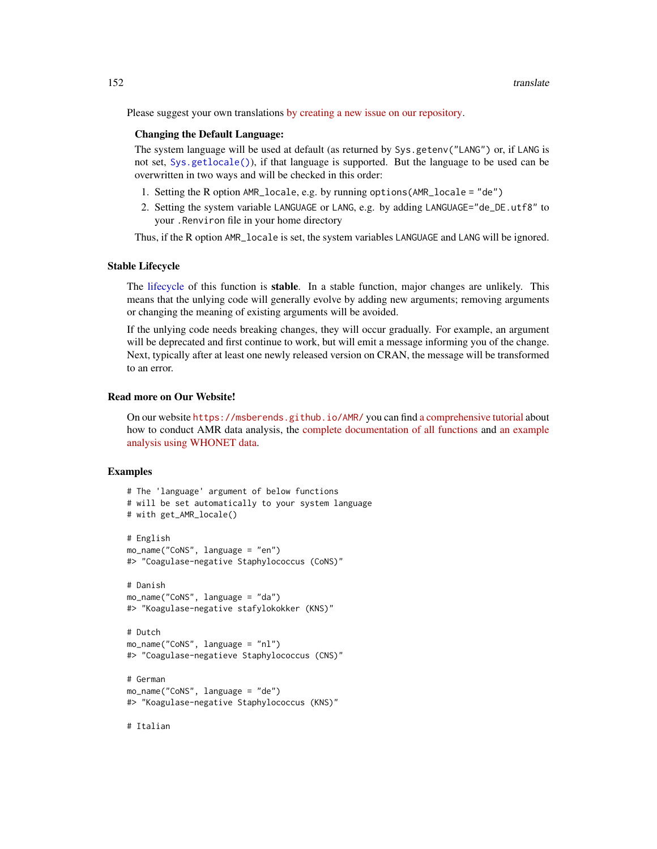<span id="page-151-0"></span>Please suggest your own translations [by creating a new issue on our repository.](https://github.com/msberends/AMR/issues/new?title=Translations)

#### Changing the Default Language:

The system language will be used at default (as returned by Sys.getenv("LANG") or, if LANG is not set, [Sys.getlocale\(\)](#page-0-0)), if that language is supported. But the language to be used can be overwritten in two ways and will be checked in this order:

- 1. Setting the R option AMR\_locale, e.g. by running options(AMR\_locale = "de")
- 2. Setting the system variable LANGUAGE or LANG, e.g. by adding LANGUAGE="de\_DE.utf8" to your .Renviron file in your home directory

Thus, if the R option AMR\_locale is set, the system variables LANGUAGE and LANG will be ignored.

#### Stable Lifecycle

The [lifecycle](#page-103-0) of this function is stable. In a stable function, major changes are unlikely. This means that the unlying code will generally evolve by adding new arguments; removing arguments or changing the meaning of existing arguments will be avoided.

If the unlying code needs breaking changes, they will occur gradually. For example, an argument will be deprecated and first continue to work, but will emit a message informing you of the change. Next, typically after at least one newly released version on CRAN, the message will be transformed to an error.

# Read more on Our Website!

On our website <https://msberends.github.io/AMR/> you can find [a comprehensive tutorial](https://msberends.github.io/AMR/articles/AMR.html) about how to conduct AMR data analysis, the [complete documentation of all functions](https://msberends.github.io/AMR/reference/) and [an example](https://msberends.github.io/AMR/articles/WHONET.html) [analysis using WHONET data.](https://msberends.github.io/AMR/articles/WHONET.html)

#### Examples

```
# The 'language' argument of below functions
# will be set automatically to your system language
# with get_AMR_locale()
# English
mo_name("CoNS", language = "en")
#> "Coagulase-negative Staphylococcus (CoNS)"
# Danish
mo_name("CoNS", language = "da")
#> "Koagulase-negative stafylokokker (KNS)"
# Dutch
mo_name("CoNS", language = "nl")
#> "Coagulase-negatieve Staphylococcus (CNS)"
# German
mo_name("CoNS", language = "de")
#> "Koagulase-negative Staphylococcus (KNS)"
```
# Italian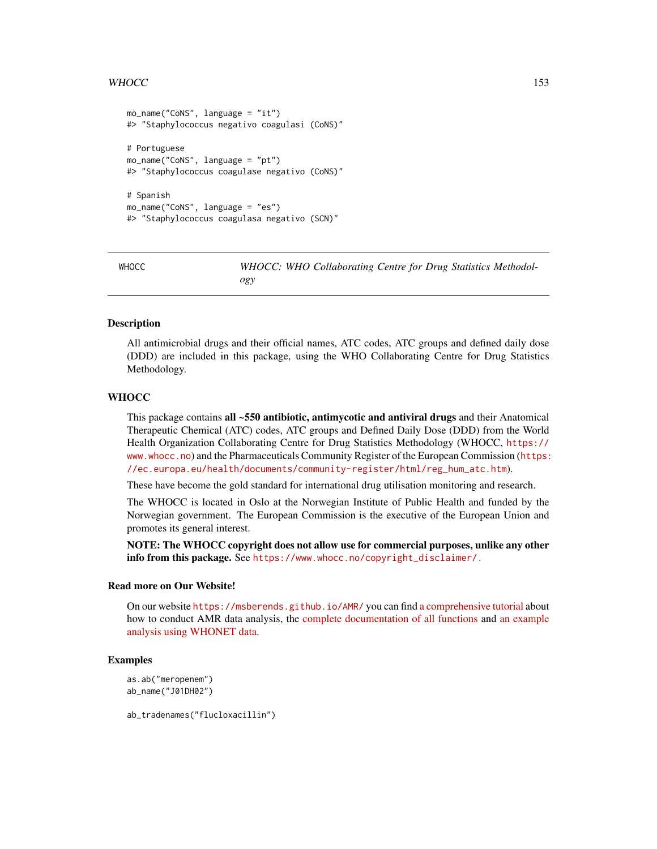# <span id="page-152-0"></span>WHOCC 153

```
mo_name("CoNS", language = "it")
#> "Staphylococcus negativo coagulasi (CoNS)"
# Portuguese
mo_name("CoNS", language = "pt")
#> "Staphylococcus coagulase negativo (CoNS)"
# Spanish
mo_name("CoNS", language = "es")
#> "Staphylococcus coagulasa negativo (SCN)"
```
WHOCC *WHOCC: WHO Collaborating Centre for Drug Statistics Methodology*

# **Description**

All antimicrobial drugs and their official names, ATC codes, ATC groups and defined daily dose (DDD) are included in this package, using the WHO Collaborating Centre for Drug Statistics Methodology.

# **WHOCC**

This package contains all ~550 antibiotic, antimycotic and antiviral drugs and their Anatomical Therapeutic Chemical (ATC) codes, ATC groups and Defined Daily Dose (DDD) from the World Health Organization Collaborating Centre for Drug Statistics Methodology (WHOCC, [https://](https://www.whocc.no) [www.whocc.no](https://www.whocc.no)) and the Pharmaceuticals Community Register of the European Commission ([https:](https://ec.europa.eu/health/documents/community-register/html/reg_hum_atc.htm) [//ec.europa.eu/health/documents/community-register/html/reg\\_hum\\_atc.htm](https://ec.europa.eu/health/documents/community-register/html/reg_hum_atc.htm)).

These have become the gold standard for international drug utilisation monitoring and research.

The WHOCC is located in Oslo at the Norwegian Institute of Public Health and funded by the Norwegian government. The European Commission is the executive of the European Union and promotes its general interest.

NOTE: The WHOCC copyright does not allow use for commercial purposes, unlike any other info from this package. See [https://www.whocc.no/copyright\\_disclaimer/.](https://www.whocc.no/copyright_disclaimer/.)

#### Read more on Our Website!

On our website <https://msberends.github.io/AMR/> you can find [a comprehensive tutorial](https://msberends.github.io/AMR/articles/AMR.html) about how to conduct AMR data analysis, the [complete documentation of all functions](https://msberends.github.io/AMR/reference/) and [an example](https://msberends.github.io/AMR/articles/WHONET.html) [analysis using WHONET data.](https://msberends.github.io/AMR/articles/WHONET.html)

# Examples

```
as.ab("meropenem")
ab_name("J01DH02")
```
ab\_tradenames("flucloxacillin")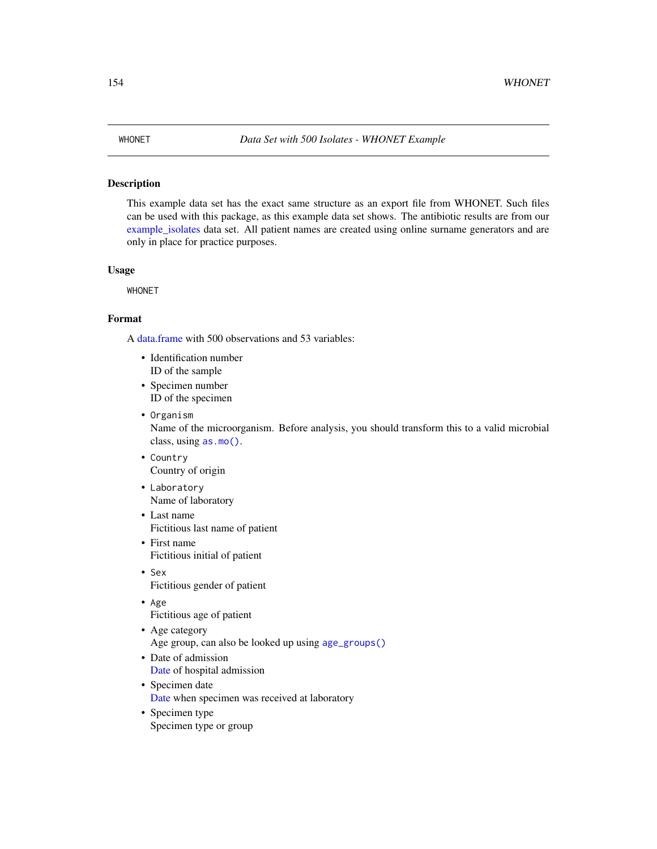# <span id="page-153-0"></span>Description

This example data set has the exact same structure as an export file from WHONET. Such files can be used with this package, as this example data set shows. The antibiotic results are from our [example\\_isolates](#page-71-0) data set. All patient names are created using online surname generators and are only in place for practice purposes.

# Usage

WHONET

# Format

A [data.frame](#page-0-0) with 500 observations and 53 variables:

- Identification number ID of the sample
- Specimen number ID of the specimen
- Organism Name of the microorganism. Before analysis, you should transform this to a valid microbial class, using [as.mo\(\)](#page-33-0).
- Country Country of origin
- Laboratory Name of laboratory
- Last name Fictitious last name of patient
- First name Fictitious initial of patient
- Sex Fictitious gender of patient
- Age Fictitious age of patient
- Age category Age group, can also be looked up using [age\\_groups\(\)](#page-10-0)
- Date of admission [Date](#page-0-0) of hospital admission
- Specimen date [Date](#page-0-0) when specimen was received at laboratory
- Specimen type Specimen type or group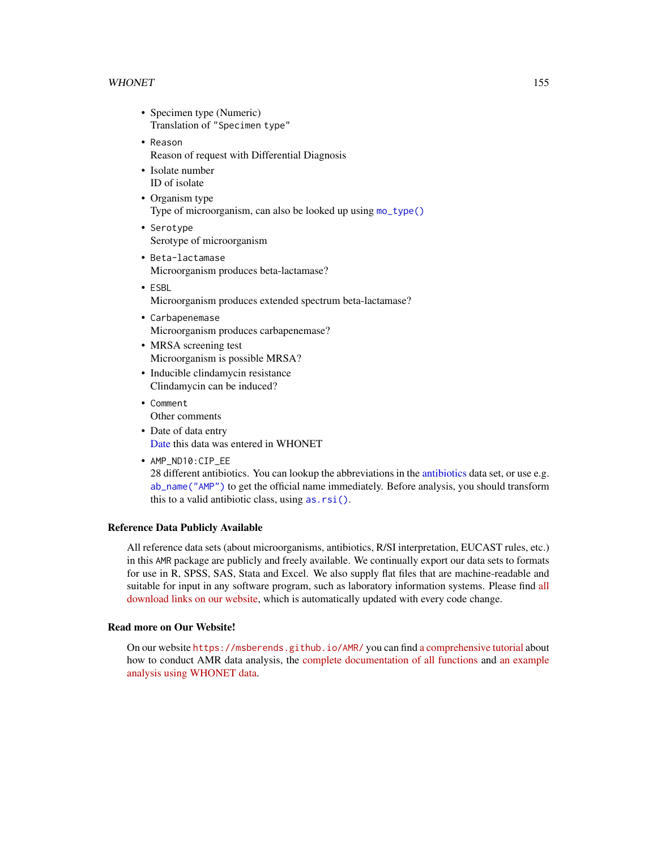#### <span id="page-154-0"></span>WHONET 155

- Specimen type (Numeric) Translation of "Specimen type"
- Reason Reason of request with Differential Diagnosis
- Isolate number ID of isolate
- Organism type Type of microorganism, can also be looked up using [mo\\_type\(\)](#page-121-0)
- Serotype Serotype of microorganism
- Beta-lactamase Microorganism produces beta-lactamase?
- ESBL Microorganism produces extended spectrum beta-lactamase?
- Carbapenemase Microorganism produces carbapenemase?
- MRSA screening test Microorganism is possible MRSA?
- Inducible clindamycin resistance Clindamycin can be induced?
- Comment Other comments
- Date of data entry [Date](#page-0-0) this data was entered in WHONET
- AMP\_ND10:CIP\_EE 28 different antibiotics. You can lookup the abbreviations in the [antibiotics](#page-14-0) data set, or use e.g. [ab\\_name\("AMP"\)](#page-5-0) to get the official name immediately. Before analysis, you should transform this to a valid antibiotic class, using [as.rsi\(\)](#page-39-0).

# Reference Data Publicly Available

All reference data sets (about microorganisms, antibiotics, R/SI interpretation, EUCAST rules, etc.) in this AMR package are publicly and freely available. We continually export our data sets to formats for use in R, SPSS, SAS, Stata and Excel. We also supply flat files that are machine-readable and suitable for input in any software program, such as laboratory information systems. Please find [all](https://msberends.github.io/AMR/articles/datasets.html) [download links on our website,](https://msberends.github.io/AMR/articles/datasets.html) which is automatically updated with every code change.

#### Read more on Our Website!

On our website <https://msberends.github.io/AMR/> you can find [a comprehensive tutorial](https://msberends.github.io/AMR/articles/AMR.html) about how to conduct AMR data analysis, the [complete documentation of all functions](https://msberends.github.io/AMR/reference/) and [an example](https://msberends.github.io/AMR/articles/WHONET.html) [analysis using WHONET data.](https://msberends.github.io/AMR/articles/WHONET.html)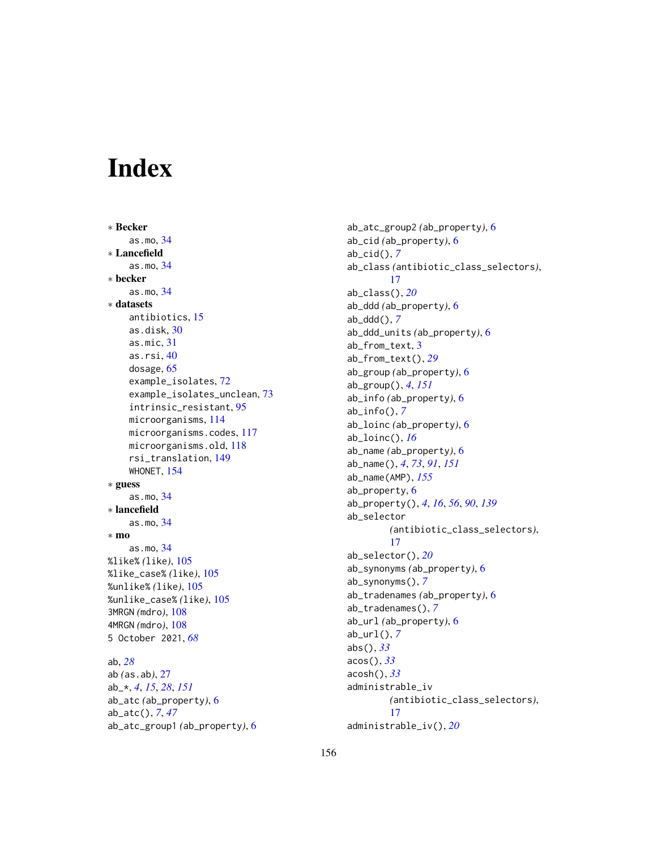# Index

∗ Becker as.mo, [34](#page-33-1) ∗ Lancefield as.mo, [34](#page-33-1) ∗ becker as.mo, [34](#page-33-1) ∗ datasets antibiotics, [15](#page-14-1) as.disk, [30](#page-29-0) as.mic, [31](#page-30-0) as.rsi, [40](#page-39-1) dosage, [65](#page-64-0) example\_isolates, [72](#page-71-1) example\_isolates\_unclean, [73](#page-72-0) intrinsic\_resistant, [95](#page-94-1) microorganisms, [114](#page-113-0) microorganisms.codes, [117](#page-116-0) microorganisms.old, [118](#page-117-0) rsi\_translation, [149](#page-148-0) WHONET, [154](#page-153-0) ∗ guess as.mo, [34](#page-33-1) ∗ lancefield as.mo, [34](#page-33-1) ∗ mo as.mo, [34](#page-33-1) %like% *(*like*)*, [105](#page-104-0) %like\_case% *(*like*)*, [105](#page-104-0) %unlike% *(*like*)*, [105](#page-104-0) %unlike\_case% *(*like*)*, [105](#page-104-0) 3MRGN *(*mdro*)*, [108](#page-107-0) 4MRGN *(*mdro*)*, [108](#page-107-0) 5 October 2021, *[68](#page-67-0)* ab, *[28](#page-27-0)* ab *(*as.ab*)*, [27](#page-26-1) ab\_\*, *[4](#page-3-0)*, *[15](#page-14-1)*, *[28](#page-27-0)*, *[151](#page-150-0)* ab\_atc *(*ab\_property*)*, [6](#page-5-2) ab\_atc(), *[7](#page-6-0)*, *[47](#page-46-0)*

ab\_atc\_group1 *(*ab\_property*)*, [6](#page-5-2)

ab\_atc\_group2 *(*ab\_property*)*, [6](#page-5-2) ab\_cid *(*ab\_property*)*, [6](#page-5-2) ab\_cid(), *[7](#page-6-0)* ab\_class *(*antibiotic\_class\_selectors*)*, [17](#page-16-0) ab\_class(), *[20](#page-19-0)* ab\_ddd *(*ab\_property*)*, [6](#page-5-2) ab\_ddd(), *[7](#page-6-0)* ab\_ddd\_units *(*ab\_property*)*, [6](#page-5-2) ab\_from\_text, [3](#page-2-0) ab\_from\_text(), *[29](#page-28-0)* ab\_group *(*ab\_property*)*, [6](#page-5-2) ab\_group(), *[4](#page-3-0)*, *[151](#page-150-0)* ab\_info *(*ab\_property*)*, [6](#page-5-2) ab\_info(), *[7](#page-6-0)* ab\_loinc *(*ab\_property*)*, [6](#page-5-2) ab\_loinc(), *[16](#page-15-0)* ab\_name *(*ab\_property*)*, [6](#page-5-2) ab\_name(), *[4](#page-3-0)*, *[73](#page-72-0)*, *[91](#page-90-0)*, *[151](#page-150-0)* ab\_name(AMP), *[155](#page-154-0)* ab\_property, [6](#page-5-2) ab\_property(), *[4](#page-3-0)*, *[16](#page-15-0)*, *[56](#page-55-0)*, *[90](#page-89-0)*, *[139](#page-138-0)* ab\_selector *(*antibiotic\_class\_selectors*)*, [17](#page-16-0) ab\_selector(), *[20](#page-19-0)* ab\_synonyms *(*ab\_property*)*, [6](#page-5-2) ab\_synonyms(), *[7](#page-6-0)* ab\_tradenames *(*ab\_property*)*, [6](#page-5-2) ab\_tradenames(), *[7](#page-6-0)* ab\_url *(*ab\_property*)*, [6](#page-5-2) ab\_url(), *[7](#page-6-0)* abs(), *[33](#page-32-0)* acos(), *[33](#page-32-0)* acosh(), *[33](#page-32-0)* administrable\_iv *(*antibiotic\_class\_selectors*)*, [17](#page-16-0) administrable\_iv(), *[20](#page-19-0)*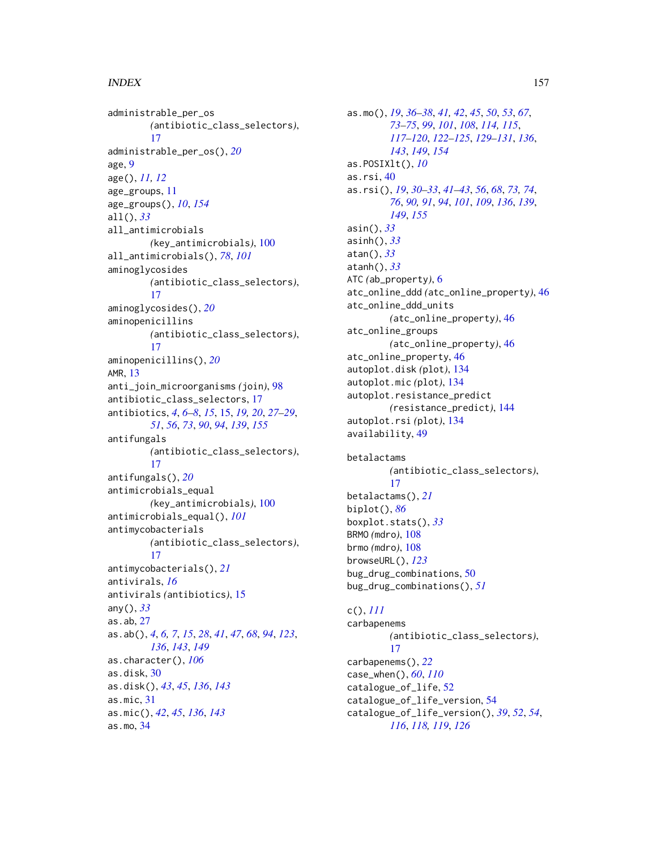administrable\_per\_os *(*antibiotic\_class\_selectors*)*, [17](#page-16-0) administrable\_per\_os(), *[20](#page-19-0)* age, [9](#page-8-0) age(), *[11,](#page-10-1) [12](#page-11-0)* age\_groups, [11](#page-10-1) age\_groups(), *[10](#page-9-0)*, *[154](#page-153-0)* all(), *[33](#page-32-0)* all\_antimicrobials *(*key\_antimicrobials*)*, [100](#page-99-0) all\_antimicrobials(), *[78](#page-77-0)*, *[101](#page-100-0)* aminoglycosides *(*antibiotic\_class\_selectors*)*, [17](#page-16-0) aminoglycosides(), *[20](#page-19-0)* aminopenicillins *(*antibiotic\_class\_selectors*)*, [17](#page-16-0) aminopenicillins(), *[20](#page-19-0)* AMR, [13](#page-12-0) anti\_join\_microorganisms *(*join*)*, [98](#page-97-0) antibiotic\_class\_selectors, [17](#page-16-0) antibiotics, *[4](#page-3-0)*, *[6](#page-5-2)[–8](#page-7-0)*, *[15](#page-14-1)*, [15,](#page-14-1) *[19,](#page-18-0) [20](#page-19-0)*, *[27–](#page-26-1)[29](#page-28-0)*, *[51](#page-50-0)*, *[56](#page-55-0)*, *[73](#page-72-0)*, *[90](#page-89-0)*, *[94](#page-93-0)*, *[139](#page-138-0)*, *[155](#page-154-0)* antifungals *(*antibiotic\_class\_selectors*)*, [17](#page-16-0) antifungals(), *[20](#page-19-0)* antimicrobials\_equal *(*key\_antimicrobials*)*, [100](#page-99-0) antimicrobials\_equal(), *[101](#page-100-0)* antimycobacterials *(*antibiotic\_class\_selectors*)*, [17](#page-16-0) antimycobacterials(), *[21](#page-20-0)* antivirals, *[16](#page-15-0)* antivirals *(*antibiotics*)*, [15](#page-14-1) any(), *[33](#page-32-0)* as.ab, [27](#page-26-1) as.ab(), *[4](#page-3-0)*, *[6,](#page-5-2) [7](#page-6-0)*, *[15](#page-14-1)*, *[28](#page-27-0)*, *[41](#page-40-0)*, *[47](#page-46-0)*, *[68](#page-67-0)*, *[94](#page-93-0)*, *[123](#page-122-0)*, *[136](#page-135-0)*, *[143](#page-142-0)*, *[149](#page-148-0)* as.character(), *[106](#page-105-0)* as.disk, [30](#page-29-0) as.disk(), *[43](#page-42-0)*, *[45](#page-44-0)*, *[136](#page-135-0)*, *[143](#page-142-0)* as.mic, [31](#page-30-0) as.mic(), *[42](#page-41-0)*, *[45](#page-44-0)*, *[136](#page-135-0)*, *[143](#page-142-0)* as.mo, [34](#page-33-1)

as.mo(), *[19](#page-18-0)*, *[36](#page-35-0)[–38](#page-37-0)*, *[41,](#page-40-0) [42](#page-41-0)*, *[45](#page-44-0)*, *[50](#page-49-0)*, *[53](#page-52-0)*, *[67](#page-66-0)*, *[73](#page-72-0)[–75](#page-74-0)*, *[99](#page-98-0)*, *[101](#page-100-0)*, *[108](#page-107-0)*, *[114,](#page-113-0) [115](#page-114-0)*, *[117](#page-116-0)[–120](#page-119-0)*, *[122](#page-121-2)[–125](#page-124-0)*, *[129](#page-128-0)[–131](#page-130-0)*, *[136](#page-135-0)*, *[143](#page-142-0)*, *[149](#page-148-0)*, *[154](#page-153-0)* as.POSIXlt(), *[10](#page-9-0)* as.rsi, [40](#page-39-1) as.rsi(), *[19](#page-18-0)*, *[30](#page-29-0)[–33](#page-32-0)*, *[41](#page-40-0)[–43](#page-42-0)*, *[56](#page-55-0)*, *[68](#page-67-0)*, *[73,](#page-72-0) [74](#page-73-0)*, *[76](#page-75-0)*, *[90,](#page-89-0) [91](#page-90-0)*, *[94](#page-93-0)*, *[101](#page-100-0)*, *[109](#page-108-0)*, *[136](#page-135-0)*, *[139](#page-138-0)*, *[149](#page-148-0)*, *[155](#page-154-0)* asin(), *[33](#page-32-0)* asinh(), *[33](#page-32-0)* atan(), *[33](#page-32-0)* atanh(), *[33](#page-32-0)* ATC *(*ab\_property*)*, [6](#page-5-2) atc\_online\_ddd *(*atc\_online\_property*)*, [46](#page-45-0) atc\_online\_ddd\_units *(*atc\_online\_property*)*, [46](#page-45-0) atc\_online\_groups *(*atc\_online\_property*)*, [46](#page-45-0) atc\_online\_property, [46](#page-45-0) autoplot.disk *(*plot*)*, [134](#page-133-0) autoplot.mic *(*plot*)*, [134](#page-133-0) autoplot.resistance\_predict *(*resistance\_predict*)*, [144](#page-143-1) autoplot.rsi *(*plot*)*, [134](#page-133-0) availability, [49](#page-48-0)

betalactams *(*antibiotic\_class\_selectors*)*, [17](#page-16-0) betalactams(), *[21](#page-20-0)* biplot(), *[86](#page-85-0)* boxplot.stats(), *[33](#page-32-0)* BRMO *(*mdro*)*, [108](#page-107-0) brmo *(*mdro*)*, [108](#page-107-0) browseURL(), *[123](#page-122-0)* bug\_drug\_combinations, [50](#page-49-0) bug\_drug\_combinations(), *[51](#page-50-0)*

# c(), *[111](#page-110-0)*

carbapenems *(*antibiotic\_class\_selectors*)*, [17](#page-16-0) carbapenems(), *[22](#page-21-0)* case\_when(), *[60](#page-59-0)*, *[110](#page-109-0)* catalogue\_of\_life, [52](#page-51-0) catalogue\_of\_life\_version, [54](#page-53-0) catalogue\_of\_life\_version(), *[39](#page-38-0)*, *[52](#page-51-0)*, *[54](#page-53-0)*, *[116](#page-115-0)*, *[118,](#page-117-0) [119](#page-118-0)*, *[126](#page-125-0)*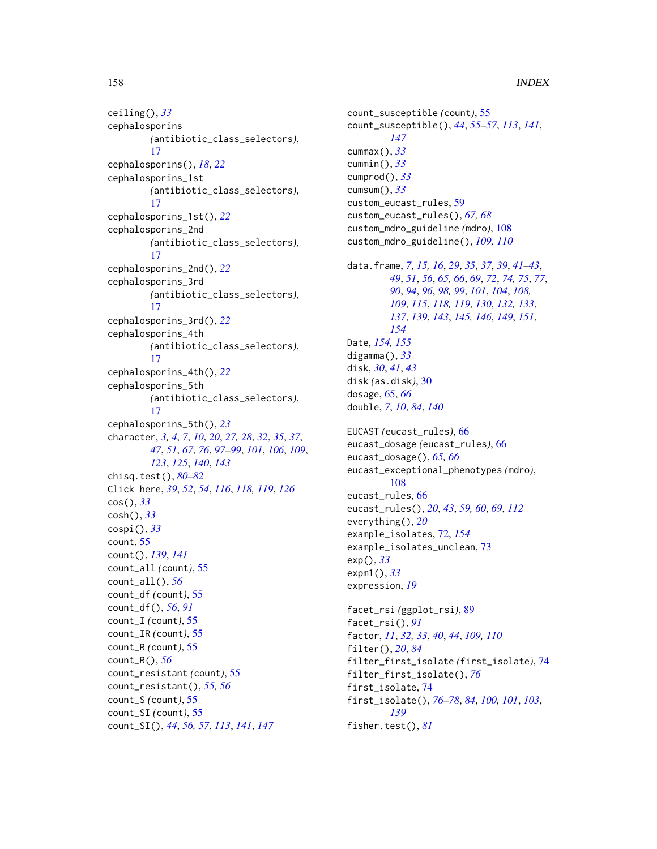ceiling(), *[33](#page-32-0)* cephalosporins *(*antibiotic\_class\_selectors*)*, [17](#page-16-0) cephalosporins(), *[18](#page-17-0)*, *[22](#page-21-0)* cephalosporins\_1st *(*antibiotic\_class\_selectors*)*, [17](#page-16-0) cephalosporins\_1st(), *[22](#page-21-0)* cephalosporins\_2nd *(*antibiotic\_class\_selectors*)*, [17](#page-16-0) cephalosporins\_2nd(), *[22](#page-21-0)* cephalosporins\_3rd *(*antibiotic\_class\_selectors*)*, [17](#page-16-0) cephalosporins\_3rd(), *[22](#page-21-0)* cephalosporins\_4th *(*antibiotic\_class\_selectors*)*, [17](#page-16-0) cephalosporins\_4th(), *[22](#page-21-0)* cephalosporins\_5th *(*antibiotic\_class\_selectors*)*, [17](#page-16-0) cephalosporins\_5th(), *[23](#page-22-0)* character, *[3,](#page-2-0) [4](#page-3-0)*, *[7](#page-6-0)*, *[10](#page-9-0)*, *[20](#page-19-0)*, *[27,](#page-26-1) [28](#page-27-0)*, *[32](#page-31-0)*, *[35](#page-34-0)*, *[37](#page-36-0)*, *[47](#page-46-0)*, *[51](#page-50-0)*, *[67](#page-66-0)*, *[76](#page-75-0)*, *[97–](#page-96-0)[99](#page-98-0)*, *[101](#page-100-0)*, *[106](#page-105-0)*, *[109](#page-108-0)*, *[123](#page-122-0)*, *[125](#page-124-0)*, *[140](#page-139-0)*, *[143](#page-142-0)* chisq.test(), *[80](#page-79-0)[–82](#page-81-0)* Click here, *[39](#page-38-0)*, *[52](#page-51-0)*, *[54](#page-53-0)*, *[116](#page-115-0)*, *[118,](#page-117-0) [119](#page-118-0)*, *[126](#page-125-0)* cos(), *[33](#page-32-0)* cosh(), *[33](#page-32-0)* cospi(), *[33](#page-32-0)* count, [55](#page-54-1) count(), *[139](#page-138-0)*, *[141](#page-140-0)* count\_all *(*count*)*, [55](#page-54-1) count\_all(), *[56](#page-55-0)* count\_df *(*count*)*, [55](#page-54-1) count\_df(), *[56](#page-55-0)*, *[91](#page-90-0)* count\_I *(*count*)*, [55](#page-54-1) count\_IR *(*count*)*, [55](#page-54-1) count\_R *(*count*)*, [55](#page-54-1) count\_R(), *[56](#page-55-0)* count\_resistant *(*count*)*, [55](#page-54-1) count\_resistant(), *[55,](#page-54-1) [56](#page-55-0)* count\_S *(*count*)*, [55](#page-54-1) count\_SI *(*count*)*, [55](#page-54-1) count\_SI(), *[44](#page-43-0)*, *[56,](#page-55-0) [57](#page-56-0)*, *[113](#page-112-0)*, *[141](#page-140-0)*, *[147](#page-146-0)*

count\_susceptible *(*count*)*, [55](#page-54-1) count\_susceptible(), *[44](#page-43-0)*, *[55](#page-54-1)[–57](#page-56-0)*, *[113](#page-112-0)*, *[141](#page-140-0)*, *[147](#page-146-0)* cummax(), *[33](#page-32-0)* cummin(), *[33](#page-32-0)* cumprod(), *[33](#page-32-0)* cumsum(), *[33](#page-32-0)* custom\_eucast\_rules, [59](#page-58-0) custom\_eucast\_rules(), *[67,](#page-66-0) [68](#page-67-0)* custom\_mdro\_guideline *(*mdro*)*, [108](#page-107-0) custom\_mdro\_guideline(), *[109,](#page-108-0) [110](#page-109-0)* data.frame, *[7](#page-6-0)*, *[15,](#page-14-1) [16](#page-15-0)*, *[29](#page-28-0)*, *[35](#page-34-0)*, *[37](#page-36-0)*, *[39](#page-38-0)*, *[41](#page-40-0)[–43](#page-42-0)*, *[49](#page-48-0)*, *[51](#page-50-0)*, *[56](#page-55-0)*, *[65,](#page-64-0) [66](#page-65-0)*, *[69](#page-68-0)*, *[72](#page-71-1)*, *[74,](#page-73-0) [75](#page-74-0)*, *[77](#page-76-0)*, *[90](#page-89-0)*, *[94](#page-93-0)*, *[96](#page-95-0)*, *[98,](#page-97-0) [99](#page-98-0)*, *[101](#page-100-0)*, *[104](#page-103-1)*, *[108,](#page-107-0) [109](#page-108-0)*, *[115](#page-114-0)*, *[118,](#page-117-0) [119](#page-118-0)*, *[130](#page-129-0)*, *[132,](#page-131-0) [133](#page-132-0)*, *[137](#page-136-0)*, *[139](#page-138-0)*, *[143](#page-142-0)*, *[145,](#page-144-0) [146](#page-145-0)*, *[149](#page-148-0)*, *[151](#page-150-0)*, *[154](#page-153-0)* Date, *[154,](#page-153-0) [155](#page-154-0)* digamma(), *[33](#page-32-0)* disk, *[30](#page-29-0)*, *[41](#page-40-0)*, *[43](#page-42-0)* disk *(*as.disk*)*, [30](#page-29-0) dosage, [65,](#page-64-0) *[66](#page-65-0)* double, *[7](#page-6-0)*, *[10](#page-9-0)*, *[84](#page-83-0)*, *[140](#page-139-0)*

```
EUCAST (eucast_rules), 66
eucast_dosage (eucast_rules), 66
eucast_dosage(), 65, 66
eucast_exceptional_phenotypes (mdro),
        108
eucast_rules, 66
eucast_rules(), 20, 43, 59, 60, 69, 112
everything(), 20
example_isolates, 72, 154
example_isolates_unclean, 73
exp(), 33
expm1(), 33
expression, 19
```

```
facet_rsi (ggplot_rsi), 89
facet_rsi(), 91
factor, 11, 32, 33, 40, 44, 109, 110
filter(), 20, 84
filter_first_isolate (first_isolate), 74
filter_first_isolate(), 76
first_isolate, 74
first_isolate(), 76–78, 84, 100, 101, 103,
         139
fisher.test(), 81
```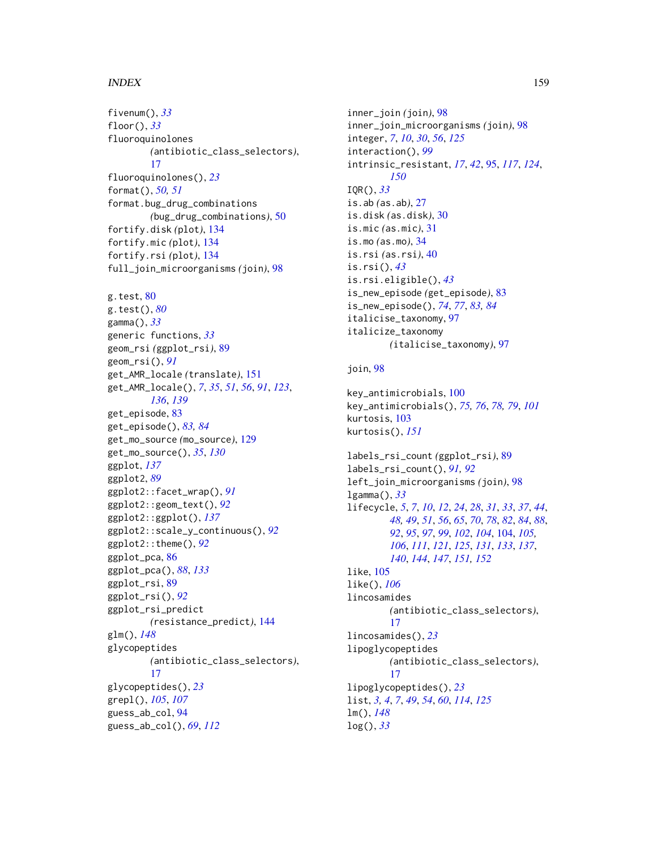fivenum(), *[33](#page-32-0)* floor(), *[33](#page-32-0)* fluoroquinolones *(*antibiotic\_class\_selectors*)*, [17](#page-16-0) fluoroquinolones(), *[23](#page-22-0)* format(), *[50,](#page-49-0) [51](#page-50-0)* format.bug\_drug\_combinations *(*bug\_drug\_combinations*)*, [50](#page-49-0) fortify.disk *(*plot*)*, [134](#page-133-0) fortify.mic *(*plot*)*, [134](#page-133-0) fortify.rsi *(*plot*)*, [134](#page-133-0) full\_join\_microorganisms *(*join*)*, [98](#page-97-0) g.test, [80](#page-79-0) g.test(), *[80](#page-79-0)* gamma(), *[33](#page-32-0)* generic functions, *[33](#page-32-0)* geom\_rsi *(*ggplot\_rsi*)*, [89](#page-88-0) geom\_rsi(), *[91](#page-90-0)* get\_AMR\_locale *(*translate*)*, [151](#page-150-0) get\_AMR\_locale(), *[7](#page-6-0)*, *[35](#page-34-0)*, *[51](#page-50-0)*, *[56](#page-55-0)*, *[91](#page-90-0)*, *[123](#page-122-0)*, *[136](#page-135-0)*, *[139](#page-138-0)* get\_episode, [83](#page-82-0) get\_episode(), *[83,](#page-82-0) [84](#page-83-0)* get\_mo\_source *(*mo\_source*)*, [129](#page-128-0) get\_mo\_source(), *[35](#page-34-0)*, *[130](#page-129-0)* ggplot, *[137](#page-136-0)* ggplot2, *[89](#page-88-0)* ggplot2::facet\_wrap(), *[91](#page-90-0)* ggplot2::geom\_text(), *[92](#page-91-0)* ggplot2::ggplot(), *[137](#page-136-0)* ggplot2::scale\_y\_continuous(), *[92](#page-91-0)* ggplot2::theme(), *[92](#page-91-0)* ggplot\_pca, [86](#page-85-0) ggplot\_pca(), *[88](#page-87-0)*, *[133](#page-132-0)* ggplot\_rsi, [89](#page-88-0) ggplot\_rsi(), *[92](#page-91-0)* ggplot\_rsi\_predict *(*resistance\_predict*)*, [144](#page-143-1) glm(), *[148](#page-147-0)* glycopeptides *(*antibiotic\_class\_selectors*)*, [17](#page-16-0) glycopeptides(), *[23](#page-22-0)* grepl(), *[105](#page-104-0)*, *[107](#page-106-0)* guess\_ab\_col, [94](#page-93-0) guess\_ab\_col(), *[69](#page-68-0)*, *[112](#page-111-0)*

inner\_join *(*join*)*, [98](#page-97-0) inner\_join\_microorganisms *(*join*)*, [98](#page-97-0) integer, *[7](#page-6-0)*, *[10](#page-9-0)*, *[30](#page-29-0)*, *[56](#page-55-0)*, *[125](#page-124-0)* interaction(), *[99](#page-98-0)* intrinsic\_resistant, *[17](#page-16-0)*, *[42](#page-41-0)*, [95,](#page-94-1) *[117](#page-116-0)*, *[124](#page-123-0)*, *[150](#page-149-0)* IQR(), *[33](#page-32-0)* is.ab *(*as.ab*)*, [27](#page-26-1) is.disk *(*as.disk*)*, [30](#page-29-0) is.mic *(*as.mic*)*, [31](#page-30-0) is.mo *(*as.mo*)*, [34](#page-33-1) is.rsi *(*as.rsi*)*, [40](#page-39-1) is.rsi(), *[43](#page-42-0)* is.rsi.eligible(), *[43](#page-42-0)* is\_new\_episode *(*get\_episode*)*, [83](#page-82-0) is\_new\_episode(), *[74](#page-73-0)*, *[77](#page-76-0)*, *[83,](#page-82-0) [84](#page-83-0)* italicise\_taxonomy, [97](#page-96-0) italicize\_taxonomy *(*italicise\_taxonomy*)*, [97](#page-96-0) join, [98](#page-97-0) key\_antimicrobials, [100](#page-99-0)

```
key_antimicrobials(), 75, 76, 78, 79, 101
kurtosis, 103
kurtosis(), 151
```

```
labels_rsi_count (ggplot_rsi), 89
labels_rsi_count(), 91, 92
left_join_microorganisms (join), 98
lgamma(), 33
lifecycle, 5, 7, 10, 12, 24, 28, 31, 33, 37, 44,
         48, 49, 51, 56, 65, 70, 78, 82, 84, 88,
         92, 95, 97, 99, 102, 104, 104, 105,
         106, 111, 121, 125, 131, 133, 137,
         140, 144, 147, 151, 152
like, 105
like(), 106
lincosamides
         (antibiotic_class_selectors),
         17
lincosamides(), 23
lipoglycopeptides
         (antibiotic_class_selectors),
         17
lipoglycopeptides(), 23
list, 3, 4, 7, 49, 54, 60, 114, 125
lm(), 148
log(), 33
```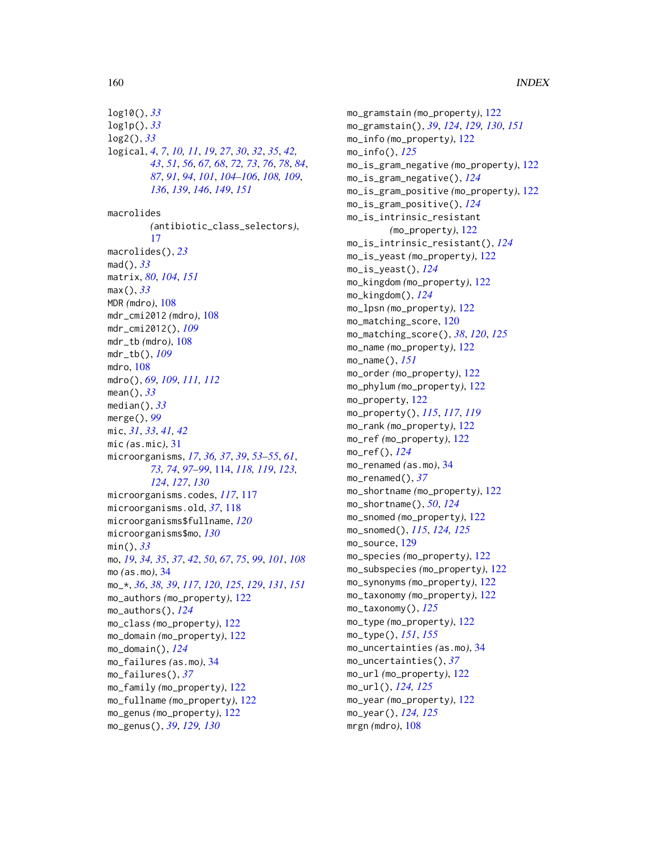log10(), *[33](#page-32-0)* log1p(), *[33](#page-32-0)* log2(), *[33](#page-32-0)* logical, *[4](#page-3-0)*, *[7](#page-6-0)*, *[10,](#page-9-0) [11](#page-10-1)*, *[19](#page-18-0)*, *[27](#page-26-1)*, *[30](#page-29-0)*, *[32](#page-31-0)*, *[35](#page-34-0)*, *[42,](#page-41-0) [43](#page-42-0)*, *[51](#page-50-0)*, *[56](#page-55-0)*, *[67,](#page-66-0) [68](#page-67-0)*, *[72,](#page-71-1) [73](#page-72-0)*, *[76](#page-75-0)*, *[78](#page-77-0)*, *[84](#page-83-0)*, *[87](#page-86-0)*, *[91](#page-90-0)*, *[94](#page-93-0)*, *[101](#page-100-0)*, *[104–](#page-103-1)[106](#page-105-0)*, *[108,](#page-107-0) [109](#page-108-0)*, *[136](#page-135-0)*, *[139](#page-138-0)*, *[146](#page-145-0)*, *[149](#page-148-0)*, *[151](#page-150-0)* macrolides *(*antibiotic\_class\_selectors*)*, [17](#page-16-0) macrolides(), *[23](#page-22-0)* mad(), *[33](#page-32-0)* matrix, *[80](#page-79-0)*, *[104](#page-103-1)*, *[151](#page-150-0)* max(), *[33](#page-32-0)* MDR *(*mdro*)*, [108](#page-107-0) mdr\_cmi2012 *(*mdro*)*, [108](#page-107-0) mdr\_cmi2012(), *[109](#page-108-0)* mdr\_tb *(*mdro*)*, [108](#page-107-0) mdr\_tb(), *[109](#page-108-0)* mdro, [108](#page-107-0) mdro(), *[69](#page-68-0)*, *[109](#page-108-0)*, *[111,](#page-110-0) [112](#page-111-0)* mean(), *[33](#page-32-0)* median(), *[33](#page-32-0)* merge(), *[99](#page-98-0)* mic, *[31](#page-30-0)*, *[33](#page-32-0)*, *[41,](#page-40-0) [42](#page-41-0)* mic *(*as.mic*)*, [31](#page-30-0) microorganisms, *[17](#page-16-0)*, *[36,](#page-35-0) [37](#page-36-0)*, *[39](#page-38-0)*, *[53–](#page-52-0)[55](#page-54-1)*, *[61](#page-60-0)*, *[73,](#page-72-0) [74](#page-73-0)*, *[97](#page-96-0)[–99](#page-98-0)*, [114,](#page-113-0) *[118,](#page-117-0) [119](#page-118-0)*, *[123,](#page-122-0) [124](#page-123-0)*, *[127](#page-126-0)*, *[130](#page-129-0)* microorganisms.codes, *[117](#page-116-0)*, [117](#page-116-0) microorganisms.old, *[37](#page-36-0)*, [118](#page-117-0) microorganisms\$fullname, *[120](#page-119-0)* microorganisms\$mo, *[130](#page-129-0)* min(), *[33](#page-32-0)* mo, *[19](#page-18-0)*, *[34,](#page-33-1) [35](#page-34-0)*, *[37](#page-36-0)*, *[42](#page-41-0)*, *[50](#page-49-0)*, *[67](#page-66-0)*, *[75](#page-74-0)*, *[99](#page-98-0)*, *[101](#page-100-0)*, *[108](#page-107-0)* mo *(*as.mo*)*, [34](#page-33-1) mo\_\*, *[36](#page-35-0)*, *[38,](#page-37-0) [39](#page-38-0)*, *[117](#page-116-0)*, *[120](#page-119-0)*, *[125](#page-124-0)*, *[129](#page-128-0)*, *[131](#page-130-0)*, *[151](#page-150-0)* mo\_authors *(*mo\_property*)*, [122](#page-121-2) mo\_authors(), *[124](#page-123-0)* mo\_class *(*mo\_property*)*, [122](#page-121-2) mo\_domain *(*mo\_property*)*, [122](#page-121-2) mo\_domain(), *[124](#page-123-0)* mo\_failures *(*as.mo*)*, [34](#page-33-1) mo\_failures(), *[37](#page-36-0)* mo\_family *(*mo\_property*)*, [122](#page-121-2) mo\_fullname *(*mo\_property*)*, [122](#page-121-2) mo\_genus *(*mo\_property*)*, [122](#page-121-2) mo\_genus(), *[39](#page-38-0)*, *[129,](#page-128-0) [130](#page-129-0)*

mo\_gramstain *(*mo\_property*)*, [122](#page-121-2) mo\_gramstain(), *[39](#page-38-0)*, *[124](#page-123-0)*, *[129,](#page-128-0) [130](#page-129-0)*, *[151](#page-150-0)* mo\_info *(*mo\_property*)*, [122](#page-121-2) mo\_info(), *[125](#page-124-0)* mo\_is\_gram\_negative *(*mo\_property*)*, [122](#page-121-2) mo\_is\_gram\_negative(), *[124](#page-123-0)* mo\_is\_gram\_positive *(*mo\_property*)*, [122](#page-121-2) mo\_is\_gram\_positive(), *[124](#page-123-0)* mo\_is\_intrinsic\_resistant *(*mo\_property*)*, [122](#page-121-2) mo\_is\_intrinsic\_resistant(), *[124](#page-123-0)* mo\_is\_yeast *(*mo\_property*)*, [122](#page-121-2) mo\_is\_yeast(), *[124](#page-123-0)* mo\_kingdom *(*mo\_property*)*, [122](#page-121-2) mo\_kingdom(), *[124](#page-123-0)* mo\_lpsn *(*mo\_property*)*, [122](#page-121-2) mo\_matching\_score, [120](#page-119-0) mo\_matching\_score(), *[38](#page-37-0)*, *[120](#page-119-0)*, *[125](#page-124-0)* mo\_name *(*mo\_property*)*, [122](#page-121-2) mo\_name(), *[151](#page-150-0)* mo\_order *(*mo\_property*)*, [122](#page-121-2) mo\_phylum *(*mo\_property*)*, [122](#page-121-2) mo\_property, [122](#page-121-2) mo\_property(), *[115](#page-114-0)*, *[117](#page-116-0)*, *[119](#page-118-0)* mo\_rank *(*mo\_property*)*, [122](#page-121-2) mo\_ref *(*mo\_property*)*, [122](#page-121-2) mo\_ref(), *[124](#page-123-0)* mo\_renamed *(*as.mo*)*, [34](#page-33-1) mo\_renamed(), *[37](#page-36-0)* mo\_shortname *(*mo\_property*)*, [122](#page-121-2) mo\_shortname(), *[50](#page-49-0)*, *[124](#page-123-0)* mo\_snomed *(*mo\_property*)*, [122](#page-121-2) mo\_snomed(), *[115](#page-114-0)*, *[124,](#page-123-0) [125](#page-124-0)* mo\_source, [129](#page-128-0) mo\_species *(*mo\_property*)*, [122](#page-121-2) mo\_subspecies *(*mo\_property*)*, [122](#page-121-2) mo\_synonyms *(*mo\_property*)*, [122](#page-121-2) mo\_taxonomy *(*mo\_property*)*, [122](#page-121-2) mo\_taxonomy(), *[125](#page-124-0)* mo\_type *(*mo\_property*)*, [122](#page-121-2) mo\_type(), *[151](#page-150-0)*, *[155](#page-154-0)* mo\_uncertainties *(*as.mo*)*, [34](#page-33-1) mo\_uncertainties(), *[37](#page-36-0)* mo\_url *(*mo\_property*)*, [122](#page-121-2) mo\_url(), *[124,](#page-123-0) [125](#page-124-0)* mo\_year *(*mo\_property*)*, [122](#page-121-2) mo\_year(), *[124,](#page-123-0) [125](#page-124-0)* mrgn *(*mdro*)*, [108](#page-107-0)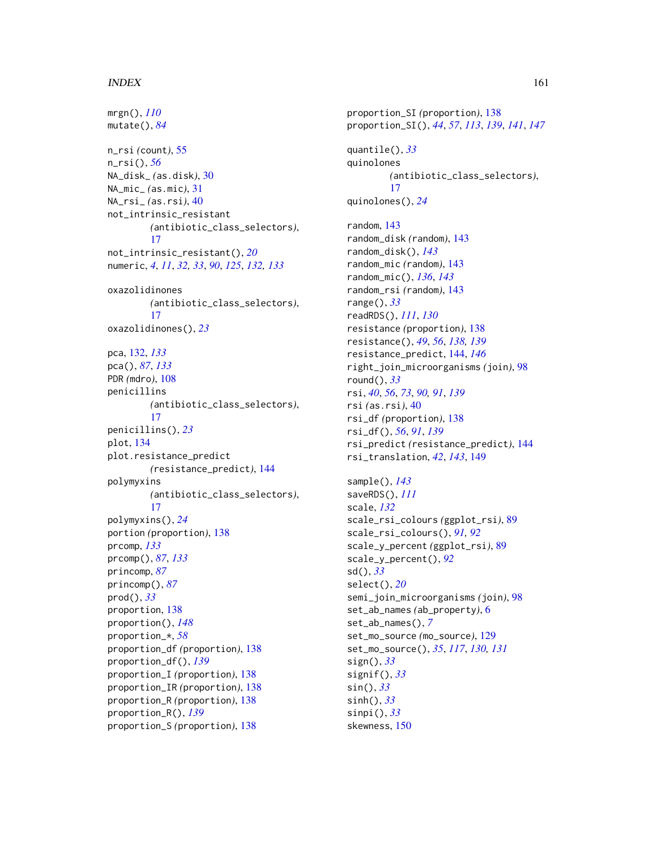mrgn(), *[110](#page-109-0)* mutate(), *[84](#page-83-0)* n\_rsi *(*count*)*, [55](#page-54-1) n\_rsi(), *[56](#page-55-0)* NA\_disk\_ *(*as.disk*)*, [30](#page-29-0) NA\_mic\_ *(*as.mic*)*, [31](#page-30-0) NA\_rsi\_ *(*as.rsi*)*, [40](#page-39-1) not\_intrinsic\_resistant *(*antibiotic\_class\_selectors*)*, [17](#page-16-0) not\_intrinsic\_resistant(), *[20](#page-19-0)* numeric, *[4](#page-3-0)*, *[11](#page-10-1)*, *[32,](#page-31-0) [33](#page-32-0)*, *[90](#page-89-0)*, *[125](#page-124-0)*, *[132,](#page-131-0) [133](#page-132-0)* oxazolidinones *(*antibiotic\_class\_selectors*)*, [17](#page-16-0) oxazolidinones(), *[23](#page-22-0)* pca, [132,](#page-131-0) *[133](#page-132-0)* pca(), *[87](#page-86-0)*, *[133](#page-132-0)* PDR *(*mdro*)*, [108](#page-107-0) penicillins *(*antibiotic\_class\_selectors*)*, [17](#page-16-0) penicillins(), *[23](#page-22-0)* plot, [134](#page-133-0) plot.resistance\_predict *(*resistance\_predict*)*, [144](#page-143-1) polymyxins *(*antibiotic\_class\_selectors*)*, [17](#page-16-0) polymyxins(), *[24](#page-23-0)* portion *(*proportion*)*, [138](#page-137-2) prcomp, *[133](#page-132-0)* prcomp(), *[87](#page-86-0)*, *[133](#page-132-0)* princomp, *[87](#page-86-0)* princomp(), *[87](#page-86-0)* prod(), *[33](#page-32-0)* proportion, [138](#page-137-2) proportion(), *[148](#page-147-0)* proportion\_\*, *[58](#page-57-0)* proportion\_df *(*proportion*)*, [138](#page-137-2) proportion\_df(), *[139](#page-138-0)* proportion\_I *(*proportion*)*, [138](#page-137-2) proportion\_IR *(*proportion*)*, [138](#page-137-2) proportion\_R *(*proportion*)*, [138](#page-137-2) proportion\_R(), *[139](#page-138-0)* proportion\_S *(*proportion*)*, [138](#page-137-2)

proportion\_SI *(*proportion*)*, [138](#page-137-2) proportion\_SI(), *[44](#page-43-0)*, *[57](#page-56-0)*, *[113](#page-112-0)*, *[139](#page-138-0)*, *[141](#page-140-0)*, *[147](#page-146-0)* quantile(), *[33](#page-32-0)* quinolones *(*antibiotic\_class\_selectors*)*, [17](#page-16-0) quinolones(), *[24](#page-23-0)* random, [143](#page-142-0) random\_disk *(*random*)*, [143](#page-142-0) random\_disk(), *[143](#page-142-0)* random\_mic *(*random*)*, [143](#page-142-0) random\_mic(), *[136](#page-135-0)*, *[143](#page-142-0)* random\_rsi *(*random*)*, [143](#page-142-0) range(), *[33](#page-32-0)* readRDS(), *[111](#page-110-0)*, *[130](#page-129-0)* resistance *(*proportion*)*, [138](#page-137-2) resistance(), *[49](#page-48-0)*, *[56](#page-55-0)*, *[138,](#page-137-2) [139](#page-138-0)* resistance\_predict, [144,](#page-143-1) *[146](#page-145-0)* right\_join\_microorganisms *(*join*)*, [98](#page-97-0) round(), *[33](#page-32-0)* rsi, *[40](#page-39-1)*, *[56](#page-55-0)*, *[73](#page-72-0)*, *[90,](#page-89-0) [91](#page-90-0)*, *[139](#page-138-0)* rsi *(*as.rsi*)*, [40](#page-39-1) rsi\_df *(*proportion*)*, [138](#page-137-2) rsi\_df(), *[56](#page-55-0)*, *[91](#page-90-0)*, *[139](#page-138-0)* rsi\_predict *(*resistance\_predict*)*, [144](#page-143-1) rsi\_translation, *[42](#page-41-0)*, *[143](#page-142-0)*, [149](#page-148-0) sample(), *[143](#page-142-0)* saveRDS(), *[111](#page-110-0)* scale, *[132](#page-131-0)* scale\_rsi\_colours *(*ggplot\_rsi*)*, [89](#page-88-0) scale\_rsi\_colours(), *[91,](#page-90-0) [92](#page-91-0)* scale\_y\_percent *(*ggplot\_rsi*)*, [89](#page-88-0) scale\_y\_percent(), *[92](#page-91-0)* sd(), *[33](#page-32-0)* select(), *[20](#page-19-0)* semi\_join\_microorganisms *(*join*)*, [98](#page-97-0) set\_ab\_names *(*ab\_property*)*, [6](#page-5-2) set\_ab\_names(), *[7](#page-6-0)* set\_mo\_source *(*mo\_source*)*, [129](#page-128-0) set\_mo\_source(), *[35](#page-34-0)*, *[117](#page-116-0)*, *[130,](#page-129-0) [131](#page-130-0)* sign(), *[33](#page-32-0)* signif(), *[33](#page-32-0)* sin(), *[33](#page-32-0)* sinh(), *[33](#page-32-0)* sinpi(), *[33](#page-32-0)* skewness, [150](#page-149-0)